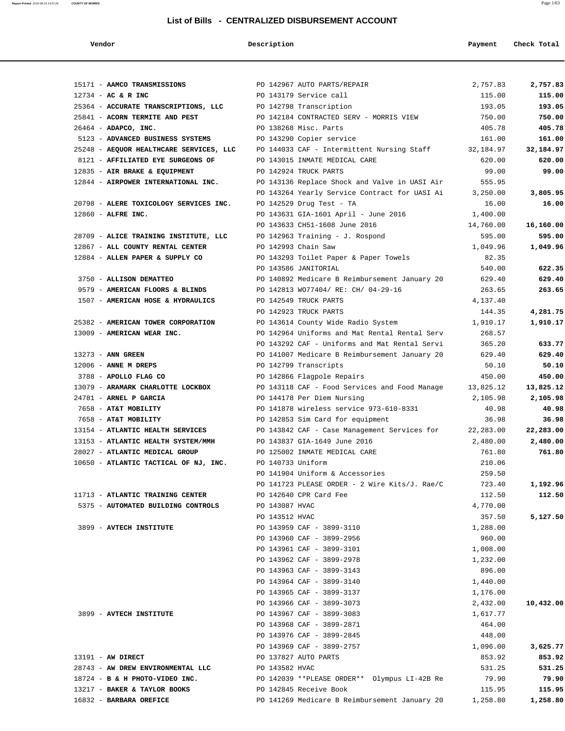| Vendor                                  | Description                                   | Payment   | Check Total |
|-----------------------------------------|-----------------------------------------------|-----------|-------------|
|                                         |                                               |           |             |
| 15171 - AAMCO TRANSMISSIONS             | PO 142967 AUTO PARTS/REPAIR                   | 2,757.83  | 2,757.83    |
| $12734 - AC & R$ INC                    | PO 143179 Service call                        | 115.00    | 115.00      |
| 25364 - ACCURATE TRANSCRIPTIONS, LLC    | PO 142798 Transcription                       | 193.05    | 193.05      |
| 25841 - ACORN TERMITE AND PEST          | PO 142184 CONTRACTED SERV - MORRIS VIEW       | 750.00    | 750.00      |
| $26464$ - ADAPCO, INC.                  | PO 138268 Misc. Parts                         | 405.78    | 405.78      |
| 5123 - ADVANCED BUSINESS SYSTEMS        | PO 143290 Copier service                      | 161.00    | 161.00      |
| 25248 - AEQUOR HEALTHCARE SERVICES, LLC | PO 144033 CAF - Intermittent Nursing Staff    | 32,184.97 | 32,184.97   |
| 8121 - AFFILIATED EYE SURGEONS OF       | PO 143015 INMATE MEDICAL CARE                 | 620.00    | 620.00      |
| 12835 - AIR BRAKE & EQUIPMENT           | PO 142924 TRUCK PARTS                         | 99.00     | 99.00       |
| 12844 - AIRPOWER INTERNATIONAL INC.     | PO 143136 Replace Shock and Valve in UASI Air | 555.95    |             |
|                                         | PO 143264 Yearly Service Contract for UASI Ai | 3,250.00  | 3,805.95    |
| 20798 - ALERE TOXICOLOGY SERVICES INC.  | PO 142529 Drug Test - TA                      | 16.00     | 16.00       |
| $12860$ - ALFRE INC.                    | PO 143631 GIA-1601 April - June 2016          | 1,400.00  |             |
|                                         | PO 143633 CH51-1608 June 2016                 | 14,760.00 | 16,160.00   |
| 28709 - ALICE TRAINING INSTITUTE, LLC   | PO 142963 Training - J. Rospond               | 595.00    | 595.00      |
| 12867 - ALL COUNTY RENTAL CENTER        | PO 142993 Chain Saw                           | 1,049.96  | 1,049.96    |
| 12884 - ALLEN PAPER & SUPPLY CO         | PO 143293 Toilet Paper & Paper Towels         | 82.35     |             |
|                                         | PO 143586 JANITORIAL                          | 540.00    | 622.35      |
| 3750 - ALLISON DEMATTEO                 | PO 140892 Medicare B Reimbursement January 20 | 629.40    | 629.40      |
| 9579 - AMERICAN FLOORS & BLINDS         | PO 142813 WO77404/ RE: CH/ 04-29-16           | 263.65    | 263.65      |
| 1507 - AMERICAN HOSE & HYDRAULICS       | PO 142549 TRUCK PARTS                         | 4,137.40  |             |
|                                         | PO 142923 TRUCK PARTS                         | 144.35    | 4,281.75    |
| 25382 - AMERICAN TOWER CORPORATION      | PO 143614 County Wide Radio System            | 1,910.17  | 1,910.17    |
| 13009 - AMERICAN WEAR INC.              | PO 142964 Uniforms and Mat Rental Rental Serv | 268.57    |             |
|                                         | PO 143292 CAF - Uniforms and Mat Rental Servi | 365.20    | 633.77      |
| 13273 - ANN GREEN                       | PO 141007 Medicare B Reimbursement January 20 | 629.40    | 629.40      |
| $12006$ - ANNE M DREPS                  | PO 142799 Transcripts                         | 50.10     | 50.10       |
| 3788 - APOLLO FLAG CO                   | PO 142866 Flagpole Repairs                    | 450.00    | 450.00      |
| 13079 - ARAMARK CHARLOTTE LOCKBOX       | PO 143118 CAF - Food Services and Food Manage | 13,825.12 | 13,825.12   |
| 24781 - ARNEL P GARCIA                  | PO 144178 Per Diem Nursing                    | 2,105.98  | 2,105.98    |
| 7658 - AT&T MOBILITY                    | PO 141878 wireless service 973-610-8331       | 40.98     | 40.98       |
| 7658 - AT&T MOBILITY                    | PO 142853 Sim Card for equipment              | 36.98     | 36.98       |
| 13154 - ATLANTIC HEALTH SERVICES        | PO 143842 CAF - Case Management Services for  | 22,283.00 | 22,283.00   |
| 13153 - ATLANTIC HEALTH SYSTEM/MMH      | PO 143837 GIA-1649 June 2016                  | 2,480.00  | 2,480.00    |
| 28027 - ATLANTIC MEDICAL GROUP          | PO 125002 INMATE MEDICAL CARE                 | 761.80    | 761.80      |
| 10650 - ATLANTIC TACTICAL OF NJ, INC.   | PO 140733 Uniform                             | 210.06    |             |
|                                         | PO 141904 Uniform & Accessories               | 259.50    |             |
|                                         | PO 141723 PLEASE ORDER - 2 Wire Kits/J. Rae/C | 723.40    | 1,192.96    |
| 11713 - ATLANTIC TRAINING CENTER        | PO 142640 CPR Card Fee                        | 112.50    | 112.50      |
| 5375 - AUTOMATED BUILDING CONTROLS      | PO 143087 HVAC                                | 4,770.00  |             |
|                                         | PO 143512 HVAC                                | 357.50    | 5,127.50    |
| 3899 - AVTECH INSTITUTE                 | PO 143959 CAF - 3899-3110                     | 1,288.00  |             |
|                                         | PO 143960 CAF - 3899-2956                     | 960.00    |             |
|                                         | PO 143961 CAF - 3899-3101                     | 1,008.00  |             |
|                                         | PO 143962 CAF - 3899-2978                     | 1,232.00  |             |
|                                         | PO 143963 CAF - 3899-3143                     | 896.00    |             |
|                                         | PO 143964 CAF - 3899-3140                     | 1,440.00  |             |
|                                         |                                               |           |             |
|                                         | PO 143965 CAF - 3899-3137                     | 1,176.00  |             |
|                                         | PO 143966 CAF - 3899-3073                     | 2,432.00  | 10,432.00   |
| 3899 - AVTECH INSTITUTE                 | PO 143967 CAF - 3899-3083                     | 1,617.77  |             |
|                                         | PO 143968 CAF - 3899-2871                     | 464.00    |             |
|                                         | PO 143976 CAF - 3899-2845                     | 448.00    |             |
|                                         | PO 143969 CAF - 3899-2757                     | 1,096.00  | 3,625.77    |
| 13191 - AW DIRECT                       | PO 137827 AUTO PARTS                          | 853.92    | 853.92      |
| 28743 - AW DREW ENVIRONMENTAL LLC       | PO 143582 HVAC                                | 531.25    | 531.25      |
| $18724$ - B & H PHOTO-VIDEO INC.        | PO 142039 **PLEASE ORDER** Olympus LI-42B Re  | 79.90     | 79.90       |
| 13217 - BAKER & TAYLOR BOOKS            | PO 142845 Receive Book                        | 115.95    | 115.95      |
| 16832 - BARBARA OREFICE                 | PO 141269 Medicare B Reimbursement January 20 | 1,258.80  | 1,258.80    |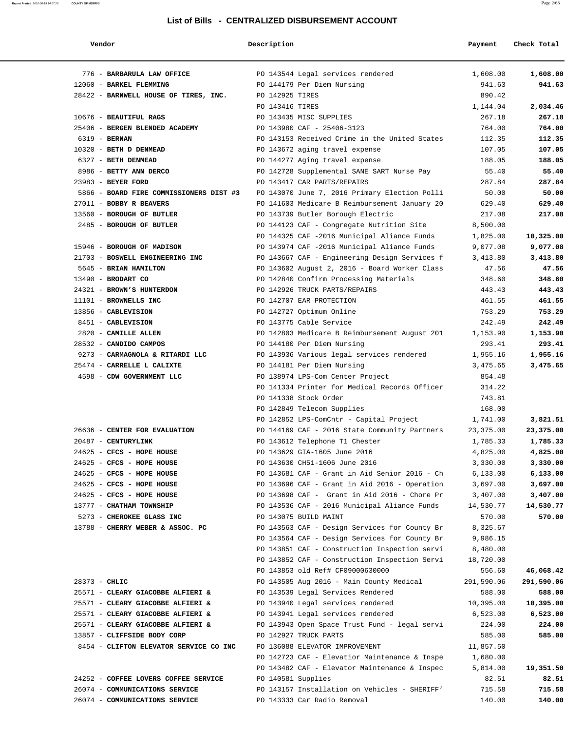| Vendor                                  | Description        |                                               | Payment    | Check Total |
|-----------------------------------------|--------------------|-----------------------------------------------|------------|-------------|
| 776 - BARBARULA LAW OFFICE              |                    | PO 143544 Legal services rendered             | 1,608.00   | 1,608.00    |
| 12060 - BARKEL FLEMMING                 |                    | PO 144179 Per Diem Nursing                    | 941.63     | 941.63      |
| 28422 - BARNWELL HOUSE OF TIRES, INC.   | PO 142925 TIRES    |                                               | 890.42     |             |
|                                         | PO 143416 TIRES    |                                               | 1,144.04   | 2,034.46    |
| 10676 - BEAUTIFUL RAGS                  |                    | PO 143435 MISC SUPPLIES                       | 267.18     | 267.18      |
| 25406 - BERGEN BLENDED ACADEMY          |                    | PO 143980 CAF - 25406-3123                    | 764.00     | 764.00      |
| 6319 - BERNAN                           |                    | PO 143153 Received Crime in the United States | 112.35     | 112.35      |
| 10320 - BETH D DENMEAD                  |                    | PO 143672 aging travel expense                | 107.05     | 107.05      |
| 6327 - BETH DENMEAD                     |                    | PO 144277 Aging travel expense                | 188.05     | 188.05      |
| 8986 - BETTY ANN DERCO                  |                    | PO 142728 Supplemental SANE SART Nurse Pay    | 55.40      | 55.40       |
| 23983 - BEYER FORD                      |                    | PO 143417 CAR PARTS/REPAIRS                   | 287.84     | 287.84      |
| 5866 - BOARD FIRE COMMISSIONERS DIST #3 |                    | PO 143070 June 7, 2016 Primary Election Polli | 50.00      | 50.00       |
| 27011 - BOBBY R BEAVERS                 |                    | PO 141603 Medicare B Reimbursement January 20 | 629.40     | 629.40      |
| 13560 - BOROUGH OF BUTLER               |                    | PO 143739 Butler Borough Electric             | 217.08     | 217.08      |
| 2485 - BOROUGH OF BUTLER                |                    | PO 144123 CAF - Congregate Nutrition Site     | 8,500.00   |             |
|                                         |                    | PO 144325 CAF -2016 Municipal Aliance Funds   | 1,825.00   | 10,325.00   |
| 15946 - BOROUGH OF MADISON              |                    | PO 143974 CAF -2016 Municipal Aliance Funds   | 9,077.08   | 9,077.08    |
| 21703 - BOSWELL ENGINEERING INC         |                    | PO 143667 CAF - Engineering Design Services f | 3,413.80   | 3,413.80    |
| 5645 - BRIAN HAMILTON                   |                    | PO 143602 August 2, 2016 - Board Worker Class | 47.56      | 47.56       |
| 13490 - BRODART CO                      |                    | PO 142840 Confirm Processing Materials        | 348.60     | 348.60      |
| 24321 - BROWN'S HUNTERDON               |                    | PO 142926 TRUCK PARTS/REPAIRS                 | 443.43     | 443.43      |
| 11101 - BROWNELLS INC                   |                    | PO 142707 EAR PROTECTION                      | 461.55     | 461.55      |
| 13856 - CABLEVISION                     |                    | PO 142727 Optimum Online                      | 753.29     | 753.29      |
| 8451 - CABLEVISION                      |                    | PO 143775 Cable Service                       | 242.49     | 242.49      |
| 2820 - CAMILLE ALLEN                    |                    | PO 142803 Medicare B Reimbursement August 201 | 1,153.90   | 1,153.90    |
| 28532 - CANDIDO CAMPOS                  |                    | PO 144180 Per Diem Nursing                    | 293.41     | 293.41      |
| 9273 - CARMAGNOLA & RITARDI LLC         |                    | PO 143936 Various legal services rendered     | 1,955.16   | 1,955.16    |
| 25474 - CARRELLE L CALIXTE              |                    | PO 144181 Per Diem Nursing                    | 3,475.65   | 3,475.65    |
| 4598 - CDW GOVERNMENT LLC               |                    | PO 138974 LPS-Com Center Project              | 854.48     |             |
|                                         |                    | PO 141334 Printer for Medical Records Officer | 314.22     |             |
|                                         |                    | PO 141338 Stock Order                         | 743.81     |             |
|                                         |                    | PO 142849 Telecom Supplies                    | 168.00     |             |
|                                         |                    | PO 142852 LPS-ComCntr - Capital Project       | 1,741.00   | 3,821.51    |
| 26636 - CENTER FOR EVALUATION           |                    | PO 144169 CAF - 2016 State Community Partners | 23, 375.00 | 23,375.00   |
| 20487 - CENTURYLINK                     |                    | PO 143612 Telephone T1 Chester                | 1,785.33   | 1,785.33    |
| 24625 - CFCS - HOPE HOUSE               |                    | PO 143629 GIA-1605 June 2016                  | 4,825.00   | 4,825.00    |
| 24625 - CFCS - HOPE HOUSE               |                    | PO 143630 CH51-1606 June 2016                 | 3,330.00   | 3,330.00    |
| 24625 - CFCS - HOPE HOUSE               |                    | PO 143681 CAF - Grant in Aid Senior 2016 - Ch | 6,133.00   | 6,133.00    |
| 24625 - CFCS - HOPE HOUSE               |                    | PO 143696 CAF - Grant in Aid 2016 - Operation | 3,697.00   | 3,697.00    |
| 24625 - CFCS - HOPE HOUSE               |                    | PO 143698 CAF - Grant in Aid 2016 - Chore Pr  | 3,407.00   | 3,407.00    |
| 13777 - CHATHAM TOWNSHIP                |                    | PO 143536 CAF - 2016 Municipal Aliance Funds  | 14,530.77  | 14,530.77   |
| 5273 - CHEROKEE GLASS INC               |                    | PO 143075 BUILD MAINT                         | 570.00     | 570.00      |
| 13788 - CHERRY WEBER & ASSOC. PC        |                    | PO 143563 CAF - Design Services for County Br | 8,325.67   |             |
|                                         |                    | PO 143564 CAF - Design Services for County Br | 9,986.15   |             |
|                                         |                    | PO 143851 CAF - Construction Inspection servi | 8,480.00   |             |
|                                         |                    | PO 143852 CAF - Construction Inspection Servi | 18,720.00  |             |
|                                         |                    | PO 143853 old Ref# CF09000630000              | 556.60     | 46,068.42   |
| 28373 - CHLIC                           |                    | PO 143505 Aug 2016 - Main County Medical      | 291,590.06 | 291,590.06  |
| 25571 - CLEARY GIACOBBE ALFIERI &       |                    | PO 143539 Legal Services Rendered             | 588.00     | 588.00      |
| 25571 - CLEARY GIACOBBE ALFIERI &       |                    | PO 143940 Legal services rendered             | 10,395.00  | 10,395.00   |
| 25571 - CLEARY GIACOBBE ALFIERI &       |                    | PO 143941 Legal services rendered             | 6,523.00   | 6,523.00    |
| 25571 - CLEARY GIACOBBE ALFIERI &       |                    | PO 143943 Open Space Trust Fund - legal servi | 224.00     | 224.00      |
| 13857 - CLIFFSIDE BODY CORP             |                    | PO 142927 TRUCK PARTS                         | 585.00     | 585.00      |
| 8454 - CLIFTON ELEVATOR SERVICE CO INC  |                    | PO 136088 ELEVATOR IMPROVEMENT                | 11,857.50  |             |
|                                         |                    | PO 142723 CAF - Elevatior Maintenance & Inspe | 1,680.00   |             |
|                                         |                    | PO 143482 CAF - Elevator Maintenance & Inspec | 5,814.00   | 19,351.50   |
| 24252 - COFFEE LOVERS COFFEE SERVICE    | PO 140581 Supplies |                                               | 82.51      | 82.51       |
| 26074 - COMMUNICATIONS SERVICE          |                    | PO 143157 Installation on Vehicles - SHERIFF' | 715.58     | 715.58      |
| 26074 - COMMUNICATIONS SERVICE          |                    | PO 143333 Car Radio Removal                   | 140.00     | 140.00      |
|                                         |                    |                                               |            |             |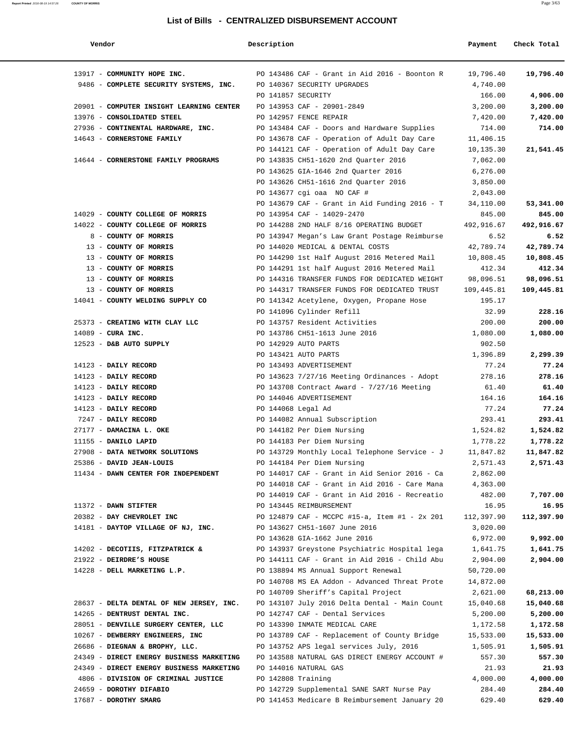| Vendor                                                                                 | Description        |                                                           | Payment    | Check Total |
|----------------------------------------------------------------------------------------|--------------------|-----------------------------------------------------------|------------|-------------|
| 13917 - COMMUNITY HOPE INC.                                                            |                    | PO 143486 CAF - Grant in Aid 2016 - Boonton R             | 19,796.40  | 19,796.40   |
| 9486 - COMPLETE SECURITY SYSTEMS, INC. PO 140367 SECURITY UPGRADES                     |                    |                                                           | 4,740.00   |             |
|                                                                                        | PO 141857 SECURITY |                                                           | 166.00     | 4,906.00    |
| 20901 - COMPUTER INSIGHT LEARNING CENTER PO 143953 CAF - 20901-2849                    |                    |                                                           | 3,200.00   | 3,200.00    |
| 13976 - CONSOLIDATED STEEL                                                             |                    | PO 142957 FENCE REPAIR                                    | 7,420.00   | 7,420.00    |
| 27936 - CONTINENTAL HARDWARE, INC.                                                     |                    | PO 143484 CAF - Doors and Hardware Supplies               | 714.00     | 714.00      |
| 14643 - CORNERSTONE FAMILY                                                             |                    | PO 143678 CAF - Operation of Adult Day Care               | 11,406.15  |             |
|                                                                                        |                    | PO 144121 CAF - Operation of Adult Day Care               | 10,135.30  | 21,541.45   |
| 14644 - CORNERSTONE FAMILY PROGRAMS                                                    |                    | PO 143835 CH51-1620 2nd Quarter 2016                      | 7,062.00   |             |
|                                                                                        |                    | PO 143625 GIA-1646 2nd Quarter 2016                       | 6,276.00   |             |
|                                                                                        |                    | PO 143626 CH51-1616 2nd Quarter 2016                      | 3,850.00   |             |
|                                                                                        |                    | PO 143677 cgi oaa NO CAF #                                | 2,043.00   |             |
|                                                                                        |                    | PO 143679 CAF - Grant in Aid Funding 2016 - T             | 34,110.00  | 53,341.00   |
| 14029 - COUNTY COLLEGE OF MORRIS                                                       |                    | PO 143954 CAF - 14029-2470                                | 845.00     | 845.00      |
| 14022 - COUNTY COLLEGE OF MORRIS                                                       |                    | PO 144288 2ND HALF 8/16 OPERATING BUDGET                  | 492,916.67 | 492,916.67  |
| 8 - COUNTY OF MORRIS                                                                   |                    | PO 143947 Megan's Law Grant Postage Reimburse             | 6.52       | 6.52        |
| 13 - COUNTY OF MORRIS                                                                  |                    | PO 144020 MEDICAL & DENTAL COSTS                          | 42,789.74  | 42,789.74   |
| 13 - COUNTY OF MORRIS                                                                  |                    | PO 144290 1st Half August 2016 Metered Mail               | 10,808.45  | 10,808.45   |
| 13 - COUNTY OF MORRIS                                                                  |                    | PO 144291 1st half August 2016 Metered Mail               | 412.34     | 412.34      |
| 13 - COUNTY OF MORRIS                                                                  |                    | PO 144316 TRANSFER FUNDS FOR DEDICATED WEIGHT             | 98,096.51  | 98,096.51   |
| 13 - COUNTY OF MORRIS                                                                  |                    | PO 144317 TRANSFER FUNDS FOR DEDICATED TRUST              | 109,445.81 | 109,445.81  |
| 14041 - COUNTY WELDING SUPPLY CO                                                       |                    | PO 141342 Acetylene, Oxygen, Propane Hose                 | 195.17     |             |
|                                                                                        |                    | PO 141096 Cylinder Refill                                 | 32.99      | 228.16      |
| 25373 - CREATING WITH CLAY LLC                                                         |                    | PO 143757 Resident Activities                             | 200.00     | 200.00      |
| $14089$ - CURA INC.                                                                    |                    | PO 143786 CH51-1613 June 2016                             | 1,080.00   | 1,080.00    |
| 12523 - D&B AUTO SUPPLY                                                                |                    | PO 142929 AUTO PARTS                                      | 902.50     |             |
|                                                                                        |                    | PO 143421 AUTO PARTS                                      | 1,396.89   | 2,299.39    |
| 14123 - DAILY RECORD                                                                   |                    | PO 143493 ADVERTISEMENT                                   | 77.24      | 77.24       |
| 14123 - DAILY RECORD                                                                   |                    | PO 143623 7/27/16 Meeting Ordinances - Adopt              | 278.16     | 278.16      |
| 14123 - DAILY RECORD                                                                   |                    | PO 143708 Contract Award - $7/27/16$ Meeting              | 61.40      | 61.40       |
| 14123 - DAILY RECORD                                                                   |                    | PO 144046 ADVERTISEMENT                                   | 164.16     | 164.16      |
| 14123 - DAILY RECORD                                                                   | PO 144068 Legal Ad |                                                           | 77.24      | 77.24       |
| 7247 - DAILY RECORD                                                                    |                    | PO 144082 Annual Subscription                             | 293.41     | 293.41      |
| 27177 - DAMACINA L. OKE                                                                |                    | PO 144182 Per Diem Nursing                                | 1,524.82   | 1,524.82    |
| 11155 - DANILO LAPID                                                                   |                    | PO 144183 Per Diem Nursing                                | 1,778.22   | 1,778.22    |
| 27908 - DATA NETWORK SOLUTIONS                                                         |                    | PO 143729 Monthly Local Telephone Service - $J$ 11,847.82 |            | 11,847.82   |
| 25386 - DAVID JEAN-LOUIS                                                               |                    | PO 144184 Per Diem Nursing                                | 2,571.43   | 2,571.43    |
| 11434 - DAWN CENTER FOR INDEPENDENT                                                    |                    | PO 144017 CAF - Grant in Aid Senior 2016 - Ca             | 2,862.00   |             |
|                                                                                        |                    | PO 144018 CAF - Grant in Aid 2016 - Care Mana             | 4,363.00   |             |
|                                                                                        |                    | PO 144019 CAF - Grant in Aid 2016 - Recreatio             | 482.00     | 7,707.00    |
| 11372 - DAWN STIFTER                                                                   |                    | PO 143445 REIMBURSEMENT                                   | 16.95      | 16.95       |
| 20382 - DAY CHEVROLET INC                                                              |                    | PO 124879 CAF - MCCPC #15-a, Item #1 - 2x 201             | 112,397.90 | 112,397.90  |
| 14181 - DAYTOP VILLAGE OF NJ, INC.                                                     |                    | PO 143627 CH51-1607 June 2016                             | 3,020.00   |             |
|                                                                                        |                    | PO 143628 GIA-1662 June 2016                              | 6,972.00   | 9,992.00    |
| 14202 - DECOTIIS, FITZPATRICK &                                                        |                    | PO 143937 Greystone Psychiatric Hospital lega             | 1,641.75   | 1,641.75    |
| 21922 - DEIRDRE'S HOUSE                                                                |                    | PO 144111 CAF - Grant in Aid 2016 - Child Abu             | 2,904.00   | 2,904.00    |
| 14228 - DELL MARKETING L.P.                                                            |                    | PO 138894 MS Annual Support Renewal                       | 50,720.00  |             |
|                                                                                        |                    | PO 140708 MS EA Addon - Advanced Threat Prote             | 14,872.00  |             |
|                                                                                        |                    | PO 140709 Sheriff's Capital Project                       | 2,621.00   | 68,213.00   |
| 28637 - DELTA DENTAL OF NEW JERSEY, INC. PO 143107 July 2016 Delta Dental - Main Count |                    |                                                           | 15,040.68  | 15,040.68   |
| 14265 - DENTRUST DENTAL INC.                                                           |                    | PO 142747 CAF - Dental Services                           | 5,200.00   | 5,200.00    |
| 28051 - DENVILLE SURGERY CENTER, LLC                                                   |                    | PO 143390 INMATE MEDICAL CARE                             | 1,172.58   | 1,172.58    |
| 10267 - DEWBERRY ENGINEERS, INC                                                        |                    | PO 143789 CAF - Replacement of County Bridge              | 15,533.00  | 15,533.00   |
| 26686 - DIEGNAN & BROPHY, LLC.                                                         |                    | PO 143752 APS legal services July, 2016                   | 1,505.91   | 1,505.91    |
| 24349 - DIRECT ENERGY BUSINESS MARKETING PO 143588 NATURAL GAS DIRECT ENERGY ACCOUNT # |                    |                                                           | 557.30     | 557.30      |
| 24349 - DIRECT ENERGY BUSINESS MARKETING                                               |                    | PO 144016 NATURAL GAS                                     | 21.93      | 21.93       |
| 4806 - DIVISION OF CRIMINAL JUSTICE                                                    | PO 142808 Training |                                                           | 4,000.00   | 4,000.00    |
| 24659 - DOROTHY DIFABIO                                                                |                    | PO 142729 Supplemental SANE SART Nurse Pay                | 284.40     | 284.40      |
| 17687 - DOROTHY SMARG                                                                  |                    | PO 141453 Medicare B Reimbursement January 20             | 629.40     | 629.40      |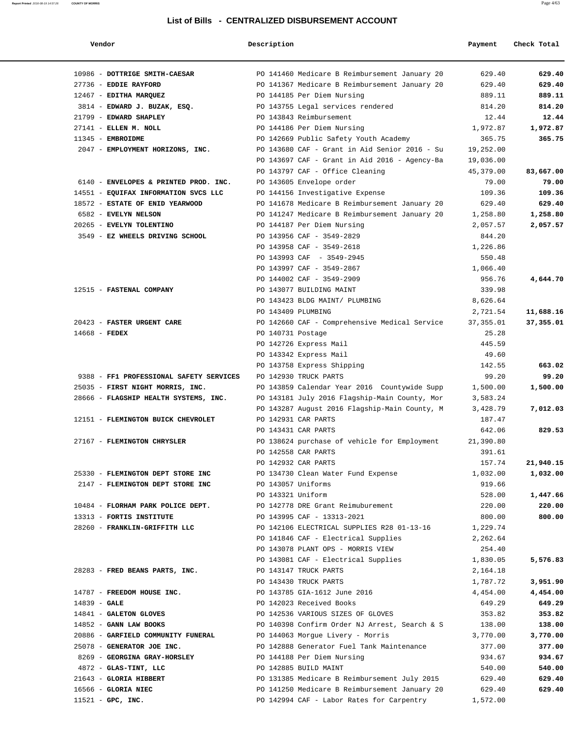| Vendor                                  | Description        |                                               | Payment    | Check Total |
|-----------------------------------------|--------------------|-----------------------------------------------|------------|-------------|
| 10986 - DOTTRIGE SMITH-CAESAR           |                    | PO 141460 Medicare B Reimbursement January 20 | 629.40     | 629.40      |
| 27736 - EDDIE RAYFORD                   |                    | PO 141367 Medicare B Reimbursement January 20 | 629.40     | 629.40      |
| 12467 - EDITHA MARQUEZ                  |                    | PO 144185 Per Diem Nursing                    | 889.11     | 889.11      |
| 3814 - EDWARD J. BUZAK, ESQ.            |                    | PO 143755 Legal services rendered             | 814.20     | 814.20      |
| 21799 - EDWARD SHAPLEY                  |                    | PO 143843 Reimbursement                       | 12.44      | 12.44       |
| 27141 - ELLEN M. NOLL                   |                    | PO 144186 Per Diem Nursing                    | 1,972.87   | 1,972.87    |
| $11345$ - EMBROIDME                     |                    | PO 142669 Public Safety Youth Academy         | 365.75     | 365.75      |
| 2047 - EMPLOYMENT HORIZONS, INC.        |                    | PO 143680 CAF - Grant in Aid Senior 2016 - Su | 19,252.00  |             |
|                                         |                    | PO 143697 CAF - Grant in Aid 2016 - Agency-Ba | 19,036.00  |             |
|                                         |                    | PO 143797 CAF - Office Cleaning               | 45,379.00  | 83,667.00   |
| 6140 - ENVELOPES & PRINTED PROD. INC.   |                    | PO 143605 Envelope order                      | 79.00      | 79.00       |
| 14551 - EQUIFAX INFORMATION SVCS LLC    |                    | PO 144156 Investigative Expense               | 109.36     | 109.36      |
| 18572 - ESTATE OF ENID YEARWOOD         |                    | PO 141678 Medicare B Reimbursement January 20 | 629.40     | 629.40      |
| 6582 - EVELYN NELSON                    |                    | PO 141247 Medicare B Reimbursement January 20 | 1,258.80   | 1,258.80    |
| 20265 - EVELYN TOLENTINO                |                    | PO 144187 Per Diem Nursing                    | 2,057.57   | 2,057.57    |
| 3549 - EZ WHEELS DRIVING SCHOOL         |                    | PO 143956 CAF - 3549-2829                     | 844.20     |             |
|                                         |                    | PO 143958 CAF - 3549-2618                     | 1,226.86   |             |
|                                         |                    | PO 143993 CAF - 3549-2945                     | 550.48     |             |
|                                         |                    | PO 143997 CAF - 3549-2867                     | 1,066.40   |             |
|                                         |                    | PO 144002 CAF - 3549-2909                     | 956.76     | 4,644.70    |
| 12515 - FASTENAL COMPANY                |                    | PO 143077 BUILDING MAINT                      | 339.98     |             |
|                                         |                    | PO 143423 BLDG MAINT/ PLUMBING                | 8,626.64   |             |
|                                         | PO 143409 PLUMBING |                                               | 2,721.54   | 11,688.16   |
| 20423 - FASTER URGENT CARE              |                    | PO 142660 CAF - Comprehensive Medical Service | 37, 355.01 | 37,355.01   |
| $14668$ - FEDEX                         | PO 140731 Postage  |                                               | 25.28      |             |
|                                         |                    | PO 142726 Express Mail                        | 445.59     |             |
|                                         |                    | PO 143342 Express Mail                        | 49.60      |             |
|                                         |                    | PO 143758 Express Shipping                    | 142.55     | 663.02      |
| 9388 - FF1 PROFESSIONAL SAFETY SERVICES |                    | PO 142930 TRUCK PARTS                         | 99.20      | 99.20       |
| 25035 - FIRST NIGHT MORRIS, INC.        |                    | PO 143859 Calendar Year 2016 Countywide Supp  | 1,500.00   | 1,500.00    |
| 28666 - FLAGSHIP HEALTH SYSTEMS, INC.   |                    | PO 143181 July 2016 Flagship-Main County, Mor | 3,583.24   |             |
|                                         |                    | PO 143287 August 2016 Flagship-Main County, M | 3,428.79   | 7,012.03    |
| 12151 - FLEMINGTON BUICK CHEVROLET      |                    | PO 142931 CAR PARTS                           | 187.47     |             |
|                                         |                    | PO 143431 CAR PARTS                           | 642.06     | 829.53      |
| 27167 - FLEMINGTON CHRYSLER             |                    | PO 138624 purchase of vehicle for Employment  | 21,390.80  |             |
|                                         |                    | PO 142558 CAR PARTS                           | 391.61     |             |
|                                         |                    | PO 142932 CAR PARTS                           | 157.74     | 21,940.15   |
| 25330 - FLEMINGTON DEPT STORE INC       |                    | PO 134730 Clean Water Fund Expense            | 1,032.00   | 1,032.00    |
| 2147 - FLEMINGTON DEPT STORE INC        | PO 143057 Uniforms |                                               | 919.66     |             |
|                                         | PO 143321 Uniform  |                                               | 528.00     | 1,447.66    |
| 10484 - FLORHAM PARK POLICE DEPT.       |                    | PO 142778 DRE Grant Reimuburement             | 220.00     | 220.00      |
| 13313 - FORTIS INSTITUTE                |                    | PO 143995 CAF - 13313-2021                    | 800.00     | 800.00      |
| 28260 - FRANKLIN-GRIFFITH LLC           |                    | PO 142106 ELECTRICAL SUPPLIES R28 01-13-16    | 1,229.74   |             |
|                                         |                    | PO 141846 CAF - Electrical Supplies           | 2,262.64   |             |
|                                         |                    | PO 143078 PLANT OPS - MORRIS VIEW             | 254.40     |             |
|                                         |                    | PO 143081 CAF - Electrical Supplies           | 1,830.05   | 5,576.83    |
| 28283 - FRED BEANS PARTS, INC.          |                    | PO 143147 TRUCK PARTS                         | 2,164.18   |             |
|                                         |                    | PO 143430 TRUCK PARTS                         | 1,787.72   | 3,951.90    |
| 14787 - FREEDOM HOUSE INC.              |                    | PO 143785 GIA-1612 June 2016                  | 4,454.00   | 4,454.00    |
| $14839 - GALE$                          |                    | PO 142023 Received Books                      | 649.29     | 649.29      |
| 14841 - GALETON GLOVES                  |                    | PO 142536 VARIOUS SIZES OF GLOVES             | 353.82     | 353.82      |
| $14852$ - GANN LAW BOOKS                |                    | PO 140398 Confirm Order NJ Arrest, Search & S | 138.00     | 138.00      |
| 20886 - GARFIELD COMMUNITY FUNERAL      |                    | PO 144063 Morgue Livery - Morris              | 3,770.00   | 3,770.00    |
| 25078 - GENERATOR JOE INC.              |                    | PO 142888 Generator Fuel Tank Maintenance     | 377.00     | 377.00      |
| 8269 - GEORGINA GRAY-HORSLEY            |                    | PO 144188 Per Diem Nursing                    | 934.67     | 934.67      |
| 4872 - GLAS-TINT, LLC                   |                    | PO 142885 BUILD MAINT                         | 540.00     | 540.00      |
| 21643 - GLORIA HIBBERT                  |                    | PO 131385 Medicare B Reimbursement July 2015  | 629.40     | 629.40      |
| 16566 - GLORIA NIEC                     |                    | PO 141250 Medicare B Reimbursement January 20 | 629.40     | 629.40      |
| $11521$ - GPC, INC.                     |                    | PO 142994 CAF - Labor Rates for Carpentry     | 1,572.00   |             |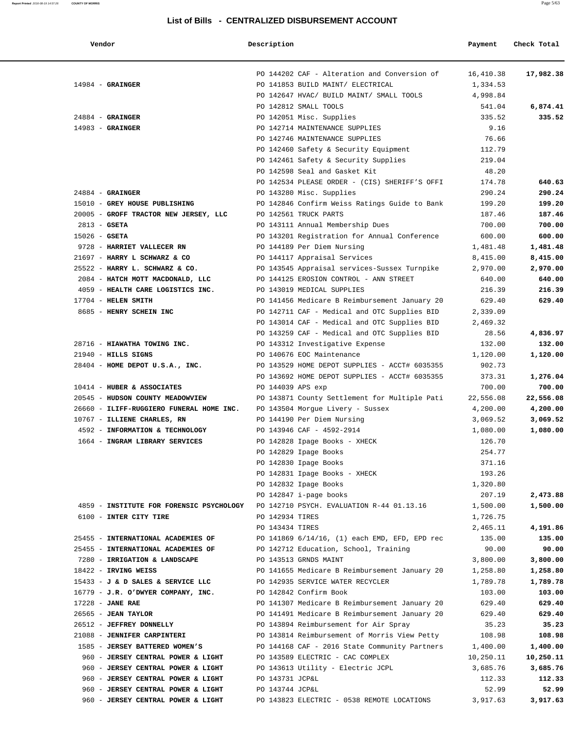| Vendor                                                                             | Description       |                                                                                       | Payment         | Check Total     |
|------------------------------------------------------------------------------------|-------------------|---------------------------------------------------------------------------------------|-----------------|-----------------|
|                                                                                    |                   | PO 144202 CAF - Alteration and Conversion of                                          | 16,410.38       | 17,982.38       |
| $14984$ - GRAINGER                                                                 |                   | PO 141853 BUILD MAINT/ ELECTRICAL                                                     | 1,334.53        |                 |
|                                                                                    |                   | PO 142647 HVAC/ BUILD MAINT/ SMALL TOOLS                                              | 4,998.84        |                 |
|                                                                                    |                   | PO 142812 SMALL TOOLS                                                                 | 541.04          | 6,874.41        |
| $24884$ - GRAINGER                                                                 |                   | PO 142051 Misc. Supplies                                                              | 335.52          | 335.52          |
| $14983$ - GRAINGER                                                                 |                   | PO 142714 MAINTENANCE SUPPLIES                                                        | 9.16            |                 |
|                                                                                    |                   | PO 142746 MAINTENANCE SUPPLIES                                                        | 76.66           |                 |
|                                                                                    |                   | PO 142460 Safety & Security Equipment                                                 | 112.79          |                 |
|                                                                                    |                   | PO 142461 Safety & Security Supplies                                                  | 219.04<br>48.20 |                 |
|                                                                                    |                   | PO 142598 Seal and Gasket Kit<br>PO 142534 PLEASE ORDER - (CIS) SHERIFF'S OFFI        | 174.78          | 640.63          |
| $24884$ - GRAINGER                                                                 |                   | PO 143280 Misc. Supplies                                                              | 290.24          | 290.24          |
| 15010 - GREY HOUSE PUBLISHING                                                      |                   | PO 142846 Confirm Weiss Ratings Guide to Bank                                         | 199.20          | 199.20          |
| 20005 - GROFF TRACTOR NEW JERSEY, LLC                                              |                   | PO 142561 TRUCK PARTS                                                                 | 187.46          | 187.46          |
| $2813 - GSETA$                                                                     |                   | PO 143111 Annual Membership Dues                                                      | 700.00          | 700.00          |
| $15026$ - GSETA                                                                    |                   | PO 143201 Registration for Annual Conference                                          | 600.00          | 600.00          |
| 9728 - HARRIET VALLECER RN                                                         |                   | PO 144189 Per Diem Nursing                                                            | 1,481.48        | 1,481.48        |
| 21697 - HARRY L SCHWARZ & CO                                                       |                   | PO 144117 Appraisal Services                                                          | 8,415.00        | 8,415.00        |
| 25522 - HARRY L. SCHWARZ & CO.                                                     |                   | PO 143545 Appraisal services-Sussex Turnpike                                          | 2,970.00        | 2,970.00        |
| 2084 - HATCH MOTT MACDONALD, LLC                                                   |                   | PO 144125 EROSION CONTROL - ANN STREET                                                | 640.00          | 640.00          |
| 4059 - HEALTH CARE LOGISTICS INC.                                                  |                   | PO 143019 MEDICAL SUPPLIES                                                            | 216.39          | 216.39          |
| 17704 - HELEN SMITH                                                                |                   | PO 141456 Medicare B Reimbursement January 20                                         | 629.40          | 629.40          |
| 8685 - HENRY SCHEIN INC                                                            |                   | PO 142711 CAF - Medical and OTC Supplies BID                                          | 2,339.09        |                 |
|                                                                                    |                   | PO 143014 CAF - Medical and OTC Supplies BID                                          | 2,469.32        |                 |
|                                                                                    |                   | PO 143259 CAF - Medical and OTC Supplies BID                                          | 28.56           | 4,836.97        |
| 28716 - HIAWATHA TOWING INC.                                                       |                   | PO 143312 Investigative Expense                                                       | 132.00          | 132.00          |
| $21940$ - HILLS SIGNS                                                              |                   | PO 140676 EOC Maintenance                                                             | 1,120.00        | 1,120.00        |
| 28404 - HOME DEPOT U.S.A., INC.                                                    |                   | PO 143529 HOME DEPOT SUPPLIES - ACCT# 6035355                                         | 902.73          |                 |
|                                                                                    |                   | PO 143692 HOME DEPOT SUPPLIES - ACCT# 6035355                                         | 373.31          | 1,276.04        |
| 10414 - HUBER & ASSOCIATES                                                         | PO 144039 APS exp |                                                                                       | 700.00          | 700.00          |
| 20545 - HUDSON COUNTY MEADOWVIEW                                                   |                   | PO 143871 County Settlement for Multiple Pati                                         | 22,556.08       | 22,556.08       |
| 26660 - ILIFF-RUGGIERO FUNERAL HOME INC.                                           |                   | PO 143504 Morgue Livery - Sussex                                                      | 4,200.00        | 4,200.00        |
| 10767 - ILLIENE CHARLES, RN                                                        |                   | PO 144190 Per Diem Nursing                                                            | 3,069.52        | 3,069.52        |
| 4592 - INFORMATION & TECHNOLOGY                                                    |                   | PO 143946 CAF - 4592-2914                                                             | 1,080.00        | 1,080.00        |
| 1664 - INGRAM LIBRARY SERVICES                                                     |                   | PO 142828 Ipage Books - XHECK                                                         | 126.70          |                 |
|                                                                                    |                   | PO 142829 Ipage Books                                                                 | 254.77          |                 |
|                                                                                    |                   | PO 142830 Ipage Books                                                                 | 371.16          |                 |
|                                                                                    |                   | PO 142831 Ipage Books - XHECK                                                         | 193.26          |                 |
|                                                                                    |                   | PO 142832 Ipage Books                                                                 | 1,320.80        |                 |
|                                                                                    |                   | PO 142847 i-page books                                                                | 207.19          | 2,473.88        |
| 4859 - INSTITUTE FOR FORENSIC PSYCHOLOGY PO 142710 PSYCH. EVALUATION R-44 01.13.16 |                   |                                                                                       | 1,500.00        | 1,500.00        |
| 6100 - INTER CITY TIRE                                                             | PO 142934 TIRES   |                                                                                       | 1,726.75        |                 |
|                                                                                    | PO 143434 TIRES   |                                                                                       | 2,465.11        | 4,191.86        |
| 25455 - INTERNATIONAL ACADEMIES OF                                                 |                   | PO 141869 6/14/16, (1) each EMD, EFD, EPD rec                                         | 135.00          | 135.00          |
| 25455 - INTERNATIONAL ACADEMIES OF                                                 |                   | PO 142712 Education, School, Training                                                 | 90.00           | 90.00           |
| 7280 - IRRIGATION & LANDSCAPE                                                      |                   | PO 143513 GRNDS MAINT                                                                 | 3,800.00        | 3,800.00        |
| $18422$ - IRVING WEISS                                                             |                   | PO 141655 Medicare B Reimbursement January 20                                         | 1,258.80        | 1,258.80        |
| 15433 - J & D SALES & SERVICE LLC                                                  |                   | PO 142935 SERVICE WATER RECYCLER                                                      | 1,789.78        | 1,789.78        |
| 16779 - J.R. O'DWYER COMPANY, INC.                                                 |                   | PO 142842 Confirm Book                                                                | 103.00          | 103.00          |
| $17228$ - JANE RAE                                                                 |                   | PO 141307 Medicare B Reimbursement January 20                                         | 629.40          | 629.40          |
| $26565$ - JEAN TAYLOR                                                              |                   | PO 141491 Medicare B Reimbursement January 20                                         | 629.40          | 629.40<br>35.23 |
| 26512 - JEFFREY DONNELLY<br>21088 - JENNIFER CARPINTERI                            |                   | PO 143894 Reimbursement for Air Spray<br>PO 143814 Reimbursement of Morris View Petty | 35.23<br>108.98 | 108.98          |
| 1585 - JERSEY BATTERED WOMEN'S                                                     |                   | PO 144168 CAF - 2016 State Community Partners                                         | 1,400.00        | 1,400.00        |
| 960 - JERSEY CENTRAL POWER & LIGHT                                                 |                   | PO 143589 ELECTRIC - CAC COMPLEX                                                      | 10,250.11       | 10,250.11       |
| 960 - JERSEY CENTRAL POWER & LIGHT                                                 |                   | PO 143613 Utility - Electric JCPL                                                     | 3,685.76        | 3,685.76        |
| 960 - JERSEY CENTRAL POWER & LIGHT                                                 | PO 143731 JCP&L   |                                                                                       | 112.33          | 112.33          |
| 960 - JERSEY CENTRAL POWER & LIGHT                                                 | PO 143744 JCP&L   |                                                                                       | 52.99           | 52.99           |
|                                                                                    |                   |                                                                                       |                 |                 |

960 - **JERSEY CENTRAL POWER & LIGHT** PO 143823 ELECTRIC - 0538 REMOTE LOCATIONS 3,917.63 **3,917.63**

**Report Printed** 2016-08-19 14:57:26 **COUNTY OF MORRIS** Page 5/63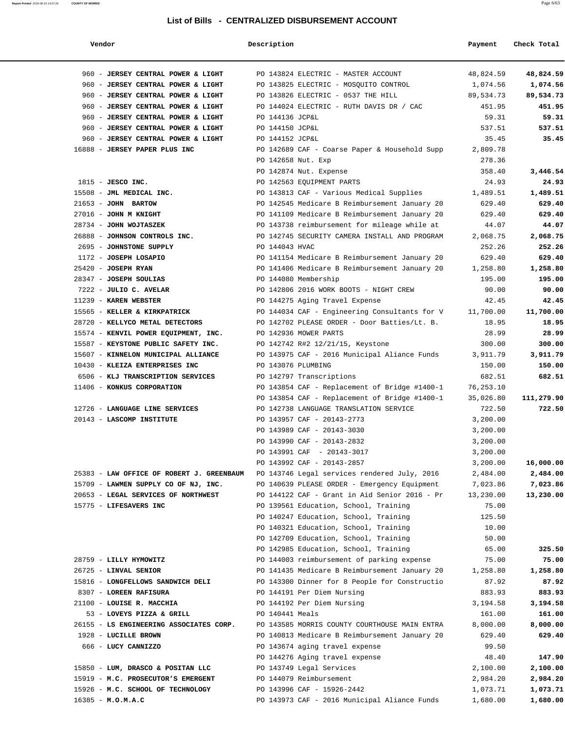| Vendor                                                                                 | Description        |                                               | Payment   | Check Total |
|----------------------------------------------------------------------------------------|--------------------|-----------------------------------------------|-----------|-------------|
| 960 - JERSEY CENTRAL POWER & LIGHT                                                     |                    | PO 143824 ELECTRIC - MASTER ACCOUNT           | 48,824.59 | 48,824.59   |
| 960 - JERSEY CENTRAL POWER & LIGHT                                                     |                    | PO 143825 ELECTRIC - MOSQUITO CONTROL         | 1,074.56  | 1,074.56    |
| 960 - JERSEY CENTRAL POWER & LIGHT                                                     |                    | PO 143826 ELECTRIC - 0537 THE HILL            | 89,534.73 | 89,534.73   |
| 960 - JERSEY CENTRAL POWER & LIGHT                                                     |                    | PO 144024 ELECTRIC - RUTH DAVIS DR / CAC      | 451.95    | 451.95      |
| 960 - JERSEY CENTRAL POWER & LIGHT                                                     | PO 144136 JCP&L    |                                               | 59.31     | 59.31       |
| 960 - JERSEY CENTRAL POWER & LIGHT                                                     | PO 144150 JCP&L    |                                               | 537.51    | 537.51      |
| 960 - JERSEY CENTRAL POWER & LIGHT                                                     | PO 144152 JCP&L    |                                               | 35.45     | 35.45       |
| 16888 - JERSEY PAPER PLUS INC                                                          |                    | PO 142689 CAF - Coarse Paper & Household Supp | 2,809.78  |             |
|                                                                                        | PO 142658 Nut. Exp |                                               | 278.36    |             |
|                                                                                        |                    | PO 142874 Nut. Expense                        | 358.40    | 3,446.54    |
| $1815$ - JESCO INC.                                                                    |                    | PO 142563 EQUIPMENT PARTS                     | 24.93     | 24.93       |
| 15508 - JML MEDICAL INC.                                                               |                    | PO 143813 CAF - Various Medical Supplies      | 1,489.51  | 1,489.51    |
| 21653 - JOHN BARTOW                                                                    |                    | PO 142545 Medicare B Reimbursement January 20 | 629.40    | 629.40      |
| $27016$ - JOHN M KNIGHT                                                                |                    | PO 141109 Medicare B Reimbursement January 20 | 629.40    | 629.40      |
| 28734 - JOHN WOJTASZEK                                                                 |                    | PO 143738 reimbursement for mileage while at  | 44.07     | 44.07       |
| 26888 - JOHNSON CONTROLS INC.                                                          |                    | PO 142745 SECURITY CAMERA INSTALL AND PROGRAM | 2,068.75  | 2,068.75    |
| 2695 - JOHNSTONE SUPPLY                                                                | PO 144043 HVAC     |                                               | 252.26    | 252.26      |
| 1172 - JOSEPH LOSAPIO                                                                  |                    | PO 141154 Medicare B Reimbursement January 20 | 629.40    | 629.40      |
| $25420$ - JOSEPH RYAN                                                                  |                    | PO 141406 Medicare B Reimbursement January 20 | 1,258.80  | 1,258.80    |
| 28347 - JOSEPH SOULIAS                                                                 |                    | PO 144080 Membership                          | 195.00    | 195.00      |
| 7222 - JULIO C. AVELAR                                                                 |                    | PO 142806 2016 WORK BOOTS - NIGHT CREW        | 90.00     | 90.00       |
| 11239 - KAREN WEBSTER                                                                  |                    | PO 144275 Aging Travel Expense                | 42.45     | 42.45       |
| 15565 - KELLER & KIRKPATRICK                                                           |                    | PO 144034 CAF - Engineering Consultants for V | 11,700.00 | 11,700.00   |
| 28720 - KELLYCO METAL DETECTORS                                                        |                    | PO 142702 PLEASE ORDER - Door Batties/Lt. B.  | 18.95     | 18.95       |
| 15574 - KENVIL POWER EQUIPMENT, INC.                                                   |                    | PO 142936 MOWER PARTS                         | 28.99     | 28.99       |
| 15587 - KEYSTONE PUBLIC SAFETY INC.                                                    |                    | PO 142742 R#2 12/21/15, Keystone              | 300.00    | 300.00      |
| 15607 - KINNELON MUNICIPAL ALLIANCE                                                    |                    | PO 143975 CAF - 2016 Municipal Aliance Funds  | 3,911.79  | 3,911.79    |
| 10430 - KLEIZA ENTERPRISES INC                                                         | PO 143076 PLUMBING |                                               | 150.00    | 150.00      |
| 6506 - KLJ TRANSCRIPTION SERVICES                                                      |                    | PO 142797 Transcriptions                      | 682.51    | 682.51      |
| 11406 - KONKUS CORPORATION                                                             |                    | PO 143854 CAF - Replacement of Bridge #1400-1 | 76,253.10 |             |
|                                                                                        |                    | PO 143854 CAF - Replacement of Bridge #1400-1 | 35,026.80 | 111,279.90  |
| 12726 - LANGUAGE LINE SERVICES                                                         |                    | PO 142738 LANGUAGE TRANSLATION SERVICE        | 722.50    | 722.50      |
| 20143 - LASCOMP INSTITUTE                                                              |                    | PO 143957 CAF - 20143-2773                    | 3,200.00  |             |
|                                                                                        |                    | PO 143989 CAF - 20143-3030                    | 3,200.00  |             |
|                                                                                        |                    | PO 143990 CAF - 20143-2832                    | 3,200.00  |             |
|                                                                                        |                    | PO 143991 CAF - 20143-3017                    | 3,200.00  |             |
|                                                                                        |                    | PO 143992 CAF - 20143-2857                    | 3,200.00  | 16,000.00   |
| 25383 - LAW OFFICE OF ROBERT J. GREENBAUM PO 143746 Legal services rendered July, 2016 |                    |                                               | 2,484.00  | 2,484.00    |
| 15709 - LAWMEN SUPPLY CO OF NJ, INC.                                                   |                    | PO 140639 PLEASE ORDER - Emergency Equipment  | 7,023.86  | 7,023.86    |
| 20653 - LEGAL SERVICES OF NORTHWEST                                                    |                    | PO 144122 CAF - Grant in Aid Senior 2016 - Pr | 13,230.00 | 13,230.00   |
| 15775 - LIFESAVERS INC                                                                 |                    | PO 139561 Education, School, Training         | 75.00     |             |
|                                                                                        |                    | PO 140247 Education, School, Training         | 125.50    |             |
|                                                                                        |                    | PO 140321 Education, School, Training         | 10.00     |             |
|                                                                                        |                    | PO 142709 Education, School, Training         | 50.00     |             |
|                                                                                        |                    | PO 142985 Education, School, Training         | 65.00     | 325.50      |
| 28759 - LILLY HYMOWITZ                                                                 |                    | PO 144003 reimbursement of parking expense    | 75.00     | 75.00       |
| 26725 - LINVAL SENIOR                                                                  |                    | PO 141435 Medicare B Reimbursement January 20 | 1,258.80  | 1,258.80    |
| 15816 - LONGFELLOWS SANDWICH DELI                                                      |                    | PO 143300 Dinner for 8 People for Constructio | 87.92     | 87.92       |
| 8307 - LOREEN RAFISURA                                                                 |                    | PO 144191 Per Diem Nursing                    | 883.93    | 883.93      |
| 21100 - LOUISE R. MACCHIA                                                              |                    | PO 144192 Per Diem Nursing                    | 3,194.58  | 3,194.58    |
| 53 - LOVEYS PIZZA & GRILL                                                              | PO 140441 Meals    |                                               | 161.00    | 161.00      |
| 26155 - LS ENGINEERING ASSOCIATES CORP.                                                |                    | PO 143585 MORRIS COUNTY COURTHOUSE MAIN ENTRA | 8,000.00  | 8,000.00    |
| 1928 - LUCILLE BROWN                                                                   |                    | PO 140813 Medicare B Reimbursement January 20 | 629.40    | 629.40      |
| 666 - LUCY CANNIZZO                                                                    |                    | PO 143674 aging travel expense                | 99.50     |             |
|                                                                                        |                    | PO 144276 Aging travel expense                | 48.40     | 147.90      |
| 15850 - LUM, DRASCO & POSITAN LLC                                                      |                    | PO 143749 Legal Services                      | 2,100.00  | 2,100.00    |
| 15919 - M.C. PROSECUTOR'S EMERGENT                                                     |                    | PO 144079 Reimbursement                       | 2,984.20  | 2,984.20    |
| 15926 - M.C. SCHOOL OF TECHNOLOGY                                                      |                    | PO 143996 CAF - 15926-2442                    | 1,073.71  | 1,073.71    |
| $16385 - M.0.M.A.C$                                                                    |                    | PO 143973 CAF - 2016 Municipal Aliance Funds  | 1,680.00  | 1,680.00    |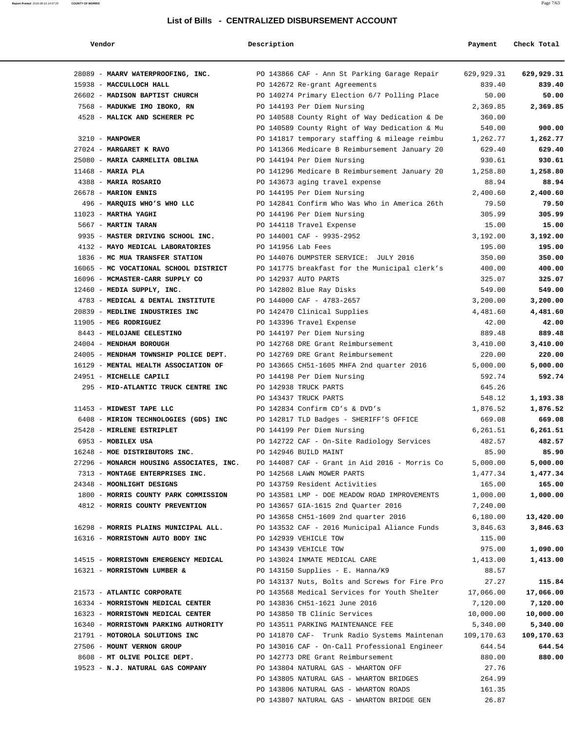**Vendor Description Payment Check Total**

| 28089 - MAARV WATERPROOFING, INC.                                       | PO 143866 CAF - Ann St Parking Garage Repair                                           | 629,929.31       | 629,929.31       |
|-------------------------------------------------------------------------|----------------------------------------------------------------------------------------|------------------|------------------|
| 15938 - MACCULLOCH HALL                                                 | PO 142672 Re-grant Agreements                                                          | 839.40           | 839.40           |
| 26602 - MADISON BAPTIST CHURCH                                          | PO 140274 Primary Election 6/7 Polling Place                                           | 50.00            | 50.00            |
| 7568 - MADUKWE IMO IBOKO, RN                                            | PO 144193 Per Diem Nursing                                                             | 2,369.85         | 2,369.85         |
| 4528 - MALICK AND SCHERER PC                                            | PO 140588 County Right of Way Dedication & De                                          | 360.00           |                  |
|                                                                         | PO 140589 County Right of Way Dedication & Mu                                          | 540.00           | 900.00           |
| 3210 - MANPOWER                                                         | PO 141817 temporary staffing & mileage reimbu                                          | 1,262.77         | 1,262.77         |
| 27024 - MARGARET K RAVO                                                 | PO 141366 Medicare B Reimbursement January 20                                          | 629.40           | 629.40           |
| 25080 - MARIA CARMELITA OBLINA                                          | PO 144194 Per Diem Nursing                                                             | 930.61           | 930.61           |
| $11468$ - MARIA PLA                                                     | PO 141296 Medicare B Reimbursement January 20                                          | 1,258.80         | 1,258.80         |
| 4388 - MARIA ROSARIO                                                    | PO 143673 aging travel expense                                                         | 88.94            | 88.94            |
| 26678 - MARION ENNIS                                                    | PO 144195 Per Diem Nursing                                                             | 2,400.60         | 2,400.60         |
| 496 - MARQUIS WHO'S WHO LLC                                             | PO 142841 Confirm Who Was Who in America 26th                                          | 79.50            | 79.50            |
| $11023$ - MARTHA YAGHI                                                  | PO 144196 Per Diem Nursing                                                             | 305.99           | 305.99           |
| 5667 - MARTIN TARAN                                                     | PO 144118 Travel Expense                                                               | 15.00            | 15.00            |
| 9935 - MASTER DRIVING SCHOOL INC.<br>4132 - MAYO MEDICAL LABORATORIES   | PO 144001 CAF - 9935-2952                                                              | 3,192.00         | 3,192.00         |
|                                                                         | PO 141956 Lab Fees                                                                     | 195.00           | 195.00           |
| 1836 - MC MUA TRANSFER STATION<br>16065 - MC VOCATIONAL SCHOOL DISTRICT | PO 144076 DUMPSTER SERVICE: JULY 2016<br>PO 141775 breakfast for the Municipal clerk's | 350.00<br>400.00 | 350.00<br>400.00 |
| 16096 - MCMASTER-CARR SUPPLY CO                                         | PO 142937 AUTO PARTS                                                                   | 325.07           | 325.07           |
| 12460 - MEDIA SUPPLY, INC.                                              |                                                                                        | 549.00           | 549.00           |
| 4783 - MEDICAL & DENTAL INSTITUTE                                       | PO 142802 Blue Ray Disks<br>PO 144000 CAF - 4783-2657                                  | 3,200.00         | 3,200.00         |
| 20839 - MEDLINE INDUSTRIES INC                                          | PO 142470 Clinical Supplies                                                            | 4,481.60         | 4,481.60         |
| 11905 - MEG RODRIGUEZ                                                   | PO 143396 Travel Expense                                                               | 42.00            | 42.00            |
| 8443 - MELOJANE CELESTINO                                               | PO 144197 Per Diem Nursing                                                             | 889.48           | 889.48           |
| 24004 - MENDHAM BOROUGH                                                 | PO 142768 DRE Grant Reimbursement                                                      | 3,410.00         | 3,410.00         |
| 24005 - MENDHAM TOWNSHIP POLICE DEPT.                                   | PO 142769 DRE Grant Reimbursement                                                      | 220.00           | 220.00           |
| 16129 - MENTAL HEALTH ASSOCIATION OF                                    | PO 143665 CH51-1605 MHFA 2nd quarter 2016                                              | 5,000.00         | 5,000.00         |
| 24951 - MICHELLE CAPILI                                                 | PO 144198 Per Diem Nursing                                                             | 592.74           | 592.74           |
| 295 - MID-ATLANTIC TRUCK CENTRE INC                                     | PO 142938 TRUCK PARTS                                                                  | 645.26           |                  |
|                                                                         | PO 143437 TRUCK PARTS                                                                  | 548.12           | 1,193.38         |
| 11453 - MIDWEST TAPE LLC                                                | PO 142834 Confirm CD's & DVD's                                                         | 1,876.52         | 1,876.52         |
| 6408 - MIRION TECHNOLOGIES (GDS) INC                                    | PO 142817 TLD Badges - SHERIFF'S OFFICE                                                | 669.08           | 669.08           |
| 25428 - MIRLENE ESTRIPLET                                               | PO 144199 Per Diem Nursing                                                             | 6,261.51         | 6,261.51         |
| 6953 - MOBILEX USA                                                      | PO 142722 CAF - On-Site Radiology Services                                             | 482.57           | 482.57           |
| 16248 - MOE DISTRIBUTORS INC.                                           | PO 142946 BUILD MAINT                                                                  | 85.90            | 85.90            |
| 27296 - MONARCH HOUSING ASSOCIATES, INC.                                | PO 144087 CAF - Grant in Aid 2016 - Morris Co                                          | 5,000.00         | 5,000.00         |
| 7313 - MONTAGE ENTERPRISES INC.                                         | PO 142568 LAWN MOWER PARTS                                                             | 1,477.34         | 1,477.34         |
| 24348 - MOONLIGHT DESIGNS                                               | PO 143759 Resident Activities                                                          | 165.00           | 165.00           |
| 1800 - MORRIS COUNTY PARK COMMISSION                                    | PO 143581 LMP - DOE MEADOW ROAD IMPROVEMENTS                                           | 1,000.00         | 1,000.00         |
| 4812 - MORRIS COUNTY PREVENTION                                         | PO 143657 GIA-1615 2nd Quarter 2016                                                    | 7,240.00         |                  |
|                                                                         | PO 143658 CH51-1609 2nd quarter 2016                                                   | 6,180.00         | 13,420.00        |
| 16298 - MORRIS PLAINS MUNICIPAL ALL.                                    | PO 143532 CAF - 2016 Municipal Aliance Funds                                           | 3,846.63         | 3,846.63         |
| 16316 - MORRISTOWN AUTO BODY INC                                        | PO 142939 VEHICLE TOW                                                                  | 115.00           |                  |
|                                                                         | PO 143439 VEHICLE TOW                                                                  | 975.00           | 1,090.00         |
| 14515 - MORRISTOWN EMERGENCY MEDICAL                                    | PO 143024 INMATE MEDICAL CARE                                                          | 1,413.00         | 1,413.00         |
| 16321 - MORRISTOWN LUMBER &                                             | PO 143150 Supplies - E. Hanna/K9                                                       | 88.57            |                  |
|                                                                         | PO 143137 Nuts, Bolts and Screws for Fire Pro                                          | 27.27            | 115.84           |
| 21573 - ATLANTIC CORPORATE                                              | PO 143568 Medical Services for Youth Shelter                                           | 17,066.00        | 17,066.00        |
| 16334 - MORRISTOWN MEDICAL CENTER                                       | PO 143836 CH51-1621 June 2016                                                          | 7,120.00         | 7,120.00         |
| 16323 - MORRISTOWN MEDICAL CENTER                                       | PO 143850 TB Clinic Services                                                           | 10,000.00        | 10,000.00        |
| 16340 - MORRISTOWN PARKING AUTHORITY                                    | PO 143511 PARKING MAINTENANCE FEE                                                      | 5,340.00         | 5,340.00         |
| 21791 - MOTOROLA SOLUTIONS INC                                          | PO 141870 CAF- Trunk Radio Systems Maintenan 109,170.63                                |                  | 109,170.63       |
| 27506 - MOUNT VERNON GROUP                                              | PO 143016 CAF - On-Call Professional Engineer                                          | 644.54           | 644.54           |
| 8608 - MT OLIVE POLICE DEPT.                                            | PO 142773 DRE Grant Reimbursement                                                      | 880.00           | 880.00           |
| 19523 - N.J. NATURAL GAS COMPANY                                        | PO 143804 NATURAL GAS - WHARTON OFF                                                    | 27.76            |                  |
|                                                                         | PO 143805 NATURAL GAS - WHARTON BRIDGES                                                | 264.99           |                  |
|                                                                         | PO 143806 NATURAL GAS - WHARTON ROADS                                                  | 161.35           |                  |
|                                                                         | PO 143807 NATURAL GAS - WHARTON BRIDGE GEN                                             | 26.87            |                  |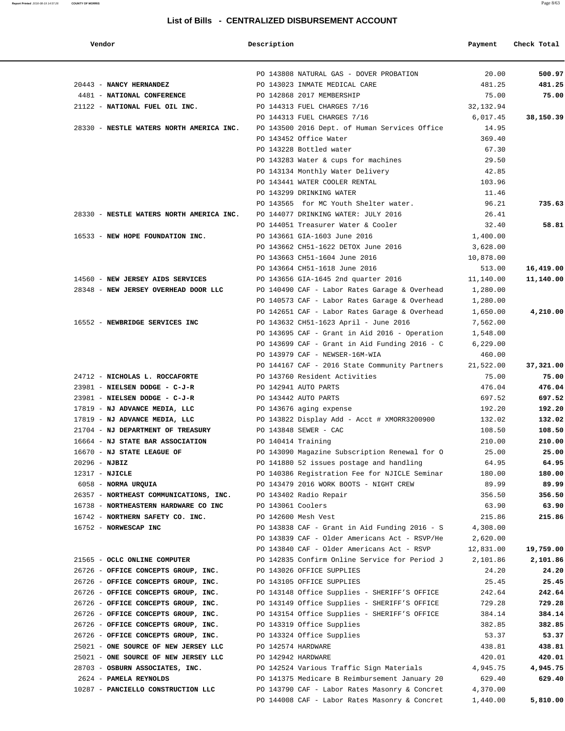| Vendor                                                                                 | Description           |                                               | Payment   | Check Total |
|----------------------------------------------------------------------------------------|-----------------------|-----------------------------------------------|-----------|-------------|
|                                                                                        |                       | PO 143808 NATURAL GAS - DOVER PROBATION       | 20.00     | 500.97      |
| 20443 - NANCY HERNANDEZ                                                                |                       | PO 143023 INMATE MEDICAL CARE                 | 481.25    | 481.25      |
| 4481 - NATIONAL CONFERENCE                                                             |                       | PO 142868 2017 MEMBERSHIP                     | 75.00     | 75.00       |
| 21122 - NATIONAL FUEL OIL INC. PO 144313 FUEL CHARGES 7/16                             |                       |                                               | 32,132.94 |             |
|                                                                                        |                       | PO 144313 FUEL CHARGES 7/16                   | 6,017.45  | 38,150.39   |
| 28330 - NESTLE WATERS NORTH AMERICA INC. PO 143500 2016 Dept. of Human Services Office |                       |                                               | 14.95     |             |
|                                                                                        |                       | PO 143452 Office Water                        | 369.40    |             |
|                                                                                        |                       | PO 143228 Bottled water                       | 67.30     |             |
|                                                                                        |                       | PO 143283 Water & cups for machines           | 29.50     |             |
|                                                                                        |                       | PO 143134 Monthly Water Delivery              | 42.85     |             |
|                                                                                        |                       | PO 143441 WATER COOLER RENTAL                 | 103.96    |             |
|                                                                                        |                       | PO 143299 DRINKING WATER                      | 11.46     |             |
|                                                                                        |                       | PO 143565 for MC Youth Shelter water.         | 96.21     | 735.63      |
| 28330 - NESTLE WATERS NORTH AMERICA INC. PO 144077 DRINKING WATER: JULY 2016           |                       |                                               | 26.41     |             |
|                                                                                        |                       | PO 144051 Treasurer Water & Cooler            | 32.40     | 58.81       |
| 16533 - NEW HOPE FOUNDATION INC.                                                       |                       | PO 143661 GIA-1603 June 2016                  | 1,400.00  |             |
|                                                                                        |                       | PO 143662 CH51-1622 DETOX June 2016           | 3,628.00  |             |
|                                                                                        |                       | PO 143663 CH51-1604 June 2016                 | 10,878.00 |             |
|                                                                                        |                       | PO 143664 CH51-1618 June 2016                 | 513.00    | 16,419.00   |
| 14560 - NEW JERSEY AIDS SERVICES                                                       |                       | PO 143656 GIA-1645 2nd quarter 2016 11,140.00 |           | 11,140.00   |
| 28348 - NEW JERSEY OVERHEAD DOOR LLC                                                   |                       | PO 140490 CAF - Labor Rates Garage & Overhead | 1,280.00  |             |
|                                                                                        |                       | PO 140573 CAF - Labor Rates Garage & Overhead | 1,280.00  |             |
|                                                                                        |                       | PO 142651 CAF - Labor Rates Garage & Overhead | 1,650.00  | 4,210.00    |
| 16552 - NEWBRIDGE SERVICES INC                                                         |                       | PO 143632 CH51-1623 April - June 2016         | 7,562.00  |             |
|                                                                                        |                       | PO 143695 CAF - Grant in Aid 2016 - Operation | 1,548.00  |             |
|                                                                                        |                       | PO 143699 CAF - Grant in Aid Funding 2016 - C | 6,229.00  |             |
|                                                                                        |                       | PO 143979 CAF - NEWSER-16M-WIA                | 460.00    |             |
|                                                                                        |                       | PO 144167 CAF - 2016 State Community Partners | 21,522.00 | 37,321.00   |
| 24712 - NICHOLAS L. ROCCAFORTE                                                         |                       | PO 143760 Resident Activities                 | 75.00     | 75.00       |
| $23981$ - NIELSEN DODGE - C-J-R PO 142941 AUTO PARTS                                   |                       |                                               | 476.04    | 476.04      |
| $23981$ - NIELSEN DODGE - C-J-R PO 143442 AUTO PARTS                                   |                       |                                               | 697.52    | 697.52      |
| 17819 - NJ ADVANCE MEDIA, LLC PO 143676 aging expense                                  |                       |                                               | 192.20    | 192.20      |
| 17819 - NJ ADVANCE MEDIA, LLC                                                          |                       | PO 143822 Display Add - Acct # XMORR3200900   | 132.02    | 132.02      |
| 21704 - NJ DEPARTMENT OF TREASURY                                                      | PO 143848 SEWER - CAC |                                               | 108.50    | 108.50      |
| 16664 - NJ STATE BAR ASSOCIATION                                                       | PO 140414 Training    |                                               | 210.00    | 210.00      |
| 16670 - NJ STATE LEAGUE OF                                                             |                       | PO 143090 Magazine Subscription Renewal for O | 25.00     | 25.00       |
| 20296 - NJBIZ                                                                          |                       | PO 141880 52 issues postage and handling      | 64.95     | 64.95       |
| 12317 - NJICLE                                                                         |                       | PO 140386 Registration Fee for NJICLE Seminar | 180.00    | 180.00      |
| 6058 - NORMA URQUIA                                                                    |                       | PO 143479 2016 WORK BOOTS - NIGHT CREW        | 89.99     | 89.99       |
| 26357 - NORTHEAST COMMUNICATIONS, INC.                                                 |                       | PO 143402 Radio Repair                        | 356.50    | 356.50      |
| 16738 - NORTHEASTERN HARDWARE CO INC                                                   | PO 143061 Coolers     |                                               | 63.90     | 63.90       |
| 16742 - NORTHERN SAFETY CO. INC.                                                       |                       | PO 142600 Mesh Vest                           | 215.86    | 215.86      |
| 16752 - NORWESCAP INC                                                                  |                       | PO 143838 CAF - Grant in Aid Funding 2016 - S | 4,308.00  |             |
|                                                                                        |                       | PO 143839 CAF - Older Americans Act - RSVP/He | 2,620.00  |             |
|                                                                                        |                       | PO 143840 CAF - Older Americans Act - RSVP    | 12,831.00 | 19,759.00   |
| 21565 - OCLC ONLINE COMPUTER                                                           |                       | PO 142835 Confirm Online Service for Period J | 2,101.86  | 2,101.86    |
| 26726 - OFFICE CONCEPTS GROUP, INC.                                                    |                       | PO 143026 OFFICE SUPPLIES                     | 24.20     | 24.20       |
| 26726 - OFFICE CONCEPTS GROUP, INC.                                                    |                       | PO 143105 OFFICE SUPPLIES                     | 25.45     | 25.45       |
| 26726 - OFFICE CONCEPTS GROUP, INC.                                                    |                       | PO 143148 Office Supplies - SHERIFF'S OFFICE  | 242.64    | 242.64      |
| 26726 - OFFICE CONCEPTS GROUP, INC.                                                    |                       | PO 143149 Office Supplies - SHERIFF'S OFFICE  | 729.28    | 729.28      |
| 26726 - OFFICE CONCEPTS GROUP, INC.                                                    |                       | PO 143154 Office Supplies - SHERIFF'S OFFICE  | 384.14    | 384.14      |
| 26726 - OFFICE CONCEPTS GROUP, INC.                                                    |                       | PO 143319 Office Supplies                     | 382.85    | 382.85      |
| 26726 - OFFICE CONCEPTS GROUP, INC.                                                    |                       | PO 143324 Office Supplies                     | 53.37     | 53.37       |
| 25021 - ONE SOURCE OF NEW JERSEY LLC                                                   | PO 142574 HARDWARE    |                                               | 438.81    | 438.81      |
| 25021 - ONE SOURCE OF NEW JERSEY LLC                                                   | PO 142942 HARDWARE    |                                               | 420.01    | 420.01      |
| 28703 - OSBURN ASSOCIATES, INC.                                                        |                       | PO 142524 Various Traffic Sign Materials      | 4,945.75  | 4,945.75    |
| 2624 - PAMELA REYNOLDS                                                                 |                       | PO 141375 Medicare B Reimbursement January 20 | 629.40    | 629.40      |
| 10287 - PANCIELLO CONSTRUCTION LLC                                                     |                       | PO 143790 CAF - Labor Rates Masonry & Concret | 4,370.00  |             |
|                                                                                        |                       | PO 144008 CAF - Labor Rates Masonry & Concret | 1,440.00  | 5,810.00    |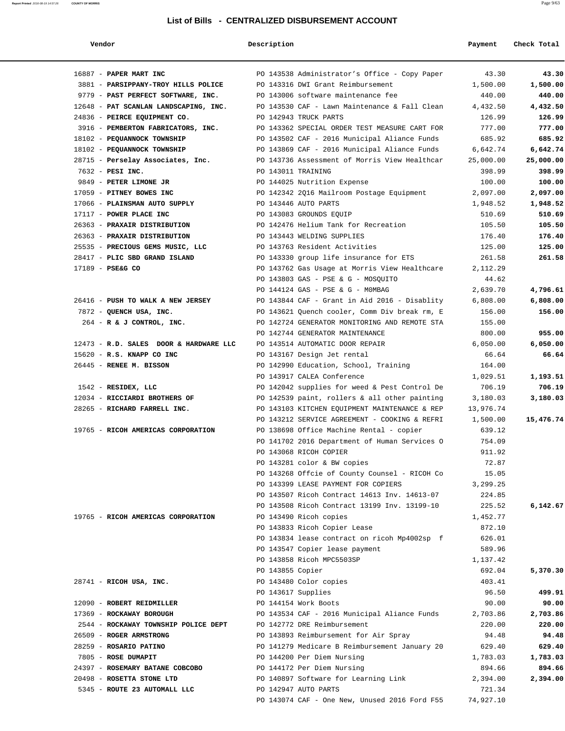|  | ı |
|--|---|
|  |   |

| Vendor                                 | Description        |                                               | Payment   | Check Total |
|----------------------------------------|--------------------|-----------------------------------------------|-----------|-------------|
| 16887 - PAPER MART INC                 |                    | PO 143538 Administrator's Office - Copy Paper | 43.30     | 43.30       |
| 3881 - PARSIPPANY-TROY HILLS POLICE    |                    | PO 143316 DWI Grant Reimbursement             | 1,500.00  | 1,500.00    |
| 9779 - PAST PERFECT SOFTWARE, INC.     |                    | PO 143006 software maintenance fee            | 440.00    | 440.00      |
| 12648 - PAT SCANLAN LANDSCAPING, INC.  |                    | PO 143530 CAF - Lawn Maintenance & Fall Clean | 4,432.50  | 4,432.50    |
| 24836 - PEIRCE EQUIPMENT CO.           |                    | PO 142943 TRUCK PARTS                         | 126.99    | 126.99      |
| 3916 - PEMBERTON FABRICATORS, INC.     |                    | PO 143362 SPECIAL ORDER TEST MEASURE CART FOR | 777.00    | 777.00      |
| 18102 - PEQUANNOCK TOWNSHIP            |                    | PO 143502 CAF - 2016 Municipal Aliance Funds  | 685.92    | 685.92      |
| 18102 - PEQUANNOCK TOWNSHIP            |                    | PO 143869 CAF - 2016 Municipal Aliance Funds  | 6,642.74  | 6,642.74    |
| 28715 - Perselay Associates, Inc.      |                    | PO 143736 Assessment of Morris View Healthcar | 25,000.00 | 25,000.00   |
| 7632 - PESI INC.                       | PO 143011 TRAINING |                                               | 398.99    | 398.99      |
| 9849 - PETER LIMONE JR                 |                    | PO 144025 Nutrition Expense                   | 100.00    | 100.00      |
| 17059 - PITNEY BOWES INC               |                    | PO 142342 2Q16 Mailroom Postage Equipment     | 2,097.00  | 2,097.00    |
| 17066 - PLAINSMAN AUTO SUPPLY          |                    | PO 143446 AUTO PARTS                          | 1,948.52  | 1,948.52    |
| 17117 - POWER PLACE INC                |                    | PO 143083 GROUNDS EQUIP                       | 510.69    | 510.69      |
| 26363 - PRAXAIR DISTRIBUTION           |                    | PO 142476 Helium Tank for Recreation          | 105.50    | 105.50      |
| 26363 - PRAXAIR DISTRIBUTION           |                    | PO 143443 WELDING SUPPLIES                    | 176.40    | 176.40      |
| 25535 - PRECIOUS GEMS MUSIC, LLC       |                    | PO 143763 Resident Activities                 | 125.00    | 125.00      |
| 28417 - PLIC SBD GRAND ISLAND          |                    | PO 143330 group life insurance for ETS        | 261.58    | 261.58      |
| 17189 - PSE&G CO                       |                    | PO 143762 Gas Usage at Morris View Healthcare | 2,112.29  |             |
|                                        |                    | PO 143803 GAS - PSE & G - MOSOUITO            | 44.62     |             |
|                                        |                    | PO 144124 GAS - PSE & G - MOMBAG              | 2,639.70  | 4,796.61    |
| 26416 - PUSH TO WALK A NEW JERSEY      |                    | PO 143844 CAF - Grant in Aid 2016 - Disablity | 6,808.00  | 6,808.00    |
| 7872 - QUENCH USA, INC.                |                    | PO 143621 Quench cooler, Comm Div break rm, E | 156.00    | 156.00      |
| 264 - R & J CONTROL, INC.              |                    | PO 142724 GENERATOR MONITORING AND REMOTE STA | 155.00    |             |
|                                        |                    | PO 142744 GENERATOR MAINTENANCE               | 800.00    | 955.00      |
| 12473 - R.D. SALES DOOR & HARDWARE LLC |                    | PO 143514 AUTOMATIC DOOR REPAIR               | 6,050.00  | 6,050.00    |
| 15620 - R.S. KNAPP CO INC              |                    | PO 143167 Design Jet rental                   | 66.64     | 66.64       |
| 26445 - RENEE M. BISSON                |                    | PO 142990 Education, School, Training         | 164.00    |             |
|                                        |                    | PO 143917 CALEA Conference                    | 1,029.51  | 1,193.51    |
| 1542 - RESIDEX, LLC                    |                    | PO 142042 supplies for weed & Pest Control De | 706.19    | 706.19      |
| 12034 - RICCIARDI BROTHERS OF          |                    | PO 142539 paint, rollers & all other painting | 3,180.03  | 3,180.03    |
| 28265 - RICHARD FARRELL INC.           |                    | PO 143103 KITCHEN EQUIPMENT MAINTENANCE & REP | 13,976.74 |             |
|                                        |                    | PO 143212 SERVICE AGREEMENT - COOKING & REFRI | 1,500.00  | 15,476.74   |
| 19765 - RICOH AMERICAS CORPORATION     |                    | PO 138698 Office Machine Rental - copier      | 639.12    |             |
|                                        |                    | PO 141702 2016 Department of Human Services O | 754.09    |             |
|                                        |                    | PO 143068 RICOH COPIER                        | 911.92    |             |
|                                        |                    | PO 143281 color & BW copies                   | 72.87     |             |
|                                        |                    | PO 143268 Offcie of County Counsel - RICOH Co | 15.05     |             |
|                                        |                    | PO 143399 LEASE PAYMENT FOR COPIERS           | 3,299.25  |             |
|                                        |                    | PO 143507 Ricoh Contract 14613 Inv. 14613-07  | 224.85    |             |
|                                        |                    | PO 143508 Ricoh Contract 13199 Inv. 13199-10  | 225.52    | 6,142.67    |
| 19765 - RICOH AMERICAS CORPORATION     |                    | PO 143490 Ricoh copies                        | 1,452.77  |             |
|                                        |                    | PO 143833 Ricoh Copier Lease                  | 872.10    |             |
|                                        |                    | PO 143834 lease contract on ricoh Mp4002sp f  | 626.01    |             |
|                                        |                    | PO 143547 Copier lease payment                | 589.96    |             |
|                                        |                    | PO 143858 Ricoh MPC5503SP                     | 1,137.42  |             |
|                                        | PO 143855 Copier   |                                               | 692.04    | 5,370.30    |
| $28741$ - RICOH USA, INC.              |                    | PO 143480 Color copies                        | 403.41    |             |
|                                        | PO 143617 Supplies |                                               | 96.50     | 499.91      |
| 12090 - ROBERT REIDMILLER              |                    | PO 144154 Work Boots                          | 90.00     | 90.00       |
| 17369 - ROCKAWAY BOROUGH               |                    | PO 143534 CAF - 2016 Municipal Aliance Funds  | 2,703.86  | 2,703.86    |
| 2544 - ROCKAWAY TOWNSHIP POLICE DEPT   |                    | PO 142772 DRE Reimbursement                   | 220.00    | 220.00      |
| 26509 - ROGER ARMSTRONG                |                    | PO 143893 Reimbursement for Air Spray         | 94.48     | 94.48       |
| 28259 - ROSARIO PATINO                 |                    | PO 141279 Medicare B Reimbursement January 20 | 629.40    | 629.40      |
| 7805 - ROSE DUMAPIT                    |                    | PO 144200 Per Diem Nursing                    | 1,783.03  | 1,783.03    |
| 24397 - ROSEMARY BATANE COBCOBO        |                    | PO 144172 Per Diem Nursing                    | 894.66    | 894.66      |
| 20498 - ROSETTA STONE LTD              |                    | PO 140897 Software for Learning Link          | 2,394.00  | 2,394.00    |
| 5345 - ROUTE 23 AUTOMALL LLC           |                    | PO 142947 AUTO PARTS                          | 721.34    |             |
|                                        |                    | PO 143074 CAF - One New, Unused 2016 Ford F55 | 74,927.10 |             |
|                                        |                    |                                               |           |             |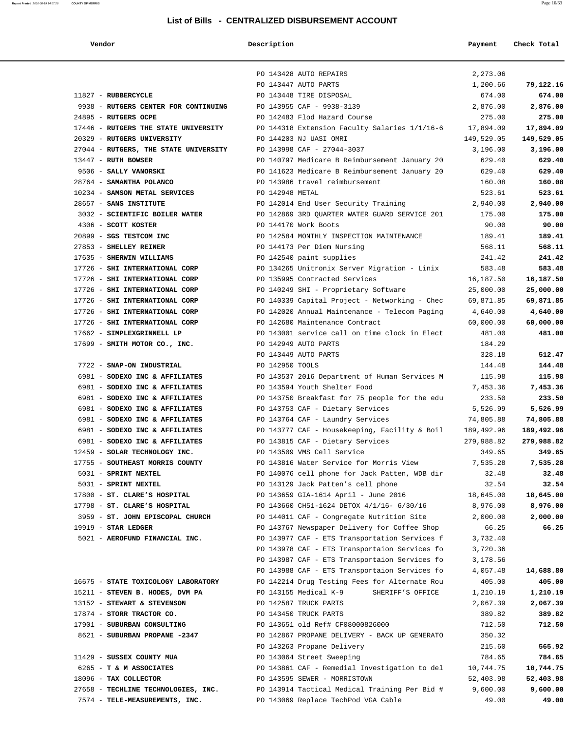| Report Printed 2016-08-19 14:57:26 | <b>COUNTY OF MORRIS</b>                                    |                 | List of Bills - CENTRALIZED DISBURSEMENT ACCOUNT                                               |                      | Page 10/63          |
|------------------------------------|------------------------------------------------------------|-----------------|------------------------------------------------------------------------------------------------|----------------------|---------------------|
|                                    | Vendor                                                     | Description     |                                                                                                | Payment              | Check Total         |
|                                    |                                                            |                 | PO 143428 AUTO REPAIRS                                                                         | 2,273.06             |                     |
|                                    |                                                            |                 | PO 143447 AUTO PARTS                                                                           | 1,200.66             | 79,122.16           |
|                                    | 11827 - RUBBERCYCLE                                        |                 | PO 143448 TIRE DISPOSAL                                                                        | 674.00               | 674.00              |
|                                    | 9938 - RUTGERS CENTER FOR CONTINUING                       |                 | PO 143955 CAF - 9938-3139                                                                      | 2,876.00             | 2,876.00            |
|                                    | 24895 - RUTGERS OCPE                                       |                 | PO 142483 Flod Hazard Course                                                                   | 275.00               | 275.00              |
|                                    | 17446 - RUTGERS THE STATE UNIVERSITY                       |                 | PO 144318 Extension Faculty Salaries 1/1/16-6                                                  | 17,894.09            | 17,894.09           |
|                                    | 20329 - RUTGERS UNIVERSITY                                 |                 | PO 144203 NJ UASI OMRI                                                                         | 149,529.05           | 149,529.05          |
|                                    | 27044 - RUTGERS, THE STATE UNIVERSITY                      |                 | PO 143998 CAF - 27044-3037                                                                     | 3,196.00             | 3,196.00            |
|                                    | 13447 - RUTH BOWSER                                        |                 | PO 140797 Medicare B Reimbursement January 20                                                  | 629.40               | 629.40              |
|                                    | 9506 - SALLY VANORSKI                                      |                 | PO 141623 Medicare B Reimbursement January 20                                                  | 629.40               | 629.40              |
|                                    | 28764 - SAMANTHA POLANCO                                   |                 | PO 143986 travel reimbursement                                                                 | 160.08               | 160.08              |
|                                    | 10234 - SAMSON METAL SERVICES                              | PO 142948 METAL |                                                                                                | 523.61               | 523.61              |
|                                    | 28657 - SANS INSTITUTE                                     |                 | PO 142014 End User Security Training                                                           | 2,940.00             | 2,940.00            |
|                                    | 3032 - SCIENTIFIC BOILER WATER                             |                 | PO 142869 3RD QUARTER WATER GUARD SERVICE 201                                                  | 175.00               | 175.00              |
|                                    | 4306 - SCOTT KOSTER                                        |                 | PO 144170 Work Boots                                                                           | 90.00                | 90.00               |
|                                    | 20899 - SGS TESTCOM INC                                    |                 | PO 142584 MONTHLY INSPECTION MAINTENANCE                                                       | 189.41               | 189.41              |
|                                    | 27853 - SHELLEY REINER                                     |                 | PO 144173 Per Diem Nursing                                                                     | 568.11               | 568.11              |
|                                    | 17635 - SHERWIN WILLIAMS<br>17726 - SHI INTERNATIONAL CORP |                 | PO 142540 paint supplies                                                                       | 241.42               | 241.42              |
|                                    | 17726 - SHI INTERNATIONAL CORP                             |                 | PO 134265 Unitronix Server Migration - Linix<br>PO 135995 Contracted Services                  | 583.48<br>16,187.50  | 583.48<br>16,187.50 |
|                                    | 17726 - SHI INTERNATIONAL CORP                             |                 | PO 140249 SHI - Proprietary Software                                                           | 25,000.00            | 25,000.00           |
|                                    | 17726 - SHI INTERNATIONAL CORP                             |                 | PO 140339 Capital Project - Networking - Chec                                                  | 69,871.85            | 69,871.85           |
|                                    | 17726 - SHI INTERNATIONAL CORP                             |                 | PO 142020 Annual Maintenance - Telecom Paging                                                  | 4,640.00             | 4,640.00            |
|                                    | 17726 - SHI INTERNATIONAL CORP                             |                 | PO 142680 Maintenance Contract                                                                 | 60,000.00            | 60,000.00           |
|                                    | 17662 - SIMPLEXGRINNELL LP                                 |                 | PO 143001 service call on time clock in Elect                                                  | 481.00               | 481.00              |
|                                    | 17699 - SMITH MOTOR CO., INC.                              |                 | PO 142949 AUTO PARTS                                                                           | 184.29               |                     |
|                                    |                                                            |                 | PO 143449 AUTO PARTS                                                                           | 328.18               | 512.47              |
|                                    | 7722 - SNAP-ON INDUSTRIAL                                  | PO 142950 TOOLS |                                                                                                | 144.48               | 144.48              |
|                                    | 6981 - SODEXO INC & AFFILIATES                             |                 | PO 143537 2016 Department of Human Services M                                                  | 115.98               | 115.98              |
|                                    | 6981 - SODEXO INC & AFFILIATES                             |                 | PO 143594 Youth Shelter Food                                                                   | 7,453.36             | 7,453.36            |
|                                    | 6981 - SODEXO INC & AFFILIATES                             |                 | PO 143750 Breakfast for 75 people for the edu                                                  | 233.50               | 233.50              |
|                                    | 6981 - SODEXO INC & AFFILIATES                             |                 | PO 143753 CAF - Dietary Services                                                               | 5,526.99             | 5,526.99            |
|                                    | 6981 - SODEXO INC & AFFILIATES                             |                 | PO 143764 CAF - Laundry Services                                                               | 74,805.88            | 74,805.88           |
|                                    | 6981 - SODEXO INC & AFFILIATES                             |                 | PO 143777 CAF - Housekeeping, Facility & Boil                                                  | 189,492.96           | 189,492.96          |
|                                    | 6981 - SODEXO INC & AFFILIATES                             |                 | PO 143815 CAF - Dietary Services                                                               | 279,988.82           | 279,988.82          |
|                                    | 12459 - SOLAR TECHNOLOGY INC.                              |                 | PO 143509 VMS Cell Service                                                                     | 349.65               | 349.65              |
|                                    | 17755 - SOUTHEAST MORRIS COUNTY                            |                 | PO 143816 Water Service for Morris View                                                        | 7,535.28             | 7,535.28            |
|                                    | 5031 - SPRINT NEXTEL                                       |                 | PO 140076 cell phone for Jack Patten, WDB dir                                                  | 32.48                | 32.48               |
|                                    | 5031 - SPRINT NEXTEL                                       |                 | PO 143129 Jack Patten's cell phone                                                             | 32.54                | 32.54               |
|                                    | 17800 - ST. CLARE'S HOSPITAL                               |                 | PO 143659 GIA-1614 April - June 2016                                                           | 18,645.00            | 18,645.00           |
|                                    | 17798 - ST. CLARE'S HOSPITAL                               |                 | PO 143660 CH51-1624 DETOX 4/1/16- 6/30/16                                                      | 8,976.00             | 8,976.00            |
|                                    | 3959 - ST. JOHN EPISCOPAL CHURCH                           |                 | PO 144011 CAF - Congregate Nutrition Site                                                      | 2,000.00             | 2,000.00            |
|                                    | $19919$ - STAR LEDGER                                      |                 | PO 143767 Newspaper Delivery for Coffee Shop                                                   | 66.25                | 66.25               |
|                                    | 5021 - AEROFUND FINANCIAL INC.                             |                 | PO 143977 CAF - ETS Transportation Services f                                                  | 3,732.40             |                     |
|                                    |                                                            |                 | PO 143978 CAF - ETS Transportaion Services fo                                                  | 3,720.36             |                     |
|                                    |                                                            |                 | PO 143987 CAF - ETS Transportaion Services fo<br>PO 143988 CAF - ETS Transportaion Services fo | 3,178.56<br>4,057.48 | 14,688.80           |
|                                    |                                                            |                 |                                                                                                |                      |                     |

| 16675 - STATE TOXICOLOGY LABORATORY | PO 142214 Drug Testing Fees for Alternate Rou | 405.00    | 405.00    |
|-------------------------------------|-----------------------------------------------|-----------|-----------|
| 15211 - STEVEN B. HODES, DVM PA     | PO 143155 Medical K-9<br>SHERIFF'S OFFICE     | 1,210.19  | 1,210.19  |
| 13152 - STEWART & STEVENSON         | PO 142587 TRUCK PARTS                         | 2,067.39  | 2,067.39  |
| 17874 - STORR TRACTOR CO.           | PO 143450 TRUCK PARTS                         | 389.82    | 389.82    |
| 17901 - SUBURBAN CONSULTING         | PO 143651 old Ref# CF08000826000              | 712.50    | 712.50    |
| 8621 - SUBURBAN PROPANE -2347       | PO 142867 PROPANE DELIVERY - BACK UP GENERATO | 350.32    |           |
|                                     | PO 143263 Propane Delivery                    | 215.60    | 565.92    |
| 11429 - SUSSEX COUNTY MUA           | PO 143064 Street Sweeping                     | 784.65    | 784.65    |
| 6265 - T & M ASSOCIATES             | PO 143861 CAF - Remedial Investigation to del | 10,744.75 | 10,744.75 |
| 18096 - TAX COLLECTOR               | PO 143595 SEWER - MORRISTOWN                  | 52,403.98 | 52,403.98 |
| 27658 - TECHLINE TECHNOLOGIES, INC. | PO 143914 Tactical Medical Training Per Bid # | 9,600.00  | 9,600.00  |
| 7574 - TELE-MEASUREMENTS, INC.      | PO 143069 Replace TechPod VGA Cable           | 49.00     | 49.00     |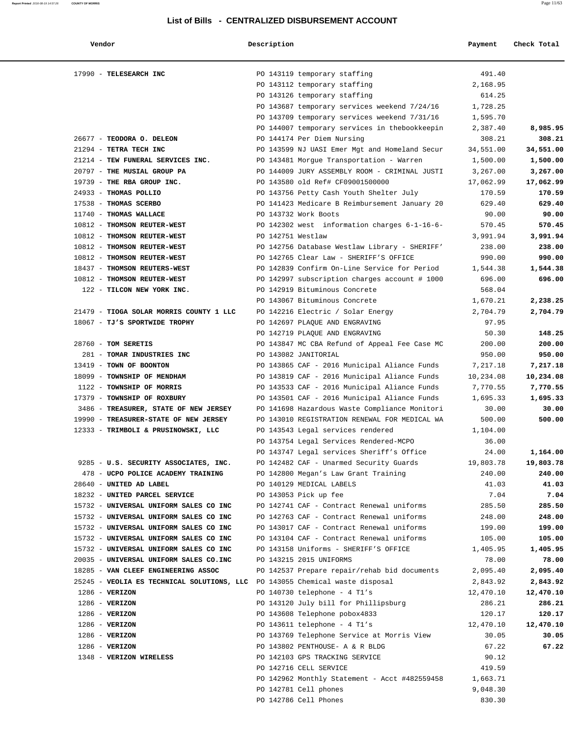| Vendor                                                                            | Description       |                                                                                        | Payment              | Check Total          |
|-----------------------------------------------------------------------------------|-------------------|----------------------------------------------------------------------------------------|----------------------|----------------------|
| 17990 - TELESEARCH INC                                                            |                   | PO 143119 temporary staffing                                                           | 491.40               |                      |
|                                                                                   |                   | PO 143112 temporary staffing                                                           | 2,168.95             |                      |
|                                                                                   |                   | PO 143126 temporary staffing                                                           | 614.25               |                      |
|                                                                                   |                   | PO 143687 temporary services weekend 7/24/16                                           | 1,728.25             |                      |
|                                                                                   |                   | PO 143709 temporary services weekend 7/31/16                                           | 1,595.70             |                      |
|                                                                                   |                   | PO 144007 temporary services in thebookkeepin                                          | 2,387.40             | 8,985.95             |
| 26677 - TEODORA O. DELEON                                                         |                   | PO 144174 Per Diem Nursing                                                             | 308.21               | 308.21               |
| 21294 - TETRA TECH INC                                                            |                   | PO 143599 NJ UASI Emer Mgt and Homeland Secur                                          | 34,551.00            | 34,551.00            |
| 21214 - TEW FUNERAL SERVICES INC.                                                 |                   | PO 143481 Morgue Transportation - Warren                                               | 1,500.00             | 1,500.00             |
| 20797 - THE MUSIAL GROUP PA                                                       |                   | PO 144009 JURY ASSEMBLY ROOM - CRIMINAL JUSTI                                          | 3,267.00             | 3,267.00             |
| 19739 - THE RBA GROUP INC.                                                        |                   | PO 143580 old Ref# CF09001500000                                                       | 17,062.99            | 17,062.99            |
| 24933 - THOMAS POLLIO                                                             |                   | PO 143756 Petty Cash Youth Shelter July                                                | 170.59               | 170.59               |
| 17538 - THOMAS SCERBO                                                             |                   | PO 141423 Medicare B Reimbursement January 20                                          | 629.40               | 629.40               |
| 11740 - THOMAS WALLACE                                                            |                   | PO 143732 Work Boots                                                                   | 90.00                | 90.00                |
| 10812 - THOMSON REUTER-WEST                                                       |                   | PO 142302 west information charges 6-1-16-6-                                           | 570.45               | 570.45               |
| 10812 - THOMSON REUTER-WEST                                                       | PO 142751 Westlaw |                                                                                        | 3,991.94             | 3,991.94             |
| 10812 - THOMSON REUTER-WEST                                                       |                   | PO 142756 Database Westlaw Library - SHERIFF'                                          | 238.00               | 238.00               |
| 10812 - THOMSON REUTER-WEST                                                       |                   | PO 142765 Clear Law - SHERIFF'S OFFICE                                                 | 990.00               | 990.00               |
| 18437 - THOMSON REUTERS-WEST                                                      |                   | PO 142839 Confirm On-Line Service for Period                                           | 1,544.38             | 1,544.38             |
| 10812 - THOMSON REUTER-WEST                                                       |                   | PO 142997 subscription charges account # 1000                                          | 696.00               | 696.00               |
| 122 - TILCON NEW YORK INC.                                                        |                   | PO 142919 Bituminous Concrete                                                          | 568.04               |                      |
|                                                                                   |                   | PO 143067 Bituminous Concrete                                                          | 1,670.21             | 2,238.25             |
| 21479 - TIOGA SOLAR MORRIS COUNTY 1 LLC                                           |                   | PO 142216 Electric / Solar Energy                                                      | 2,704.79             | 2,704.79             |
| 18067 - TJ'S SPORTWIDE TROPHY                                                     |                   | PO 142697 PLAQUE AND ENGRAVING                                                         | 97.95                |                      |
|                                                                                   |                   | PO 142719 PLAQUE AND ENGRAVING                                                         | 50.30                | 148.25               |
| 28760 - TOM SERETIS                                                               |                   | PO 143847 MC CBA Refund of Appeal Fee Case MC                                          | 200.00               | 200.00               |
| 281 - TOMAR INDUSTRIES INC                                                        |                   | PO 143082 JANITORIAL                                                                   | 950.00               | 950.00               |
| 13419 - TOWN OF BOONTON                                                           |                   | PO 143865 CAF - 2016 Municipal Aliance Funds                                           | 7,217.18             | 7,217.18             |
| 18099 - TOWNSHIP OF MENDHAM                                                       |                   | PO 143819 CAF - 2016 Municipal Aliance Funds                                           | 10,234.08            | 10,234.08            |
| 1122 - TOWNSHIP OF MORRIS                                                         |                   | PO 143533 CAF - 2016 Municipal Aliance Funds                                           | 7,770.55             | 7,770.55             |
| 17379 - TOWNSHIP OF ROXBURY                                                       |                   | PO 143501 CAF - 2016 Municipal Aliance Funds                                           | 1,695.33             | 1,695.33             |
| 3486 - TREASURER, STATE OF NEW JERSEY                                             |                   | PO 141698 Hazardous Waste Compliance Monitori                                          | 30.00                | 30.00                |
| 19990 - TREASURER-STATE OF NEW JERSEY                                             |                   | PO 143010 REGISTRATION RENEWAL FOR MEDICAL WA                                          | 500.00               | 500.00               |
| 12333 - TRIMBOLI & PRUSINOWSKI, LLC                                               |                   | PO 143543 Legal services rendered                                                      | 1,104.00             |                      |
|                                                                                   |                   | PO 143754 Legal Services Rendered-MCPO                                                 | 36.00                |                      |
|                                                                                   |                   | PO 143747 Legal services Sheriff's Office                                              | 24.00                | 1,164.00             |
| 9285 - U.S. SECURITY ASSOCIATES, INC.                                             |                   | PO 142482 CAF - Unarmed Security Guards                                                | 19,803.78            | 19,803.78            |
| 478 - UCPO POLICE ACADEMY TRAINING                                                |                   | PO 142800 Megan's Law Grant Training                                                   | 240.00               | 240.00               |
| 28640 - UNITED AD LABEL                                                           |                   | PO 140129 MEDICAL LABELS                                                               | 41.03                | 41.03                |
| 18232 - UNITED PARCEL SERVICE                                                     |                   | PO 143053 Pick up fee                                                                  | 7.04                 | 7.04                 |
| 15732 - UNIVERSAL UNIFORM SALES CO INC                                            |                   | PO 142741 CAF - Contract Renewal uniforms                                              | 285.50               | 285.50               |
| 15732 - UNIVERSAL UNIFORM SALES CO INC                                            |                   | PO 142763 CAF - Contract Renewal uniforms                                              | 248.00               | 248.00               |
| 15732 - UNIVERSAL UNIFORM SALES CO INC<br>15732 - UNIVERSAL UNIFORM SALES CO INC  |                   | PO 143017 CAF - Contract Renewal uniforms<br>PO 143104 CAF - Contract Renewal uniforms | 199.00<br>105.00     | 199.00<br>105.00     |
| 15732 - UNIVERSAL UNIFORM SALES CO INC                                            |                   |                                                                                        |                      |                      |
| 20035 - UNIVERSAL UNIFORM SALES CO.INC                                            |                   | PO 143158 Uniforms - SHERIFF'S OFFICE<br>PO 143215 2015 UNIFORMS                       | 1,405.95<br>78.00    | 1,405.95<br>78.00    |
|                                                                                   |                   | PO 142537 Prepare repair/rehab bid documents                                           |                      |                      |
| 18285 - VAN CLEEF ENGINEERING ASSOC<br>25245 - VEOLIA ES TECHNICAL SOLUTIONS, LLC |                   | PO 143055 Chemical waste disposal                                                      | 2,095.40<br>2,843.92 | 2,095.40<br>2,843.92 |
| $1286 - VERIZON$                                                                  |                   | PO 140730 telephone - 4 T1's                                                           | 12,470.10            | 12,470.10            |
| $1286 - VERIZON$                                                                  |                   | PO 143120 July bill for Phillipsburg                                                   | 286.21               | 286.21               |
| $1286$ - VERIZON                                                                  |                   | PO 143608 Telephone pobox4833                                                          | 120.17               | 120.17               |
|                                                                                   |                   |                                                                                        |                      |                      |
| $1286$ - VERIZON                                                                  |                   | PO 143611 telephone - $4$ Tl's                                                         | 12,470.10            | 12,470.10            |
| $1286$ - VERIZON                                                                  |                   | PO 143769 Telephone Service at Morris View                                             | 30.05                | 30.05                |
| $1286$ - VERIZON                                                                  |                   | PO 143802 PENTHOUSE- A & R BLDG                                                        | 67.22                | 67.22                |
| 1348 - VERIZON WIRELESS                                                           |                   | PO 142103 GPS TRACKING SERVICE                                                         | 90.12                |                      |

PO 142716 CELL SERVICE 419.59 PO 142962 Monthly Statement - Acct #482559458 1,663.71 PO 142781 Cell phones 9,048.30 PO 142786 Cell Phones 830.30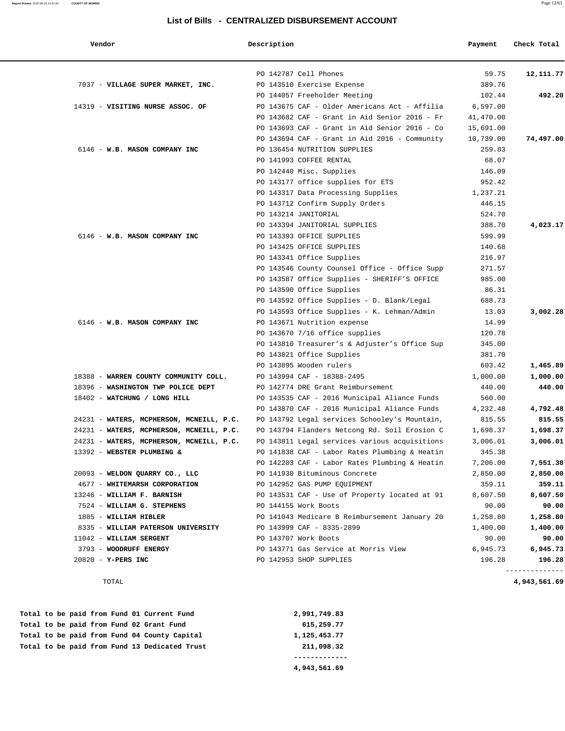| Vendor                                   | Description                                   | Payment   | Check Total    |
|------------------------------------------|-----------------------------------------------|-----------|----------------|
|                                          | PO 142787 Cell Phones                         | 59.75     | 12,111.77      |
| 7037 - VILLAGE SUPER MARKET, INC.        | PO 143510 Exercise Expense                    | 389.76    |                |
|                                          | PO 144057 Freeholder Meeting                  | 102.44    | 492.20         |
| 14319 - VISITING NURSE ASSOC. OF         | PO 143675 CAF - Older Americans Act - Affilia | 6,597.00  |                |
|                                          | PO 143682 CAF - Grant in Aid Senior 2016 - Fr | 41,470.00 |                |
|                                          | PO 143693 CAF - Grant in Aid Senior 2016 - Co | 15,691.00 |                |
|                                          | PO 143694 CAF - Grant in Aid 2016 - Community | 10,739.00 | 74,497.00      |
| 6146 - W.B. MASON COMPANY INC            | PO 136454 NUTRITION SUPPLIES                  | 259.83    |                |
|                                          | PO 141993 COFFEE RENTAL                       | 68.07     |                |
|                                          | PO 142440 Misc. Supplies                      | 146.09    |                |
|                                          | PO 143177 office supplies for ETS             | 952.42    |                |
|                                          | PO 143317 Data Processing Supplies            | 1,237.21  |                |
|                                          | PO 143712 Confirm Supply Orders               | 446.15    |                |
|                                          | PO 143214 JANITORIAL                          | 524.70    |                |
|                                          | PO 143394 JANITORIAL SUPPLIES                 | 388.70    | 4,023.17       |
| 6146 - W.B. MASON COMPANY INC            | PO 143393 OFFICE SUPPLIES                     | 599.99    |                |
|                                          | PO 143425 OFFICE SUPPLIES                     | 140.68    |                |
|                                          | PO 143341 Office Supplies                     | 216.97    |                |
|                                          | PO 143546 County Counsel Office - Office Supp | 271.57    |                |
|                                          | PO 143587 Office Supplies - SHERIFF'S OFFICE  | 985.00    |                |
|                                          | PO 143590 Office Supplies                     | 86.31     |                |
|                                          | PO 143592 Office Supplies - D. Blank/Legal    | 688.73    |                |
|                                          | PO 143593 Office Supplies - K. Lehman/Admin   | 13.03     | 3,002.28       |
| 6146 - W.B. MASON COMPANY INC            | PO 143671 Nutrition expense                   | 14.99     |                |
|                                          | PO 143670 7/16 office supplies                | 120.78    |                |
|                                          | PO 143810 Treasurer's & Adjuster's Office Sup | 345.00    |                |
|                                          | PO 143821 Office Supplies                     | 381.70    |                |
|                                          | PO 143895 Wooden rulers                       | 603.42    | 1,465.89       |
| 18388 - WARREN COUNTY COMMUNITY COLL.    | PO 143994 CAF - 18388-2495                    | 1,000.00  | 1,000.00       |
| 18396 - WASHINGTON TWP POLICE DEPT       | PO 142774 DRE Grant Reimbursement             | 440.00    | 440.00         |
| 18402 - WATCHUNG / LONG HILL             | PO 143535 CAF - 2016 Municipal Aliance Funds  | 560.00    |                |
|                                          | PO 143870 CAF - 2016 Municipal Aliance Funds  | 4,232.48  | 4,792.48       |
| 24231 - WATERS, MCPHERSON, MCNEILL, P.C. | PO 143792 Legal services Schooley's Mountain, | 815.55    | 815.55         |
| 24231 - WATERS, MCPHERSON, MCNEILL, P.C. | PO 143794 Flanders Netcong Rd. Soil Erosion C | 1,698.37  | 1,698.37       |
| 24231 - WATERS, MCPHERSON, MCNEILL, P.C. | PO 143811 Legal services various acquisitions | 3,006.01  | 3,006.01       |
| 13392 - WEBSTER PLUMBING &               | PO 141838 CAF - Labor Rates Plumbing & Heatin | 345.38    |                |
|                                          | PO 142203 CAF - Labor Rates Plumbing & Heatin | 7,206.00  | 7,551.38       |
| 20093 - WELDON QUARRY CO., LLC           | PO 141930 Bituminous Concrete                 | 2,850.00  | 2,850.00       |
| 4677 - WHITEMARSH CORPORATION            | PO 142952 GAS PUMP EQUIPMENT                  | 359.11    | 359.11         |
| 13246 - WILLIAM F. BARNISH               | PO 143531 CAF - Use of Property located at 91 | 8,607.50  | 8,607.50       |
| 7524 - WILLIAM G. STEPHENS               | PO 144155 Work Boots                          | 90.00     | 90.00          |
| 1885 - WILLIAM HIBLER                    | PO 141043 Medicare B Reimbursement January 20 | 1,258.80  | 1,258.80       |
| 8335 - WILLIAM PATERSON UNIVERSITY       | PO 143999 CAF - 8335-2899                     | 1,400.00  | 1,400.00       |
| 11042 - WILLIAM SERGENT                  | PO 143707 Work Boots                          | 90.00     | 90.00          |
| 3793 - WOODRUFF ENERGY                   | PO 143771 Gas Service at Morris View          | 6,945.73  | 6,945.73       |
| 20820 - Y-PERS INC                       | PO 142953 SHOP SUPPLIES                       | 196.28    | 196.28         |
|                                          |                                               |           | -------------- |

 **Total to be paid from Fund 01 Current Fund 2,991,749.83 Total to be paid from Fund 02 Grant Fund 615,259.77 Total to be paid from Fund 04 County Capital 1,125,453.77 Total to be paid from Fund 13 Dedicated Trust 211,098.32 -------------**

 **4,943,561.69**

**Report Printed** 2016-08-19 14:57:26 **COUNTY OF MORRIS** Page 12/63

TOTAL **4,943,561.69**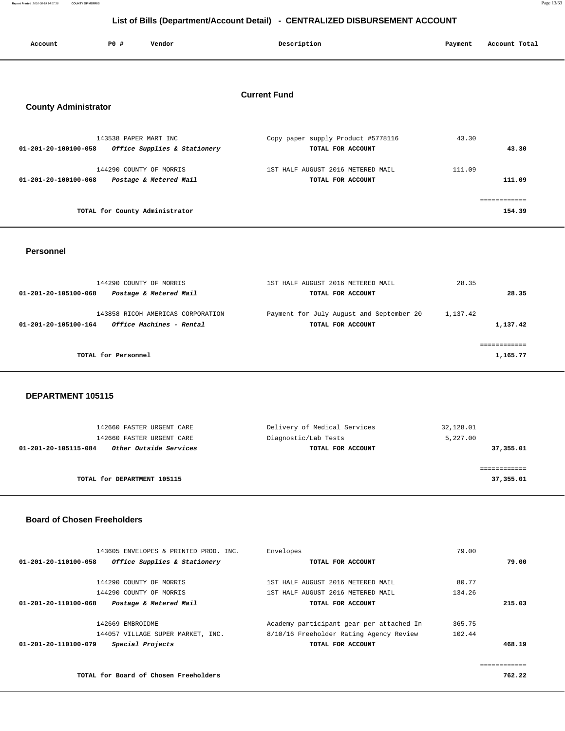**Report Printed** 2016-08-19 14:57:38 **COUNTY OF MORRIS** Page 13/63

| List of Bills (Department/Account Detail) - CENTRALIZED DISBURSEMENT ACCOUNT |                       |                                                   |  |                                                         |         |                        |  |
|------------------------------------------------------------------------------|-----------------------|---------------------------------------------------|--|---------------------------------------------------------|---------|------------------------|--|
| Account                                                                      | P0 #                  | Vendor                                            |  | Description                                             | Payment | Account Total          |  |
| <b>Current Fund</b><br><b>County Administrator</b>                           |                       |                                                   |  |                                                         |         |                        |  |
| 01-201-20-100100-058                                                         | 143538 PAPER MART INC | Office Supplies & Stationery                      |  | Copy paper supply Product #5778116<br>TOTAL FOR ACCOUNT | 43.30   | 43.30                  |  |
| 01-201-20-100100-068                                                         |                       | 144290 COUNTY OF MORRIS<br>Postage & Metered Mail |  | 1ST HALF AUGUST 2016 METERED MAIL<br>TOTAL FOR ACCOUNT  | 111.09  | 111.09                 |  |
|                                                                              |                       | TOTAL for County Administrator                    |  |                                                         |         | ============<br>154.39 |  |
|                                                                              |                       |                                                   |  |                                                         |         |                        |  |

 **Personnel** 

| 144290 COUNTY OF MORRIS<br>Postage & Metered Mail<br>01-201-20-105100-068             | 1ST HALF AUGUST 2016 METERED MAIL<br>TOTAL FOR ACCOUNT        | 28.35<br>28.35       |
|---------------------------------------------------------------------------------------|---------------------------------------------------------------|----------------------|
| 143858 RICOH AMERICAS CORPORATION<br>Office Machines - Rental<br>01-201-20-105100-164 | Payment for July August and September 20<br>TOTAL FOR ACCOUNT | 1,137.42<br>1,137.42 |
| TOTAL for Personnel                                                                   |                                                               | 1,165.77             |

 **DEPARTMENT 105115** 

| 142660 FASTER URGENT CARE                      | Delivery of Medical Services | 32,128.01 |
|------------------------------------------------|------------------------------|-----------|
| 142660 FASTER URGENT CARE                      | Diagnostic/Lab Tests         | 5,227.00  |
| Other Outside Services<br>01-201-20-105115-084 | TOTAL FOR ACCOUNT            | 37,355.01 |
|                                                |                              |           |
|                                                |                              |           |
| TOTAL for DEPARTMENT 105115                    |                              | 37,355.01 |
|                                                |                              |           |

### **Board of Chosen Freeholders**

| 143605 ENVELOPES & PRINTED PROD. INC.                | Envelopes                                | 79.00  |
|------------------------------------------------------|------------------------------------------|--------|
| Office Supplies & Stationery<br>01-201-20-110100-058 | TOTAL FOR ACCOUNT                        | 79.00  |
| 144290 COUNTY OF MORRIS                              | 1ST HALF AUGUST 2016 METERED MAIL        | 80.77  |
| 144290 COUNTY OF MORRIS                              | 1ST HALF AUGUST 2016 METERED MAIL        | 134.26 |
| Postage & Metered Mail<br>01-201-20-110100-068       | TOTAL FOR ACCOUNT                        | 215.03 |
| 142669 EMBROIDME                                     | Academy participant gear per attached In | 365.75 |
| 144057 VILLAGE SUPER MARKET, INC.                    | 8/10/16 Freeholder Rating Agency Review  | 102.44 |
| Special Projects<br>01-201-20-110100-079             | TOTAL FOR ACCOUNT                        | 468.19 |
|                                                      |                                          |        |
|                                                      |                                          |        |

**TOTAL for Board of Chosen Freeholders 762.22**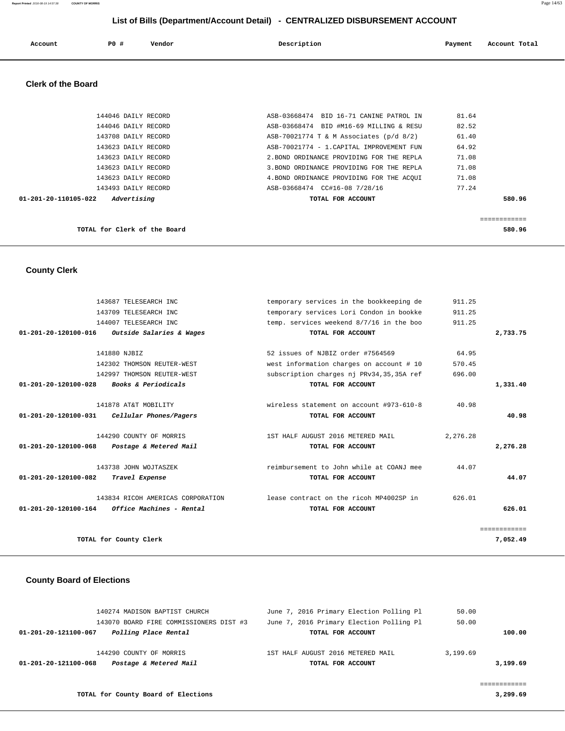| Report Printed 2016-08-19 14:57:38 | <b>COUNTY OF MORRIS</b> |  |  |  | Page 14/63 |
|------------------------------------|-------------------------|--|--|--|------------|
|                                    |                         |  |  |  |            |
|                                    |                         |  |  |  |            |

|                           |     |        | List of Bills (Department/Account Detail) - CENTRALIZED DISBURSEMENT ACCOUNT |         |               |
|---------------------------|-----|--------|------------------------------------------------------------------------------|---------|---------------|
| Account                   | PO# | Vendor | Description                                                                  | Payment | Account Total |
| <b>Clerk of the Board</b> |     |        |                                                                              |         |               |

| TOTAL for Clerk of the Board        |                                           | 580.96       |
|-------------------------------------|-------------------------------------------|--------------|
|                                     |                                           | ------------ |
| Advertising<br>01-201-20-110105-022 | TOTAL FOR ACCOUNT                         | 580.96       |
| 143493 DAILY RECORD                 | ASB-03668474 CC#16-08 7/28/16             | 77.24        |
| 143623 DAILY RECORD                 | 4. BOND ORDINANCE PROVIDING FOR THE ACOUI | 71.08        |
| 143623 DAILY RECORD                 | 3. BOND ORDINANCE PROVIDING FOR THE REPLA | 71.08        |
| 143623 DAILY RECORD                 | 2. BOND ORDINANCE PROVIDING FOR THE REPLA | 71.08        |
| 143623 DAILY RECORD                 | ASB-70021774 - 1. CAPITAL IMPROVEMENT FUN | 64.92        |
| 143708 DAILY RECORD                 | ASB-70021774 T & M Associates $(p/d 8/2)$ | 61.40        |
| 144046 DAILY RECORD                 | ASB-03668474 BID #M16-69 MILLING & RESU   | 82.52        |
| 144046 DAILY RECORD                 | ASB-03668474 BID 16-71 CANINE PATROL IN   | 81.64        |
|                                     |                                           |              |

# **County Clerk**

|              | 911.25   | temporary services in the bookkeeping de | 143687 TELESEARCH INC             |                                |
|--------------|----------|------------------------------------------|-----------------------------------|--------------------------------|
|              | 911.25   | temporary services Lori Condon in bookke | 143709 TELESEARCH INC             |                                |
|              | 911.25   | temp. services weekend 8/7/16 in the boo | 144007 TELESEARCH INC             |                                |
| 2,733.75     |          | TOTAL FOR ACCOUNT                        | Outside Salaries & Wages          | $01 - 201 - 20 - 120100 - 016$ |
|              | 64.95    | 52 issues of NJBIZ order #7564569        | 141880 NJBIZ                      |                                |
|              | 570.45   | west information charges on account # 10 | 142302 THOMSON REUTER-WEST        |                                |
|              | 696.00   | subscription charges nj PRv34,35,35A ref | 142997 THOMSON REUTER-WEST        |                                |
| 1,331.40     |          | TOTAL FOR ACCOUNT                        | <b>Books &amp; Periodicals</b>    | $01 - 201 - 20 - 120100 - 028$ |
|              | 40.98    | wireless statement on account #973-610-8 | 141878 AT&T MOBILITY              |                                |
| 40.98        |          | TOTAL FOR ACCOUNT                        | Cellular Phones/Pagers            | $01 - 201 - 20 - 120100 - 031$ |
|              | 2,276.28 | 1ST HALF AUGUST 2016 METERED MAIL        | 144290 COUNTY OF MORRIS           |                                |
| 2,276.28     |          | TOTAL FOR ACCOUNT                        | Postage & Metered Mail            | 01-201-20-120100-068           |
|              | 44.07    | reimbursement to John while at COANJ mee | 143738 JOHN WOJTASZEK             |                                |
| 44.07        |          | TOTAL FOR ACCOUNT                        | Travel Expense                    | $01 - 201 - 20 - 120100 - 082$ |
|              | 626.01   | lease contract on the ricoh MP4002SP in  | 143834 RICOH AMERICAS CORPORATION |                                |
| 626.01       |          | TOTAL FOR ACCOUNT                        | Office Machines - Rental          | $01 - 201 - 20 - 120100 - 164$ |
| ============ |          |                                          |                                   |                                |
| 7,052.49     |          |                                          | TOTAL for County Clerk            |                                |

# **County Board of Elections**

| 140274 MADISON BAPTIST CHURCH                  | June 7, 2016 Primary Election Polling Pl | 50.00    |
|------------------------------------------------|------------------------------------------|----------|
| 143070 BOARD FIRE COMMISSIONERS DIST #3        | June 7, 2016 Primary Election Polling Pl | 50.00    |
| Polling Place Rental<br>01-201-20-121100-067   | TOTAL FOR ACCOUNT                        | 100.00   |
|                                                |                                          |          |
| 144290 COUNTY OF MORRIS                        | 1ST HALF AUGUST 2016 METERED MAIL        | 3,199.69 |
| Postage & Metered Mail<br>01-201-20-121100-068 | TOTAL FOR ACCOUNT                        | 3,199.69 |
|                                                |                                          |          |
|                                                |                                          |          |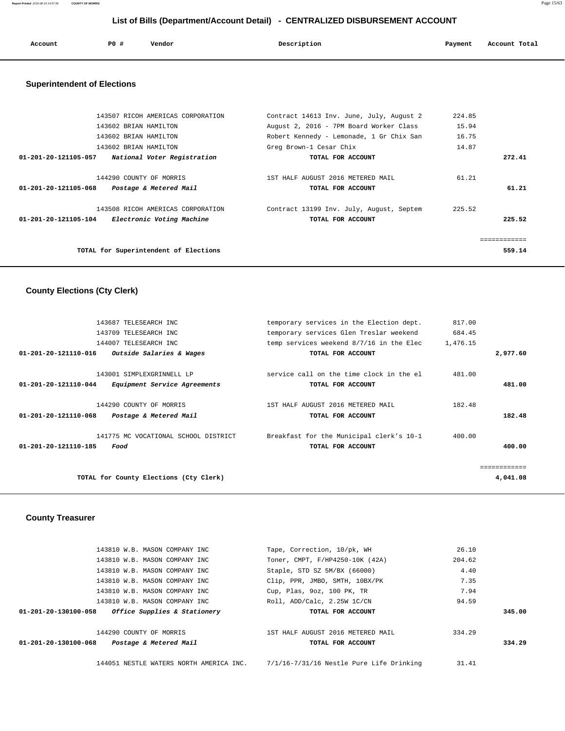**Report Printed** 2016-08-19 14:57:38 **COUNTY OF MORRIS** Page 15/63

# **List of Bills (Department/Account Detail) - CENTRALIZED DISBURSEMENT ACCOUNT**

| Account | P0 # | Vendor | Description | Payment | Account Total |
|---------|------|--------|-------------|---------|---------------|
| .       |      | .      | .           |         |               |
|         |      |        |             |         |               |

# **Superintendent of Elections**

| TOTAL for Superintendent of Elections                                                            |                                                               |        | 559.14 |
|--------------------------------------------------------------------------------------------------|---------------------------------------------------------------|--------|--------|
| 143508 RICOH AMERICAS CORPORATION<br>$01 - 201 - 20 - 121105 - 104$<br>Electronic Voting Machine | Contract 13199 Inv. July, August, Septem<br>TOTAL FOR ACCOUNT | 225.52 | 225.52 |
| 144290 COUNTY OF MORRIS<br>01-201-20-121105-068<br>Postage & Metered Mail                        | 1ST HALF AUGUST 2016 METERED MAIL<br>TOTAL FOR ACCOUNT        | 61.21  | 61.21  |
| 01-201-20-121105-057<br>National Voter Registration                                              | TOTAL FOR ACCOUNT                                             |        | 272.41 |
| 143602 BRIAN HAMILTON                                                                            | Greg Brown-1 Cesar Chix                                       | 14.87  |        |
| 143602 BRIAN HAMILTON                                                                            | Robert Kennedy - Lemonade, 1 Gr Chix San                      | 16.75  |        |
| 143602 BRIAN HAMILTON                                                                            | August 2, 2016 - 7PM Board Worker Class                       | 15.94  |        |
| 143507 RICOH AMERICAS CORPORATION                                                                | Contract 14613 Inv. June, July, August 2                      | 224.85 |        |
|                                                                                                  |                                                               |        |        |

## **County Elections (Cty Clerk)**

|                                | TOTAL for County Elections (Cty Clerk)                           |                                                                                     |                    | ============<br>4,041.08 |
|--------------------------------|------------------------------------------------------------------|-------------------------------------------------------------------------------------|--------------------|--------------------------|
| 01-201-20-121110-185           | 141775 MC VOCATIONAL SCHOOL DISTRICT<br>Food                     | Breakfast for the Municipal clerk's 10-1<br>TOTAL FOR ACCOUNT                       | 400.00             | 400.00                   |
| $01 - 201 - 20 - 121110 - 068$ | 144290 COUNTY OF MORRIS<br>Postage & Metered Mail                | 1ST HALF AUGUST 2016 METERED MAIL<br>TOTAL FOR ACCOUNT                              | 182.48             | 182.48                   |
| 01-201-20-121110-044           | 143001 SIMPLEXGRINNELL LP<br><i>Equipment Service Agreements</i> | service call on the time clock in the el<br>TOTAL FOR ACCOUNT                       | 481.00             | 481.00                   |
| 01-201-20-121110-016           | Outside Salaries & Wages                                         | TOTAL FOR ACCOUNT                                                                   |                    | 2,977.60                 |
|                                | 143709 TELESEARCH INC<br>144007 TELESEARCH INC                   | temporary services Glen Treslar weekend<br>temp services weekend 8/7/16 in the Elec | 684.45<br>1,476.15 |                          |
|                                | 143687 TELESEARCH INC                                            | temporary services in the Election dept.                                            | 817.00             |                          |

# **County Treasurer**

| 143810 W.B. MASON COMPANY INC                        | Tape, Correction, 10/pk, WH       | 26.10  |        |
|------------------------------------------------------|-----------------------------------|--------|--------|
| 143810 W.B. MASON COMPANY INC                        | Toner, CMPT, F/HP4250-10K (42A)   | 204.62 |        |
| 143810 W.B. MASON COMPANY INC                        | Staple, STD SZ 5M/BX (66000)      | 4.40   |        |
| 143810 W.B. MASON COMPANY INC                        | Clip, PPR, JMBO, SMTH, 10BX/PK    | 7.35   |        |
| 143810 W.B. MASON COMPANY INC                        | Cup, Plas, 9oz, 100 PK, TR        | 7.94   |        |
| 143810 W.B. MASON COMPANY INC                        | Roll, ADD/Calc, 2.25W 1C/CN       | 94.59  |        |
| Office Supplies & Stationery<br>01-201-20-130100-058 | TOTAL FOR ACCOUNT                 |        | 345.00 |
|                                                      |                                   |        |        |
| 144290 COUNTY OF MORRIS                              | 1ST HALF AUGUST 2016 METERED MAIL | 334.29 |        |
| Postage & Metered Mail<br>01-201-20-130100-068       | TOTAL FOR ACCOUNT                 |        | 334.29 |
|                                                      |                                   |        |        |
|                                                      |                                   |        |        |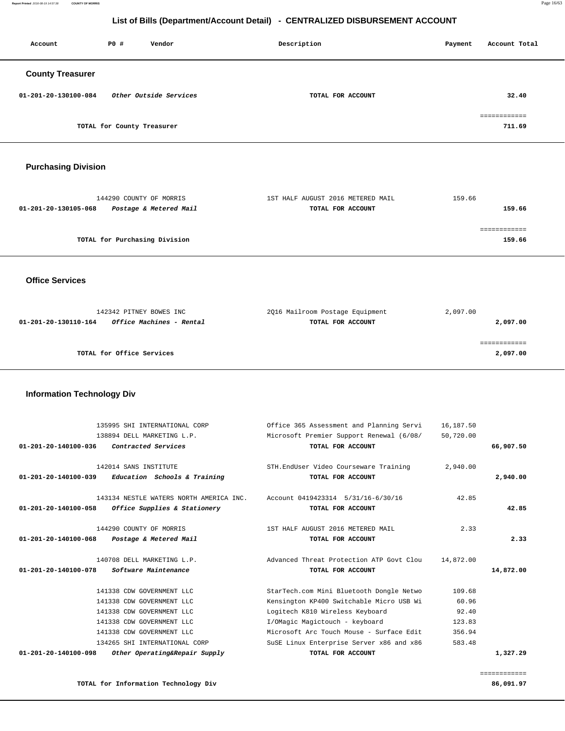**Report Printed** 2016-08-19 14:57:38 **COUNTY OF MORRIS** Page 16/63

# **List of Bills (Department/Account Detail) - CENTRALIZED DISBURSEMENT ACCOUNT**

| Account                 | PO#                        | Vendor                 | Description       | Payment | Account Total |
|-------------------------|----------------------------|------------------------|-------------------|---------|---------------|
| <b>County Treasurer</b> |                            |                        |                   |         |               |
| 01-201-20-130100-084    |                            | Other Outside Services | TOTAL FOR ACCOUNT |         | 32.40         |
|                         |                            |                        |                   |         | ============  |
|                         | TOTAL for County Treasurer |                        |                   |         | 711.69        |

## **Purchasing Division**

| 144290 COUNTY OF MORRIS                        | 1ST HALF AUGUST 2016 METERED MAIL | 159.66 |
|------------------------------------------------|-----------------------------------|--------|
| Postage & Metered Mail<br>01-201-20-130105-068 | TOTAL FOR ACCOUNT                 | 159.66 |
|                                                |                                   |        |
|                                                |                                   |        |
| TOTAL for Purchasing Division                  |                                   | 159.66 |
|                                                |                                   |        |

### **Office Services**

| 142342 PITNEY BOWES INC                                 | 2016 Mailroom Postage Equipment | 2,097.00 |
|---------------------------------------------------------|---------------------------------|----------|
| <i>Office Machines - Rental</i><br>01-201-20-130110-164 | TOTAL FOR ACCOUNT               | 2,097.00 |
|                                                         |                                 |          |
|                                                         |                                 |          |
| TOTAL for Office Services                               |                                 | 2,097.00 |

# **Information Technology Div**

|                                | 135995 SHI INTERNATIONAL CORP           | Office 365 Assessment and Planning Servi | 16,187.50 |           |
|--------------------------------|-----------------------------------------|------------------------------------------|-----------|-----------|
|                                | 138894 DELL MARKETING L.P.              | Microsoft Premier Support Renewal (6/08/ | 50,720.00 |           |
| $01 - 201 - 20 - 140100 - 036$ | Contracted Services                     | TOTAL FOR ACCOUNT                        |           | 66,907.50 |
|                                | 142014 SANS INSTITUTE                   | STH. EndUser Video Courseware Training   | 2,940.00  |           |
| $01 - 201 - 20 - 140100 - 039$ | Education Schools & Training            | TOTAL FOR ACCOUNT                        |           | 2,940.00  |
|                                | 143134 NESTLE WATERS NORTH AMERICA INC. | Account 0419423314 5/31/16-6/30/16       | 42.85     |           |
| $01 - 201 - 20 - 140100 - 058$ | Office Supplies & Stationery            | TOTAL FOR ACCOUNT                        |           | 42.85     |
|                                | 144290 COUNTY OF MORRIS                 | 1ST HALF AUGUST 2016 METERED MAIL        | 2.33      |           |
| $01 - 201 - 20 - 140100 - 068$ | Postage & Metered Mail                  | TOTAL FOR ACCOUNT                        |           | 2.33      |
|                                | 140708 DELL MARKETING L.P.              | Advanced Threat Protection ATP Govt Clou | 14,872.00 |           |
| $01 - 201 - 20 - 140100 - 078$ | Software Maintenance                    | TOTAL FOR ACCOUNT                        |           | 14,872.00 |
|                                | 141338 CDW GOVERNMENT LLC               | StarTech.com Mini Bluetooth Dongle Netwo | 109.68    |           |
|                                | 141338 CDW GOVERNMENT LLC               | Kensington KP400 Switchable Micro USB Wi | 60.96     |           |
|                                | 141338 CDW GOVERNMENT LLC               | Logitech K810 Wireless Keyboard          | 92.40     |           |
|                                | 141338 CDW GOVERNMENT LLC               | I/OMagic Magictouch - keyboard           | 123.83    |           |
|                                | 141338 CDW GOVERNMENT LLC               | Microsoft Arc Touch Mouse - Surface Edit | 356.94    |           |
|                                | 134265 SHI INTERNATIONAL CORP           | SuSE Linux Enterprise Server x86 and x86 | 583.48    |           |
| $01 - 201 - 20 - 140100 - 098$ | Other Operating&Repair Supply           | TOTAL FOR ACCOUNT                        |           | 1,327.29  |
|                                |                                         |                                          |           |           |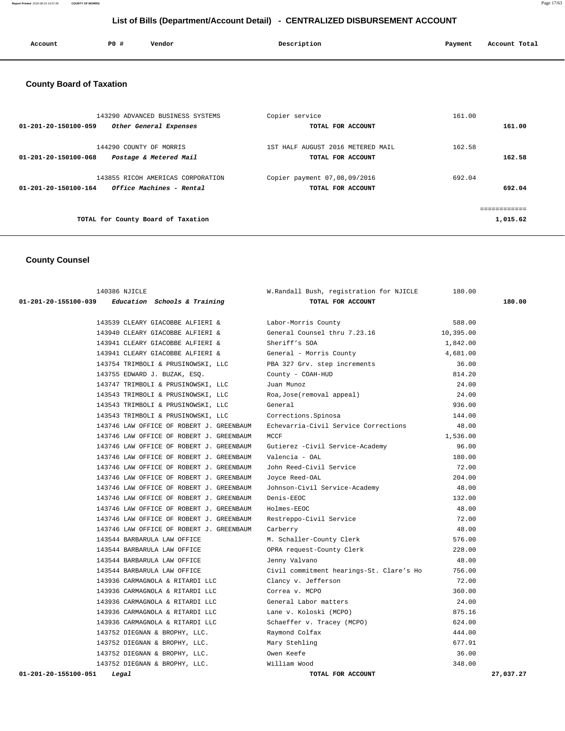**Report Printed** 2016-08-19 14:57:38 **COUNTY OF MORRIS** Page 17/63

# **List of Bills (Department/Account Detail) - CENTRALIZED DISBURSEMENT ACCOUNT**

| Account | <b>PO #</b> | Vendor | Description | Payment | Account Total<br>. |
|---------|-------------|--------|-------------|---------|--------------------|
|         |             |        |             |         |                    |

# **County Board of Taxation**

| 143290 ADVANCED BUSINESS SYSTEMS<br>01-201-20-150100-059<br>Other General Expenses    | Copier service<br>TOTAL FOR ACCOUNT                    | 161.00<br>161.00 |
|---------------------------------------------------------------------------------------|--------------------------------------------------------|------------------|
| 144290 COUNTY OF MORRIS<br>01-201-20-150100-068<br>Postage & Metered Mail             | 1ST HALF AUGUST 2016 METERED MAIL<br>TOTAL FOR ACCOUNT | 162.58<br>162.58 |
| 143855 RICOH AMERICAS CORPORATION<br>Office Machines - Rental<br>01-201-20-150100-164 | Copier payment 07,08,09/2016<br>TOTAL FOR ACCOUNT      | 692.04<br>692.04 |
| TOTAL for County Board of Taxation                                                    |                                                        | 1,015.62         |

# **County Counsel**

| 140386 NJICLE                                       | W.Randall Bush, registration for NJICLE  | 180.00    |           |
|-----------------------------------------------------|------------------------------------------|-----------|-----------|
| $01-201-20-155100-039$ Education Schools & Training | TOTAL FOR ACCOUNT                        |           | 180.00    |
|                                                     |                                          |           |           |
| 143539 CLEARY GIACOBBE ALFIERI &                    | Labor-Morris County                      | 588.00    |           |
| 143940 CLEARY GIACOBBE ALFIERI &                    | General Counsel thru 7.23.16             | 10,395.00 |           |
| 143941 CLEARY GIACOBBE ALFIERI &                    | Sheriff's SOA                            | 1,842.00  |           |
| 143941 CLEARY GIACOBBE ALFIERI &                    | General - Morris County                  | 4,681.00  |           |
| 143754 TRIMBOLI & PRUSINOWSKI, LLC                  | PBA 327 Grv. step increments             | 36.00     |           |
| 143755 EDWARD J. BUZAK, ESQ.                        | County - COAH-HUD                        | 814.20    |           |
| 143747 TRIMBOLI & PRUSINOWSKI, LLC                  | Juan Munoz                               | 24.00     |           |
| 143543 TRIMBOLI & PRUSINOWSKI, LLC                  | Roa, Jose (removal appeal)               | 24.00     |           |
| 143543 TRIMBOLI & PRUSINOWSKI, LLC                  | General                                  | 936.00    |           |
| 143543 TRIMBOLI & PRUSINOWSKI, LLC                  | Corrections. Spinosa                     | 144.00    |           |
| 143746 LAW OFFICE OF ROBERT J. GREENBAUM            | Echevarria-Civil Service Corrections     | 48.00     |           |
| 143746 LAW OFFICE OF ROBERT J. GREENBAUM            | MCCF                                     | 1,536.00  |           |
| 143746 LAW OFFICE OF ROBERT J. GREENBAUM            | Gutierez -Civil Service-Academy          | 96.00     |           |
| 143746 LAW OFFICE OF ROBERT J. GREENBAUM            | Valencia - OAL                           | 180.00    |           |
| 143746 LAW OFFICE OF ROBERT J. GREENBAUM            | John Reed-Civil Service                  | 72.00     |           |
| 143746 LAW OFFICE OF ROBERT J. GREENBAUM            | Joyce Reed-OAL                           | 204.00    |           |
| 143746 LAW OFFICE OF ROBERT J. GREENBAUM            | Johnson-Civil Service-Academy            | 48.00     |           |
| 143746 LAW OFFICE OF ROBERT J. GREENBAUM            | Denis-EEOC                               | 132.00    |           |
| 143746 LAW OFFICE OF ROBERT J. GREENBAUM            | Holmes-EEOC                              | 48.00     |           |
| 143746 LAW OFFICE OF ROBERT J. GREENBAUM            | Restreppo-Civil Service                  | 72.00     |           |
| 143746 LAW OFFICE OF ROBERT J. GREENBAUM            | Carberry                                 | 48.00     |           |
| 143544 BARBARULA LAW OFFICE                         | M. Schaller-County Clerk                 | 576.00    |           |
| 143544 BARBARULA LAW OFFICE                         | OPRA request-County Clerk                | 228.00    |           |
| 143544 BARBARULA LAW OFFICE                         | Jenny Valvano                            | 48.00     |           |
| 143544 BARBARULA LAW OFFICE                         | Civil commitment hearings-St. Clare's Ho | 756.00    |           |
| 143936 CARMAGNOLA & RITARDI LLC                     | Clancy v. Jefferson                      | 72.00     |           |
| 143936 CARMAGNOLA & RITARDI LLC                     | Correa v. MCPO                           | 360.00    |           |
| 143936 CARMAGNOLA & RITARDI LLC                     | General Labor matters                    | 24.00     |           |
| 143936 CARMAGNOLA & RITARDI LLC                     | Lane v. Koloski (MCPO)                   | 875.16    |           |
| 143936 CARMAGNOLA & RITARDI LLC                     | Schaeffer v. Tracey (MCPO)               | 624.00    |           |
| 143752 DIEGNAN & BROPHY, LLC.                       | Raymond Colfax                           | 444.00    |           |
| 143752 DIEGNAN & BROPHY, LLC.                       | Mary Stehling                            | 677.91    |           |
| 143752 DIEGNAN & BROPHY, LLC.                       | Owen Keefe                               | 36.00     |           |
| 143752 DIEGNAN & BROPHY, LLC.                       | William Wood                             | 348.00    |           |
| 01-201-20-155100-051<br>Legal                       | TOTAL FOR ACCOUNT                        |           | 27,037.27 |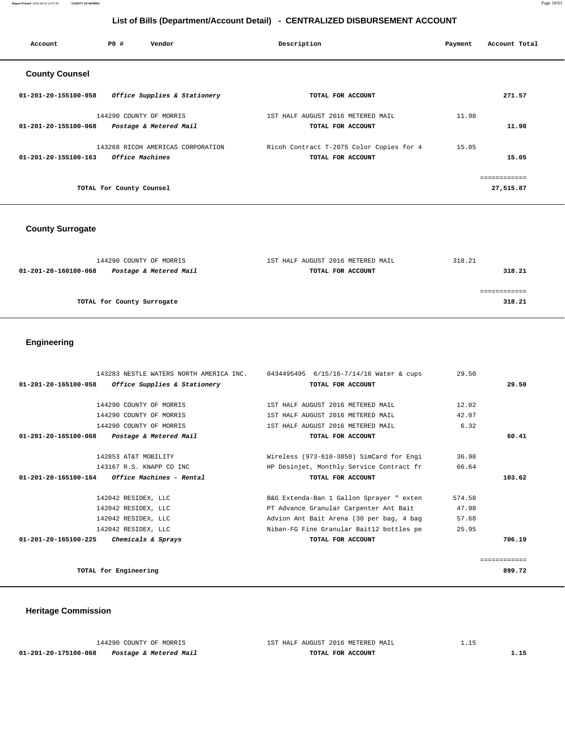**Report Printed** 2016-08-19 14:57:38 **COUNTY OF MORRIS** Page 18/63

# **List of Bills (Department/Account Detail) - CENTRALIZED DISBURSEMENT ACCOUNT**

| Account               | PO#                      | Vendor                            | Description                              | Payment | Account Total |
|-----------------------|--------------------------|-----------------------------------|------------------------------------------|---------|---------------|
| <b>County Counsel</b> |                          |                                   |                                          |         |               |
| 01-201-20-155100-058  |                          | Office Supplies & Stationery      | TOTAL FOR ACCOUNT                        |         | 271.57        |
|                       |                          | 144290 COUNTY OF MORRIS           | 1ST HALF AUGUST 2016 METERED MAIL        | 11.98   |               |
| 01-201-20-155100-068  |                          | Postage & Metered Mail            | TOTAL FOR ACCOUNT                        |         | 11.98         |
|                       |                          | 143268 RICOH AMERICAS CORPORATION | Ricoh Contract T-2075 Color Copies for 4 | 15.05   |               |
| 01-201-20-155100-163  |                          | <i><b>Office Machines</b></i>     | TOTAL FOR ACCOUNT                        |         | 15.05         |
|                       |                          |                                   |                                          |         | ------------  |
|                       | TOTAL for County Counsel |                                   |                                          |         | 27,515.87     |
|                       |                          |                                   |                                          |         |               |

# **County Surrogate**

| 144290 COUNTY OF MORRIS                        | 1ST HALF AUGUST 2016 METERED MAIL | 318.21 |
|------------------------------------------------|-----------------------------------|--------|
| Postage & Metered Mail<br>01-201-20-160100-068 | TOTAL FOR ACCOUNT                 | 318.21 |
|                                                |                                   |        |
|                                                |                                   |        |
| TOTAL for County Surrogate                     |                                   | 318.21 |
|                                                |                                   |        |

# **Engineering**

| 143283 NESTLE WATERS NORTH AMERICA INC.              | 0434495495 6/15/16-7/14/16 Water & cups  | 29.50  |              |
|------------------------------------------------------|------------------------------------------|--------|--------------|
| 01-201-20-165100-058<br>Office Supplies & Stationery | TOTAL FOR ACCOUNT                        |        | 29.50        |
| 144290 COUNTY OF MORRIS                              | 1ST HALF AUGUST 2016 METERED MAIL        | 12.02  |              |
| 144290 COUNTY OF MORRIS                              | 1ST HALF AUGUST 2016 METERED MAIL        | 42.07  |              |
| 144290 COUNTY OF MORRIS                              | 1ST HALF AUGUST 2016 METERED MAIL        | 6.32   |              |
| Postage & Metered Mail<br>01-201-20-165100-068       | TOTAL FOR ACCOUNT                        |        | 60.41        |
| 142853 AT&T MOBILITY                                 | Wireless (973-610-3850) SimCard for Engi | 36.98  |              |
| 143167 R.S. KNAPP CO INC                             | HP Desinjet, Monthly Service Contract fr | 66.64  |              |
| $01-201-20-165100-164$ Office Machines - Rental      | TOTAL FOR ACCOUNT                        |        | 103.62       |
| 142042 RESIDEX, LLC                                  | B&G Extenda-Ban 1 Gallon Sprayer " exten | 574.58 |              |
| 142042 RESIDEX, LLC                                  | PT Advance Granular Carpenter Ant Bait   | 47.98  |              |
| 142042 RESIDEX, LLC                                  | Advion Ant Bait Arena (30 per bag, 4 bag | 57.68  |              |
| 142042 RESIDEX, LLC                                  | Niban-FG Fine Granular Bait12 bottles pe | 25.95  |              |
| $01 - 201 - 20 - 165100 - 225$<br>Chemicals & Sprays | TOTAL FOR ACCOUNT                        |        | 706.19       |
|                                                      |                                          |        |              |
|                                                      |                                          |        | ------------ |
| TOTAL for Engineering                                |                                          |        | 899.72       |

# **Heritage Commission**

|                      | 144290 COUNTY OF MORRIS | 1ST HALF AUGUST 2016 METERED MAIL |  |
|----------------------|-------------------------|-----------------------------------|--|
| 01-201-20-175100-068 | Postage & Metered Mail  | TOTAL FOR ACCOUNT                 |  |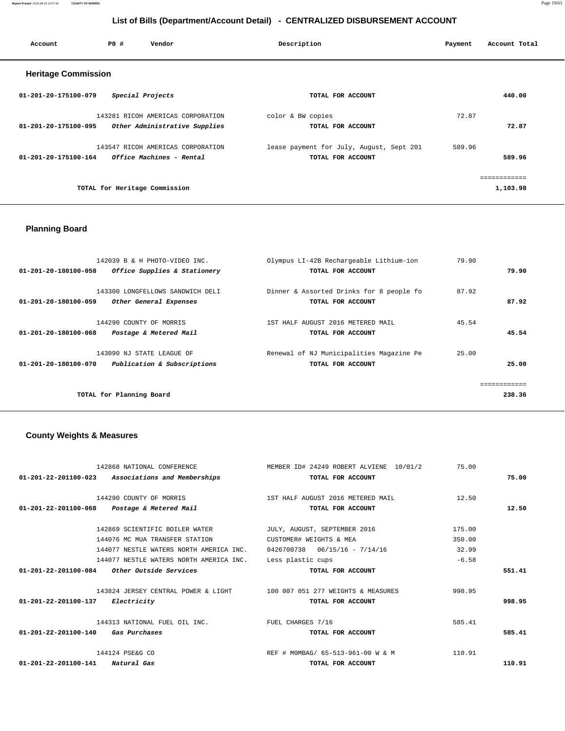**Report Printed** 2016-08-19 14:57:38 **COUNTY OF MORRIS** Page 19/63

# **List of Bills (Department/Account Detail) - CENTRALIZED DISBURSEMENT ACCOUNT**

| Account                    | PO# | Vendor                            | Description                              | Payment | Account Total |
|----------------------------|-----|-----------------------------------|------------------------------------------|---------|---------------|
| <b>Heritage Commission</b> |     |                                   |                                          |         |               |
| 01-201-20-175100-079       |     | Special Projects                  | TOTAL FOR ACCOUNT                        |         | 440.00        |
|                            |     | 143281 RICOH AMERICAS CORPORATION | color & BW copies                        | 72.87   |               |
| 01-201-20-175100-095       |     | Other Administrative Supplies     | TOTAL FOR ACCOUNT                        |         | 72.87         |
|                            |     | 143547 RICOH AMERICAS CORPORATION | lease payment for July, August, Sept 201 | 589.96  |               |
| 01-201-20-175100-164       |     | Office Machines - Rental          | TOTAL FOR ACCOUNT                        |         | 589.96        |
|                            |     |                                   |                                          |         | ------------  |
|                            |     | TOTAL for Heritage Commission     |                                          |         | 1,103.98      |
|                            |     |                                   |                                          |         |               |

# **Planning Board**

|                      | 142039 B & H PHOTO-VIDEO INC.    | Olympus LI-42B Rechargeable Lithium-ion  | 79.90        |
|----------------------|----------------------------------|------------------------------------------|--------------|
| 01-201-20-180100-058 | Office Supplies & Stationery     | TOTAL FOR ACCOUNT                        | 79.90        |
|                      |                                  |                                          |              |
|                      | 143300 LONGFELLOWS SANDWICH DELI | Dinner & Assorted Drinks for 8 people fo | 87.92        |
| 01-201-20-180100-059 | Other General Expenses           | TOTAL FOR ACCOUNT                        | 87.92        |
|                      |                                  |                                          |              |
|                      | 144290 COUNTY OF MORRIS          | 1ST HALF AUGUST 2016 METERED MAIL        | 45.54        |
| 01-201-20-180100-068 | Postage & Metered Mail           | TOTAL FOR ACCOUNT                        | 45.54        |
|                      | 143090 NJ STATE LEAGUE OF        | Renewal of NJ Municipalities Magazine Pe | 25.00        |
| 01-201-20-180100-070 | Publication & Subscriptions      | TOTAL FOR ACCOUNT                        | 25.00        |
|                      |                                  |                                          |              |
|                      |                                  |                                          | ============ |
|                      | TOTAL for Planning Board         |                                          | 238.36       |
|                      |                                  |                                          |              |

# **County Weights & Measures**

| 142868 NATIONAL CONFERENCE                                     | MEMBER ID# 24249 ROBERT ALVIENE 10/01/2 | 75.00   |        |
|----------------------------------------------------------------|-----------------------------------------|---------|--------|
| $01 - 201 - 22 - 201100 - 023$<br>Associations and Memberships | TOTAL FOR ACCOUNT                       |         | 75.00  |
| 144290 COUNTY OF MORRIS                                        | 1ST HALF AUGUST 2016 METERED MAIL       | 12.50   |        |
|                                                                |                                         |         | 12.50  |
| 01-201-22-201100-068 Postage & Metered Mail                    | TOTAL FOR ACCOUNT                       |         |        |
| 142869 SCIENTIFIC BOILER WATER                                 | JULY, AUGUST, SEPTEMBER 2016            | 175.00  |        |
| 144076 MC MUA TRANSFER STATION                                 | CUSTOMER# WEIGHTS & MEA                 | 350.00  |        |
| 144077 NESTLE WATERS NORTH AMERICA INC.                        | $0426700738$ $06/15/16$ - $7/14/16$     | 32.99   |        |
| 144077 NESTLE WATERS NORTH AMERICA INC.                        | Less plastic cups                       | $-6.58$ |        |
| 01-201-22-201100-084<br><i>Other Outside Services</i>          | TOTAL FOR ACCOUNT                       |         | 551.41 |
| 143824 JERSEY CENTRAL POWER & LIGHT                            | 100 007 051 277 WEIGHTS & MEASURES      | 998.95  |        |
| 01-201-22-201100-137<br><i>Electricity</i>                     | TOTAL FOR ACCOUNT                       |         | 998.95 |
| 144313 NATIONAL FUEL OIL INC.                                  | FUEL CHARGES 7/16                       | 585.41  |        |
| $01 - 201 - 22 - 201100 - 140$<br>Gas Purchases                | TOTAL FOR ACCOUNT                       |         | 585.41 |
| 144124 PSE&G CO                                                | REF # MOMBAG/ 65-513-961-00 W & M       | 110.91  |        |
| $01 - 201 - 22 - 201100 - 141$<br>Natural Gas                  | TOTAL FOR ACCOUNT                       |         | 110.91 |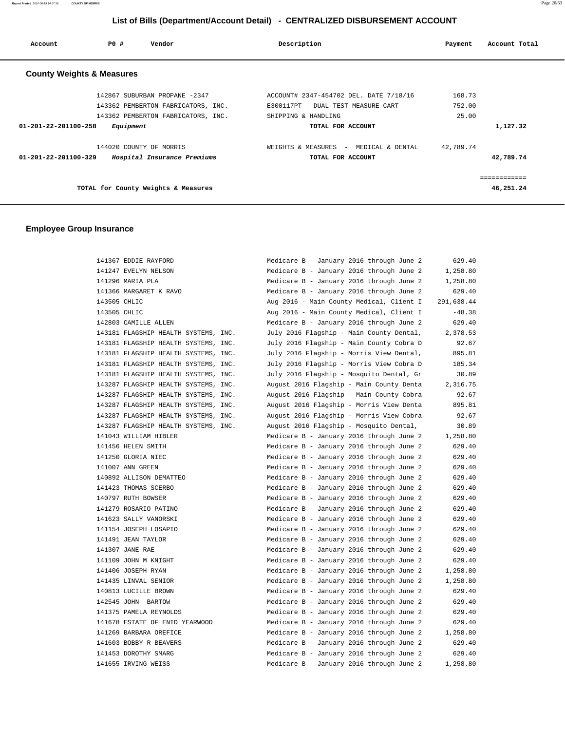**Report Printed** 2016-08-19 14:57:38 **COUNTY OF MORRIS** Page 20/63

# **List of Bills (Department/Account Detail) - CENTRALIZED DISBURSEMENT ACCOUNT**

| Account                              | PO#       | Vendor                              | Description                              | Payment   | Account Total |
|--------------------------------------|-----------|-------------------------------------|------------------------------------------|-----------|---------------|
| <b>County Weights &amp; Measures</b> |           |                                     |                                          |           |               |
|                                      |           | 142867 SUBURBAN PROPANE -2347       | ACCOUNT# 2347-454702 DEL. DATE 7/18/16   | 168.73    |               |
|                                      |           | 143362 PEMBERTON FABRICATORS, INC.  | E300117PT - DUAL TEST MEASURE CART       | 752.00    |               |
|                                      |           | 143362 PEMBERTON FABRICATORS, INC.  | SHIPPING & HANDLING                      | 25.00     |               |
| $01 - 201 - 22 - 201100 - 258$       | Equipment |                                     | TOTAL FOR ACCOUNT                        |           | 1,127.32      |
|                                      |           | 144020 COUNTY OF MORRIS             | WEIGHTS & MEASURES<br>- MEDICAL & DENTAL | 42,789.74 |               |
| $01 - 201 - 22 - 201100 - 329$       |           | Hospital Insurance Premiums         | TOTAL FOR ACCOUNT                        |           | 42,789.74     |
|                                      |           |                                     |                                          |           | ============  |
|                                      |           | TOTAL for County Weights & Measures |                                          |           | 46,251.24     |

## **Employee Group Insurance**

| 141367 EDDIE RAYFORD                 | Medicare B - January 2016 through June 2 | 629.40     |
|--------------------------------------|------------------------------------------|------------|
| 141247 EVELYN NELSON                 | Medicare B - January 2016 through June 2 | 1,258.80   |
| 141296 MARIA PLA                     | Medicare B - January 2016 through June 2 | 1,258.80   |
| 141366 MARGARET K RAVO               | Medicare B - January 2016 through June 2 | 629.40     |
| 143505 CHLIC                         | Aug 2016 - Main County Medical, Client I | 291,638.44 |
| 143505 CHLIC                         | Aug 2016 - Main County Medical, Client I | $-48.38$   |
| 142803 CAMILLE ALLEN                 | Medicare B - January 2016 through June 2 | 629.40     |
| 143181 FLAGSHIP HEALTH SYSTEMS, INC. | July 2016 Flagship - Main County Dental, | 2,378.53   |
| 143181 FLAGSHIP HEALTH SYSTEMS, INC. | July 2016 Flagship - Main County Cobra D | 92.67      |
| 143181 FLAGSHIP HEALTH SYSTEMS, INC. | July 2016 Flagship - Morris View Dental, | 895.81     |
| 143181 FLAGSHIP HEALTH SYSTEMS, INC. | July 2016 Flagship - Morris View Cobra D | 185.34     |
| 143181 FLAGSHIP HEALTH SYSTEMS, INC. | July 2016 Flagship - Mosquito Dental, Gr | 30.89      |
| 143287 FLAGSHIP HEALTH SYSTEMS, INC. | August 2016 Flagship - Main County Denta | 2,316.75   |
| 143287 FLAGSHIP HEALTH SYSTEMS, INC. | August 2016 Flagship - Main County Cobra | 92.67      |
| 143287 FLAGSHIP HEALTH SYSTEMS, INC. | August 2016 Flagship - Morris View Denta | 895.81     |
| 143287 FLAGSHIP HEALTH SYSTEMS, INC. | August 2016 Flagship - Morris View Cobra | 92.67      |
| 143287 FLAGSHIP HEALTH SYSTEMS, INC. | August 2016 Flagship - Mosquito Dental,  | 30.89      |
| 141043 WILLIAM HIBLER                | Medicare B - January 2016 through June 2 | 1,258.80   |
| 141456 HELEN SMITH                   | Medicare B - January 2016 through June 2 | 629.40     |
| 141250 GLORIA NIEC                   | Medicare B - January 2016 through June 2 | 629.40     |
| 141007 ANN GREEN                     | Medicare B - January 2016 through June 2 | 629.40     |
| 140892 ALLISON DEMATTEO              | Medicare B - January 2016 through June 2 | 629.40     |
| 141423 THOMAS SCERBO                 | Medicare B - January 2016 through June 2 | 629.40     |
| 140797 RUTH BOWSER                   | Medicare B - January 2016 through June 2 | 629.40     |
| 141279 ROSARIO PATINO                | Medicare B - January 2016 through June 2 | 629.40     |
| 141623 SALLY VANORSKI                | Medicare B - January 2016 through June 2 | 629.40     |
| 141154 JOSEPH LOSAPIO                | Medicare B - January 2016 through June 2 | 629.40     |
| 141491 JEAN TAYLOR                   | Medicare B - January 2016 through June 2 | 629.40     |
| 141307 JANE RAE                      | Medicare B - January 2016 through June 2 | 629.40     |
| 141109 JOHN M KNIGHT                 | Medicare B - January 2016 through June 2 | 629.40     |
| 141406 JOSEPH RYAN                   | Medicare B - January 2016 through June 2 | 1,258.80   |
| 141435 LINVAL SENIOR                 | Medicare B - January 2016 through June 2 | 1,258.80   |
| 140813 LUCILLE BROWN                 | Medicare B - January 2016 through June 2 | 629.40     |
| 142545 JOHN BARTOW                   | Medicare B - January 2016 through June 2 | 629.40     |
| 141375 PAMELA REYNOLDS               | Medicare B - January 2016 through June 2 | 629.40     |
| 141678 ESTATE OF ENID YEARWOOD       | Medicare B - January 2016 through June 2 | 629.40     |
| 141269 BARBARA OREFICE               | Medicare B - January 2016 through June 2 | 1,258.80   |
| 141603 BOBBY R BEAVERS               | Medicare B - January 2016 through June 2 | 629.40     |
| 141453 DOROTHY SMARG                 | Medicare B - January 2016 through June 2 | 629.40     |
| 141655 IRVING WEISS                  | Medicare B - January 2016 through June 2 | 1,258.80   |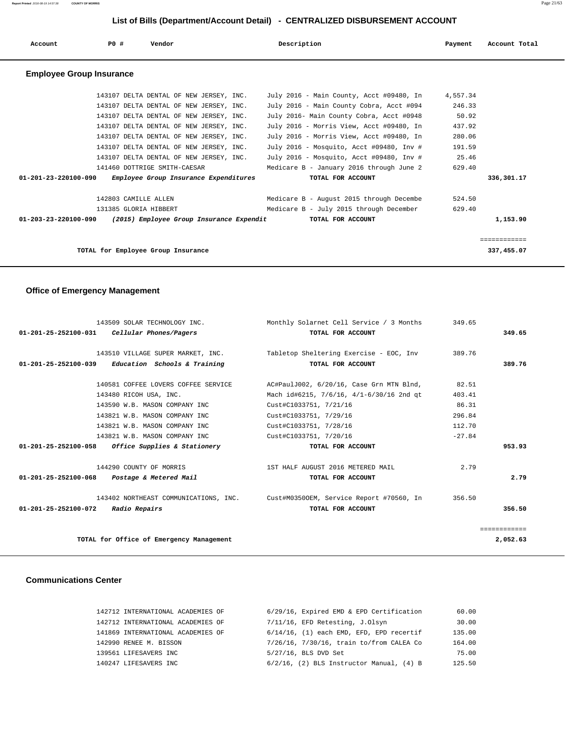**Report Printed** 2016-08-19 14:57:38 **COUNTY OF MORRIS** Page 21/63

## **List of Bills (Department/Account Detail) - CENTRALIZED DISBURSEMENT ACCOUNT**

| Account                                                         | PO#                   | Vendor                                  |                                         | Description                                    | Payment  | Account Total |
|-----------------------------------------------------------------|-----------------------|-----------------------------------------|-----------------------------------------|------------------------------------------------|----------|---------------|
| <b>Employee Group Insurance</b>                                 |                       |                                         |                                         |                                                |          |               |
|                                                                 |                       |                                         | 143107 DELTA DENTAL OF NEW JERSEY, INC. | July 2016 - Main County, Acct #09480, In       | 4,557.34 |               |
|                                                                 |                       |                                         | 143107 DELTA DENTAL OF NEW JERSEY, INC. | July 2016 - Main County Cobra, Acct #094       | 246.33   |               |
|                                                                 |                       |                                         | 143107 DELTA DENTAL OF NEW JERSEY, INC. | July 2016- Main County Cobra, Acct #0948       | 50.92    |               |
|                                                                 |                       | 143107 DELTA DENTAL OF NEW JERSEY, INC. |                                         | July 2016 - Morris View, Acct #09480, In       | 437.92   |               |
|                                                                 |                       | 143107 DELTA DENTAL OF NEW JERSEY, INC. |                                         | July 2016 - Morris View, Acct #09480, In       | 280.06   |               |
|                                                                 |                       |                                         | 143107 DELTA DENTAL OF NEW JERSEY, INC. | July 2016 - Mosquito, Acct #09480, Inv #       | 191.59   |               |
|                                                                 |                       |                                         | 143107 DELTA DENTAL OF NEW JERSEY, INC. | July 2016 - Mosquito, Acct #09480, Inv # 25.46 |          |               |
|                                                                 |                       | 141460 DOTTRIGE SMITH-CAESAR            |                                         | Medicare B - January 2016 through June 2       | 629.40   |               |
| 01-201-23-220100-090                                            |                       |                                         | Employee Group Insurance Expenditures   | TOTAL FOR ACCOUNT                              |          | 336,301.17    |
|                                                                 | 142803 CAMILLE ALLEN  |                                         |                                         | Medicare B - August 2015 through Decembe       | 524.50   |               |
|                                                                 | 131385 GLORIA HIBBERT |                                         |                                         | Medicare B - July 2015 through December        | 629.40   |               |
| $01-203-23-220100-090$ (2015) Employee Group Insurance Expendit |                       |                                         |                                         | TOTAL FOR ACCOUNT                              |          | 1,153.90      |
|                                                                 |                       |                                         |                                         |                                                |          | ============  |
|                                                                 |                       | TOTAL for Employee Group Insurance      |                                         |                                                |          | 337,455.07    |

## **Office of Emergency Management**

| 143509 SOLAR TECHNOLOGY INC.                        | Monthly Solarnet Cell Service / 3 Months                                       | 349.65   |              |
|-----------------------------------------------------|--------------------------------------------------------------------------------|----------|--------------|
| 01-201-25-252100-031 Cellular Phones/Pagers         | TOTAL FOR ACCOUNT                                                              |          | 349.65       |
| 143510 VILLAGE SUPER MARKET, INC.                   | Tabletop Sheltering Exercise - EOC, Inv                                        | 389.76   |              |
|                                                     |                                                                                |          |              |
| $01-201-25-252100-039$ Education Schools & Training | TOTAL FOR ACCOUNT                                                              |          | 389.76       |
| 140581 COFFEE LOVERS COFFEE SERVICE                 | AC#PaulJ002, 6/20/16, Case Grn MTN Blnd,                                       | 82.51    |              |
| 143480 RICOH USA, INC.                              | Mach id#6215, 7/6/16, 4/1-6/30/16 2nd qt                                       | 403.41   |              |
| 143590 W.B. MASON COMPANY INC                       | Cust#C1033751, 7/21/16                                                         | 86.31    |              |
| 143821 W.B. MASON COMPANY INC                       | Cust#C1033751, 7/29/16                                                         | 296.84   |              |
| 143821 W.B. MASON COMPANY INC                       | Cust#C1033751, 7/28/16                                                         | 112.70   |              |
| 143821 W.B. MASON COMPANY INC                       | Cust#C1033751, 7/20/16                                                         | $-27.84$ |              |
| $01-201-25-252100-058$ Office Supplies & Stationery | TOTAL FOR ACCOUNT                                                              |          | 953.93       |
| 144290 COUNTY OF MORRIS                             | 1ST HALF AUGUST 2016 METERED MAIL                                              | 2.79     |              |
| 01-201-25-252100-068 Postage & Metered Mail         | TOTAL FOR ACCOUNT                                                              |          | 2.79         |
|                                                     | 143402 NORTHEAST COMMUNICATIONS, INC. Cust#M03500EM, Service Report #70560, In | 356.50   |              |
| 01-201-25-252100-072 Radio Repairs                  | TOTAL FOR ACCOUNT                                                              |          | 356.50       |
|                                                     |                                                                                |          | ============ |
| TOTAL for Office of Emergency Management            |                                                                                |          | 2,052.63     |

# **Communications Center**

| 142712 INTERNATIONAL ACADEMIES OF | 6/29/16, Expired EMD & EPD Certification        | 60.00  |
|-----------------------------------|-------------------------------------------------|--------|
| 142712 INTERNATIONAL ACADEMIES OF | 7/11/16, EFD Retesting, J.Olsyn                 | 30.00  |
| 141869 INTERNATIONAL ACADEMIES OF | $6/14/16$ , $(1)$ each EMD, EFD, EPD recertif   | 135.00 |
| 142990 RENEE M. BISSON            | 7/26/16, 7/30/16, train to/from CALEA Co        | 164.00 |
| 139561 LIFESAVERS INC             | $5/27/16$ , BLS DVD Set                         | 75.00  |
| 140247 LIFESAVERS INC             | $6/2/16$ , $(2)$ BLS Instructor Manual, $(4)$ B | 125.50 |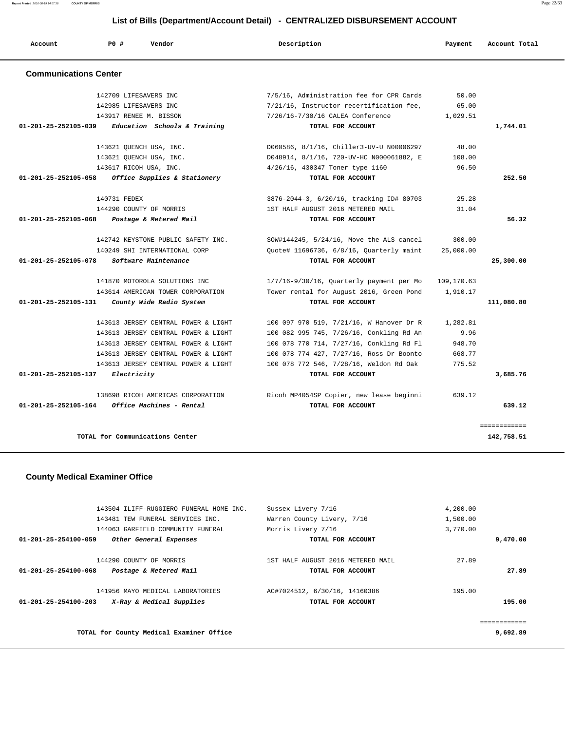| Account                        | <b>PO #</b>  | Vendor                              | Description                                   | Payment    | Account Total |
|--------------------------------|--------------|-------------------------------------|-----------------------------------------------|------------|---------------|
| <b>Communications Center</b>   |              |                                     |                                               |            |               |
|                                |              | 142709 LIFESAVERS INC               | 7/5/16, Administration fee for CPR Cards      | 50.00      |               |
|                                |              | 142985 LIFESAVERS INC               | 7/21/16, Instructor recertification fee,      | 65.00      |               |
|                                |              | 143917 RENEE M. BISSON              | 7/26/16-7/30/16 CALEA Conference              | 1,029.51   |               |
| $01 - 201 - 25 - 252105 - 039$ |              | Education Schools & Training        | TOTAL FOR ACCOUNT                             |            | 1,744.01      |
|                                |              | 143621 QUENCH USA, INC.             | D060586, 8/1/16, Chiller3-UV-U N00006297      | 48.00      |               |
|                                |              | 143621 OUENCH USA, INC.             | D048914, 8/1/16, 720-UV-HC N000061882, E      | 108.00     |               |
|                                |              | 143617 RICOH USA, INC.              | 4/26/16, 430347 Toner type 1160               | 96.50      |               |
| 01-201-25-252105-058           |              | Office Supplies & Stationery        | TOTAL FOR ACCOUNT                             |            | 252.50        |
|                                | 140731 FEDEX |                                     | 3876-2044-3, 6/20/16, tracking ID# 80703      | 25.28      |               |
|                                |              | 144290 COUNTY OF MORRIS             | 1ST HALF AUGUST 2016 METERED MAIL             | 31.04      |               |
| $01 - 201 - 25 - 252105 - 068$ |              | Postage & Metered Mail              | TOTAL FOR ACCOUNT                             |            | 56.32         |
|                                |              | 142742 KEYSTONE PUBLIC SAFETY INC.  | SOW#144245, 5/24/16, Move the ALS cancel      | 300.00     |               |
|                                |              | 140249 SHI INTERNATIONAL CORP       | Quote# 11696736, 6/8/16, Quarterly maint      | 25,000.00  |               |
| 01-201-25-252105-078           |              | Software Maintenance                | TOTAL FOR ACCOUNT                             |            | 25,300.00     |
|                                |              | 141870 MOTOROLA SOLUTIONS INC       | $1/7/16 - 9/30/16$ , Quarterly payment per Mo | 109,170.63 |               |
|                                |              | 143614 AMERICAN TOWER CORPORATION   | Tower rental for August 2016, Green Pond      | 1,910.17   |               |
| 01-201-25-252105-131           |              | County Wide Radio System            | TOTAL FOR ACCOUNT                             |            | 111,080.80    |
|                                |              | 143613 JERSEY CENTRAL POWER & LIGHT | 100 097 970 519, 7/21/16, W Hanover Dr R      | 1,282.81   |               |
|                                |              | 143613 JERSEY CENTRAL POWER & LIGHT | 100 082 995 745, 7/26/16, Conkling Rd An      | 9.96       |               |
|                                |              | 143613 JERSEY CENTRAL POWER & LIGHT | 100 078 770 714, 7/27/16, Conkling Rd Fl      | 948.70     |               |
|                                |              | 143613 JERSEY CENTRAL POWER & LIGHT | 100 078 774 427, 7/27/16, Ross Dr Boonto      | 668.77     |               |
|                                |              | 143613 JERSEY CENTRAL POWER & LIGHT | 100 078 772 546, 7/28/16, Weldon Rd Oak       | 775.52     |               |
| 01-201-25-252105-137           | Electricity  |                                     | TOTAL FOR ACCOUNT                             |            | 3,685.76      |
|                                |              | 138698 RICOH AMERICAS CORPORATION   | Ricoh MP4054SP Copier, new lease beginni      | 639.12     |               |
| 01-201-25-252105-164           |              | Office Machines - Rental            | TOTAL FOR ACCOUNT                             |            | 639.12        |

# **County Medical Examiner Office**

|          | 4,200.00 | Sussex Livery 7/16                | 143504 ILIFF-RUGGIERO FUNERAL HOME INC. |                                                |  |
|----------|----------|-----------------------------------|-----------------------------------------|------------------------------------------------|--|
|          | 1,500.00 | Warren County Livery, 7/16        | 143481 TEW FUNERAL SERVICES INC.        |                                                |  |
|          | 3,770.00 | Morris Livery 7/16                | 144063 GARFIELD COMMUNITY FUNERAL       |                                                |  |
| 9,470.00 |          | TOTAL FOR ACCOUNT                 |                                         | Other General Expenses<br>01-201-25-254100-059 |  |
|          |          |                                   |                                         |                                                |  |
|          | 27.89    | 1ST HALF AUGUST 2016 METERED MAIL |                                         | 144290 COUNTY OF MORRIS                        |  |
| 27.89    |          | TOTAL FOR ACCOUNT                 |                                         | 01-201-25-254100-068<br>Postage & Metered Mail |  |
|          |          |                                   |                                         |                                                |  |
|          | 195.00   | AC#7024512, 6/30/16, 14160386     | 141956 MAYO MEDICAL LABORATORIES        |                                                |  |
| 195.00   |          | TOTAL FOR ACCOUNT                 | X-Ray & Medical Supplies                | $01 - 201 - 25 - 254100 - 203$                 |  |
|          |          |                                   |                                         |                                                |  |
|          |          |                                   |                                         |                                                |  |
| 9,692.89 |          |                                   |                                         | TOTAL for County Medical Examiner Office       |  |

**Report Printed** 2016-08-19 14:57:38 **COUNTY OF MORRIS** Page 22/63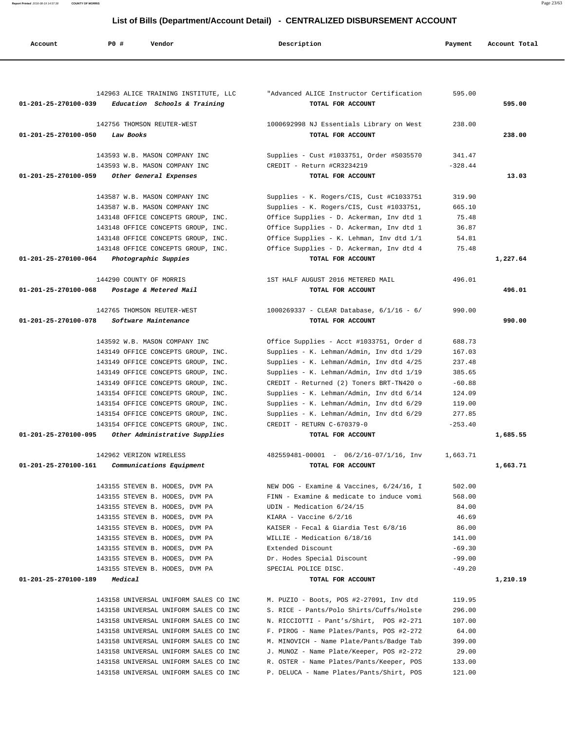**Report Printed** 2016-08-19 14:57:38 **COUNTY OF MORRIS** Page 23/63

# **List of Bills (Department/Account Detail) - CENTRALIZED DISBURSEMENT ACCOUNT**

| Account                        | P0 #<br>Vendor                                                                 | Description                                                   | Payment            | Account Total |
|--------------------------------|--------------------------------------------------------------------------------|---------------------------------------------------------------|--------------------|---------------|
|                                |                                                                                |                                                               |                    |               |
| 01-201-25-270100-039           | 142963 ALICE TRAINING INSTITUTE, LLC<br>Education Schools & Training           | "Advanced ALICE Instructor Certification<br>TOTAL FOR ACCOUNT | 595.00             | 595.00        |
|                                | 142756 THOMSON REUTER-WEST                                                     | 1000692998 NJ Essentials Library on West                      | 238.00             |               |
| $01 - 201 - 25 - 270100 - 050$ | Law Books                                                                      | TOTAL FOR ACCOUNT                                             |                    | 238.00        |
|                                | 143593 W.B. MASON COMPANY INC                                                  | Supplies - Cust #1033751, Order #S035570                      | 341.47             |               |
| 01-201-25-270100-059           | 143593 W.B. MASON COMPANY INC<br>Other General Expenses                        | CREDIT - Return #CR3234219<br>TOTAL FOR ACCOUNT               | $-328.44$          | 13.03         |
|                                |                                                                                |                                                               |                    |               |
|                                | 143587 W.B. MASON COMPANY INC                                                  | Supplies - K. Rogers/CIS, Cust #C1033751                      | 319.90             |               |
|                                | 143587 W.B. MASON COMPANY INC                                                  | Supplies - K. Rogers/CIS, Cust #1033751,                      | 665.10             |               |
|                                | 143148 OFFICE CONCEPTS GROUP, INC.                                             | Office Supplies - D. Ackerman, Inv dtd 1                      | 75.48              |               |
|                                | 143148 OFFICE CONCEPTS GROUP, INC.                                             | Office Supplies - D. Ackerman, Inv dtd 1                      | 36.87              |               |
|                                | 143148 OFFICE CONCEPTS GROUP, INC.                                             | Office Supplies - K. Lehman, Inv dtd 1/1                      | 54.81              |               |
|                                | 143148 OFFICE CONCEPTS GROUP, INC.                                             | Office Supplies - D. Ackerman, Inv dtd 4                      | 75.48              |               |
| 01-201-25-270100-064           | Photographic Suppies                                                           | TOTAL FOR ACCOUNT                                             |                    | 1,227.64      |
|                                | 144290 COUNTY OF MORRIS                                                        | 1ST HALF AUGUST 2016 METERED MAIL                             | 496.01             |               |
| 01-201-25-270100-068           | Postage & Metered Mail                                                         | TOTAL FOR ACCOUNT                                             |                    | 496.01        |
|                                | 142765 THOMSON REUTER-WEST                                                     | $1000269337$ - CLEAR Database, $6/1/16$ - $6/$                | 990.00             |               |
| 01-201-25-270100-078           | Software Maintenance                                                           | TOTAL FOR ACCOUNT                                             |                    | 990.00        |
|                                | 143592 W.B. MASON COMPANY INC                                                  | Office Supplies - Acct #1033751, Order d                      | 688.73             |               |
|                                | 143149 OFFICE CONCEPTS GROUP, INC.                                             | Supplies - K. Lehman/Admin, Inv dtd 1/29                      | 167.03             |               |
|                                | 143149 OFFICE CONCEPTS GROUP, INC.                                             | Supplies - K. Lehman/Admin, Inv dtd 4/25                      | 237.48             |               |
|                                | 143149 OFFICE CONCEPTS GROUP, INC.                                             | Supplies - K. Lehman/Admin, Inv dtd 1/19                      | 385.65             |               |
|                                | 143149 OFFICE CONCEPTS GROUP, INC.                                             | CREDIT - Returned (2) Toners BRT-TN420 o                      | $-60.88$           |               |
|                                | 143154 OFFICE CONCEPTS GROUP, INC.                                             | Supplies - K. Lehman/Admin, Inv dtd 6/14                      | 124.09             |               |
|                                | 143154 OFFICE CONCEPTS GROUP, INC.                                             | Supplies - K. Lehman/Admin, Inv dtd 6/29                      | 119.00             |               |
|                                | 143154 OFFICE CONCEPTS GROUP, INC.                                             | Supplies - K. Lehman/Admin, Inv dtd 6/29                      | 277.85             |               |
|                                | 143154 OFFICE CONCEPTS GROUP, INC.                                             | CREDIT - RETURN C-670379-0                                    | $-253.40$          |               |
| 01-201-25-270100-095           | Other Administrative Supplies                                                  | TOTAL FOR ACCOUNT                                             |                    | 1,685.55      |
|                                | 142962 VERIZON WIRELESS                                                        | $482559481 - 00001 - 06/2/16 - 07/1/16$ , Inv                 | 1,663.71           |               |
| 01-201-25-270100-161           | Communications Equipment                                                       | TOTAL FOR ACCOUNT                                             |                    | 1,663.71      |
|                                | 143155 STEVEN B. HODES, DVM PA                                                 | NEW DOG - Examine & Vaccines, 6/24/16, I                      | 502.00             |               |
|                                | 143155 STEVEN B. HODES, DVM PA                                                 | FINN - Examine & medicate to induce vomi                      | 568.00             |               |
|                                | 143155 STEVEN B. HODES, DVM PA                                                 | UDIN - Medication $6/24/15$                                   | 84.00              |               |
|                                | 143155 STEVEN B. HODES, DVM PA                                                 | KIARA - Vaccine $6/2/16$                                      | 46.69              |               |
|                                | 143155 STEVEN B. HODES, DVM PA                                                 | KAISER - Fecal & Giardia Test 6/8/16                          | 86.00              |               |
|                                | 143155 STEVEN B. HODES, DVM PA                                                 | WILLIE - Medication 6/18/16                                   | 141.00<br>$-69.30$ |               |
|                                | 143155 STEVEN B. HODES, DVM PA<br>143155 STEVEN B. HODES, DVM PA               | Extended Discount<br>Dr. Hodes Special Discount               | $-99.00$           |               |
|                                | 143155 STEVEN B. HODES, DVM PA                                                 | SPECIAL POLICE DISC.                                          | $-49.20$           |               |
| 01-201-25-270100-189           | Medical                                                                        | TOTAL FOR ACCOUNT                                             |                    | 1,210.19      |
|                                |                                                                                | M. PUZIO - Boots, POS #2-27091, Inv dtd                       |                    |               |
|                                | 143158 UNIVERSAL UNIFORM SALES CO INC<br>143158 UNIVERSAL UNIFORM SALES CO INC | S. RICE - Pants/Polo Shirts/Cuffs/Holste                      | 119.95<br>296.00   |               |
|                                | 143158 UNIVERSAL UNIFORM SALES CO INC                                          | N. RICCIOTTI - Pant's/Shirt, POS #2-271                       | 107.00             |               |
|                                | 143158 UNIVERSAL UNIFORM SALES CO INC                                          | F. PIROG - Name Plates/Pants, POS #2-272                      | 64.00              |               |
|                                | 143158 UNIVERSAL UNIFORM SALES CO INC                                          | M. MINOVICH - Name Plate/Pants/Badge Tab                      | 399.00             |               |
|                                | 143158 UNIVERSAL UNIFORM SALES CO INC                                          | J. MUNOZ - Name Plate/Keeper, POS #2-272                      | 29.00              |               |
|                                | 143158 UNIVERSAL UNIFORM SALES CO INC                                          | R. OSTER - Name Plates/Pants/Keeper, POS                      | 133.00             |               |
|                                | 143158 UNIVERSAL UNIFORM SALES CO INC                                          | P. DELUCA - Name Plates/Pants/Shirt, POS                      | 121.00             |               |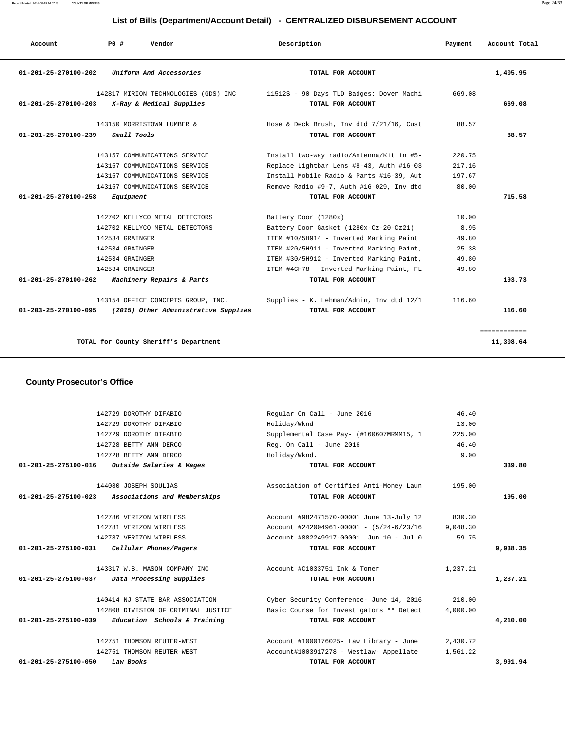**Report Printed** 2016-08-19 14:57:38 **COUNTY OF MORRIS** Page 24/63

# **List of Bills (Department/Account Detail) - CENTRALIZED DISBURSEMENT ACCOUNT**

| Account                        | PO#<br>Vendor                                                    | Description                                                   | Payment | Account Total             |
|--------------------------------|------------------------------------------------------------------|---------------------------------------------------------------|---------|---------------------------|
| $01 - 201 - 25 - 270100 - 202$ | Uniform And Accessories                                          | TOTAL FOR ACCOUNT                                             |         | 1,405.95                  |
| $01 - 201 - 25 - 270100 - 203$ | 142817 MIRION TECHNOLOGIES (GDS) INC<br>X-Ray & Medical Supplies | 11512S - 90 Days TLD Badges: Dover Machi<br>TOTAL FOR ACCOUNT | 669.08  | 669.08                    |
|                                | 143150 MORRISTOWN LUMBER &                                       | Hose & Deck Brush, Inv dtd 7/21/16, Cust                      | 88.57   |                           |
| 01-201-25-270100-239           | Small Tools                                                      | TOTAL FOR ACCOUNT                                             |         | 88.57                     |
|                                | 143157 COMMUNICATIONS SERVICE                                    | Install two-way radio/Antenna/Kit in #5-                      | 220.75  |                           |
|                                | 143157 COMMUNICATIONS SERVICE                                    | Replace Lightbar Lens #8-43, Auth #16-03                      | 217.16  |                           |
|                                | 143157 COMMUNICATIONS SERVICE                                    | Install Mobile Radio & Parts #16-39, Aut                      | 197.67  |                           |
|                                | 143157 COMMUNICATIONS SERVICE                                    | Remove Radio #9-7, Auth #16-029, Inv dtd                      | 80.00   |                           |
| 01-201-25-270100-258           | Equipment                                                        | TOTAL FOR ACCOUNT                                             |         | 715.58                    |
|                                | 142702 KELLYCO METAL DETECTORS                                   | Battery Door (1280x)                                          | 10.00   |                           |
|                                | 142702 KELLYCO METAL DETECTORS                                   | Battery Door Gasket (1280x-Cz-20-Cz21)                        | 8.95    |                           |
|                                | 142534 GRAINGER                                                  | ITEM #10/5H914 - Inverted Marking Paint                       | 49.80   |                           |
|                                | 142534 GRAINGER                                                  | ITEM #20/5H911 - Inverted Marking Paint,                      | 25.38   |                           |
|                                | 142534 GRAINGER                                                  | ITEM #30/5H912 - Inverted Marking Paint,                      | 49.80   |                           |
|                                | 142534 GRAINGER                                                  | ITEM #4CH78 - Inverted Marking Paint, FL                      | 49.80   |                           |
| $01 - 201 - 25 - 270100 - 262$ | Machinery Repairs & Parts                                        | TOTAL FOR ACCOUNT                                             |         | 193.73                    |
|                                | 143154 OFFICE CONCEPTS GROUP, INC.                               | Supplies - K. Lehman/Admin, Inv dtd 12/1                      | 116.60  |                           |
| $01 - 203 - 25 - 270100 - 095$ | (2015) Other Administrative Supplies                             | TOTAL FOR ACCOUNT                                             |         | 116.60                    |
|                                | TOTAL for County Sheriff's Department                            |                                                               |         | ============<br>11,308.64 |
|                                |                                                                  |                                                               |         |                           |

 **County Prosecutor's Office**

| 142729 DOROTHY DIFABIO                                     | Regular On Call - June 2016                | 46.40    |          |
|------------------------------------------------------------|--------------------------------------------|----------|----------|
| 142729 DOROTHY DIFABIO                                     | Holiday/Wknd                               | 13.00    |          |
| 142729 DOROTHY DIFABIO                                     | Supplemental Case Pay- (#160607MRMM15, 1   | 225.00   |          |
| 142728 BETTY ANN DERCO                                     | Reg. On Call - June 2016                   | 46.40    |          |
| 142728 BETTY ANN DERCO                                     | Holiday/Wknd.                              | 9.00     |          |
| $01 - 201 - 25 - 275100 - 016$<br>Outside Salaries & Wages | TOTAL FOR ACCOUNT                          |          | 339.80   |
| 144080 JOSEPH SOULIAS                                      | Association of Certified Anti-Money Laun   | 195.00   |          |
| 01-201-25-275100-023 Associations and Memberships          | TOTAL FOR ACCOUNT                          |          | 195.00   |
| 142786 VERIZON WIRELESS                                    | Account #982471570-00001 June 13-July 12   | 830.30   |          |
| 142781 VERIZON WIRELESS                                    | Account #242004961-00001 - $(5/24-6/23/16$ | 9,048.30 |          |
| 142787 VERIZON WIRELESS                                    | Account #882249917-00001 Jun 10 - Jul 0    | 59.75    |          |
| Cellular Phones/Pagers<br>01-201-25-275100-031             | TOTAL FOR ACCOUNT                          |          | 9,938.35 |
| 143317 W.B. MASON COMPANY INC                              | Account #C1033751 Ink & Toner              | 1,237.21 |          |
| 01-201-25-275100-037 Data Processing Supplies              | TOTAL FOR ACCOUNT                          |          | 1,237.21 |
| 140414 NJ STATE BAR ASSOCIATION                            | Cyber Security Conference- June 14, 2016   | 210.00   |          |
| 142808 DIVISION OF CRIMINAL JUSTICE                        | Basic Course for Investigators ** Detect   | 4,000.00 |          |
| 01-201-25-275100-039<br>Education Schools & Training       | TOTAL FOR ACCOUNT                          |          | 4,210.00 |
| 142751 THOMSON REUTER-WEST                                 | Account #1000176025- Law Library - June    | 2,430.72 |          |
| 142751 THOMSON REUTER-WEST                                 | Account#1003917278 - Westlaw- Appellate    | 1,561.22 |          |
| $01 - 201 - 25 - 275100 - 050$<br>Law Books                | TOTAL FOR ACCOUNT                          |          | 3,991.94 |
|                                                            |                                            |          |          |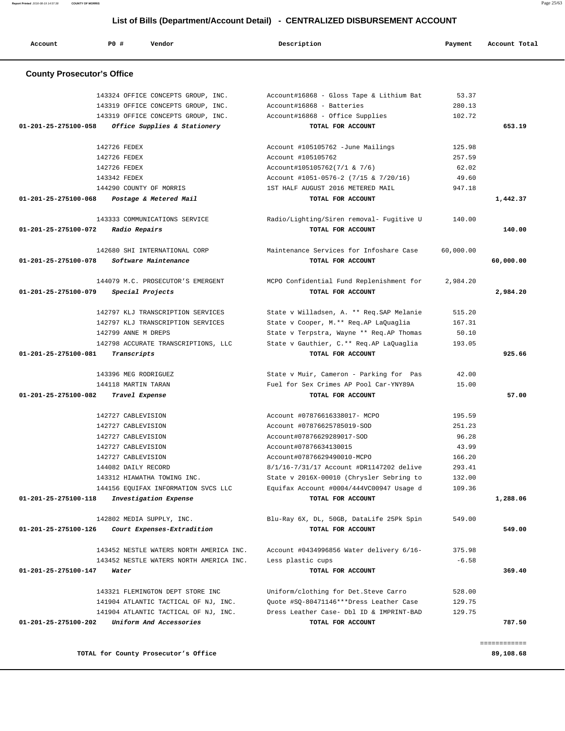**Report Printed** 2016-08-19 14:57:38 **COUNTY OF MORRIS** Page 25/63

# **List of Bills (Department/Account Detail) - CENTRALIZED DISBURSEMENT ACCOUNT**

| Account                           | PO#<br>Vendor                                                | Description                                                                | Payment         | Account Total |
|-----------------------------------|--------------------------------------------------------------|----------------------------------------------------------------------------|-----------------|---------------|
| <b>County Prosecutor's Office</b> |                                                              |                                                                            |                 |               |
|                                   | 143324 OFFICE CONCEPTS GROUP, INC.                           | Account#16868 - Gloss Tape & Lithium Bat                                   | 53.37           |               |
|                                   | 143319 OFFICE CONCEPTS GROUP, INC.                           | Account#16868 - Batteries                                                  | 280.13          |               |
|                                   | 143319 OFFICE CONCEPTS GROUP, INC.                           | Account#16868 - Office Supplies                                            | 102.72          |               |
| 01-201-25-275100-058              | Office Supplies & Stationery                                 | TOTAL FOR ACCOUNT                                                          |                 | 653.19        |
|                                   | 142726 FEDEX                                                 | Account #105105762 -June Mailings                                          | 125.98          |               |
|                                   | 142726 FEDEX                                                 | Account #105105762                                                         | 257.59          |               |
|                                   | 142726 FEDEX                                                 | Account#105105762(7/1 & 7/6)                                               | 62.02           |               |
|                                   | 143342 FEDEX<br>144290 COUNTY OF MORRIS                      | Account #1051-0576-2 (7/15 & 7/20/16)<br>1ST HALF AUGUST 2016 METERED MAIL | 49.60<br>947.18 |               |
| 01-201-25-275100-068              | Postage & Metered Mail                                       | TOTAL FOR ACCOUNT                                                          |                 | 1,442.37      |
|                                   |                                                              |                                                                            |                 |               |
|                                   | 143333 COMMUNICATIONS SERVICE                                | Radio/Lighting/Siren removal- Fugitive U                                   | 140.00          |               |
| 01-201-25-275100-072              | Radio Repairs                                                | TOTAL FOR ACCOUNT                                                          |                 | 140.00        |
|                                   | 142680 SHI INTERNATIONAL CORP                                | Maintenance Services for Infoshare Case                                    | 60,000.00       |               |
| 01-201-25-275100-078              | Software Maintenance                                         | TOTAL FOR ACCOUNT                                                          |                 | 60,000.00     |
|                                   | 144079 M.C. PROSECUTOR'S EMERGENT                            | MCPO Confidential Fund Replenishment for                                   | 2,984.20        |               |
| 01-201-25-275100-079              | Special Projects                                             | TOTAL FOR ACCOUNT                                                          |                 | 2,984.20      |
|                                   | 142797 KLJ TRANSCRIPTION SERVICES                            | State v Willadsen, A. ** Req. SAP Melanie                                  | 515.20          |               |
|                                   | 142797 KLJ TRANSCRIPTION SERVICES                            | State v Cooper, M.** Req.AP LaQuaglia                                      | 167.31          |               |
|                                   | 142799 ANNE M DREPS                                          | State v Terpstra, Wayne ** Req.AP Thomas                                   | 50.10           |               |
|                                   | 142798 ACCURATE TRANSCRIPTIONS, LLC                          | State v Gauthier, C.** Req. AP LaQuaglia                                   | 193.05          |               |
| 01-201-25-275100-081              | Transcripts                                                  | TOTAL FOR ACCOUNT                                                          |                 | 925.66        |
|                                   | 143396 MEG RODRIGUEZ                                         | State v Muir, Cameron - Parking for Pas                                    | 42.00           |               |
|                                   | 144118 MARTIN TARAN                                          | Fuel for Sex Crimes AP Pool Car-YNY89A                                     | 15.00           |               |
| 01-201-25-275100-082              | Travel Expense                                               | TOTAL FOR ACCOUNT                                                          |                 | 57.00         |
|                                   | 142727 CABLEVISION                                           | Account #07876616338017- MCPO                                              | 195.59          |               |
|                                   | 142727 CABLEVISION                                           | Account #07876625785019-SOD                                                | 251.23          |               |
|                                   | 142727 CABLEVISION                                           | Account#07876629289017-SOD                                                 | 96.28           |               |
|                                   | 142727 CABLEVISION                                           | Account#07876634130015                                                     | 43.99           |               |
|                                   | 142727 CABLEVISION                                           | Account#07876629490010-MCPO                                                | 166.20          |               |
|                                   | 144082 DAILY RECORD                                          | 8/1/16-7/31/17 Account #DR1147202 delive                                   | 293.41          |               |
|                                   | 143312 HIAWATHA TOWING INC.                                  | State v 2016X-00010 (Chrysler Sebring to                                   | 132.00          |               |
| 01-201-25-275100-118              | 144156 EQUIFAX INFORMATION SVCS LLC<br>Investigation Expense | Equifax Account #0004/444VC00947 Usage d<br>TOTAL FOR ACCOUNT              | 109.36          | 1,288.06      |
|                                   |                                                              |                                                                            |                 |               |
| 01-201-25-275100-126              | 142802 MEDIA SUPPLY, INC.<br>Court Expenses-Extradition      | Blu-Ray 6X, DL, 50GB, DataLife 25Pk Spin<br>TOTAL FOR ACCOUNT              | 549.00          | 549.00        |
|                                   |                                                              |                                                                            |                 |               |
|                                   | 143452 NESTLE WATERS NORTH AMERICA INC.                      | Account #0434996856 Water delivery 6/16-                                   | 375.98          |               |
|                                   | 143452 NESTLE WATERS NORTH AMERICA INC.                      | Less plastic cups                                                          | $-6.58$         |               |
| 01-201-25-275100-147              | Water                                                        | TOTAL FOR ACCOUNT                                                          |                 | 369.40        |
|                                   | 143321 FLEMINGTON DEPT STORE INC                             | Uniform/clothing for Det.Steve Carro                                       | 528.00          |               |
|                                   | 141904 ATLANTIC TACTICAL OF NJ, INC.                         | Quote #SQ-80471146***Dress Leather Case                                    | 129.75          |               |
|                                   | 141904 ATLANTIC TACTICAL OF NJ, INC.                         | Dress Leather Case- Dbl ID & IMPRINT-BAD                                   | 129.75          |               |
| 01-201-25-275100-202              | Uniform And Accessories                                      | TOTAL FOR ACCOUNT                                                          |                 | 787.50        |
|                                   |                                                              |                                                                            |                 | ============  |

**TOTAL for County Prosecutor's Office 89,108.68**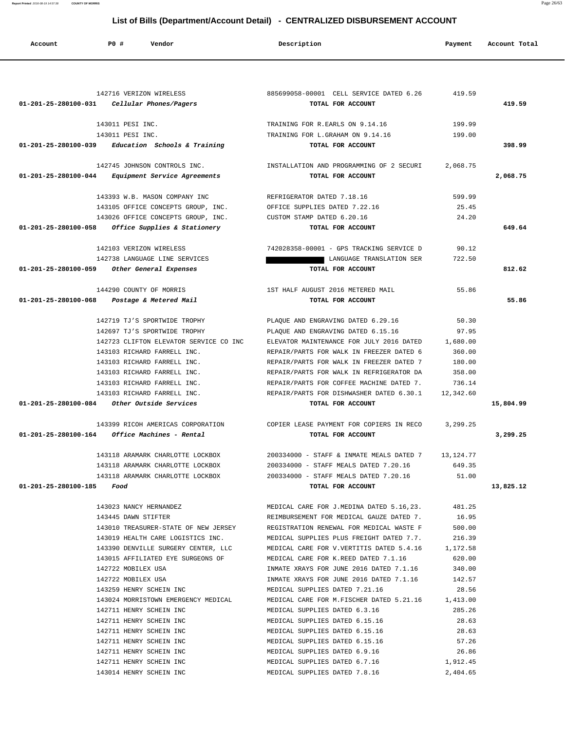| Account                   | <b>PO #</b><br>Vendor                               | Description                                                                    | Payment         | Account Total |
|---------------------------|-----------------------------------------------------|--------------------------------------------------------------------------------|-----------------|---------------|
|                           |                                                     |                                                                                |                 |               |
|                           | 142716 VERIZON WIRELESS                             | 885699058-00001 CELL SERVICE DATED 6.26                                        | 419.59          |               |
|                           | 01-201-25-280100-031 Cellular Phones/Pagers         | TOTAL FOR ACCOUNT                                                              |                 | 419.59        |
|                           | 143011 PESI INC.                                    | TRAINING FOR R.EARLS ON 9.14.16                                                | 199.99          |               |
|                           | 143011 PESI INC.                                    | TRAINING FOR L.GRAHAM ON 9.14.16                                               | 199.00          |               |
|                           | $01-201-25-280100-039$ Education Schools & Training | TOTAL FOR ACCOUNT                                                              |                 | 398.99        |
|                           | 142745 JOHNSON CONTROLS INC.                        | INSTALLATION AND PROGRAMMING OF 2 SECURI                                       | 2,068.75        |               |
|                           | 01-201-25-280100-044 Equipment Service Agreements   | TOTAL FOR ACCOUNT                                                              |                 | 2,068.75      |
|                           | 143393 W.B. MASON COMPANY INC                       | REFRIGERATOR DATED 7.18.16                                                     | 599.99          |               |
|                           | 143105 OFFICE CONCEPTS GROUP, INC.                  | OFFICE SUPPLIES DATED 7.22.16                                                  | 25.45           |               |
|                           | 143026 OFFICE CONCEPTS GROUP, INC.                  | CUSTOM STAMP DATED 6.20.16                                                     | 24.20           |               |
| 01-201-25-280100-058      | Office Supplies & Stationery                        | TOTAL FOR ACCOUNT                                                              |                 | 649.64        |
|                           | 142103 VERIZON WIRELESS                             | 742028358-00001 - GPS TRACKING SERVICE D                                       | 90.12           |               |
|                           | 142738 LANGUAGE LINE SERVICES                       | LANGUAGE TRANSLATION SER                                                       | 722.50          |               |
| 01-201-25-280100-059      | Other General Expenses                              | TOTAL FOR ACCOUNT                                                              |                 | 812.62        |
|                           | 144290 COUNTY OF MORRIS                             | 1ST HALF AUGUST 2016 METERED MAIL                                              | 55.86           |               |
|                           | 01-201-25-280100-068 Postage & Metered Mail         | TOTAL FOR ACCOUNT                                                              |                 | 55.86         |
|                           | 142719 TJ'S SPORTWIDE TROPHY                        | PLAQUE AND ENGRAVING DATED 6.29.16                                             | 50.30           |               |
|                           | 142697 TJ'S SPORTWIDE TROPHY                        | PLAQUE AND ENGRAVING DATED 6.15.16                                             | 97.95           |               |
|                           | 142723 CLIFTON ELEVATOR SERVICE CO INC              | ELEVATOR MAINTENANCE FOR JULY 2016 DATED                                       | 1,680.00        |               |
|                           | 143103 RICHARD FARRELL INC.                         | REPAIR/PARTS FOR WALK IN FREEZER DATED 6                                       | 360.00          |               |
|                           | 143103 RICHARD FARRELL INC.                         | REPAIR/PARTS FOR WALK IN FREEZER DATED 7                                       | 180.00          |               |
|                           | 143103 RICHARD FARRELL INC.                         | REPAIR/PARTS FOR WALK IN REFRIGERATOR DA                                       | 358.00          |               |
|                           | 143103 RICHARD FARRELL INC.                         | REPAIR/PARTS FOR COFFEE MACHINE DATED 7.                                       | 736.14          |               |
|                           | 143103 RICHARD FARRELL INC.                         | REPAIR/PARTS FOR DISHWASHER DATED 6.30.1                                       | 12,342.60       |               |
| 01-201-25-280100-084      | Other Outside Services                              | TOTAL FOR ACCOUNT                                                              |                 | 15,804.99     |
|                           | 143399 RICOH AMERICAS CORPORATION                   | COPIER LEASE PAYMENT FOR COPIERS IN RECO                                       | 3,299.25        |               |
| 01-201-25-280100-164      | Office Machines - Rental                            | TOTAL FOR ACCOUNT                                                              |                 | 3,299.25      |
|                           | 143118 ARAMARK CHARLOTTE LOCKBOX                    | 200334000 - STAFF & INMATE MEALS DATED 7 13,124.77                             |                 |               |
|                           | 143118 ARAMARK CHARLOTTE LOCKBOX                    | 200334000 - STAFF MEALS DATED 7.20.16                                          | 649.35          |               |
|                           |                                                     | 143118 ARAMARK CHARLOTTE LOCKBOX  200334000 - STAFF MEALS DATED 7.20.16  51.00 |                 |               |
| 01-201-25-280100-185 Food |                                                     | TOTAL FOR ACCOUNT                                                              |                 | 13,825.12     |
|                           | 143023 NANCY HERNANDEZ                              | MEDICAL CARE FOR J.MEDINA DATED 5.16,23.                                       | 481.25          |               |
|                           | 143445 DAWN STIFTER                                 | REIMBURSEMENT FOR MEDICAL GAUZE DATED 7.                                       | 16.95           |               |
|                           | 143010 TREASURER-STATE OF NEW JERSEY                | REGISTRATION RENEWAL FOR MEDICAL WASTE F                                       | 500.00          |               |
|                           | 143019 HEALTH CARE LOGISTICS INC.                   | MEDICAL SUPPLIES PLUS FREIGHT DATED 7.7.                                       | 216.39          |               |
|                           | 143390 DENVILLE SURGERY CENTER, LLC                 | MEDICAL CARE FOR V. VERTITIS DATED 5.4.16 1,172.58                             |                 |               |
|                           | 143015 AFFILIATED EYE SURGEONS OF                   | MEDICAL CARE FOR K.REED DATED 7.1.16                                           | 620.00          |               |
|                           | 142722 MOBILEX USA                                  | INMATE XRAYS FOR JUNE 2016 DATED 7.1.16                                        | 340.00          |               |
|                           | 142722 MOBILEX USA                                  | INMATE XRAYS FOR JUNE 2016 DATED 7.1.16                                        | 142.57          |               |
|                           | 143259 HENRY SCHEIN INC                             | MEDICAL SUPPLIES DATED 7.21.16                                                 | 28.56           |               |
|                           | 143024 MORRISTOWN EMERGENCY MEDICAL                 | MEDICAL CARE FOR M.FISCHER DATED 5.21.16 1,413.00                              |                 |               |
|                           | 142711 HENRY SCHEIN INC<br>142711 HENRY SCHEIN INC  | MEDICAL SUPPLIES DATED 6.3.16<br>MEDICAL SUPPLIES DATED 6.15.16                | 285.26<br>28.63 |               |
|                           | 142711 HENRY SCHEIN INC                             | MEDICAL SUPPLIES DATED 6.15.16                                                 | 28.63           |               |
|                           | 142711 HENRY SCHEIN INC                             | MEDICAL SUPPLIES DATED 6.15.16                                                 | 57.26           |               |
|                           | 142711 HENRY SCHEIN INC                             | MEDICAL SUPPLIES DATED 6.9.16                                                  | 26.86           |               |
|                           | 142711 HENRY SCHEIN INC                             | MEDICAL SUPPLIES DATED 6.7.16                                                  | 1,912.45        |               |
|                           | 143014 HENRY SCHEIN INC                             | MEDICAL SUPPLIES DATED 7.8.16                                                  | 2,404.65        |               |

**Report Printed** 2016-08-19 14:57:38 **COUNTY OF MORRIS** Page 26/63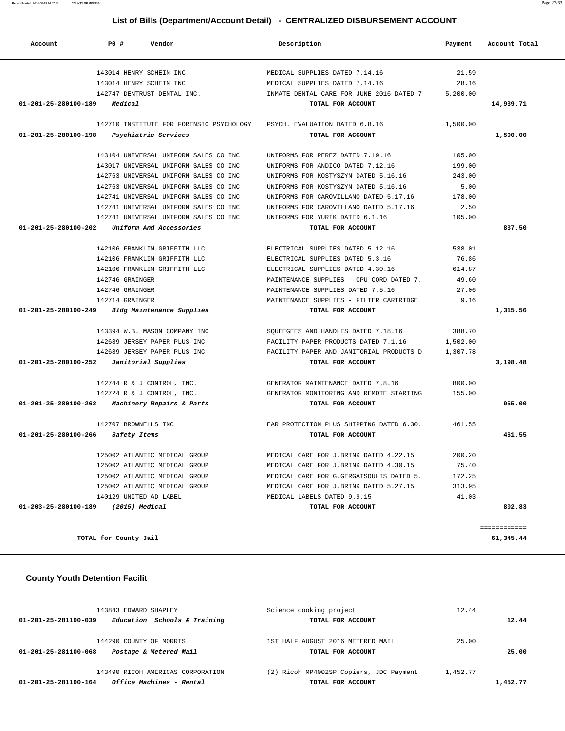**Report Printed** 2016-08-19 14:57:38 **COUNTY OF MORRIS** Page 27/63

# **List of Bills (Department/Account Detail) - CENTRALIZED DISBURSEMENT ACCOUNT**

| Account                        | PO#<br>Vendor                            | Description                              | Payment  | Account Total |
|--------------------------------|------------------------------------------|------------------------------------------|----------|---------------|
|                                | 143014 HENRY SCHEIN INC                  | MEDICAL SUPPLIES DATED 7.14.16           | 21.59    |               |
|                                | 143014 HENRY SCHEIN INC                  | MEDICAL SUPPLIES DATED 7.14.16           | 28.16    |               |
|                                | 142747 DENTRUST DENTAL INC.              | INMATE DENTAL CARE FOR JUNE 2016 DATED 7 | 5,200.00 |               |
| 01-201-25-280100-189           | Medical                                  | TOTAL FOR ACCOUNT                        |          | 14,939.71     |
|                                | 142710 INSTITUTE FOR FORENSIC PSYCHOLOGY | PSYCH. EVALUATION DATED 6.8.16           | 1,500.00 |               |
| 01-201-25-280100-198           | Psychiatric Services                     | TOTAL FOR ACCOUNT                        |          | 1,500.00      |
|                                | 143104 UNIVERSAL UNIFORM SALES CO INC    | UNIFORMS FOR PEREZ DATED 7.19.16         | 105.00   |               |
|                                | 143017 UNIVERSAL UNIFORM SALES CO INC    | UNIFORMS FOR ANDICO DATED 7.12.16        | 199.00   |               |
|                                | 142763 UNIVERSAL UNIFORM SALES CO INC    | UNIFORMS FOR KOSTYSZYN DATED 5.16.16     | 243.00   |               |
|                                | 142763 UNIVERSAL UNIFORM SALES CO INC    | UNIFORMS FOR KOSTYSZYN DATED 5.16.16     | 5.00     |               |
|                                | 142741 UNIVERSAL UNIFORM SALES CO INC    | UNIFORMS FOR CAROVILLANO DATED 5.17.16   | 178.00   |               |
|                                | 142741 UNIVERSAL UNIFORM SALES CO INC    | UNIFORMS FOR CAROVILLANO DATED 5.17.16   | 2.50     |               |
|                                | 142741 UNIVERSAL UNIFORM SALES CO INC    | UNIFORMS FOR YURIK DATED 6.1.16          | 105.00   |               |
| 01-201-25-280100-202           | Uniform And Accessories                  | TOTAL FOR ACCOUNT                        |          | 837.50        |
|                                | 142106 FRANKLIN-GRIFFITH LLC             | ELECTRICAL SUPPLIES DATED 5.12.16        | 538.01   |               |
|                                | 142106 FRANKLIN-GRIFFITH LLC             | ELECTRICAL SUPPLIES DATED 5.3.16         | 76.86    |               |
|                                | 142106 FRANKLIN-GRIFFITH LLC             | ELECTRICAL SUPPLIES DATED 4.30.16        | 614.87   |               |
|                                | 142746 GRAINGER                          | MAINTENANCE SUPPLIES - CPU CORD DATED 7. | 49.60    |               |
|                                | 142746 GRAINGER                          | MAINTENANCE SUPPLIES DATED 7.5.16        | 27.06    |               |
|                                | 142714 GRAINGER                          | MAINTENANCE SUPPLIES - FILTER CARTRIDGE  | 9.16     |               |
| 01-201-25-280100-249           | Bldg Maintenance Supplies                | TOTAL FOR ACCOUNT                        |          | 1,315.56      |
|                                | 143394 W.B. MASON COMPANY INC            | SQUEEGEES AND HANDLES DATED 7.18.16      | 388.70   |               |
|                                | 142689 JERSEY PAPER PLUS INC             | FACILITY PAPER PRODUCTS DATED 7.1.16     | 1,502.00 |               |
|                                | 142689 JERSEY PAPER PLUS INC             | FACILITY PAPER AND JANITORIAL PRODUCTS D | 1,307.78 |               |
| 01-201-25-280100-252           | Janitorial Supplies                      | TOTAL FOR ACCOUNT                        |          | 3,198.48      |
|                                |                                          |                                          |          |               |
|                                | 142744 R & J CONTROL, INC.               | GENERATOR MAINTENANCE DATED 7.8.16       | 800.00   |               |
|                                | 142724 R & J CONTROL, INC.               | GENERATOR MONITORING AND REMOTE STARTING | 155.00   |               |
| 01-201-25-280100-262           | Machinery Repairs & Parts                | TOTAL FOR ACCOUNT                        |          | 955.00        |
|                                | 142707 BROWNELLS INC                     | EAR PROTECTION PLUS SHIPPING DATED 6.30. | 461.55   |               |
| $01 - 201 - 25 - 280100 - 266$ | Safety Items                             | TOTAL FOR ACCOUNT                        |          | 461.55        |
|                                | 125002 ATLANTIC MEDICAL GROUP            | MEDICAL CARE FOR J.BRINK DATED 4.22.15   | 200.20   |               |
|                                | 125002 ATLANTIC MEDICAL GROUP            | MEDICAL CARE FOR J.BRINK DATED 4.30.15   | 75.40    |               |
|                                | 125002 ATLANTIC MEDICAL GROUP            | MEDICAL CARE FOR G.GERGATSOULIS DATED 5. | 172.25   |               |
|                                | 125002 ATLANTIC MEDICAL GROUP            | MEDICAL CARE FOR J.BRINK DATED 5.27.15   | 313.95   |               |
|                                | 140129 UNITED AD LABEL                   | MEDICAL LABELS DATED 9.9.15              | 41.03    |               |
| 01-203-25-280100-189           | (2015) Medical                           | TOTAL FOR ACCOUNT                        |          | 802.83        |
|                                |                                          |                                          |          | ============  |
|                                | TOTAL for County Jail                    |                                          |          | 61,345.44     |

# **County Youth Detention Facilit**

| 143843 EDWARD SHAPLEY                                | Science cooking project                 | 12.44    |          |
|------------------------------------------------------|-----------------------------------------|----------|----------|
| Education Schools & Training<br>01-201-25-281100-039 | TOTAL FOR ACCOUNT                       |          | 12.44    |
| 144290 COUNTY OF MORRIS                              | 1ST HALF AUGUST 2016 METERED MAIL       | 25.00    |          |
| Postage & Metered Mail<br>01-201-25-281100-068       | TOTAL FOR ACCOUNT                       |          | 25.00    |
| 143490 RICOH AMERICAS CORPORATION                    | (2) Ricoh MP4002SP Copiers, JDC Payment | 1,452.77 |          |
| Office Machines - Rental<br>01-201-25-281100-164     | TOTAL FOR ACCOUNT                       |          | 1,452.77 |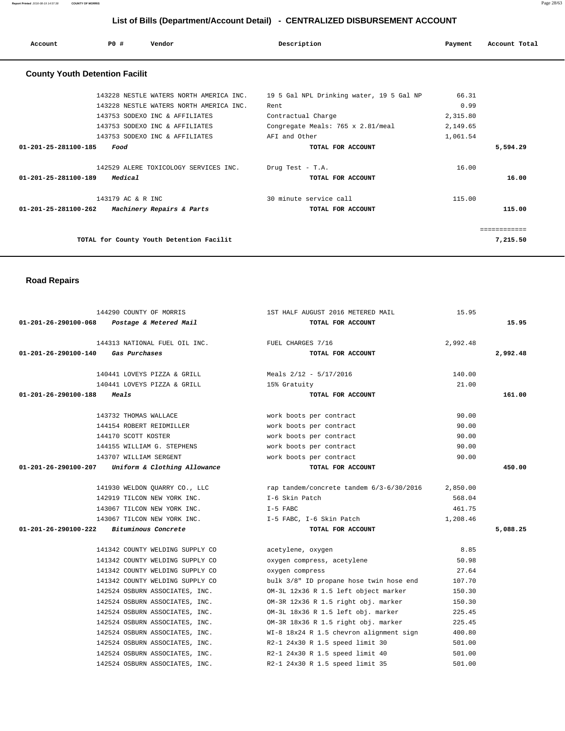**Report Printed** 2016-08-19 14:57:38 **COUNTY OF MORRIS** Page 28/63

# **List of Bills (Department/Account Detail) - CENTRALIZED DISBURSEMENT ACCOUNT**

| Account              | PO#                                   | Vendor                                         | Description                              | Payment  | Account Total |
|----------------------|---------------------------------------|------------------------------------------------|------------------------------------------|----------|---------------|
|                      | <b>County Youth Detention Facilit</b> |                                                |                                          |          |               |
|                      |                                       | 143228 NESTLE WATERS NORTH AMERICA INC.        | 19 5 Gal NPL Drinking water, 19 5 Gal NP | 66.31    |               |
|                      |                                       | 143228 NESTLE WATERS NORTH AMERICA INC.        | Rent                                     | 0.99     |               |
|                      |                                       | 143753 SODEXO INC & AFFILIATES                 | Contractual Charge                       | 2,315.80 |               |
|                      |                                       | 143753 SODEXO INC & AFFILIATES                 | Congregate Meals: 765 x 2.81/meal        | 2,149.65 |               |
|                      |                                       | 143753 SODEXO INC & AFFILIATES                 | AFI and Other                            | 1,061.54 |               |
| 01-201-25-281100-185 | Food                                  |                                                | TOTAL FOR ACCOUNT                        |          | 5,594.29      |
|                      |                                       | 142529 ALERE TOXICOLOGY SERVICES INC.          | Drug Test - T.A.                         | 16.00    |               |
| 01-201-25-281100-189 | Medical                               |                                                | TOTAL FOR ACCOUNT                        |          | 16.00         |
|                      | 143179 AC & R INC                     |                                                | 30 minute service call                   | 115.00   |               |
|                      |                                       | 01-201-25-281100-262 Machinery Repairs & Parts | TOTAL FOR ACCOUNT                        |          | 115.00        |
|                      |                                       |                                                |                                          |          | ============  |
|                      |                                       | TOTAL for County Youth Detention Facilit       |                                          |          | 7,215.50      |

# **Road Repairs**

|                                          | 144290 COUNTY OF MORRIS                                        | 1ST HALF AUGUST 2016 METERED MAIL                                               | 15.95    |          |
|------------------------------------------|----------------------------------------------------------------|---------------------------------------------------------------------------------|----------|----------|
|                                          | 01-201-26-290100-068  Postage & Metered Mail                   | TOTAL FOR ACCOUNT                                                               |          | 15.95    |
|                                          |                                                                |                                                                                 |          |          |
|                                          | 144313 NATIONAL FUEL OIL INC. TUEL CHARGES 7/16                |                                                                                 | 2,992.48 |          |
| 01-201-26-290100-140 Gas Purchases       |                                                                | TOTAL FOR ACCOUNT                                                               |          | 2,992.48 |
|                                          | 140441 LOVEYS PIZZA & GRILL                                    | Meals 2/12 - 5/17/2016                                                          | 140.00   |          |
|                                          | 140441 LOVEYS PIZZA & GRILL 15% Gratuity                       |                                                                                 | 21.00    |          |
| 01-201-26-290100-188                     | <i>Meals</i>                                                   | TOTAL FOR ACCOUNT                                                               |          | 161.00   |
|                                          |                                                                |                                                                                 |          |          |
|                                          | 143732 THOMAS WALLACE                                          | work boots per contract                                                         | 90.00    |          |
|                                          | 144154 ROBERT REIDMILLER                                       | work boots per contract                                                         | 90.00    |          |
|                                          | 144170 SCOTT KOSTER                                            | work boots per contract                                                         | 90.00    |          |
|                                          | 144155 WILLIAM G. STEPHENS                                     | work boots per contract                                                         | 90.00    |          |
|                                          | 143707 WILLIAM SERGENT                                         | work boots per contract                                                         | 90.00    |          |
|                                          | $01-201-26-290100-207$ Uniform & Clothing Allowance            | TOTAL FOR ACCOUNT                                                               |          | 450.00   |
|                                          |                                                                |                                                                                 |          |          |
|                                          |                                                                | 141930 WELDON OUARRY CO., LLC rap tandem/concrete tandem 6/3-6/30/2016 2,850.00 |          |          |
|                                          | 142919 TILCON NEW YORK INC.                                    | I-6 Skin Patch                                                                  | 568.04   |          |
|                                          | 143067 TILCON NEW YORK INC.                                    | $I-5$ FABC                                                                      | 461.75   |          |
|                                          | 143067 TILCON NEW YORK INC.                                    | I-5 FABC, I-6 Skin Patch                                                        | 1,208.46 |          |
| 01-201-26-290100-222 Bituminous Concrete |                                                                | TOTAL FOR ACCOUNT                                                               |          | 5,088.25 |
|                                          |                                                                |                                                                                 |          |          |
|                                          | 141342 COUNTY WELDING SUPPLY CO                                | acetylene, oxygen                                                               | 8.85     |          |
|                                          | 141342 COUNTY WELDING SUPPLY CO                                | oxygen compress, acetylene                                                      | 50.98    |          |
|                                          | 141342 COUNTY WELDING SUPPLY CO                                | oxygen compress                                                                 | 27.64    |          |
|                                          | 141342 COUNTY WELDING SUPPLY CO                                | bulk 3/8" ID propane hose twin hose end                                         | 107.70   |          |
|                                          | 142524 OSBURN ASSOCIATES, INC.                                 | OM-3L 12x36 R 1.5 left object marker                                            | 150.30   |          |
|                                          | 142524 OSBURN ASSOCIATES, INC.                                 | OM-3R 12x36 R 1.5 right obj. marker                                             | 150.30   |          |
|                                          | 142524 OSBURN ASSOCIATES, INC.                                 | OM-3L 18x36 R 1.5 left obj. marker                                              | 225.45   |          |
|                                          | 142524 OSBURN ASSOCIATES, INC.                                 | OM-3R 18x36 R 1.5 right obj. marker                                             | 225.45   |          |
|                                          | 142524 OSBURN ASSOCIATES, INC.                                 | WI-8 18x24 R 1.5 chevron alignment sign                                         | 400.80   |          |
|                                          | 142524 OSBURN ASSOCIATES, INC. R2-1 24x30 R 1.5 speed limit 30 |                                                                                 | 501.00   |          |
|                                          |                                                                | 142524 OSBURN ASSOCIATES, INC. R2-1 24x30 R 1.5 speed limit 40                  | 501.00   |          |
|                                          | 142524 OSBURN ASSOCIATES, INC.                                 | R2-1 24x30 R 1.5 speed limit 35                                                 | 501.00   |          |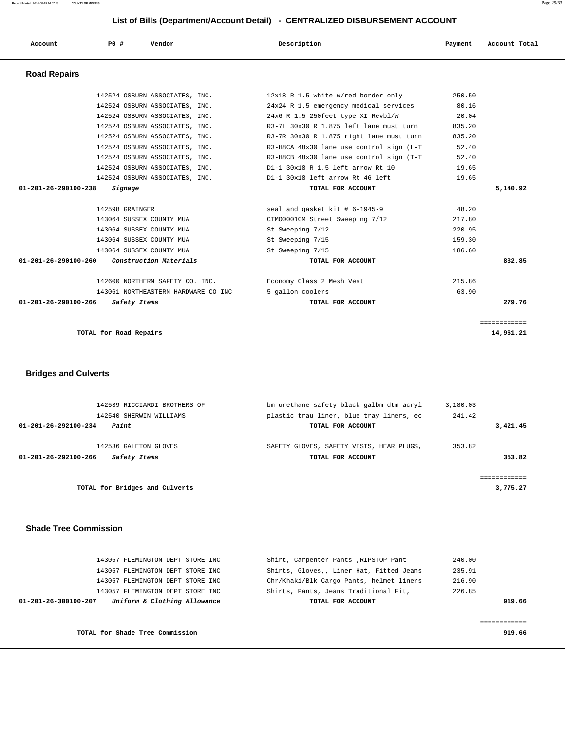### **Report Printed** 2016-08-19 14:57:38 **COUNTY OF MORRIS** Page 29/63

### **List of Bills (Department/Account Detail) - CENTRALIZED DISBURSEMENT ACCOUNT**

| Account                        | PO#                      | Vendor                              | Description                               | Payment | Account Total |
|--------------------------------|--------------------------|-------------------------------------|-------------------------------------------|---------|---------------|
| <b>Road Repairs</b>            |                          |                                     |                                           |         |               |
|                                |                          | 142524 OSBURN ASSOCIATES, INC.      | 12x18 R 1.5 white w/red border only       | 250.50  |               |
|                                |                          | 142524 OSBURN ASSOCIATES, INC.      | 24x24 R 1.5 emergency medical services    | 80.16   |               |
|                                |                          | 142524 OSBURN ASSOCIATES, INC.      | 24x6 R 1.5 250feet type XI Revbl/W        | 20.04   |               |
|                                |                          | 142524 OSBURN ASSOCIATES, INC.      | R3-7L 30x30 R 1.875 left lane must turn   | 835.20  |               |
|                                |                          | 142524 OSBURN ASSOCIATES, INC.      | R3-7R 30x30 R 1.875 right lane must turn  | 835.20  |               |
|                                |                          | 142524 OSBURN ASSOCIATES, INC.      | R3-H8CA 48x30 lane use control sign (L-T  | 52.40   |               |
|                                |                          | 142524 OSBURN ASSOCIATES, INC.      | R3-H8CB 48x30 lane use control sign (T-T) | 52.40   |               |
|                                |                          | 142524 OSBURN ASSOCIATES, INC.      | D1-1 30x18 R 1.5 left arrow Rt 10         | 19.65   |               |
|                                |                          | 142524 OSBURN ASSOCIATES, INC.      | D1-1 30x18 left arrow Rt 46 left          | 19.65   |               |
| $01 - 201 - 26 - 290100 - 238$ | Signage                  |                                     | TOTAL FOR ACCOUNT                         |         | 5,140.92      |
|                                | 142598 GRAINGER          |                                     | seal and gasket kit # 6-1945-9            | 48.20   |               |
|                                | 143064 SUSSEX COUNTY MUA |                                     | CTM00001CM Street Sweeping 7/12           | 217.80  |               |
|                                | 143064 SUSSEX COUNTY MUA |                                     | St Sweeping 7/12                          | 220.95  |               |
|                                | 143064 SUSSEX COUNTY MUA |                                     | St Sweeping 7/15                          | 159.30  |               |
|                                | 143064 SUSSEX COUNTY MUA |                                     | St Sweeping 7/15                          | 186.60  |               |
| $01 - 201 - 26 - 290100 - 260$ |                          | Construction Materials              | TOTAL FOR ACCOUNT                         |         | 832.85        |
|                                |                          | 142600 NORTHERN SAFETY CO. INC.     | Economy Class 2 Mesh Vest                 | 215.86  |               |
|                                |                          | 143061 NORTHEASTERN HARDWARE CO INC | 5 gallon coolers                          | 63.90   |               |
| $01 - 201 - 26 - 290100 - 266$ | Safety Items             |                                     | TOTAL FOR ACCOUNT                         |         | 279.76        |
|                                |                          |                                     |                                           |         | ============  |

```
 TOTAL for Road Repairs 14,961.21
```
 **Bridges and Culverts** 

| 142539 RICCIARDI BROTHERS OF            | bm urethane safety black galbm dtm acryl | 3,180.03 |          |
|-----------------------------------------|------------------------------------------|----------|----------|
| 142540 SHERWIN WILLIAMS                 | plastic trau liner, blue tray liners, ec | 241.42   |          |
| Paint<br>$01 - 201 - 26 - 292100 - 234$ | TOTAL FOR ACCOUNT                        |          | 3,421.45 |
| 142536 GALETON GLOVES                   | SAFETY GLOVES, SAFETY VESTS, HEAR PLUGS, | 353.82   |          |
| 01-201-26-292100-266<br>Safety Items    | TOTAL FOR ACCOUNT                        |          | 353.82   |
|                                         |                                          |          |          |
|                                         |                                          |          |          |
| TOTAL for Bridges and Culverts          |                                          |          | 3,775.27 |
|                                         |                                          |          |          |

### **Shade Tree Commission**

| 240.00 | Shirt, Carpenter Pants, RIPSTOP Pant     | 143057 FLEMINGTON DEPT STORE INC                     |
|--------|------------------------------------------|------------------------------------------------------|
| 235.91 | Shirts, Gloves,, Liner Hat, Fitted Jeans | 143057 FLEMINGTON DEPT STORE INC                     |
| 216.90 | Chr/Khaki/Blk Cargo Pants, helmet liners | 143057 FLEMINGTON DEPT STORE INC                     |
| 226.85 | Shirts, Pants, Jeans Traditional Fit,    | 143057 FLEMINGTON DEPT STORE INC                     |
| 919.66 | TOTAL FOR ACCOUNT                        | Uniform & Clothing Allowance<br>01-201-26-300100-207 |
|        |                                          |                                                      |
|        |                                          |                                                      |
| 919.66 |                                          | TOTAL for Shade Tree Commission                      |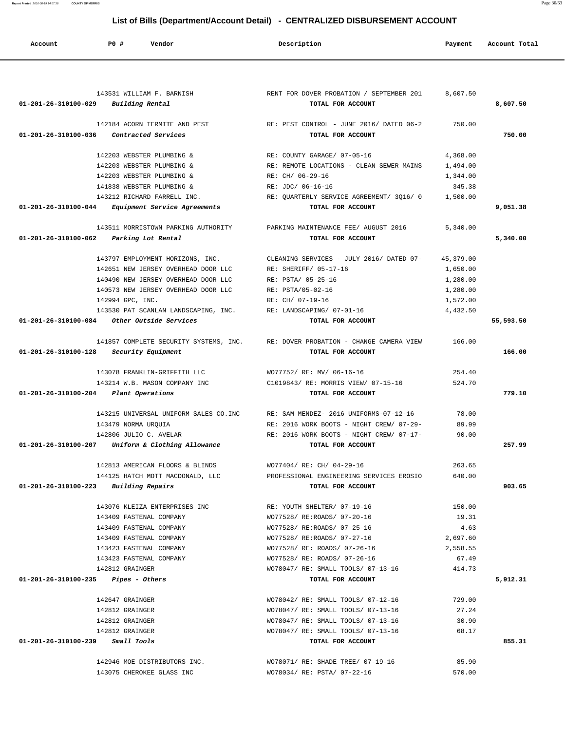**List of Bills (Department/Account Detail) - CENTRALIZED DISBURSEMENT ACCOUNT Account P0 # Vendor Description Payment Account Total** 143531 WILLIAM F. BARNISH RENT FOR DOVER PROBATION / SEPTEMBER 201 8,607.50  **01-201-26-310100-029 Building Rental TOTAL FOR ACCOUNT 8,607.50** 142184 ACORN TERMITE AND PEST RE: PEST CONTROL - JUNE 2016/ DATED 06-2 750.00  **01-201-26-310100-036 Contracted Services TOTAL FOR ACCOUNT 750.00** 142203 WEBSTER PLUMBING & RE: COUNTY GARAGE/ 07-05-16 4,368.00 142203 WEBSTER PLUMBING & RE: REMOTE LOCATIONS - CLEAN SEWER MAINS 1,494.00 142203 WEBSTER PLUMBING & RE: CH/ 06-29-16 1,344.00 141838 WEBSTER PLUMBING & RE: JDC/ 06-16-16 345.38 143212 RICHARD FARRELL INC. RE: QUARTERLY SERVICE AGREEMENT/ 3Q16/ 0 1,500.00  **01-201-26-310100-044 Equipment Service Agreements TOTAL FOR ACCOUNT 9,051.38** 143511 MORRISTOWN PARKING AUTHORITY PARKING MAINTENANCE FEE/ AUGUST 2016 5,340.00  **01-201-26-310100-062 Parking Lot Rental TOTAL FOR ACCOUNT 5,340.00** 143797 EMPLOYMENT HORIZONS, INC. CLEANING SERVICES - JULY 2016/ DATED 07- 45,379.00 142651 NEW JERSEY OVERHEAD DOOR LLC RE: SHERIFF/ 05-17-16 1,650.00 140490 NEW JERSEY OVERHEAD DOOR LLC RE: PSTA/ 05-25-16 1,280.00 140573 NEW JERSEY OVERHEAD DOOR LLC RE: PSTA/05-02-16 1,280.00 142994 GPC, INC. RE: CH/ 07-19-16 1,572.00 143530 PAT SCANLAN LANDSCAPING, INC. RE: LANDSCAPING/ 07-01-16 4,432.50  **01-201-26-310100-084 Other Outside Services TOTAL FOR ACCOUNT 55,593.50** 141857 COMPLETE SECURITY SYSTEMS, INC. RE: DOVER PROBATION - CHANGE CAMERA VIEW 166.00  **01-201-26-310100-128 Security Equipment TOTAL FOR ACCOUNT 166.00** 143078 FRANKLIN-GRIFFITH LLC WO77752/ RE: MV/ 06-16-16 254.40 143214 W.B. MASON COMPANY INC C1019843/ RE: MORRIS VIEW/ 07-15-16 524.70  **01-201-26-310100-204 Plant Operations TOTAL FOR ACCOUNT 779.10** 143215 UNIVERSAL UNIFORM SALES CO.INC RE: SAM MENDEZ- 2016 UNIFORMS-07-12-16 78.00 143479 NORMA URQUIA RE: 2016 WORK BOOTS - NIGHT CREW/ 07-29- 89.99 142806 JULIO C. AVELAR RE: 2016 WORK BOOTS - NIGHT CREW/ 07-17- 90.00  **01-201-26-310100-207 Uniform & Clothing Allowance TOTAL FOR ACCOUNT 257.99** 142813 AMERICAN FLOORS & BLINDS WO77404/ RE: CH/ 04-29-16 263.65 144125 HATCH MOTT MACDONALD, LLC PROFESSIONAL ENGINEERING SERVICES EROSIO 640.00  **01-201-26-310100-223 Building Repairs TOTAL FOR ACCOUNT 903.65** 143076 KLEIZA ENTERPRISES INC RE: YOUTH SHELTER/ 07-19-16 150.00 143409 FASTENAL COMPANY WO77528/ RE:ROADS/ 07-20-16 19.31 143409 FASTENAL COMPANY WO77528/ RE:ROADS/ 07-25-16 4.63 143409 FASTENAL COMPANY WO77528/ RE:ROADS/ 07-27-16 2,697.60 143423 FASTENAL COMPANY WO77528/ RE: ROADS/ 07-26-16 2,558.55 143423 FASTENAL COMPANY WO77528/ RE: ROADS/ 07-26-16 67.49 142812 GRAINGER WO78047/ RE: SMALL TOOLS/ 07-13-16 414.73  **01-201-26-310100-235 Pipes - Others TOTAL FOR ACCOUNT 5,912.31** 142647 GRAINGER WO78042/ RE: SMALL TOOLS/ 07-12-16 729.00 142812 GRAINGER WO78047/ RE: SMALL TOOLS/ 07-13-16 27.24 142812 GRAINGER WO78047/ RE: SMALL TOOLS/ 07-13-16 30.90 142812 GRAINGER WO78047/ RE: SMALL TOOLS/ 07-13-16 68.17  **01-201-26-310100-239 Small Tools TOTAL FOR ACCOUNT 855.31** 142946 MOE DISTRIBUTORS INC. WO78071/ RE: SHADE TREE/ 07-19-16 85.90 143075 CHEROKEE GLASS INC WO78034/ RE: PSTA/ 07-22-16 570.00

**Report Printed** 2016-08-19 14:57:38 **COUNTY OF MORRIS** Page 30/63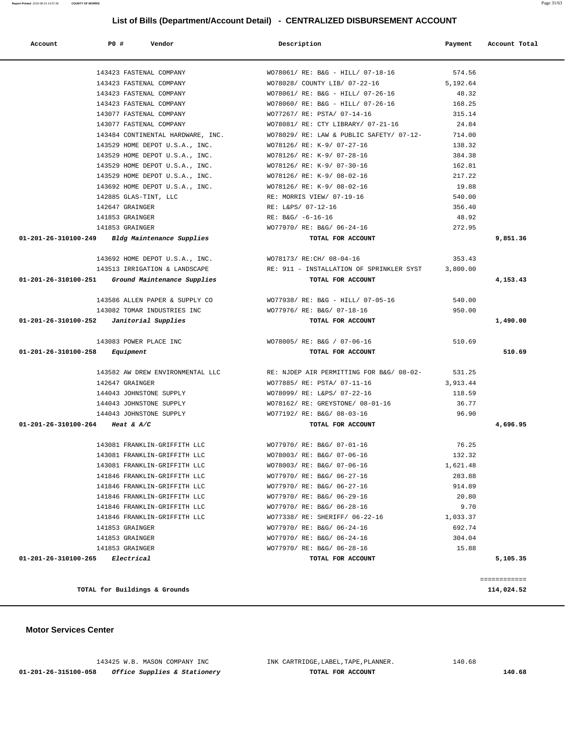**Report Printed** 2016-08-19 14:57:38 **COUNTY OF MORRIS** Page 31/63

# **List of Bills (Department/Account Detail) - CENTRALIZED DISBURSEMENT ACCOUNT**

| Account                                    | PO#                           | Vendor                                             | Description                                                                          | Payment         | Account Total |
|--------------------------------------------|-------------------------------|----------------------------------------------------|--------------------------------------------------------------------------------------|-----------------|---------------|
|                                            |                               |                                                    |                                                                                      |                 |               |
|                                            |                               | 143423 FASTENAL COMPANY                            | WO78061/ RE: B&G - HILL/ 07-18-16                                                    | 574.56          |               |
|                                            |                               | 143423 FASTENAL COMPANY                            | WO78028/ COUNTY LIB/ 07-22-16                                                        | 5,192.64        |               |
|                                            |                               | 143423 FASTENAL COMPANY                            | WO78061/ RE: B&G - HILL/ 07-26-16                                                    | 48.32           |               |
|                                            |                               | 143423 FASTENAL COMPANY                            | WO78060/ RE: B&G - HILL/ 07-26-16                                                    | 168.25          |               |
|                                            |                               | 143077 FASTENAL COMPANY<br>143077 FASTENAL COMPANY | WO77267/ RE: PSTA/ 07-14-16                                                          | 315.14<br>24.84 |               |
|                                            |                               | 143484 CONTINENTAL HARDWARE, INC.                  | WO78081/ RE: CTY LIBRARY/ 07-21-16<br>WO78029/RE: LAW & PUBLIC SAFETY/ 07-12-        | 714.00          |               |
|                                            |                               | 143529 HOME DEPOT U.S.A., INC.                     | WO78126/ RE: K-9/ 07-27-16                                                           | 138.32          |               |
|                                            |                               | 143529 HOME DEPOT U.S.A., INC.                     | WO78126/ RE: K-9/ 07-28-16                                                           | 384.38          |               |
|                                            |                               | 143529 HOME DEPOT U.S.A., INC.                     | WO78126/ RE: K-9/ 07-30-16                                                           | 162.81          |               |
|                                            |                               |                                                    | 143529 HOME DEPOT U.S.A., INC. WO78126/RE: K-9/08-02-16                              | 217.22          |               |
|                                            |                               |                                                    |                                                                                      | 19.88           |               |
|                                            | 142885 GLAS-TINT, LLC         |                                                    | 143692 HOME DEPOT U.S.A., INC. WO78126/RE: K-9/08-02-16<br>RE: MORRIS VIEW/ 07-19-16 | 540.00          |               |
|                                            | 142647 GRAINGER               |                                                    | RE: L&PS/ 07-12-16                                                                   | 356.40          |               |
|                                            | 141853 GRAINGER               |                                                    | RE: B&G/ -6-16-16                                                                    | 48.92           |               |
|                                            | 141853 GRAINGER               |                                                    | WO77970/ RE: B&G/ 06-24-16                                                           | 272.95          |               |
|                                            |                               | 01-201-26-310100-249 Bldg Maintenance Supplies     | TOTAL FOR ACCOUNT                                                                    |                 | 9,851.36      |
|                                            |                               |                                                    |                                                                                      |                 |               |
|                                            |                               |                                                    | 143692 HOME DEPOT U.S.A., INC. WO78173/RE:CH/08-04-16                                | 353.43          |               |
|                                            |                               | 143513 IRRIGATION & LANDSCAPE                      | RE: 911 - INSTALLATION OF SPRINKLER SYST 3,800.00                                    |                 |               |
|                                            |                               | 01-201-26-310100-251 Ground Maintenance Supplies   | TOTAL FOR ACCOUNT                                                                    |                 | 4,153.43      |
|                                            |                               | 143586 ALLEN PAPER & SUPPLY CO                     | WO77938/ RE: B&G - HILL/ 07-05-16                                                    | 540.00          |               |
|                                            |                               | 143082 TOMAR INDUSTRIES INC                        | WO77976/ RE: B&G/ 07-18-16                                                           | 950.00          |               |
| $01-201-26-310100-252$ Janitorial Supplies |                               |                                                    | TOTAL FOR ACCOUNT                                                                    |                 | 1,490.00      |
|                                            |                               | 143083 POWER PLACE INC                             | WO78005/ RE: B&G / 07-06-16                                                          | 510.69          |               |
| $01 - 201 - 26 - 310100 - 258$ Equipment   |                               |                                                    | TOTAL FOR ACCOUNT                                                                    |                 | 510.69        |
|                                            |                               | 143582 AW DREW ENVIRONMENTAL LLC                   | RE: NJDEP AIR PERMITTING FOR B&G/ 08-02-                                             | 531.25          |               |
|                                            | 142647 GRAINGER               |                                                    | WO77885/ RE: PSTA/ 07-11-16                                                          | 3,913.44        |               |
|                                            |                               | 144043 JOHNSTONE SUPPLY                            | WO78099/ RE: L&PS/ 07-22-16                                                          | 118.59          |               |
|                                            |                               | 144043 JOHNSTONE SUPPLY                            | WO78162/ RE: GREYSTONE/ 08-01-16                                                     | 36.77           |               |
|                                            |                               | 144043 JOHNSTONE SUPPLY                            | WO77192/ RE: B&G/ 08-03-16                                                           | 96.90           |               |
| 01-201-26-310100-264 Heat & A/C            |                               |                                                    | TOTAL FOR ACCOUNT                                                                    |                 | 4,696.95      |
|                                            |                               |                                                    |                                                                                      |                 |               |
|                                            |                               | 143081 FRANKLIN-GRIFFITH LLC                       | WO77970/ RE: B&G/ 07-01-16                                                           | 76.25           |               |
|                                            |                               | 143081 FRANKLIN-GRIFFITH LLC                       | WO78003/ RE: B&G/ 07-06-16                                                           | 132.32          |               |
|                                            |                               | 143081 FRANKLIN-GRIFFITH LLC                       | WO78003/ RE: B&G/ 07-06-16                                                           | 1,621.48        |               |
|                                            |                               | 141846 FRANKLIN-GRIFFITH LLC                       | WO77970/ RE: B&G/ 06-27-16                                                           | 283.88          |               |
|                                            |                               | 141846 FRANKLIN-GRIFFITH LLC                       | WO77970/ RE: B&G/ 06-27-16                                                           | 914.89          |               |
|                                            |                               | 141846 FRANKLIN-GRIFFITH LLC                       | WO77970/ RE: B&G/ 06-29-16                                                           | 20.80           |               |
|                                            |                               | 141846 FRANKLIN-GRIFFITH LLC                       | WO77970/ RE: B&G/ 06-28-16                                                           | 9.70            |               |
|                                            |                               | 141846 FRANKLIN-GRIFFITH LLC                       | WO77338/ RE: SHERIFF/ 06-22-16                                                       | 1,033.37        |               |
|                                            | 141853 GRAINGER               |                                                    | WO77970/ RE: B&G/ 06-24-16                                                           | 692.74          |               |
|                                            | 141853 GRAINGER               |                                                    | WO77970/ RE: B&G/ 06-24-16                                                           | 304.04          |               |
|                                            | 141853 GRAINGER               |                                                    | WO77970/ RE: B&G/ 06-28-16                                                           | 15.88           |               |
| 01-201-26-310100-265 Electrical            |                               |                                                    | TOTAL FOR ACCOUNT                                                                    |                 | 5,105.35      |
|                                            |                               |                                                    |                                                                                      |                 | ============  |
|                                            | TOTAL for Buildings & Grounds |                                                    |                                                                                      |                 | 114,024.52    |

 **Motor Services Center** 

 143425 W.B. MASON COMPANY INC INK CARTRIDGE,LABEL,TAPE,PLANNER. 140.68  **01-201-26-315100-058 Office Supplies & Stationery TOTAL FOR ACCOUNT 140.68**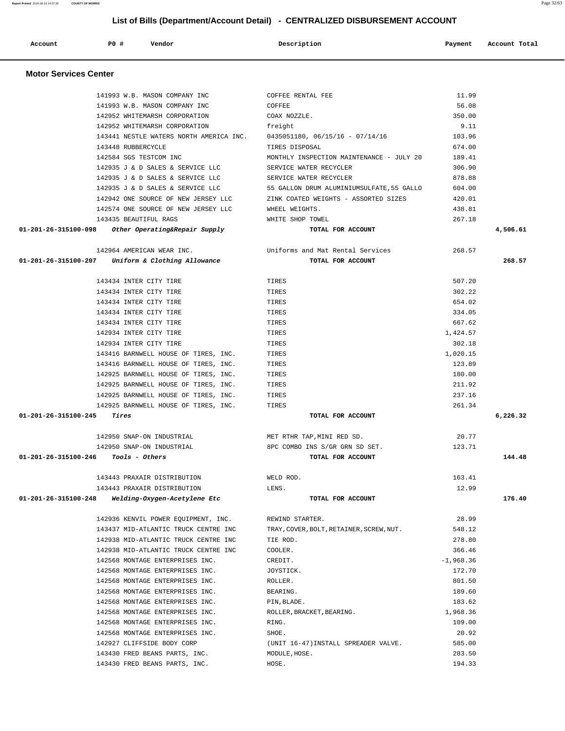| 141993 W.B. MASON COMPANY INC                                            | COFFEE RENTAL FEE                         | 11.99       |          |
|--------------------------------------------------------------------------|-------------------------------------------|-------------|----------|
| 141993 W.B. MASON COMPANY INC                                            | COFFEE                                    | 56.08       |          |
| 142952 WHITEMARSH CORPORATION                                            | COAX NOZZLE.                              | 350.00      |          |
| 142952 WHITEMARSH CORPORATION                                            | freight                                   | 9.11        |          |
| 143441 NESTLE WATERS NORTH AMERICA INC. 0435051180, 06/15/16 - 07/14/16  |                                           | 103.96      |          |
| 143448 RUBBERCYCLE                                                       | TIRES DISPOSAL                            | 674.00      |          |
| 142584 SGS TESTCOM INC                                                   | MONTHLY INSPECTION MAINTENANCE - JULY 20  | 189.41      |          |
| 142935 J & D SALES & SERVICE LLC                                         | SERVICE WATER RECYCLER                    | 306.90      |          |
| 142935 J & D SALES & SERVICE LLC                                         | SERVICE WATER RECYCLER                    | 878.88      |          |
| 142935 J & D SALES & SERVICE LLC                                         | 55 GALLON DRUM ALUMINIUMSULFATE, 55 GALLO | 604.00      |          |
| 142942 ONE SOURCE OF NEW JERSEY LLC ZINK COATED WEIGHTS - ASSORTED SIZES |                                           | 420.01      |          |
| 142574 ONE SOURCE OF NEW JERSEY LLC WHEEL WEIGHTS.                       |                                           | 438.81      |          |
| 143435 BEAUTIFUL RAGS                                                    | WHITE SHOP TOWEL                          | 267.18      |          |
| 01-201-26-315100-098 Other Operating&Repair Supply                       | TOTAL FOR ACCOUNT                         |             | 4,506.61 |
| 142964 AMERICAN WEAR INC.                                                | Uniforms and Mat Rental Services          | 268.57      |          |
| $01-201-26-315100-207$ Uniform & Clothing Allowance                      | TOTAL FOR ACCOUNT                         |             | 268.57   |
| 143434 INTER CITY TIRE                                                   | TIRES                                     | 507.20      |          |
| 143434 INTER CITY TIRE                                                   | TIRES                                     | 302.22      |          |
| 143434 INTER CITY TIRE                                                   | TIRES                                     | 654.02      |          |
| 143434 INTER CITY TIRE                                                   | TIRES                                     | 334.05      |          |
| 143434 INTER CITY TIRE                                                   | TIRES                                     | 667.62      |          |
| 142934 INTER CITY TIRE                                                   | TIRES                                     | 1,424.57    |          |
| 142934 INTER CITY TIRE                                                   | TIRES                                     | 302.18      |          |
| 143416 BARNWELL HOUSE OF TIRES, INC.                                     | TIRES                                     | 1,020.15    |          |
| 143416 BARNWELL HOUSE OF TIRES, INC.                                     | TIRES                                     | 123.89      |          |
| 142925 BARNWELL HOUSE OF TIRES, INC.                                     | TIRES                                     | 180.00      |          |
| 142925 BARNWELL HOUSE OF TIRES, INC.                                     | TIRES                                     | 211.92      |          |
| 142925 BARNWELL HOUSE OF TIRES, INC.                                     | TIRES                                     | 237.16      |          |
| 142925 BARNWELL HOUSE OF TIRES, INC.                                     | TIRES                                     | 261.34      |          |
| $01 - 201 - 26 - 315100 - 245$ Tires                                     | TOTAL FOR ACCOUNT                         |             | 6,226.32 |
| 142950 SNAP-ON INDUSTRIAL                                                | MET RTHR TAP, MINI RED SD.                | 20.77       |          |
| 142950 SNAP-ON INDUSTRIAL                                                | 8PC COMBO INS S/GR GRN SD SET.            | 123.71      |          |
| $01-201-26-315100-246$ Tools - Others                                    | TOTAL FOR ACCOUNT                         |             | 144.48   |
| 143443 PRAXAIR DISTRIBUTION                                              | WELD ROD.                                 | 163.41      |          |
| 143443 PRAXAIR DISTRIBUTION                                              | LENS.                                     | 12.99       |          |
| 01-201-26-315100-248 Welding-Oxygen-Acetylene Etc                        | TOTAL FOR ACCOUNT                         |             | 176.40   |
| 142936 KENVIL POWER EQUIPMENT, INC.                                      | REWIND STARTER.                           | 28.99       |          |
| 143437 MID-ATLANTIC TRUCK CENTRE INC                                     | TRAY, COVER, BOLT, RETAINER, SCREW, NUT.  | 548.12      |          |
| 142938 MID-ATLANTIC TRUCK CENTRE INC                                     | TIE ROD.                                  | 278.80      |          |
| 142938 MID-ATLANTIC TRUCK CENTRE INC                                     | COOLER.                                   | 366.46      |          |
| 142568 MONTAGE ENTERPRISES INC.                                          | CREDIT.                                   | $-1,968.36$ |          |
| 142568 MONTAGE ENTERPRISES INC.                                          | JOYSTICK.                                 | 172.70      |          |
| 142568 MONTAGE ENTERPRISES INC.                                          | ROLLER.                                   | 801.50      |          |
| 142568 MONTAGE ENTERPRISES INC.                                          | BEARING.                                  | 189.60      |          |
| 142568 MONTAGE ENTERPRISES INC.                                          | PIN, BLADE.                               | 183.62      |          |
| 142568 MONTAGE ENTERPRISES INC.                                          | ROLLER, BRACKET, BEARING.                 | 1,968.36    |          |
| 142568 MONTAGE ENTERPRISES INC.                                          | RING.                                     | 109.00      |          |
| 142568 MONTAGE ENTERPRISES INC.                                          | SHOE.                                     | 20.92       |          |
| 142927 CLIFFSIDE BODY CORP                                               | (UNIT 16-47) INSTALL SPREADER VALVE.      | 585.00      |          |
| 143430 FRED BEANS PARTS, INC.                                            | MODULE, HOSE.                             | 283.50      |          |
| 143430 FRED BEANS PARTS, INC.                                            | HOSE.                                     | 194.33      |          |

### **Motor Services Center**

# **List of Bills (Department/Account Detail) - CENTRALIZED DISBURSEMENT ACCOUNT**

 **Account P0 # Vendor Description Payment Account Total**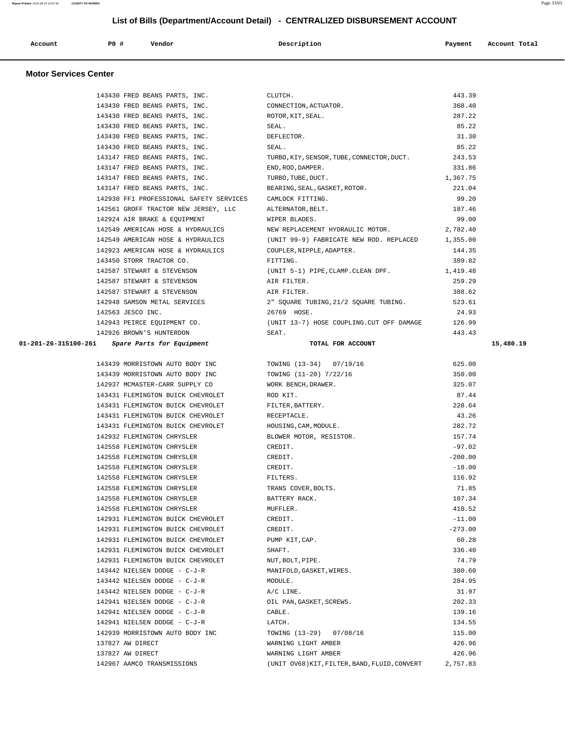| Account<br>. | P0 # | Vendor | Description | Payment | Account Total |
|--------------|------|--------|-------------|---------|---------------|
|              |      |        |             |         |               |

## **Motor Services Center**

| 143430 FRED BEANS PARTS, INC.                            |                                                  | 443.39    |           |
|----------------------------------------------------------|--------------------------------------------------|-----------|-----------|
| 143430 FRED BEANS PARTS, INC.                            | CLUTCH.<br>CONNECTION, ACTUATOR.                 | 368.40    |           |
| 143430 FRED BEANS PARTS, INC. ROTOR, KIT, SEAL.          |                                                  | 287.22    |           |
| 143430 FRED BEANS PARTS, INC.                            | SEAL.                                            | 85.22     |           |
| 143430 FRED BEANS PARTS, INC.                            | DEFLECTOR.                                       | 31.30     |           |
| 143430 FRED BEANS PARTS, INC.                            | SEAL.                                            | 85.22     |           |
| 143147 FRED BEANS PARTS, INC.                            | TURBO, KIY, SENSOR, TUBE, CONNECTOR, DUCT.       | 243.53    |           |
| 143147 FRED BEANS PARTS, INC.                            | END, ROD, DAMPER.                                | 331.86    |           |
| 143147 FRED BEANS PARTS, INC.                            | TURBO, TUBE, DUCT.                               | 1,367.75  |           |
| 143147 FRED BEANS PARTS, INC.                            | BEARING, SEAL, GASKET, ROTOR.                    | 221.04    |           |
| 142930 FF1 PROFESSIONAL SAFETY SERVICES CAMLOCK FITTING. |                                                  | 99.20     |           |
| 142561 GROFF TRACTOR NEW JERSEY, LLC                     | ALTERNATOR, BELT.                                | 187.46    |           |
| 142924 AIR BRAKE & EQUIPMENT                             | WIPER BLADES.                                    | 99.00     |           |
| 142549 AMERICAN HOSE & HYDRAULICS                        | NEW REPLACEMENT HYDRAULIC MOTOR.                 | 2,782.40  |           |
| 142549 AMERICAN HOSE & HYDRAULICS                        | (UNIT 99-9) FABRICATE NEW ROD. REPLACED          | 1,355.00  |           |
| 142923 AMERICAN HOSE & HYDRAULICS                        | COUPLER, NIPPLE, ADAPTER.                        | 144.35    |           |
| 143450 STORR TRACTOR CO.                                 | FITTING.                                         | 389.82    |           |
| 142587 STEWART & STEVENSON                               | (UNIT 5-1) PIPE, CLAMP. CLEAN DPF. 1, 419.48     |           |           |
| 142587 STEWART & STEVENSON                               | AIR FILTER.                                      | 259.29    |           |
| 142587 STEWART & STEVENSON                               | AIR FILTER.                                      | 388.62    |           |
| 142948 SAMSON METAL SERVICES                             | 2" SQUARE TUBING,21/2 SQUARE TUBING.             | 523.61    |           |
| 142563 JESCO INC.                                        | 26769 HOSE.                                      | 24.93     |           |
| 142943 PEIRCE EQUIPMENT CO.                              | (UNIT 13-7) HOSE COUPLING. CUT OFF DAMAGE 126.99 |           |           |
| 142926 BROWN'S HUNTERDON                                 | SEAT.                                            | 443.43    |           |
| $01-201-26-315100-261$ Spare Parts for Equipment         | TOTAL FOR ACCOUNT                                |           | 15,480.19 |
|                                                          |                                                  |           |           |
| 143439 MORRISTOWN AUTO BODY INC                          | TOWING (13-34) 07/19/16                          | 625.00    |           |
| 143439 MORRISTOWN AUTO BODY INC                          | TOWING (11-20) 7/22/16                           | 350.00    |           |
| 142937 MCMASTER-CARR SUPPLY CO                           | WORK BENCH, DRAWER.                              | 325.07    |           |
| 143431 FLEMINGTON BUICK CHEVROLET                        | ROD KIT.                                         | 87.44     |           |
| 143431 FLEMINGTON BUICK CHEVROLET                        | FILTER, BATTERY.                                 | 228.64    |           |
| 143431 FLEMINGTON BUICK CHEVROLET                        | RECEPTACLE.                                      | 43.26     |           |
| 143431 FLEMINGTON BUICK CHEVROLET                        | HOUSING, CAM, MODULE.                            | 282.72    |           |
| 142932 FLEMINGTON CHRYSLER                               | BLOWER MOTOR, RESISTOR.                          | 157.74    |           |
| 142558 FLEMINGTON CHRYSLER                               |                                                  |           |           |
|                                                          | CREDIT.                                          | $-97.02$  |           |
| 142558 FLEMINGTON CHRYSLER                               | CREDIT.                                          | $-200.00$ |           |
| 142558 FLEMINGTON CHRYSLER                               | CREDIT.                                          | $-18.00$  |           |
| 142558 FLEMINGTON CHRYSLER                               | FILTERS.                                         | 116.92    |           |
| 142558 FLEMINGTON CHRYSLER                               | TRANS COVER, BOLTS.                              | 71.85     |           |
| 142558 FLEMINGTON CHRYSLER                               | BATTERY RACK.                                    | 107.34    |           |
| 142558 FLEMINGTON CHRYSLER                               | MUFFLER.                                         | 410.52    |           |
| 142931 FLEMINGTON BUICK CHEVROLET                        | CREDIT.                                          | $-11.00$  |           |
| 142931 FLEMINGTON BUICK CHEVROLET                        | CREDIT.                                          | $-273.00$ |           |
| 142931 FLEMINGTON BUICK CHEVROLET                        | PUMP KIT, CAP.                                   | 60.28     |           |
| 142931 FLEMINGTON BUICK CHEVROLET                        | SHAFT.                                           | 336.40    |           |
| 142931 FLEMINGTON BUICK CHEVROLET                        | NUT, BOLT, PIPE.                                 | 74.79     |           |
| 143442 NIELSEN DODGE - C-J-R                             | MANIFOLD, GASKET, WIRES.                         | 380.60    |           |
| 143442 NIELSEN DODGE - C-J-R                             | MODULE.                                          | 284.95    |           |
| 143442 NIELSEN DODGE - C-J-R                             | A/C LINE.                                        | 31.97     |           |
| 142941 NIELSEN DODGE - C-J-R                             | OIL PAN, GASKET, SCREWS.                         | 202.33    |           |
| 142941 NIELSEN DODGE - C-J-R                             | CABLE.                                           | 139.16    |           |
| 142941 NIELSEN DODGE - C-J-R                             | LATCH.                                           | 134.55    |           |
| 142939 MORRISTOWN AUTO BODY INC                          | TOWING (13-29) 07/08/16                          | 115.00    |           |
| 137827 AW DIRECT                                         | WARNING LIGHT AMBER                              | 426.96    |           |
| 137827 AW DIRECT                                         | WARNING LIGHT AMBER                              | 426.96    |           |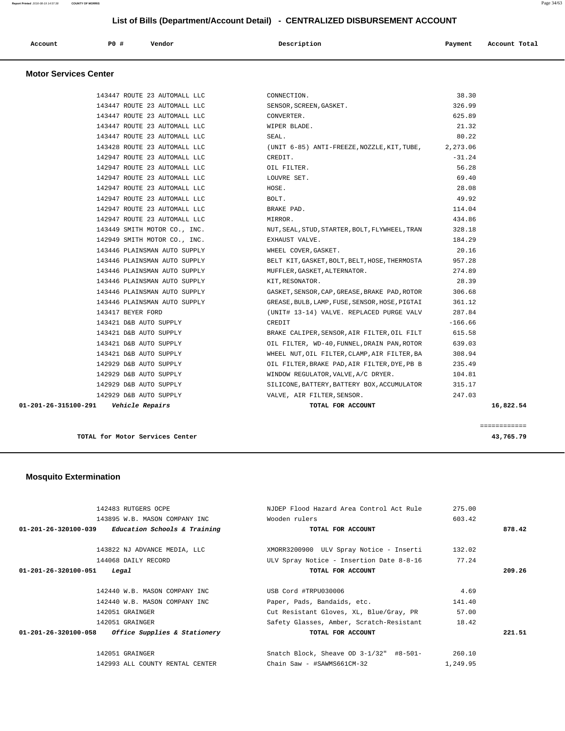| Account | PO# | Vendor | Description | Payment | Account Total<br>. |
|---------|-----|--------|-------------|---------|--------------------|
|         |     |        |             |         |                    |

# **Motor Services Center**

| 01-201-26-315100-291    Vehicle Repairs |                                             | TOTAL FOR ACCOUNT                                                                                                                                                                        | 16,822.54 |
|-----------------------------------------|---------------------------------------------|------------------------------------------------------------------------------------------------------------------------------------------------------------------------------------------|-----------|
|                                         | 142929 D&B AUTO SUPPLY                      | VALVE, AIR FILTER, SENSOR.                                                                                                                                                               | 247.03    |
|                                         | 142929 D&B AUTO SUPPLY                      | SILICONE, BATTERY, BATTERY BOX, ACCUMULATOR                                                                                                                                              | 315.17    |
|                                         | 142929 D&B AUTO SUPPLY                      | WINDOW REGULATOR, VALVE, A/C DRYER.                                                                                                                                                      | 104.81    |
|                                         | 142929 D&B AUTO SUPPLY                      | OIL FILTER, BRAKE PAD, AIR FILTER, DYE, PB B                                                                                                                                             | 235.49    |
|                                         | 143421 D&B AUTO SUPPLY                      | WHEEL NUT, OIL FILTER, CLAMP, AIR FILTER, BA                                                                                                                                             | 308.94    |
|                                         | 143421 D&B AUTO SUPPLY                      | OIL FILTER, WD-40, FUNNEL, DRAIN PAN, ROTOR                                                                                                                                              | 639.03    |
|                                         | 143421 D&B AUTO SUPPLY                      | BRAKE CALIPER, SENSOR, AIR FILTER, OIL FILT 615.58                                                                                                                                       |           |
|                                         | 143421 D&B AUTO SUPPLY                      | CREDIT                                                                                                                                                                                   | $-166.66$ |
|                                         | 143417 BEYER FORD                           | (UNIT# 13-14) VALVE. REPLACED PURGE VALV 287.84                                                                                                                                          |           |
|                                         | 143446 PLAINSMAN AUTO SUPPLY                | GREASE, BULB, LAMP, FUSE, SENSOR, HOSE, PIGTAI                                                                                                                                           | 361.12    |
|                                         | 143446 PLAINSMAN AUTO SUPPLY                | GASKET, SENSOR, CAP, GREASE, BRAKE PAD, ROTOR                                                                                                                                            | 306.68    |
|                                         | 143446 PLAINSMAN AUTO SUPPLY                | KIT, RESONATOR.                                                                                                                                                                          | 28.39     |
|                                         | 143446 PLAINSMAN AUTO SUPPLY                | MUFFLER, GASKET, ALTERNATOR.                                                                                                                                                             | 274.89    |
|                                         | 143446 PLAINSMAN AUTO SUPPLY                | BELT KIT, GASKET, BOLT, BELT, HOSE, THERMOSTA                                                                                                                                            | 957.28    |
|                                         | 143446 PLAINSMAN AUTO SUPPLY                | WHEEL COVER, GASKET.                                                                                                                                                                     | 20.16     |
|                                         | 142949 SMITH MOTOR CO., INC. EXHAUST VALVE. |                                                                                                                                                                                          | 184.29    |
|                                         |                                             | 143449 SMITH MOTOR CO., INC. NUT, SEAL, STUD, STARTER, BOLT, FLYWHEEL, TRAN                                                                                                              | 328.18    |
|                                         | 142947 ROUTE 23 AUTOMALL LLC                | MIRROR.                                                                                                                                                                                  | 434.86    |
|                                         | 142947 ROUTE 23 AUTOMALL LLC BRAKE PAD.     |                                                                                                                                                                                          | 114.04    |
|                                         | 142947 ROUTE 23 AUTOMALL LLC                | BOLT.                                                                                                                                                                                    | 49.92     |
|                                         | 142947 ROUTE 23 AUTOMALL LLC                | HOSE.                                                                                                                                                                                    | 28.08     |
|                                         | 142947 ROUTE 23 AUTOMALL LLC                | LOUVRE SET.                                                                                                                                                                              | 69.40     |
|                                         | 142947 ROUTE 23 AUTOMALL LLC                | OIL FILTER.                                                                                                                                                                              | 56.28     |
|                                         | 142947 ROUTE 23 AUTOMALL LLC                | CREDIT.                                                                                                                                                                                  | $-31.24$  |
|                                         |                                             | 143428 ROUTE 23 AUTOMALL LLC (UNIT 6-85) ANTI-FREEZE, NOZZLE, KIT, TUBE, 2, 273.06                                                                                                       |           |
|                                         | 143447 ROUTE 23 AUTOMALL LLC                | SEAL.                                                                                                                                                                                    | 80.22     |
|                                         |                                             | 143447 ROUTE 23 AUTOMALL LLC CONNECTION.<br>143447 ROUTE 23 AUTOMALL LLC SENSOR, SCREEN, GASKET.<br>143447 ROUTE 23 AUTOMALL LLC CONVERTER.<br>143447 ROUTE 23 AUTOMALL LLC WIPER BLADE. | 21.32     |
|                                         |                                             |                                                                                                                                                                                          | 625.89    |
|                                         |                                             |                                                                                                                                                                                          | 326.99    |
|                                         |                                             |                                                                                                                                                                                          | 38.30     |

**TOTAL for Motor Services Center 43,765.79**

 **Mosquito Extermination** 

| 142483 RUTGERS OCPE                                 | NJDEP Flood Hazard Area Control Act Rule   | 275.00   |        |
|-----------------------------------------------------|--------------------------------------------|----------|--------|
| 143895 W.B. MASON COMPANY INC                       | Wooden rulers                              | 603.42   |        |
| $01-201-26-320100-039$ Education Schools & Training | TOTAL FOR ACCOUNT                          |          | 878.42 |
|                                                     |                                            |          |        |
| 143822 NJ ADVANCE MEDIA, LLC                        | XMORR3200900 ULV Spray Notice - Inserti    | 132.02   |        |
| 144068 DAILY RECORD                                 | ULV Spray Notice - Insertion Date 8-8-16   | 77.24    |        |
| $01 - 201 - 26 - 320100 - 051$<br>Legal             | TOTAL FOR ACCOUNT                          |          | 209.26 |
| 142440 W.B. MASON COMPANY INC                       | USB Cord #TRPU030006                       | 4.69     |        |
| 142440 W.B. MASON COMPANY INC                       | Paper, Pads, Bandaids, etc.                | 141.40   |        |
| 142051 GRAINGER                                     | Cut Resistant Gloves, XL, Blue/Gray, PR    | 57.00    |        |
| 142051 GRAINGER                                     | Safety Glasses, Amber, Scratch-Resistant   | 18.42    |        |
| $01-201-26-320100-058$ Office Supplies & Stationery | TOTAL FOR ACCOUNT                          |          | 221.51 |
| 142051 GRAINGER                                     | Snatch Block, Sheave OD $3-1/32$ " #8-501- | 260.10   |        |
| 142993 ALL COUNTY RENTAL CENTER                     | Chain Saw - #SAWMS661CM-32                 | 1,249.95 |        |
|                                                     |                                            |          |        |

============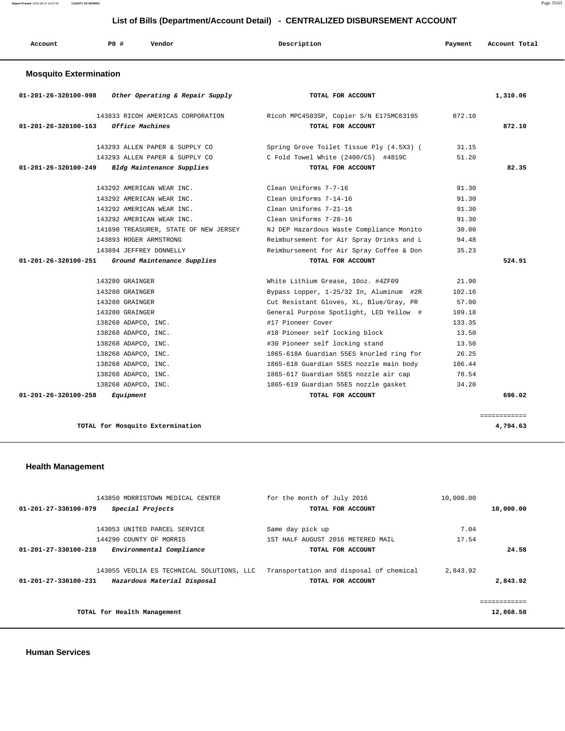| Account                       | PO# | Vendor | Description | Payment | Account Total |
|-------------------------------|-----|--------|-------------|---------|---------------|
| <b>Mosquito Extermination</b> |     |        |             |         |               |

| 01-201-26-320100-098 | Other Operating & Repair Supply                | TOTAL FOR ACCOUNT                        |        | 1,310.06 |
|----------------------|------------------------------------------------|------------------------------------------|--------|----------|
|                      | 143833 RICOH AMERICAS CORPORATION              | Ricoh MPC4503SP, Copier S/N E175MC63195  | 872.10 |          |
| 01-201-26-320100-163 | <i><b>Office Machines</b></i>                  | TOTAL FOR ACCOUNT                        |        | 872.10   |
|                      | 143293 ALLEN PAPER & SUPPLY CO                 | Spring Grove Toilet Tissue Ply (4.5X3) ( | 31.15  |          |
|                      | 143293 ALLEN PAPER & SUPPLY CO                 | C Fold Towel White (2400/CS) #4819C      | 51.20  |          |
|                      | 01-201-26-320100-249 Bldg Maintenance Supplies | TOTAL FOR ACCOUNT                        |        | 82.35    |
|                      | 143292 AMERICAN WEAR INC.                      | Clean Uniforms 7-7-16                    | 91.30  |          |
|                      | 143292 AMERICAN WEAR INC.                      | Clean Uniforms 7-14-16                   | 91.30  |          |
|                      | 143292 AMERICAN WEAR INC.                      | Clean Uniforms 7-21-16                   | 91.30  |          |
|                      | 143292 AMERICAN WEAR INC.                      | Clean Uniforms 7-28-16                   | 91.30  |          |
|                      | 141698 TREASURER, STATE OF NEW JERSEY          | NJ DEP Hazardous Waste Compliance Monito | 30.00  |          |
|                      | 143893 ROGER ARMSTRONG                         | Reimbursement for Air Spray Drinks and L | 94.48  |          |
|                      | 143894 JEFFREY DONNELLY                        | Reimbursement for Air Spray Coffee & Don | 35.23  |          |
| 01-201-26-320100-251 | Ground Maintenance Supplies                    | TOTAL FOR ACCOUNT                        |        | 524.91   |
|                      |                                                |                                          |        |          |
|                      | 143280 GRAINGER                                | White Lithium Grease, 10oz. #4ZF09       | 21.90  |          |
|                      | 143280 GRAINGER                                | Bypass Lopper, 1-25/32 In, Aluminum #2R  | 102.16 |          |
|                      | 143280 GRAINGER                                | Cut Resistant Gloves, XL, Blue/Gray, PR  | 57.00  |          |
|                      | 143280 GRAINGER                                | General Purpose Spotlight, LED Yellow #  | 109.18 |          |
|                      | 138268 ADAPCO, INC.                            | #17 Pioneer Cover                        | 133.35 |          |
|                      | 138268 ADAPCO, INC.                            | #18 Pioneer self locking block           | 13.50  |          |
|                      | 138268 ADAPCO, INC.                            | #30 Pioneer self locking stand           | 13.50  |          |
|                      | 138268 ADAPCO, INC.                            | 1865-618A Guardian 55ES knurled ring for | 26.25  |          |
|                      | 138268 ADAPCO, INC.                            | 1865-618 Guardian 55ES nozzle main body  | 106.44 |          |
|                      | 138268 ADAPCO, INC.                            | 1865-617 Guardian 55ES nozzle air cap    | 78.54  |          |
|                      | 138268 ADAPCO, INC.                            | 1865-619 Guardian 55ES nozzle gasket     | 34.20  |          |
| 01-201-26-320100-258 | Equipment                                      | TOTAL FOR ACCOUNT                        |        | 696.02   |
|                      |                                                |                                          |        |          |

**TOTAL for Mosquito Extermination 4,794.63**

 **Health Management** 

| 143850 MORRISTOWN MEDICAL CENTER                              | for the month of July 2016              | 10,000.00 |           |
|---------------------------------------------------------------|-----------------------------------------|-----------|-----------|
| Special Projects<br>01-201-27-330100-079                      | TOTAL FOR ACCOUNT                       |           | 10,000.00 |
|                                                               |                                         |           |           |
| 143053 UNITED PARCEL SERVICE                                  | Same day pick up                        | 7.04      |           |
| 144290 COUNTY OF MORRIS                                       | 1ST HALF AUGUST 2016 METERED MAIL       | 17.54     |           |
| 01-201-27-330100-210<br>Environmental Compliance              | TOTAL FOR ACCOUNT                       |           | 24.58     |
|                                                               |                                         |           |           |
| 143055 VEOLIA ES TECHNICAL SOLUTIONS, LLC                     | Transportation and disposal of chemical | 2,843.92  |           |
| Hazardous Material Disposal<br>$01 - 201 - 27 - 330100 - 231$ | TOTAL FOR ACCOUNT                       |           | 2,843.92  |
|                                                               |                                         |           |           |
|                                                               |                                         |           |           |
| TOTAL for Health Management                                   |                                         |           | 12,868.50 |
|                                                               |                                         |           |           |

============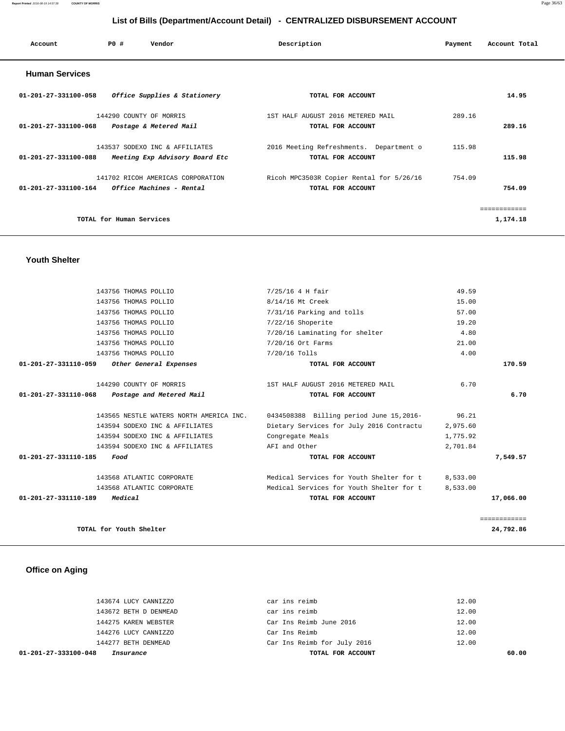**Report Printed** 2016-08-19 14:57:38 **COUNTY OF MORRIS** Page 36/63

# **List of Bills (Department/Account Detail) - CENTRALIZED DISBURSEMENT ACCOUNT**

| Account                        | PO#                      | Vendor                            | Description                              | Payment | Account Total |
|--------------------------------|--------------------------|-----------------------------------|------------------------------------------|---------|---------------|
| <b>Human Services</b>          |                          |                                   |                                          |         |               |
| 01-201-27-331100-058           |                          | Office Supplies & Stationery      | TOTAL FOR ACCOUNT                        |         | 14.95         |
|                                |                          | 144290 COUNTY OF MORRIS           | 1ST HALF AUGUST 2016 METERED MAIL        | 289.16  |               |
| 01-201-27-331100-068           |                          | Postage & Metered Mail            | TOTAL FOR ACCOUNT                        |         | 289.16        |
|                                |                          | 143537 SODEXO INC & AFFILIATES    | 2016 Meeting Refreshments. Department o  | 115.98  |               |
| 01-201-27-331100-088           |                          | Meeting Exp Advisory Board Etc    | TOTAL FOR ACCOUNT                        |         | 115.98        |
|                                |                          | 141702 RICOH AMERICAS CORPORATION | Ricoh MPC3503R Copier Rental for 5/26/16 | 754.09  |               |
| $01 - 201 - 27 - 331100 - 164$ |                          | Office Machines - Rental          | TOTAL FOR ACCOUNT                        |         | 754.09        |
|                                |                          |                                   |                                          |         | ============  |
|                                | TOTAL for Human Services |                                   |                                          |         | 1,174.18      |
|                                |                          |                                   |                                          |         |               |

## **Youth Shelter**

| 143756 THOMAS POLLIO                                       | 7/25/16 4 H fair                         | 49.59    |              |
|------------------------------------------------------------|------------------------------------------|----------|--------------|
| 143756 THOMAS POLLIO                                       | 8/14/16 Mt Creek                         | 15.00    |              |
| 143756 THOMAS POLLIO                                       | 7/31/16 Parking and tolls                | 57.00    |              |
| 143756 THOMAS POLLIO                                       | $7/22/16$ Shoperite                      | 19.20    |              |
| 143756 THOMAS POLLIO                                       | 7/20/16 Laminating for shelter           | 4.80     |              |
| 143756 THOMAS POLLIO                                       | 7/20/16 Ort Farms                        | 21.00    |              |
| 143756 THOMAS POLLIO                                       | 7/20/16 Tolls                            | 4.00     |              |
| 01-201-27-331110-059<br>Other General Expenses             | TOTAL FOR ACCOUNT                        |          | 170.59       |
| 144290 COUNTY OF MORRIS                                    | 1ST HALF AUGUST 2016 METERED MAIL        | 6.70     |              |
| $01 - 201 - 27 - 331110 - 068$<br>Postage and Metered Mail | TOTAL FOR ACCOUNT                        |          | 6.70         |
| 143565 NESTLE WATERS NORTH AMERICA INC.                    | 0434508388 Billing period June 15,2016-  | 96.21    |              |
| 143594 SODEXO INC & AFFILIATES                             | Dietary Services for July 2016 Contractu | 2,975.60 |              |
| 143594 SODEXO INC & AFFILIATES                             | Congregate Meals                         | 1,775.92 |              |
| 143594 SODEXO INC & AFFILIATES                             | AFI and Other                            | 2,701.84 |              |
| 01-201-27-331110-185<br>Food                               | TOTAL FOR ACCOUNT                        |          | 7,549.57     |
| 143568 ATLANTIC CORPORATE                                  | Medical Services for Youth Shelter for t | 8,533.00 |              |
| 143568 ATLANTIC CORPORATE                                  | Medical Services for Youth Shelter for t | 8,533.00 |              |
| $01 - 201 - 27 - 331110 - 189$<br>Medical                  | TOTAL FOR ACCOUNT                        |          | 17,066.00    |
|                                                            |                                          |          | ============ |
| TOTAL for Youth Shelter                                    |                                          |          | 24,792.86    |

# **Office on Aging**

| 01-201-27-333100-048<br>Insurance | TOTAL FOR ACCOUNT           | 60.00 |
|-----------------------------------|-----------------------------|-------|
| 144277 BETH DENMEAD               | Car Ins Reimb for July 2016 | 12.00 |
| 144276 LUCY CANNIZZO              | Car Ins Reimb               | 12.00 |
| 144275 KAREN WEBSTER              | Car Ins Reimb June 2016     | 12.00 |
| 143672 BETH D DENMEAD             | car ins reimb               | 12.00 |
| 143674 LUCY CANNIZZO              | car ins reimb               | 12.00 |
|                                   |                             |       |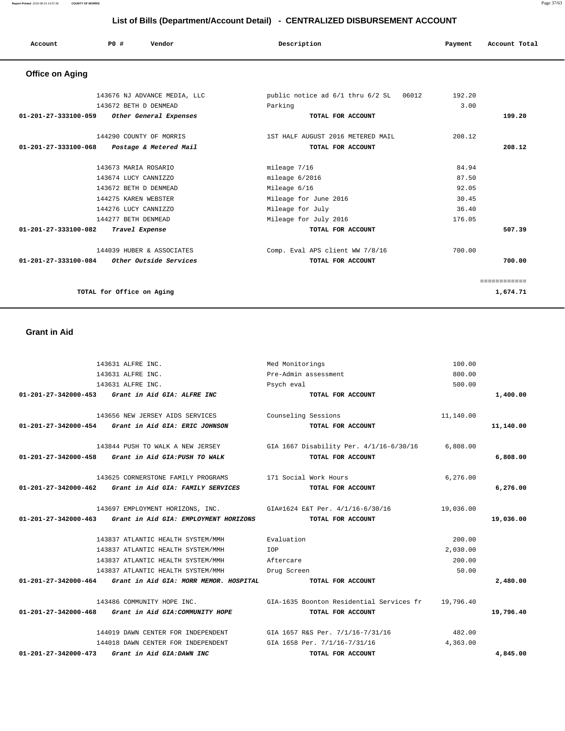**01-201-27-342000-454 Grant in Aid GIA: ERIC JOHNSON TOTAL FOR ACCOUNT 11,140.00** 143844 PUSH TO WALK A NEW JERSEY GIA 1667 Disability Per. 4/1/16-6/30/16 6,808.00  **01-201-27-342000-458 Grant in Aid GIA:PUSH TO WALK TOTAL FOR ACCOUNT 6,808.00** 143625 CORNERSTONE FAMILY PROGRAMS 171 Social Work Hours 6,276.00  **01-201-27-342000-462 Grant in Aid GIA: FAMILY SERVICES TOTAL FOR ACCOUNT 6,276.00** 143697 EMPLOYMENT HORIZONS, INC. GIA#1624 E&T Per. 4/1/16-6/30/16 19,036.00  **01-201-27-342000-463 Grant in Aid GIA: EMPLOYMENT HORIZONS TOTAL FOR ACCOUNT 19,036.00** 143837 ATLANTIC HEALTH SYSTEM/MMH Evaluation 200.00 143837 ATLANTIC HEALTH SYSTEM/MMH IOP 2,030.00 143837 ATLANTIC HEALTH SYSTEM/MMH Aftercare 200.00 143837 ATLANTIC HEALTH SYSTEM/MMH Drug Screen 50.00  **01-201-27-342000-464 Grant in Aid GIA: MORR MEMOR. HOSPITAL TOTAL FOR ACCOUNT 2,480.00** 143486 COMMUNITY HOPE INC. GIA-1635 Boonton Residential Services fr 19,796.40  **01-201-27-342000-468 Grant in Aid GIA:COMMUNITY HOPE TOTAL FOR ACCOUNT 19,796.40** 144019 DAWN CENTER FOR INDEPENDENT GIA 1657 R&S Per. 7/1/16-7/31/16 482.00 144018 DAWN CENTER FOR INDEPENDENT GIA 1658 Per. 7/1/16-7/31/16 4,363.00  **01-201-27-342000-473 Grant in Aid GIA:DAWN INC TOTAL FOR ACCOUNT 4,845.00**

### **Grant in Aid**

| <b>Office on Aging</b>                                   |                                        |        |              |
|----------------------------------------------------------|----------------------------------------|--------|--------------|
| 143676 NJ ADVANCE MEDIA, LLC                             | public notice ad 6/1 thru 6/2 SL 06012 | 192.20 |              |
| 143672 BETH D DENMEAD                                    | Parking                                | 3.00   |              |
| 01-201-27-333100-059<br>Other General Expenses           | TOTAL FOR ACCOUNT                      |        | 199.20       |
| 144290 COUNTY OF MORRIS                                  | 1ST HALF AUGUST 2016 METERED MAIL      | 208.12 |              |
| $01 - 201 - 27 - 333100 - 068$<br>Postage & Metered Mail | TOTAL FOR ACCOUNT                      |        | 208.12       |
| 143673 MARIA ROSARIO                                     | mileage 7/16                           | 84.94  |              |
| 143674 LUCY CANNIZZO                                     | mileage 6/2016                         | 87.50  |              |
| 143672 BETH D DENMEAD                                    | Mileage 6/16                           | 92.05  |              |
| 144275 KAREN WEBSTER                                     | Mileage for June 2016                  | 30.45  |              |
| 144276 LUCY CANNIZZO                                     | Mileage for July                       | 36.40  |              |
| 144277 BETH DENMEAD                                      | Mileage for July 2016                  | 176.05 |              |
| $01 - 201 - 27 - 333100 - 082$<br>Travel Expense         | TOTAL FOR ACCOUNT                      |        | 507.39       |
| 144039 HUBER & ASSOCIATES                                | Comp. Eval APS client WW 7/8/16        | 700.00 |              |
| 01-201-27-333100-084<br>Other Outside Services           | TOTAL FOR ACCOUNT                      |        | 700.00       |
|                                                          |                                        |        | ============ |
| TOTAL for Office on Aging                                |                                        |        | 1,674.71     |

 143631 ALFRE INC. Med Monitorings 100.00 143631 ALFRE INC. Pre-Admin assessment 800.00 143631 ALFRE INC. Psych eval 500.00  **01-201-27-342000-453 Grant in Aid GIA: ALFRE INC TOTAL FOR ACCOUNT 1,400.00**

143656 NEW JERSEY AIDS SERVICES Counseling Sessions 11,140.00

# **List of Bills (Department/Account Detail) - CENTRALIZED DISBURSEMENT ACCOUNT**

 **Account P0 # Vendor Description Payment Account Total**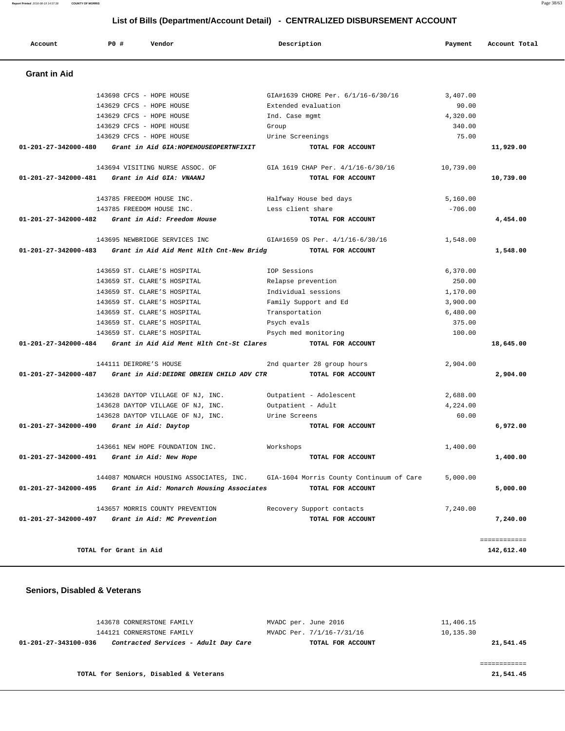**Report Printed** 2016-08-19 14:57:38 **COUNTY OF MORRIS** Page 38/63

# **List of Bills (Department/Account Detail) - CENTRALIZED DISBURSEMENT ACCOUNT**

| Account              | <b>PO #</b>            | Vendor                                    |                | Description                              | Payment   | Account Total              |
|----------------------|------------------------|-------------------------------------------|----------------|------------------------------------------|-----------|----------------------------|
| <b>Grant in Aid</b>  |                        |                                           |                |                                          |           |                            |
|                      |                        | 143698 CFCS - HOPE HOUSE                  |                | GIA#1639 CHORE Per. 6/1/16-6/30/16       | 3,407.00  |                            |
|                      |                        | 143629 CFCS - HOPE HOUSE                  |                | Extended evaluation                      | 90.00     |                            |
|                      |                        | 143629 CFCS - HOPE HOUSE                  | Ind. Case mgmt |                                          | 4,320.00  |                            |
|                      |                        | 143629 CFCS - HOPE HOUSE                  | Group          |                                          | 340.00    |                            |
|                      |                        | 143629 CFCS - HOPE HOUSE                  |                | Urine Screenings                         | 75.00     |                            |
| 01-201-27-342000-480 |                        | Grant in Aid GIA: HOPEHOUSEOPERTNFIXIT    |                | TOTAL FOR ACCOUNT                        |           | 11,929.00                  |
|                      |                        | 143694 VISITING NURSE ASSOC. OF           |                | GIA 1619 CHAP Per. 4/1/16-6/30/16        | 10,739.00 |                            |
| 01-201-27-342000-481 |                        | Grant in Aid GIA: VNAANJ                  |                | TOTAL FOR ACCOUNT                        |           | 10,739.00                  |
|                      |                        | 143785 FREEDOM HOUSE INC.                 |                | Halfway House bed days                   | 5,160.00  |                            |
|                      |                        | 143785 FREEDOM HOUSE INC.                 |                | Less client share                        | $-706.00$ |                            |
| 01-201-27-342000-482 |                        | Grant in Aid: Freedom House               |                | TOTAL FOR ACCOUNT                        |           | 4,454.00                   |
|                      |                        | 143695 NEWBRIDGE SERVICES INC             |                | GIA#1659 OS Per. 4/1/16-6/30/16          | 1,548.00  |                            |
| 01-201-27-342000-483 |                        | Grant in Aid Aid Ment Hlth Cnt-New Bridg  |                | TOTAL FOR ACCOUNT                        |           | 1,548.00                   |
|                      |                        | 143659 ST. CLARE'S HOSPITAL               | IOP Sessions   |                                          | 6,370.00  |                            |
|                      |                        | 143659 ST. CLARE'S HOSPITAL               |                | Relapse prevention                       | 250.00    |                            |
|                      |                        | 143659 ST. CLARE'S HOSPITAL               |                | Individual sessions                      | 1,170.00  |                            |
|                      |                        | 143659 ST. CLARE'S HOSPITAL               |                | Family Support and Ed                    | 3,900.00  |                            |
|                      |                        | 143659 ST. CLARE'S HOSPITAL               | Transportation |                                          | 6,480.00  |                            |
|                      |                        | 143659 ST. CLARE'S HOSPITAL               | Psych evals    |                                          | 375.00    |                            |
|                      |                        | 143659 ST. CLARE'S HOSPITAL               |                | Psych med monitoring                     | 100.00    |                            |
| 01-201-27-342000-484 |                        | Grant in Aid Aid Ment Hlth Cnt-St Clares  |                | TOTAL FOR ACCOUNT                        |           | 18,645.00                  |
|                      | 144111 DEIRDRE'S HOUSE |                                           |                | 2nd quarter 28 group hours               | 2,904.00  |                            |
| 01-201-27-342000-487 |                        | Grant in Aid: DEIDRE OBRIEN CHILD ADV CTR |                | TOTAL FOR ACCOUNT                        |           | 2,904.00                   |
|                      |                        | 143628 DAYTOP VILLAGE OF NJ, INC.         |                | Outpatient - Adolescent                  | 2,688.00  |                            |
|                      |                        | 143628 DAYTOP VILLAGE OF NJ, INC.         |                | Outpatient - Adult                       | 4,224.00  |                            |
|                      |                        | 143628 DAYTOP VILLAGE OF NJ, INC.         | Urine Screens  |                                          | 60.00     |                            |
| 01-201-27-342000-490 |                        | Grant in Aid: Daytop                      |                | TOTAL FOR ACCOUNT                        |           | 6,972.00                   |
|                      |                        | 143661 NEW HOPE FOUNDATION INC.           | Workshops      |                                          | 1,400.00  |                            |
| 01-201-27-342000-491 |                        | Grant in Aid: New Hope                    |                | TOTAL FOR ACCOUNT                        |           | 1,400.00                   |
|                      |                        | 144087 MONARCH HOUSING ASSOCIATES, INC.   |                | GIA-1604 Morris County Continuum of Care | 5,000.00  |                            |
| 01-201-27-342000-495 |                        | Grant in Aid: Monarch Housing Associates  |                | TOTAL FOR ACCOUNT                        |           | 5,000.00                   |
|                      |                        | 143657 MORRIS COUNTY PREVENTION           |                | Recovery Support contacts                | 7,240.00  |                            |
| 01-201-27-342000-497 |                        | Grant in Aid: MC Prevention               |                | TOTAL FOR ACCOUNT                        |           | 7,240.00                   |
|                      | TOTAL for Grant in Aid |                                           |                |                                          |           | ------------<br>142,612.40 |
|                      |                        |                                           |                |                                          |           |                            |

## **Seniors, Disabled & Veterans**

| 143678 CORNERSTONE FAMILY                                    | MVADC per. June 2016      | 11,406.15 |
|--------------------------------------------------------------|---------------------------|-----------|
| 144121 CORNERSTONE FAMILY                                    | MVADC Per. 7/1/16-7/31/16 | 10,135.30 |
| Contracted Services - Adult Day Care<br>01-201-27-343100-036 | TOTAL FOR ACCOUNT         | 21,541.45 |
|                                                              |                           |           |
|                                                              |                           |           |
| TOTAL for Seniors, Disabled & Veterans                       |                           | 21,541.45 |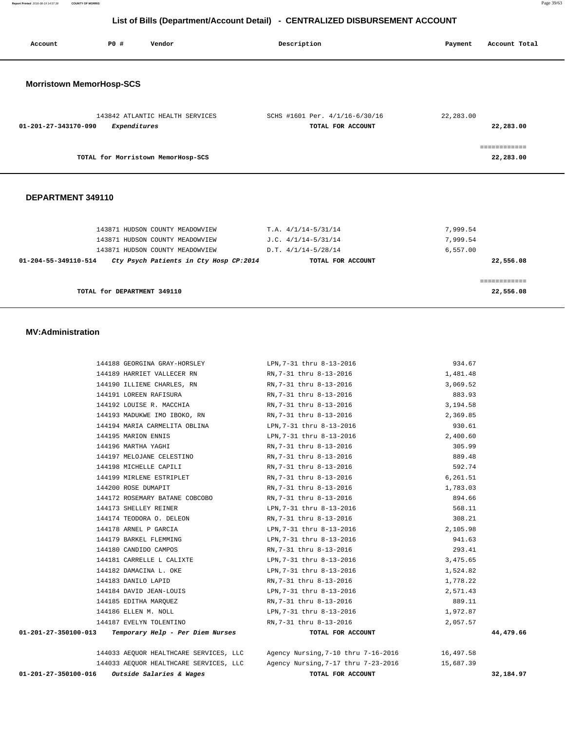**Report Printed** 2016-08-19 14:57:38 **COUNTY OF MORRIS** Page 39/63

# **List of Bills (Department/Account Detail) - CENTRALIZED DISBURSEMENT ACCOUNT**

| Account                         | PO#          | Vendor                                 | Description                                         | Payment   | Account Total             |
|---------------------------------|--------------|----------------------------------------|-----------------------------------------------------|-----------|---------------------------|
| <b>Morristown MemorHosp-SCS</b> |              |                                        |                                                     |           |                           |
| $01 - 201 - 27 - 343170 - 090$  | Expenditures | 143842 ATLANTIC HEALTH SERVICES        | SCHS #1601 Per. 4/1/16-6/30/16<br>TOTAL FOR ACCOUNT | 22,283.00 | 22,283.00                 |
|                                 |              | TOTAL for Morristown MemorHosp-SCS     |                                                     |           | ============<br>22,283.00 |
| DEPARTMENT 349110               |              |                                        |                                                     |           |                           |
|                                 |              | 143871 HUDSON COUNTY MEADOWVIEW        | $T.A. 4/1/14-5/31/14$                               | 7,999.54  |                           |
|                                 |              | 143871 HUDSON COUNTY MEADOWVIEW        | $J.C. 4/1/14-5/31/14$                               | 7,999.54  |                           |
|                                 |              | 143871 HUDSON COUNTY MEADOWVIEW        | $D.T. 4/1/14-5/28/14$                               | 6,557.00  |                           |
| 01-204-55-349110-514            |              | Cty Psych Patients in Cty Hosp CP:2014 | TOTAL FOR ACCOUNT                                   |           | 22,556.08                 |
|                                 |              |                                        |                                                     |           | ============              |

**TOTAL for DEPARTMENT 349110 22,556.08**

### **MV:Administration**

|                                                         | 144033 AEOUOR HEALTHCARE SERVICES, LLC agency Nursing 7-10 thru 7-16-2016 6 16.497.58 |           |
|---------------------------------------------------------|---------------------------------------------------------------------------------------|-----------|
| $01-201-27-350100-013$ Temporary Help - Per Diem Nurses | TOTAL FOR ACCOUNT                                                                     | 44,479.66 |
| 144187 EVELYN TOLENTINO                                 | RN,7-31 thru 8-13-2016                                                                | 2,057.57  |
| 144186 ELLEN M. NOLL                                    | LPN, 7-31 thru 8-13-2016                                                              | 1,972.87  |
| 144185 EDITHA MARQUEZ                                   | RN, 7-31 thru 8-13-2016                                                               | 889.11    |
| 144184 DAVID JEAN-LOUIS                                 | LPN,7-31 thru 8-13-2016                                                               | 2,571.43  |
| 144183 DANILO LAPID                                     | RN,7-31 thru 8-13-2016                                                                | 1,778.22  |
| 144182 DAMACINA L. OKE                                  | LPN,7-31 thru 8-13-2016                                                               | 1,524.82  |
|                                                         | 144181 CARRELLE L CALIXTE <b>144181</b> CARRELLE LPN, 7-31 thru 8-13-2016             | 3,475.65  |
| 144180 CANDIDO CAMPOS                                   | RN,7-31 thru 8-13-2016                                                                | 293.41    |
| 144179 BARKEL FLEMMING                                  | LPN, 7-31 thru 8-13-2016                                                              | 941.63    |
|                                                         | 144178 ARNEL P GARCIA CHARGE LEN, 7-31 thru 8-13-2016                                 | 2,105.98  |
| 144174 TEODORA O. DELEON                                | RN,7-31 thru 8-13-2016                                                                | 308.21    |
| 144173 SHELLEY REINER                                   | LPN, 7-31 thru 8-13-2016                                                              | 568.11    |
|                                                         | 144172 ROSEMARY BATANE COBCOBO RN, 7-31 thru 8-13-2016                                | 894.66    |
| 144200 ROSE DUMAPIT                                     | RN,7-31 thru 8-13-2016                                                                | 1,783.03  |
|                                                         | 144199 MIRLENE ESTRIPLET RN, 7-31 thru 8-13-2016                                      | 6,261.51  |
|                                                         | 144198 MICHELLE CAPILI RN, 7-31 thru 8-13-2016                                        | 592.74    |
| 144197 MELOJANE CELESTINO                               | RN,7-31 thru 8-13-2016                                                                | 889.48    |
| 144196 MARTHA YAGHI                                     | RN,7-31 thru 8-13-2016                                                                | 305.99    |
| 144195 MARION ENNIS                                     | LPN,7-31 thru 8-13-2016                                                               | 2,400.60  |
|                                                         | 144194 MARIA CARMELITA OBLINA LPN, 7-31 thru 8-13-2016                                | 930.61    |
|                                                         | 144193 MADUKWE IMO IBOKO, RN RN, 7-31 thru 8-13-2016                                  | 2,369.85  |
| 144192 LOUISE R. MACCHIA                                | RN,7-31 thru 8-13-2016                                                                | 3,194.58  |
|                                                         | 144191 LOREEN RAFISURA NO RN, 7-31 thru 8-13-2016                                     | 883.93    |
|                                                         | 144190 ILLIENE CHARLES, RN RN, 7-31 thru 8-13-2016                                    | 3,069.52  |
| 144189 HARRIET VALLECER RN                              | RN,7-31 thru 8-13-2016                                                                | 1,481.48  |
|                                                         | 144188 GEORGINA GRAY-HORSLEY LPN, 7-31 thru 8-13-2016                                 | 934.67    |

| 01-201-27-350100-016 | <i>Outside Salaries &amp; Wages</i>    | TOTAL FOR ACCOUNT                                |           | 32,184.97 |
|----------------------|----------------------------------------|--------------------------------------------------|-----------|-----------|
|                      | 144033 AEOUOR HEALTHCARE SERVICES, LLC | Agency Nursing, 7-17 thru 7-23-2016              | 15,687.39 |           |
|                      | 144033 ABOUOR HEALINCARE SERVICES, LLC | $A$ gency Nursing, $I = 10$ thru $I = 10 - 2010$ | 10,497.58 |           |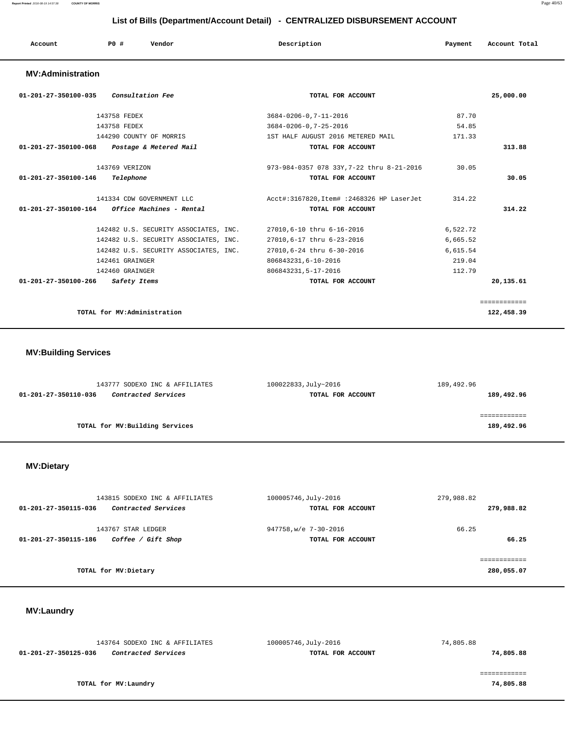**Report Printed** 2016-08-19 14:57:38 **COUNTY OF MORRIS** Page 40/63

# **List of Bills (Department/Account Detail) - CENTRALIZED DISBURSEMENT ACCOUNT**

| Account<br>. | PO# | Vendor | Description | Payment | Account Total |
|--------------|-----|--------|-------------|---------|---------------|
|              |     |        |             |         |               |

## **MV:Administration**

| <i>Consultation Fee</i><br>01-201-27-350100-035         | TOTAL FOR ACCOUNT                         |          | 25,000.00   |
|---------------------------------------------------------|-------------------------------------------|----------|-------------|
| 143758 FEDEX                                            | 3684-0206-0, 7-11-2016                    | 87.70    |             |
| 143758 FEDEX                                            | 3684-0206-0, 7-25-2016                    | 54.85    |             |
| 144290 COUNTY OF MORRIS                                 | 1ST HALF AUGUST 2016 METERED MAIL         | 171.33   |             |
| 01-201-27-350100-068<br>Postage & Metered Mail          | TOTAL FOR ACCOUNT                         |          | 313.88      |
| 143769 VERIZON                                          | 973-984-0357 078 33Y, 7-22 thru 8-21-2016 | 30.05    |             |
| $01 - 201 - 27 - 350100 - 146$<br>Telephone             | TOTAL FOR ACCOUNT                         |          | 30.05       |
| 141334 CDW GOVERNMENT LLC                               | Acct#:3167820,Item# :2468326 HP LaserJet  | 314.22   |             |
| 01-201-27-350100-164<br><i>Office Machines - Rental</i> | TOTAL FOR ACCOUNT                         |          | 314.22      |
| 142482 U.S. SECURITY ASSOCIATES, INC.                   | 27010,6-10 thru 6-16-2016                 | 6,522.72 |             |
| 142482 U.S. SECURITY ASSOCIATES, INC.                   | 27010,6-17 thru 6-23-2016                 | 6,665.52 |             |
| 142482 U.S. SECURITY ASSOCIATES, INC.                   | 27010,6-24 thru 6-30-2016                 | 6,615.54 |             |
| 142461 GRAINGER                                         | 806843231,6-10-2016                       | 219.04   |             |
| 142460 GRAINGER                                         | 806843231,5-17-2016                       | 112.79   |             |
| 01-201-27-350100-266<br>Safety Items                    | TOTAL FOR ACCOUNT                         |          | 20,135.61   |
|                                                         |                                           |          | =========== |
| TOTAL for MV:Administration                             |                                           |          | 122,458.39  |

# **MV:Building Services**

| 143777 SODEXO INC & AFFILIATES                     | 100022833, July~2016 | 189,492.96 |
|----------------------------------------------------|----------------------|------------|
| <i>Contracted Services</i><br>01-201-27-350110-036 | TOTAL FOR ACCOUNT    | 189,492.96 |
|                                                    |                      |            |
|                                                    |                      |            |
| TOTAL for MV: Building Services                    |                      | 189,492.96 |
|                                                    |                      |            |

# **MV:Dietary**

| 143815 SODEXO INC & AFFILIATES              | 100005746, July-2016  | 279,988.82 |
|---------------------------------------------|-----------------------|------------|
| Contracted Services<br>01-201-27-350115-036 | TOTAL FOR ACCOUNT     | 279,988.82 |
| 143767 STAR LEDGER                          | 947758, w/e 7-30-2016 | 66.25      |
| Coffee / Gift Shop<br>01-201-27-350115-186  | TOTAL FOR ACCOUNT     | 66.25      |
|                                             |                       |            |
| TOTAL for MV: Dietary                       |                       | 280,055.07 |

# **MV:Laundry**

| 143764 SODEXO INC & AFFILIATES                     | 100005746, July-2016 | 74,805.88 |
|----------------------------------------------------|----------------------|-----------|
| 01-201-27-350125-036<br><i>Contracted Services</i> | TOTAL FOR ACCOUNT    | 74,805.88 |
|                                                    |                      |           |
|                                                    |                      |           |
| TOTAL for MV:Laundry                               |                      | 74,805.88 |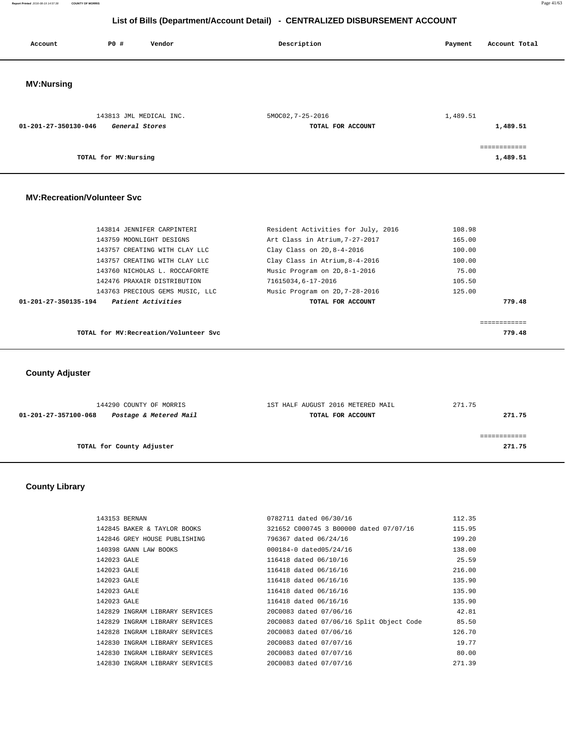**Report Printed** 2016-08-19 14:57:38 **COUNTY OF MORRIS** Page 41/63

## **List of Bills (Department/Account Detail) - CENTRALIZED DISBURSEMENT ACCOUNT**

| Account                            | PO#                   | Vendor                        | Description                        | Account Total<br>Payment |
|------------------------------------|-----------------------|-------------------------------|------------------------------------|--------------------------|
| <b>MV:Nursing</b>                  |                       |                               |                                    |                          |
|                                    |                       | 143813 JML MEDICAL INC.       | 5MOC02, 7-25-2016                  | 1,489.51                 |
| 01-201-27-350130-046               | General Stores        |                               | TOTAL FOR ACCOUNT                  | 1,489.51                 |
|                                    |                       |                               |                                    | ============             |
|                                    | TOTAL for MV: Nursing |                               |                                    | 1,489.51                 |
| <b>MV:Recreation/Volunteer Svc</b> |                       |                               |                                    |                          |
|                                    |                       | 143814 JENNIFER CARPINTERI    | Resident Activities for July, 2016 | 108.98                   |
|                                    |                       | 143759 MOONLIGHT DESIGNS      | Art Class in Atrium, 7-27-2017     | 165.00                   |
|                                    |                       | 143757 CREATING WITH CLAY LLC | Clay Class on $2D, 8-4-2016$       | 100.00                   |
|                                    |                       | 143757 CREATING WITH CLAY LLC | Clay Class in Atrium, 8-4-2016     | 100.00                   |

 143763 PRECIOUS GEMS MUSIC, LLC Music Program on 2D,7-28-2016 125.00  **01-201-27-350135-194 Patient Activities TOTAL FOR ACCOUNT 779.48** ============ **TOTAL for MV:Recreation/Volunteer Svc 779.48**

 143760 NICHOLAS L. ROCCAFORTE Music Program on 2D,8-1-2016 75.00 142476 PRAXAIR DISTRIBUTION 71615034,6-17-2016 105.50

 **County Adjuster** 

| 144290 COUNTY OF MORRIS                        | 1ST HALF AUGUST 2016 METERED MAIL | 271.75 |
|------------------------------------------------|-----------------------------------|--------|
| Postage & Metered Mail<br>01-201-27-357100-068 | TOTAL FOR ACCOUNT                 | 271.75 |
|                                                |                                   |        |
|                                                |                                   |        |
| TOTAL for County Adjuster                      |                                   | 271.75 |
|                                                |                                   |        |

### **County Library**

| 143153 BERNAN                  | 0782711 dated 06/30/16                   | 112.35 |
|--------------------------------|------------------------------------------|--------|
| 142845 BAKER & TAYLOR BOOKS    | 321652 C000745 3 B00000 dated 07/07/16   | 115.95 |
| 142846 GREY HOUSE PUBLISHING   | 796367 dated 06/24/16                    | 199.20 |
| 140398 GANN LAW BOOKS          | 000184-0 dated05/24/16                   | 138.00 |
| 142023 GALE                    | 116418 dated 06/10/16                    | 25.59  |
| 142023 GALE                    | 116418 dated 06/16/16                    | 216.00 |
| 142023 GALE                    | 116418 dated 06/16/16                    | 135.90 |
| 142023 GALE                    | 116418 dated 06/16/16                    | 135.90 |
| 142023 GALE                    | 116418 dated 06/16/16                    | 135.90 |
| 142829 INGRAM LIBRARY SERVICES | 20C0083 dated 07/06/16                   | 42.81  |
| 142829 INGRAM LIBRARY SERVICES | 20C0083 dated 07/06/16 Split Object Code | 85.50  |
| 142828 INGRAM LIBRARY SERVICES | 20C0083 dated 07/06/16                   | 126.70 |
| 142830 INGRAM LIBRARY SERVICES | 20C0083 dated 07/07/16                   | 19.77  |
| 142830 INGRAM LIBRARY SERVICES | 20C0083 dated 07/07/16                   | 80.00  |
| 142830 INGRAM LIBRARY SERVICES | 20C0083 dated 07/07/16                   | 271.39 |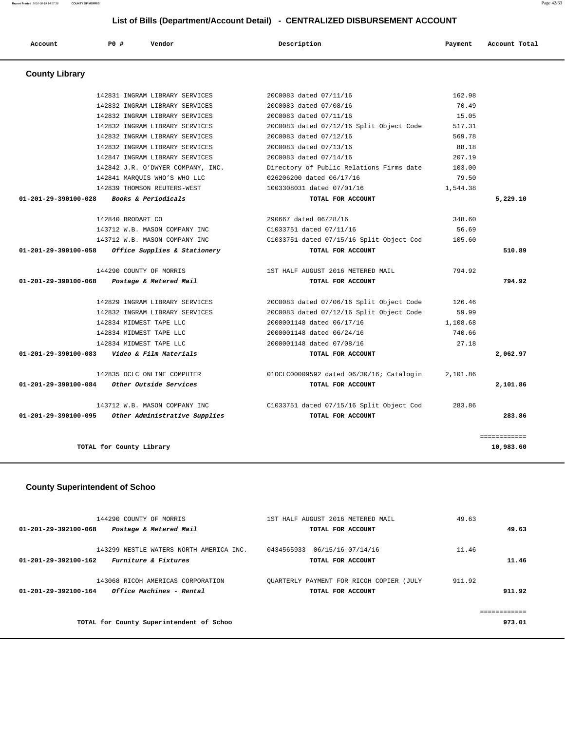| <b>County Library</b> |                                                    |                                                 |          |              |
|-----------------------|----------------------------------------------------|-------------------------------------------------|----------|--------------|
|                       | 142831 INGRAM LIBRARY SERVICES                     | 20C0083 dated 07/11/16                          | 162.98   |              |
|                       | 142832 INGRAM LIBRARY SERVICES                     | 20C0083 dated 07/08/16                          | 70.49    |              |
|                       | 142832 INGRAM LIBRARY SERVICES                     | 20C0083 dated 07/11/16                          | 15.05    |              |
|                       | 142832 INGRAM LIBRARY SERVICES                     | 20C0083 dated 07/12/16 Split Object Code        | 517.31   |              |
|                       | 142832 INGRAM LIBRARY SERVICES                     | 20C0083 dated 07/12/16                          | 569.78   |              |
|                       | 142832 INGRAM LIBRARY SERVICES                     | 20C0083 dated 07/13/16                          | 88.18    |              |
|                       | 142847 INGRAM LIBRARY SERVICES                     | 20C0083 dated 07/14/16                          | 207.19   |              |
|                       | 142842 J.R. O'DWYER COMPANY, INC.                  | Directory of Public Relations Firms date 103.00 |          |              |
|                       | 142841 MARQUIS WHO'S WHO LLC                       | 026206200 dated 06/17/16                        | 79.50    |              |
|                       | 142839 THOMSON REUTERS-WEST                        | 1003308031 dated 07/01/16                       | 1,544.38 |              |
| 01-201-29-390100-028  | Books & Periodicals                                | TOTAL FOR ACCOUNT                               |          | 5,229.10     |
|                       | 142840 BRODART CO                                  | 290667 dated 06/28/16                           | 348.60   |              |
|                       | 143712 W.B. MASON COMPANY INC                      | C1033751 dated 07/11/16                         | 56.69    |              |
|                       | 143712 W.B. MASON COMPANY INC                      | C1033751 dated 07/15/16 Split Object Cod        | 105.60   |              |
| 01-201-29-390100-058  | Office Supplies & Stationery                       | TOTAL FOR ACCOUNT                               |          | 510.89       |
|                       | 144290 COUNTY OF MORRIS                            | 1ST HALF AUGUST 2016 METERED MAIL               | 794.92   |              |
| 01-201-29-390100-068  | Postage & Metered Mail                             | TOTAL FOR ACCOUNT                               |          | 794.92       |
|                       | 142829 INGRAM LIBRARY SERVICES                     | 20C0083 dated 07/06/16 Split Object Code        | 126.46   |              |
|                       | 142832 INGRAM LIBRARY SERVICES                     | 20C0083 dated 07/12/16 Split Object Code        | 59.99    |              |
|                       | 142834 MIDWEST TAPE LLC                            | 2000001148 dated 06/17/16                       | 1,108.68 |              |
|                       | 142834 MIDWEST TAPE LLC                            | 2000001148 dated 06/24/16                       | 740.66   |              |
|                       | 142834 MIDWEST TAPE LLC                            | 2000001148 dated 07/08/16                       | 27.18    |              |
|                       | $01-201-29-390100-083$ Video & Film Materials      | TOTAL FOR ACCOUNT                               |          | 2,062.97     |
|                       | 142835 OCLC ONLINE COMPUTER                        | 010CLC00009592 dated 06/30/16; Catalogin        | 2,101.86 |              |
|                       | 01-201-29-390100-084     Other Outside Services    | TOTAL FOR ACCOUNT                               |          | 2,101.86     |
|                       | 143712 W.B. MASON COMPANY INC                      | C1033751 dated 07/15/16 Split Object Cod        | 283.86   |              |
|                       | 01-201-29-390100-095 Other Administrative Supplies | TOTAL FOR ACCOUNT                               |          | 283.86       |
|                       |                                                    |                                                 |          | ============ |
|                       | TOTAL for County Library                           |                                                 |          | 10,983.60    |

## **County Superintendent of Schoo**

| 144290 COUNTY OF MORRIS                                 | 1ST HALF AUGUST 2016 METERED MAIL        | 49.63  |
|---------------------------------------------------------|------------------------------------------|--------|
| 01-201-29-392100-068<br>Postage & Metered Mail          | TOTAL FOR ACCOUNT                        | 49.63  |
|                                                         |                                          |        |
| 143299 NESTLE WATERS NORTH AMERICA INC.                 | 0434565933<br>06/15/16-07/14/16          | 11.46  |
| <i>Furniture &amp; Fixtures</i><br>01-201-29-392100-162 | TOTAL FOR ACCOUNT                        | 11.46  |
|                                                         |                                          |        |
| 143068 RICOH AMERICAS CORPORATION                       | OUARTERLY PAYMENT FOR RICOH COPIER (JULY | 911.92 |
| Office Machines - Rental<br>01-201-29-392100-164        | TOTAL FOR ACCOUNT                        | 911.92 |
|                                                         |                                          |        |
|                                                         |                                          |        |
| TOTAL for County Superintendent of Schoo                |                                          | 973.01 |

# **List of Bills (Department/Account Detail) - CENTRALIZED DISBURSEMENT ACCOUNT**

 **Account P0 # Vendor Description Payment Account Total**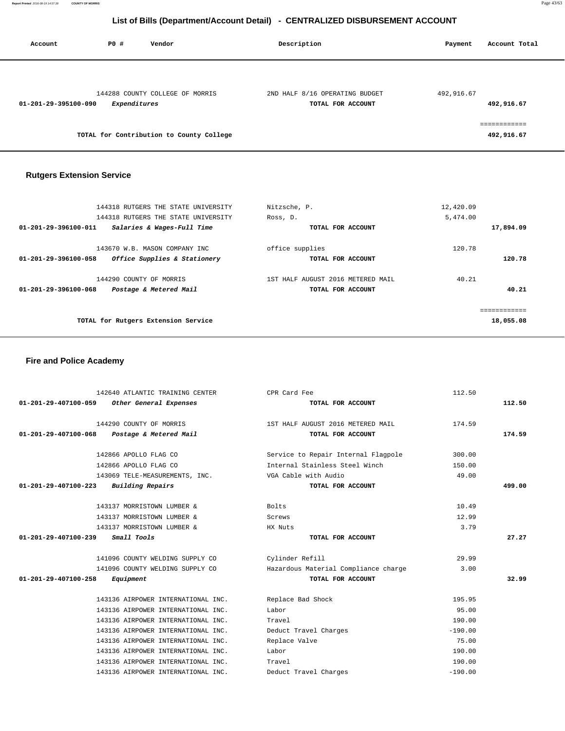| Account              | P0 #         | Vendor                                   | Description                                         | Account Total<br>Payment   |
|----------------------|--------------|------------------------------------------|-----------------------------------------------------|----------------------------|
| 01-201-29-395100-090 | Expenditures | 144288 COUNTY COLLEGE OF MORRIS          | 2ND HALF 8/16 OPERATING BUDGET<br>TOTAL FOR ACCOUNT | 492,916.67<br>492,916.67   |
|                      |              | TOTAL for Contribution to County College |                                                     | ------------<br>492,916.67 |

## **Rutgers Extension Service**

| 144318 RUTGERS THE STATE UNIVERSITY                  | Nitzsche, P.                      | 12,420.09 |
|------------------------------------------------------|-----------------------------------|-----------|
| 144318 RUTGERS THE STATE UNIVERSITY                  | Ross, D.                          | 5,474.00  |
| 01-201-29-396100-011<br>Salaries & Wages-Full Time   | TOTAL FOR ACCOUNT                 | 17,894.09 |
| 143670 W.B. MASON COMPANY INC                        | office supplies                   | 120.78    |
| Office Supplies & Stationery<br>01-201-29-396100-058 | TOTAL FOR ACCOUNT                 | 120.78    |
| 144290 COUNTY OF MORRIS                              | 1ST HALF AUGUST 2016 METERED MAIL | 40.21     |
| 01-201-29-396100-068<br>Postage & Metered Mail       | TOTAL FOR ACCOUNT                 | 40.21     |
|                                                      |                                   |           |
| TOTAL for Rutgers Extension Service                  |                                   | 18,055.08 |
|                                                      |                                   |           |

## **Fire and Police Academy**

| 142640 ATLANTIC TRAINING CENTER                 | CPR Card Fee                         | 112.50    |        |
|-------------------------------------------------|--------------------------------------|-----------|--------|
| Other General Expenses<br>01-201-29-407100-059  | TOTAL FOR ACCOUNT                    |           | 112.50 |
|                                                 |                                      |           |        |
| 144290 COUNTY OF MORRIS                         | 1ST HALF AUGUST 2016 METERED MAIL    | 174.59    |        |
| 01-201-29-407100-068<br>Postage & Metered Mail  | TOTAL FOR ACCOUNT                    |           | 174.59 |
| 142866 APOLLO FLAG CO                           | Service to Repair Internal Flagpole  | 300.00    |        |
| 142866 APOLLO FLAG CO                           | Internal Stainless Steel Winch       | 150.00    |        |
| 143069 TELE-MEASUREMENTS, INC.                  | VGA Cable with Audio                 | 49.00     |        |
| $01 - 201 - 29 - 407100 - 223$ Building Repairs | TOTAL FOR ACCOUNT                    |           | 499.00 |
|                                                 |                                      |           |        |
| 143137 MORRISTOWN LUMBER &                      | Bolts                                | 10.49     |        |
| 143137 MORRISTOWN LUMBER &                      | Screws                               | 12.99     |        |
| 143137 MORRISTOWN LUMBER &                      | HX Nuts                              | 3.79      |        |
|                                                 |                                      |           |        |
| 01-201-29-407100-239<br>Small Tools             | TOTAL FOR ACCOUNT                    |           | 27.27  |
| 141096 COUNTY WELDING SUPPLY CO                 | Cylinder Refill                      | 29.99     |        |
| 141096 COUNTY WELDING SUPPLY CO                 | Hazardous Material Compliance charge | 3.00      |        |
| 01-201-29-407100-258<br>Equipment               | TOTAL FOR ACCOUNT                    |           | 32.99  |
|                                                 |                                      |           |        |
| 143136 AIRPOWER INTERNATIONAL INC.              | Replace Bad Shock                    | 195.95    |        |
| 143136 AIRPOWER INTERNATIONAL INC.              | Labor                                | 95.00     |        |
| 143136 AIRPOWER INTERNATIONAL INC.              | Travel                               | 190.00    |        |
| 143136 AIRPOWER INTERNATIONAL INC.              | Deduct Travel Charges                | $-190.00$ |        |
| 143136 AIRPOWER INTERNATIONAL INC.              | Replace Valve                        | 75.00     |        |
| 143136 AIRPOWER INTERNATIONAL INC.              | Labor                                | 190.00    |        |
| 143136 AIRPOWER INTERNATIONAL INC.              | Travel                               | 190.00    |        |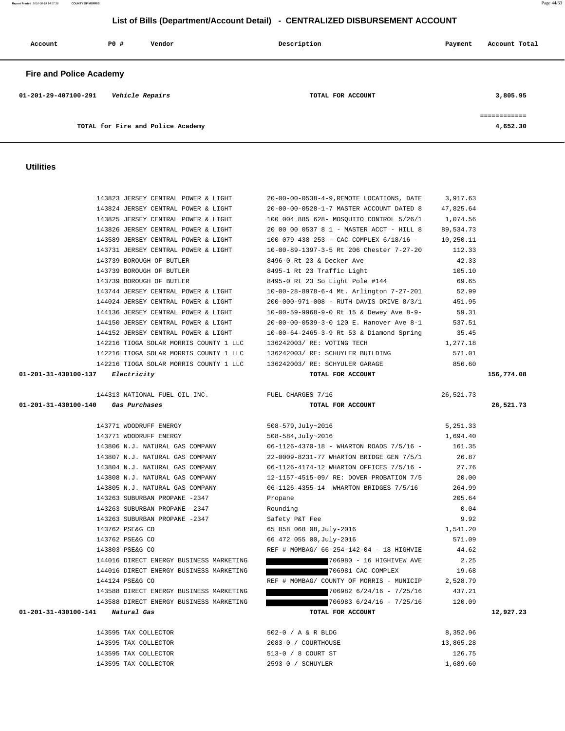**Report Printed** 2016-08-19 14:57:38 **COUNTY OF MORRIS** Page 44/63

### **List of Bills (Department/Account Detail) - CENTRALIZED DISBURSEMENT ACCOUNT**

| Account                        | <b>PO #</b> | Vendor                            | Description       | Account Total<br>Payment |                          |
|--------------------------------|-------------|-----------------------------------|-------------------|--------------------------|--------------------------|
| <b>Fire and Police Academy</b> |             |                                   |                   |                          |                          |
| 01-201-29-407100-291           |             | Vehicle Repairs                   | TOTAL FOR ACCOUNT |                          | 3,805.95                 |
|                                |             | TOTAL for Fire and Police Academy |                   |                          | ============<br>4,652.30 |

 143823 JERSEY CENTRAL POWER & LIGHT 20-00-00-0538-4-9,REMOTE LOCATIONS, DATE 3,917.63 143824 JERSEY CENTRAL POWER & LIGHT 20-00-00-0528-1-7 MASTER ACCOUNT DATED 8 47,825.64

### **Utilities**

|                                  | 143825 JERSEY CENTRAL POWER & LIGHT     | 100 004 885 628- MOSQUITO CONTROL 5/26/1 | 1,074.56  |            |
|----------------------------------|-----------------------------------------|------------------------------------------|-----------|------------|
|                                  | 143826 JERSEY CENTRAL POWER & LIGHT     | 20 00 00 0537 8 1 - MASTER ACCT - HILL 8 | 89,534.73 |            |
|                                  | 143589 JERSEY CENTRAL POWER & LIGHT     | 100 079 438 253 - CAC COMPLEX 6/18/16 -  | 10,250.11 |            |
|                                  | 143731 JERSEY CENTRAL POWER & LIGHT     | 10-00-89-1397-3-5 Rt 206 Chester 7-27-20 | 112.33    |            |
|                                  | 143739 BOROUGH OF BUTLER                | 8496-0 Rt 23 & Decker Ave                | 42.33     |            |
|                                  | 143739 BOROUGH OF BUTLER                | 8495-1 Rt 23 Traffic Light               | 105.10    |            |
|                                  | 143739 BOROUGH OF BUTLER                | 8495-0 Rt 23 So Light Pole #144          | 69.65     |            |
|                                  | 143744 JERSEY CENTRAL POWER & LIGHT     | 10-00-28-8978-6-4 Mt. Arlington 7-27-201 | 52.99     |            |
|                                  | 144024 JERSEY CENTRAL POWER & LIGHT     | 200-000-971-008 - RUTH DAVIS DRIVE 8/3/1 | 451.95    |            |
|                                  | 144136 JERSEY CENTRAL POWER & LIGHT     | 10-00-59-9968-9-0 Rt 15 & Dewey Ave 8-9- | 59.31     |            |
|                                  | 144150 JERSEY CENTRAL POWER & LIGHT     | 20-00-00-0539-3-0 120 E. Hanover Ave 8-1 | 537.51    |            |
|                                  | 144152 JERSEY CENTRAL POWER & LIGHT     | 10-00-64-2465-3-9 Rt 53 & Diamond Spring | 35.45     |            |
|                                  | 142216 TIOGA SOLAR MORRIS COUNTY 1 LLC  | 136242003/ RE: VOTING TECH               | 1,277.18  |            |
|                                  | 142216 TIOGA SOLAR MORRIS COUNTY 1 LLC  | 136242003/ RE: SCHUYLER BUILDING         | 571.01    |            |
|                                  | 142216 TIOGA SOLAR MORRIS COUNTY 1 LLC  | 136242003/ RE: SCHYULER GARAGE           | 856.60    |            |
| 01-201-31-430100-137 Electricity |                                         | TOTAL FOR ACCOUNT                        |           | 156,774.08 |
|                                  |                                         |                                          |           |            |
|                                  | 144313 NATIONAL FUEL OIL INC.           | FUEL CHARGES 7/16                        | 26,521.73 |            |
|                                  | 01-201-31-430100-140 Gas Purchases      | TOTAL FOR ACCOUNT                        |           | 26,521.73  |
|                                  |                                         |                                          |           |            |
|                                  | 143771 WOODRUFF ENERGY                  | 508-579, July~2016                       | 5,251.33  |            |
|                                  | 143771 WOODRUFF ENERGY                  | 508-584, July~2016                       | 1,694.40  |            |
|                                  | 143806 N.J. NATURAL GAS COMPANY         | 06-1126-4370-18 - WHARTON ROADS 7/5/16 - | 161.35    |            |
|                                  | 143807 N.J. NATURAL GAS COMPANY         | 22-0009-8231-77 WHARTON BRIDGE GEN 7/5/1 | 26.87     |            |
|                                  | 143804 N.J. NATURAL GAS COMPANY         | 06-1126-4174-12 WHARTON OFFICES 7/5/16 - | 27.76     |            |
|                                  | 143808 N.J. NATURAL GAS COMPANY         | 12-1157-4515-09/ RE: DOVER PROBATION 7/5 | 20.00     |            |
|                                  | 143805 N.J. NATURAL GAS COMPANY         | 06-1126-4355-14 WHARTON BRIDGES 7/5/16   | 264.99    |            |
|                                  | 143263 SUBURBAN PROPANE -2347           | Propane                                  | 205.64    |            |
|                                  | 143263 SUBURBAN PROPANE -2347           | Rounding                                 | 0.04      |            |
|                                  | 143263 SUBURBAN PROPANE -2347           | Safety P&T Fee                           | 9.92      |            |
|                                  | 143762 PSE&G CO                         | 65 858 068 08, July-2016                 | 1,541.20  |            |
|                                  | 143762 PSE&G CO                         | 66 472 055 00, July-2016                 | 571.09    |            |
|                                  | 143803 PSE&G CO                         | REF # MOMBAG/ 66-254-142-04 - 18 HIGHVIE | 44.62     |            |
|                                  | 144016 DIRECT ENERGY BUSINESS MARKETING | 706980 - 16 HIGHIVEW AVE                 | 2.25      |            |
|                                  | 144016 DIRECT ENERGY BUSINESS MARKETING | 706981 CAC COMPLEX                       | 19.68     |            |
|                                  | 144124 PSE&G CO                         | REF # MOMBAG/ COUNTY OF MORRIS - MUNICIP | 2,528.79  |            |
|                                  | 143588 DIRECT ENERGY BUSINESS MARKETING | 706982 6/24/16 - 7/25/16                 | 437.21    |            |
|                                  | 143588 DIRECT ENERGY BUSINESS MARKETING | 706983 6/24/16 - 7/25/16                 | 120.09    |            |
| 01-201-31-430100-141 Natural Gas |                                         | TOTAL FOR ACCOUNT                        |           | 12,927.23  |
|                                  |                                         |                                          |           |            |
|                                  | 143595 TAX COLLECTOR                    | 502-0 / A & R BLDG                       | 8,352.96  |            |
|                                  | 143595 TAX COLLECTOR                    | 2083-0 / COURTHOUSE                      | 13,865.28 |            |
|                                  | 143595 TAX COLLECTOR                    | 513-0 / 8 COURT ST                       | 126.75    |            |

143595 TAX COLLECTOR 2593-0 / SCHUYLER 1,689.60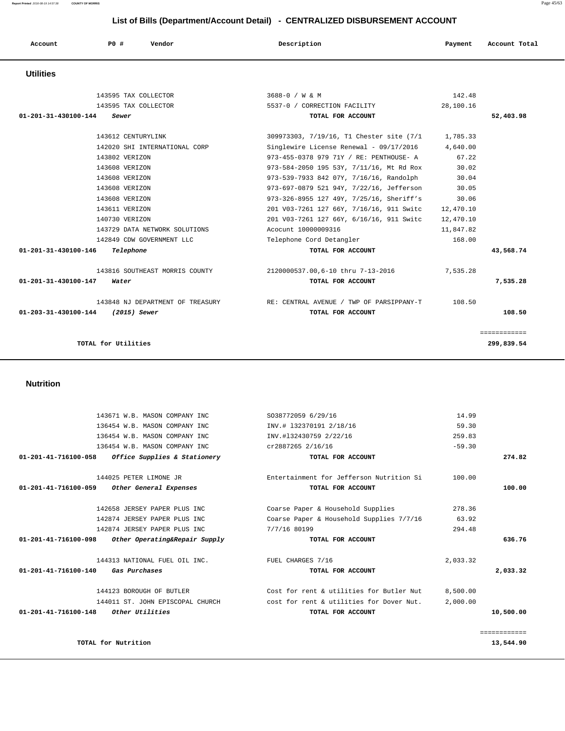| Account                        | PO#<br>Vendor                  | Description                                                                   | Payment   | Account Total              |
|--------------------------------|--------------------------------|-------------------------------------------------------------------------------|-----------|----------------------------|
| <b>Utilities</b>               |                                |                                                                               |           |                            |
|                                | 143595 TAX COLLECTOR           | 3688-0 / W & M                                                                | 142.48    |                            |
|                                | 143595 TAX COLLECTOR           | 5537-0 / CORRECTION FACILITY                                                  | 28,100.16 |                            |
| $01 - 201 - 31 - 430100 - 144$ | Sewer                          | TOTAL FOR ACCOUNT                                                             |           | 52,403.98                  |
|                                | 143612 CENTURYLINK             | 309973303, 7/19/16, T1 Chester site (7/1                                      | 1,785.33  |                            |
|                                | 142020 SHI INTERNATIONAL CORP  | Singlewire License Renewal - $09/17/2016$ 4,640.00                            |           |                            |
|                                | 143802 VERIZON                 | 973-455-0378 979 71Y / RE: PENTHOUSE- A                                       | 67.22     |                            |
|                                | 143608 VERIZON                 | 973-584-2050 195 53Y, 7/11/16, Mt Rd Rox                                      | 30.02     |                            |
|                                | 143608 VERIZON                 | 973-539-7933 842 07Y, 7/16/16, Randolph                                       | 30.04     |                            |
|                                | 143608 VERIZON                 | 973-697-0879 521 94Y, 7/22/16, Jefferson                                      | 30.05     |                            |
|                                | 143608 VERIZON                 | 973-326-8955 127 49Y, 7/25/16, Sheriff's                                      | 30.06     |                            |
|                                | 143611 VERIZON                 | 201 V03-7261 127 66Y, 7/16/16, 911 Switc                                      | 12,470.10 |                            |
|                                | 140730 VERIZON                 | 201 V03-7261 127 66Y, 6/16/16, 911 Switc                                      | 12,470.10 |                            |
|                                | 143729 DATA NETWORK SOLUTIONS  | Acocunt 10000009316                                                           | 11,847.82 |                            |
|                                | 142849 CDW GOVERNMENT LLC      | Telephone Cord Detangler                                                      | 168.00    |                            |
| 01-201-31-430100-146           | Telephone                      | TOTAL FOR ACCOUNT                                                             |           | 43,568.74                  |
|                                | 143816 SOUTHEAST MORRIS COUNTY | 2120000537.00,6-10 thru 7-13-2016                                             | 7,535.28  |                            |
| 01-201-31-430100-147           | Water                          | TOTAL FOR ACCOUNT                                                             |           | 7,535.28                   |
|                                |                                | 143848 NJ DEPARTMENT OF TREASURY THE RE: CENTRAL AVENUE / TWP OF PARSIPPANY-T | 108.50    |                            |
| 01-203-31-430100-144           | (2015) Sewer                   | TOTAL FOR ACCOUNT                                                             |           | 108.50                     |
|                                | TOTAL for Utilities            |                                                                               |           | ============<br>299,839.54 |

 **Nutrition** 

|              | 14.99    | S038772059 6/29/16                       | 143671 W.B. MASON COMPANY INC                                 |
|--------------|----------|------------------------------------------|---------------------------------------------------------------|
|              | 59.30    | INV.# 132370191 2/18/16                  | 136454 W.B. MASON COMPANY INC                                 |
|              | 259.83   | INV.#132430759 2/22/16                   | 136454 W.B. MASON COMPANY INC                                 |
|              | $-59.30$ | cr2887265 2/16/16                        | 136454 W.B. MASON COMPANY INC                                 |
| 274.82       |          | TOTAL FOR ACCOUNT                        | 01-201-41-716100-058<br>Office Supplies & Stationery          |
|              | 100.00   | Entertainment for Jefferson Nutrition Si | 144025 PETER LIMONE JR                                        |
| 100.00       |          | TOTAL FOR ACCOUNT                        | 01-201-41-716100-059<br>Other General Expenses                |
|              | 278.36   | Coarse Paper & Household Supplies        | 142658 JERSEY PAPER PLUS INC                                  |
|              | 63.92    | Coarse Paper & Household Supplies 7/7/16 | 142874 JERSEY PAPER PLUS INC                                  |
|              | 294.48   | 7/7/16 80199                             | 142874 JERSEY PAPER PLUS INC                                  |
| 636.76       |          | TOTAL FOR ACCOUNT                        | Other Operating&Repair Supply<br>01-201-41-716100-098         |
|              | 2,033.32 | FUEL CHARGES 7/16                        | 144313 NATIONAL FUEL OIL INC.                                 |
| 2,033.32     |          | TOTAL FOR ACCOUNT                        | $01 - 201 - 41 - 716100 - 140$<br><i><b>Gas Purchases</b></i> |
|              | 8,500.00 | Cost for rent & utilities for Butler Nut | 144123 BOROUGH OF BUTLER                                      |
|              | 2,000.00 | cost for rent & utilities for Dover Nut. | 144011 ST. JOHN EPISCOPAL CHURCH                              |
| 10,500.00    |          | TOTAL FOR ACCOUNT                        | Other Utilities<br>01-201-41-716100-148                       |
| ============ |          |                                          |                                                               |
| 13,544.90    |          |                                          | TOTAL for Nutrition                                           |

**Report Printed** 2016-08-19 14:57:38 **COUNTY OF MORRIS** Page 45/63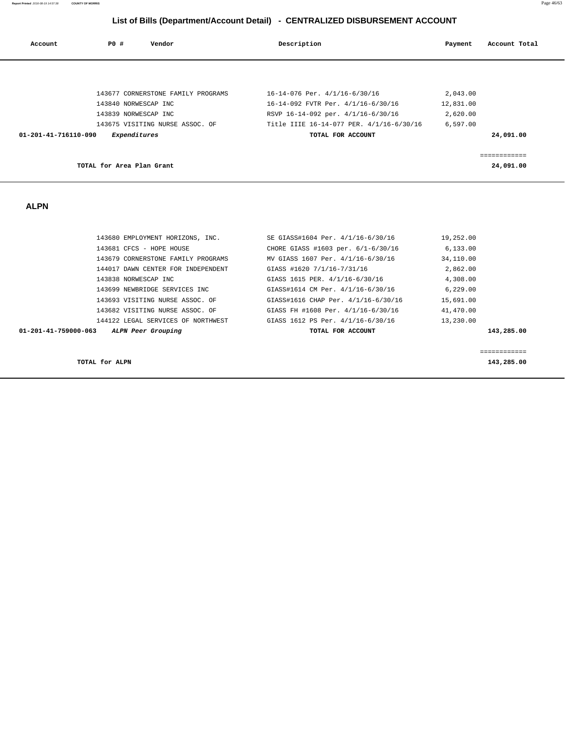|                      | List of Bills (Department/Account Detail) - CENTRALIZED DISBURSEMENT ACCOUNT |                                                        |           |               |  |  |
|----------------------|------------------------------------------------------------------------------|--------------------------------------------------------|-----------|---------------|--|--|
| Account              | PO#<br>Vendor                                                                | Description                                            | Payment   | Account Total |  |  |
|                      |                                                                              |                                                        |           |               |  |  |
|                      | 143677 CORNERSTONE FAMILY PROGRAMS                                           | 16-14-076 Per. 4/1/16-6/30/16                          | 2,043.00  |               |  |  |
|                      | 143840 NORWESCAP INC                                                         | 16-14-092 FVTR Per. 4/1/16-6/30/16                     | 12,831.00 |               |  |  |
|                      | 143839 NORWESCAP INC                                                         | RSVP 16-14-092 per. 4/1/16-6/30/16                     | 2,620.00  |               |  |  |
|                      | 143675 VISITING NURSE ASSOC. OF                                              | Title IIIE 16-14-077 PER. 4/1/16-6/30/16               | 6,597.00  |               |  |  |
| 01-201-41-716110-090 | Expenditures                                                                 | TOTAL FOR ACCOUNT                                      |           | 24,091.00     |  |  |
|                      |                                                                              |                                                        |           | ============  |  |  |
|                      | TOTAL for Area Plan Grant                                                    |                                                        |           | 24,091.00     |  |  |
|                      |                                                                              |                                                        |           |               |  |  |
| <b>ALPN</b>          |                                                                              |                                                        |           |               |  |  |
|                      |                                                                              |                                                        |           |               |  |  |
|                      | 143680 EMPLOYMENT HORIZONS, INC.                                             | SE GIASS#1604 Per. 4/1/16-6/30/16                      | 19,252.00 |               |  |  |
|                      | 143681 CFCS - HOPE HOUSE                                                     | CHORE GIASS #1603 per. 6/1-6/30/16                     | 6, 133.00 |               |  |  |
|                      | 143679 CORNERSTONE FAMILY PROGRAMS                                           | MV GIASS 1607 Per. 4/1/16-6/30/16                      | 34,110.00 |               |  |  |
|                      | 144017 DAWN CENTER FOR INDEPENDENT                                           | GIASS #1620 7/1/16-7/31/16                             | 2,862.00  |               |  |  |
|                      | 143838 NORWESCAP INC                                                         | GIASS 1615 PER. 4/1/16-6/30/16                         | 4,308.00  |               |  |  |
|                      | 143699 NEWBRIDGE SERVICES INC                                                | GIASS#1614 CM Per. 4/1/16-6/30/16                      | 6,229.00  |               |  |  |
|                      | 143693 VISITING NURSE ASSOC. OF                                              | GIASS#1616 CHAP Per. 4/1/16-6/30/16                    | 15,691.00 |               |  |  |
|                      | 143682 VISITING NURSE ASSOC. OF                                              | GIASS FH #1608 Per. 4/1/16-6/30/16                     | 41,470.00 |               |  |  |
| 01-201-41-759000-063 | 144122 LEGAL SERVICES OF NORTHWEST<br>ALPN Peer Grouping                     | GIASS 1612 PS Per. 4/1/16-6/30/16<br>TOTAL FOR ACCOUNT | 13,230.00 | 143,285.00    |  |  |

============

**TOTAL for ALPN** 143,285.00

**Report Printed** 2016-08-19 14:57:38 **COUNTY OF MORRIS** Page 46/63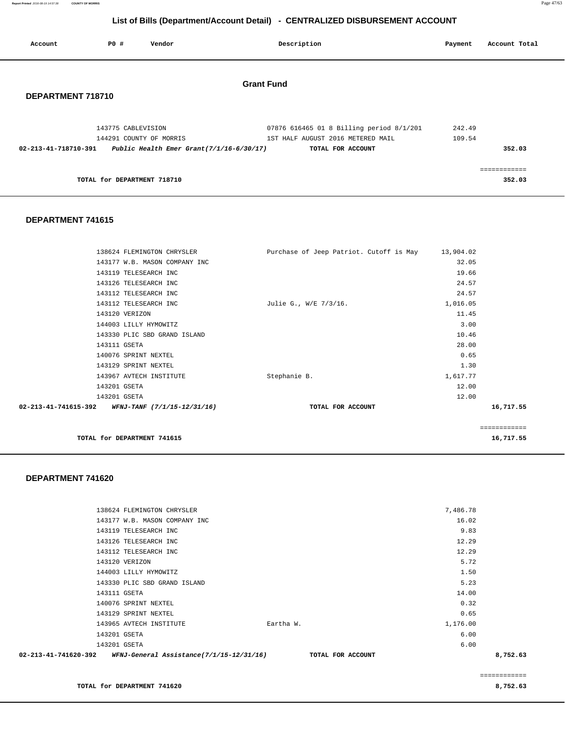**Report Printed** 2016-08-19 14:57:38 **COUNTY OF MORRIS** Page 47/63

# **List of Bills (Department/Account Detail) - CENTRALIZED DISBURSEMENT ACCOUNT**

| Account              | PO#                | Vendor                                                                 | Description                                                                                        | Payment          | Account Total          |
|----------------------|--------------------|------------------------------------------------------------------------|----------------------------------------------------------------------------------------------------|------------------|------------------------|
| DEPARTMENT 718710    |                    |                                                                        | <b>Grant Fund</b>                                                                                  |                  |                        |
| 02-213-41-718710-391 | 143775 CABLEVISION | 144291 COUNTY OF MORRIS<br>Public Health Emer Grant $(7/1/16-6/30/17)$ | 07876 616465 01 8 Billing period 8/1/201<br>1ST HALF AUGUST 2016 METERED MAIL<br>TOTAL FOR ACCOUNT | 242.49<br>109.54 | 352.03                 |
|                      |                    | TOTAL for DEPARTMENT 718710                                            |                                                                                                    |                  | ------------<br>352.03 |

### **DEPARTMENT 741615**

| TOTAL for DEPARTMENT 741615                                    |                                         |           | ============<br>16,717.55 |
|----------------------------------------------------------------|-----------------------------------------|-----------|---------------------------|
|                                                                |                                         |           |                           |
| $02 - 213 - 41 - 741615 - 392$ WFNJ-TANF $(7/1/15 - 12/31/16)$ | TOTAL FOR ACCOUNT                       |           | 16,717.55                 |
| 143201 GSETA                                                   |                                         | 12.00     |                           |
| 143201 GSETA                                                   |                                         | 12.00     |                           |
| 143967 AVTECH INSTITUTE                                        | Stephanie B.                            | 1,617.77  |                           |
| 143129 SPRINT NEXTEL                                           |                                         | 1.30      |                           |
| 140076 SPRINT NEXTEL                                           |                                         | 0.65      |                           |
| 143111 GSETA                                                   |                                         | 28.00     |                           |
| 143330 PLIC SBD GRAND ISLAND                                   |                                         | 10.46     |                           |
| 144003 LILLY HYMOWITZ                                          |                                         | 3.00      |                           |
| 143120 VERIZON                                                 |                                         | 11.45     |                           |
| 143112 TELESEARCH INC                                          | Julie G., W/E 7/3/16.                   | 1,016.05  |                           |
| 143112 TELESEARCH INC                                          |                                         | 24.57     |                           |
| 143126 TELESEARCH INC                                          |                                         | 24.57     |                           |
| 143119 TELESEARCH INC                                          |                                         | 19.66     |                           |
| 143177 W.B. MASON COMPANY INC                                  |                                         | 32.05     |                           |
| 138624 FLEMINGTON CHRYSLER                                     | Purchase of Jeep Patriot. Cutoff is May | 13,904.02 |                           |

### **DEPARTMENT 741620**

| 02-213-41-741620-392 | <i>WFNJ-General Assistance(7/1/15-12/31/16)</i> | TOTAL FOR ACCOUNT |          | 8,752.63 |
|----------------------|-------------------------------------------------|-------------------|----------|----------|
| 143201 GSETA         |                                                 |                   | 6.00     |          |
| 143201 GSETA         |                                                 |                   | 6.00     |          |
|                      | 143965 AVTECH INSTITUTE                         | Eartha W.         | 1,176.00 |          |
|                      | 143129 SPRINT NEXTEL                            |                   | 0.65     |          |
|                      | 140076 SPRINT NEXTEL                            |                   | 0.32     |          |
| 143111 GSETA         |                                                 |                   | 14.00    |          |
|                      | 143330 PLIC SBD GRAND ISLAND                    |                   | 5.23     |          |
|                      | 144003 LILLY HYMOWITZ                           |                   | 1.50     |          |
|                      | 143120 VERIZON                                  |                   | 5.72     |          |
|                      | 143112 TELESEARCH INC                           |                   | 12.29    |          |
|                      | 143126 TELESEARCH INC                           |                   | 12.29    |          |
|                      | 143119 TELESEARCH INC                           |                   | 9.83     |          |
|                      | 143177 W.B. MASON COMPANY INC                   |                   | 16.02    |          |
|                      | 138624 FLEMINGTON CHRYSLER                      |                   | 7,486.78 |          |
|                      |                                                 |                   |          |          |

**TOTAL for DEPARTMENT 741620 8,752.63**

============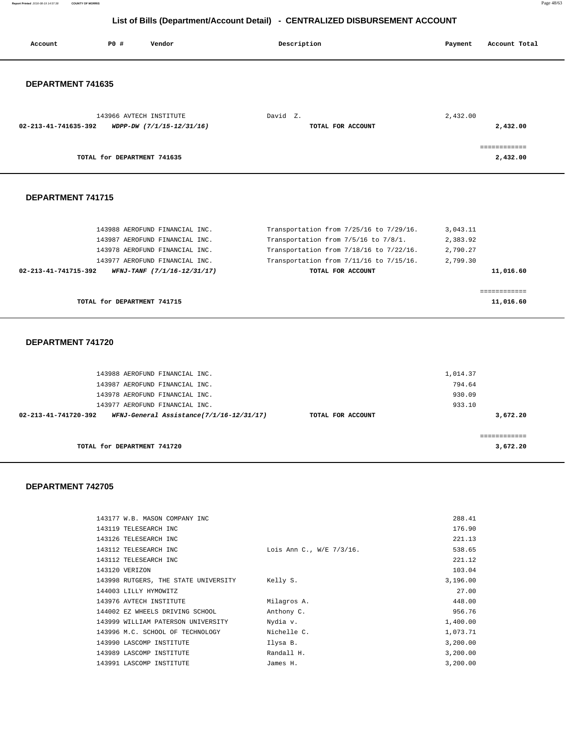**Report Printed** 2016-08-19 14:57:38 **COUNTY OF MORRIS** Page 48/63

# **List of Bills (Department/Account Detail) - CENTRALIZED DISBURSEMENT ACCOUNT**

| Account              | P0 #                        | Vendor                    | Description       | Account Total<br>Payment |
|----------------------|-----------------------------|---------------------------|-------------------|--------------------------|
|                      |                             |                           |                   |                          |
| DEPARTMENT 741635    |                             |                           |                   |                          |
|                      |                             | 143966 AVTECH INSTITUTE   | David Z.          | 2,432.00                 |
| 02-213-41-741635-392 |                             | WDPP-DW (7/1/15-12/31/16) | TOTAL FOR ACCOUNT | 2,432.00                 |
|                      |                             |                           |                   | ============             |
|                      | TOTAL for DEPARTMENT 741635 |                           |                   | 2,432.00                 |
|                      |                             |                           |                   |                          |
| DEPARTMENT 741715    |                             |                           |                   |                          |
|                      |                             |                           |                   |                          |

| TOTAL for DEPARTMENT 741715                         |                                         | 11,016.60 |
|-----------------------------------------------------|-----------------------------------------|-----------|
|                                                     |                                         |           |
| 02-213-41-741715-392<br>WFNJ-TANF (7/1/16-12/31/17) | TOTAL FOR ACCOUNT                       | 11,016.60 |
| 143977 AEROFUND FINANCIAL INC.                      | Transportation from 7/11/16 to 7/15/16. | 2,799.30  |
| 143978 AEROFUND FINANCIAL INC.                      | Transportation from 7/18/16 to 7/22/16. | 2,790.27  |
| 143987 AEROFUND FINANCIAL INC.                      | Transportation from 7/5/16 to 7/8/1.    | 2,383.92  |
| 143988 AEROFUND FINANCIAL INC.                      | Transportation from 7/25/16 to 7/29/16. | 3,043.11  |

### **DEPARTMENT 741720**

| 143988 AEROFUND FINANCIAL INC.<br>143987 AEROFUND FINANCIAL INC. |                   | 1,014.37<br>794.64    |  |
|------------------------------------------------------------------|-------------------|-----------------------|--|
| 143978 AEROFUND FINANCIAL INC.                                   |                   | 930.09                |  |
| 143977 AEROFUND FINANCIAL INC.                                   |                   | 933.10                |  |
| WFNJ-General Assistance(7/1/16-12/31/17)<br>02-213-41-741720-392 | TOTAL FOR ACCOUNT | 3,672.20              |  |
| TOTAL for DEPARTMENT 741720                                      |                   | =========<br>3,672.20 |  |

| 143177 W.B. MASON COMPANY INC        |                          | 288.41   |
|--------------------------------------|--------------------------|----------|
| 143119 TELESEARCH INC                |                          | 176.90   |
| 143126 TELESEARCH INC                |                          | 221.13   |
| 143112 TELESEARCH INC                | Lois Ann C., W/E 7/3/16. | 538.65   |
| 143112 TELESEARCH INC                |                          | 221.12   |
| 143120 VERIZON                       |                          | 103.04   |
| 143998 RUTGERS, THE STATE UNIVERSITY | Kelly S.                 | 3,196.00 |
| 144003 LILLY HYMOWITZ                |                          | 27.00    |
| 143976 AVTECH INSTITUTE              | Milagros A.              | 448.00   |
| 144002 EZ WHEELS DRIVING SCHOOL      | Anthony C.               | 956.76   |
| 143999 WILLIAM PATERSON UNIVERSITY   | Nydia v.                 | 1,400.00 |
| 143996 M.C. SCHOOL OF TECHNOLOGY     | Nichelle C.              | 1,073.71 |
| 143990 LASCOMP INSTITUTE             | Ilysa B.                 | 3,200.00 |
| 143989 LASCOMP INSTITUTE             | Randall H.               | 3,200.00 |
| 143991 LASCOMP INSTITUTE             | James H.                 | 3,200.00 |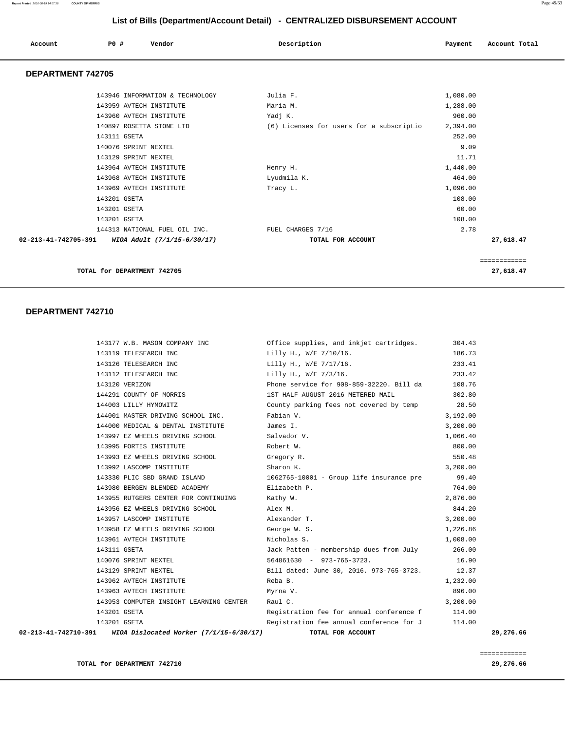### **Report Printed** 2016-08-19 14:57:38 **COUNTY OF MORRIS** Page 49/63

 **List of Bills (Department/Account Detail) - CENTRALIZED DISBURSEMENT ACCOUNT**

|                      | LIST OF BIIIS (Department/ACCOUNT Detail) - CENTRALIZED DISBURSEMENT ACCOUNT |                                 |                                          |          |               |  |  |
|----------------------|------------------------------------------------------------------------------|---------------------------------|------------------------------------------|----------|---------------|--|--|
| Account              | P0 #                                                                         | Vendor                          | Description                              | Payment  | Account Total |  |  |
| DEPARTMENT 742705    |                                                                              |                                 |                                          |          |               |  |  |
|                      |                                                                              | 143946 INFORMATION & TECHNOLOGY | Julia F.                                 | 1,080.00 |               |  |  |
|                      |                                                                              | 143959 AVTECH INSTITUTE         | Maria M.                                 | 1,288.00 |               |  |  |
|                      |                                                                              | 143960 AVTECH INSTITUTE         | Yadj K.                                  | 960.00   |               |  |  |
|                      |                                                                              | 140897 ROSETTA STONE LTD        | (6) Licenses for users for a subscriptio | 2,394.00 |               |  |  |
|                      | 143111 GSETA                                                                 |                                 |                                          | 252.00   |               |  |  |
|                      | 140076 SPRINT NEXTEL                                                         |                                 |                                          | 9.09     |               |  |  |
|                      | 143129 SPRINT NEXTEL                                                         |                                 |                                          | 11.71    |               |  |  |
|                      |                                                                              | 143964 AVTECH INSTITUTE         | Henry H.                                 | 1,440.00 |               |  |  |
|                      |                                                                              | 143968 AVTECH INSTITUTE         | Lyudmila K.                              | 464.00   |               |  |  |
|                      |                                                                              | 143969 AVTECH INSTITUTE         | Tracy L.                                 | 1,096.00 |               |  |  |
|                      | 143201 GSETA                                                                 |                                 |                                          | 108.00   |               |  |  |
|                      | 143201 GSETA                                                                 |                                 |                                          | 60.00    |               |  |  |
|                      | 143201 GSETA                                                                 |                                 |                                          | 108.00   |               |  |  |
|                      |                                                                              | 144313 NATIONAL FUEL OIL INC.   | FUEL CHARGES 7/16                        | 2.78     |               |  |  |
| 02-213-41-742705-391 |                                                                              | WIOA Adult (7/1/15-6/30/17)     | TOTAL FOR ACCOUNT                        |          | 27,618.47     |  |  |
|                      |                                                                              |                                 |                                          |          |               |  |  |

============

**TOTAL for DEPARTMENT 742705 27,618.47**

### **DEPARTMENT 742710**

|  | 02-213-41-742710-391 WIOA Dislocated Worker (7/1/15-6/30/17) | TOTAL FOR ACCOUNT                               |          | 29,276.66 |
|--|--------------------------------------------------------------|-------------------------------------------------|----------|-----------|
|  | 143201 GSETA                                                 | Registration fee annual conference for J        | 114.00   |           |
|  | 143201 GSETA                                                 | Registration fee for annual conference f 114.00 |          |           |
|  | 143953 COMPUTER INSIGHT LEARNING CENTER Raul C.              |                                                 | 3,200.00 |           |
|  | 143963 AVTECH INSTITUTE                                      | Myrna V.                                        | 896.00   |           |
|  | 143962 AVTECH INSTITUTE                                      | Reba B.                                         | 1,232.00 |           |
|  | 143129 SPRINT NEXTEL                                         | Bill dated: June 30, 2016. 973-765-3723.        | 12.37    |           |
|  | 140076 SPRINT NEXTEL                                         | $564861630 - 973-765-3723$ .                    | 16.90    |           |
|  | 143111 GSETA                                                 | Jack Patten - membership dues from July         | 266.00   |           |
|  | 143961 AVTECH INSTITUTE                                      | Nicholas S.                                     | 1,008.00 |           |
|  | 143958 EZ WHEELS DRIVING SCHOOL George W.S.                  |                                                 | 1,226.86 |           |
|  | 143957 LASCOMP INSTITUTE                                     | Alexander T.                                    | 3,200.00 |           |
|  | 143956 EZ WHEELS DRIVING SCHOOL                              | Alex M.                                         | 844.20   |           |
|  | 143955 RUTGERS CENTER FOR CONTINUING Kathy W.                |                                                 | 2,876.00 |           |
|  | 143980 BERGEN BLENDED ACADEMY                                | Elizabeth P.                                    | 764.00   |           |
|  | 143330 PLIC SBD GRAND ISLAND                                 | 1062765-10001 - Group life insurance pre        | 99.40    |           |
|  | 143992 LASCOMP INSTITUTE                                     | Sharon K.                                       | 3,200.00 |           |
|  | 143993 EZ WHEELS DRIVING SCHOOL                              | Gregory R.                                      | 550.48   |           |
|  | 143995 FORTIS INSTITUTE                                      | Robert W.                                       | 800.00   |           |
|  | 143997 EZ WHEELS DRIVING SCHOOL                              | Salvador V.                                     | 1,066.40 |           |
|  | 144000 MEDICAL & DENTAL INSTITUTE                            | James I.                                        | 3,200.00 |           |
|  | 144001 MASTER DRIVING SCHOOL INC.                            | Fabian V.                                       | 3,192.00 |           |
|  | 144003 LILLY HYMOWITZ                                        | County parking fees not covered by temp 28.50   |          |           |
|  | 144291 COUNTY OF MORRIS                                      | 1ST HALF AUGUST 2016 METERED MAIL               | 302.80   |           |
|  | 143120 VERIZON                                               | Phone service for 908-859-32220. Bill da        | 108.76   |           |
|  | 143112 TELESEARCH INC                                        | Lilly H., W/E 7/3/16.                           | 233.42   |           |
|  | 143126 TELESEARCH INC                                        | Lilly H., W/E 7/17/16.                          | 233.41   |           |
|  | 143119 TELESEARCH INC                                        | Lilly H., W/E 7/10/16.                          | 186.73   |           |
|  | 143177 W.B. MASON COMPANY INC                                | Office supplies, and inkjet cartridges.         | 304.43   |           |

 ============ **TOTAL for DEPARTMENT 742710 29,276.66**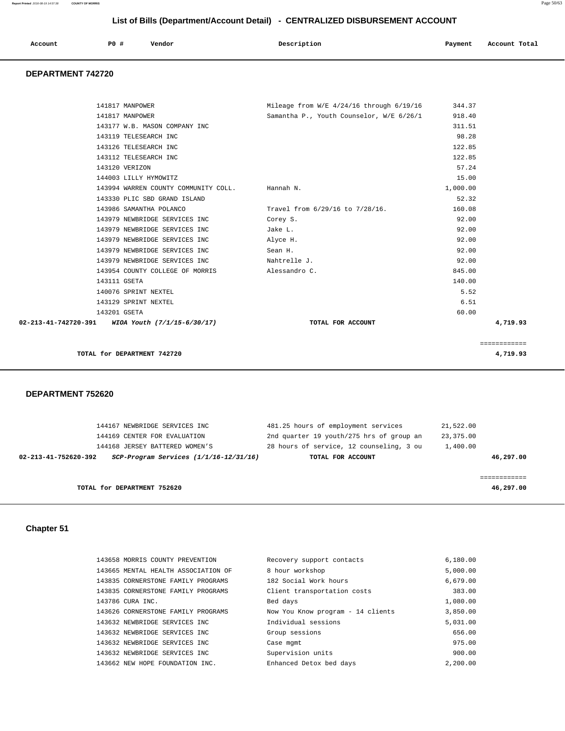| Account<br>. | <b>PO #</b> | Vendor | Description | Payment | Account Total |
|--------------|-------------|--------|-------------|---------|---------------|
|              |             |        |             |         |               |

# **DEPARTMENT 742720**

| 141817 MANPOWER                                  | Mileage from W/E $4/24/16$ through $6/19/16$ | 344.37   |              |
|--------------------------------------------------|----------------------------------------------|----------|--------------|
| 141817 MANPOWER                                  | Samantha P., Youth Counselor, W/E 6/26/1     | 918.40   |              |
| 143177 W.B. MASON COMPANY INC                    |                                              | 311.51   |              |
| 143119 TELESEARCH INC                            |                                              | 98.28    |              |
| 143126 TELESEARCH INC                            |                                              | 122.85   |              |
| 143112 TELESEARCH INC                            |                                              | 122.85   |              |
| 143120 VERIZON                                   |                                              | 57.24    |              |
| 144003 LILLY HYMOWITZ                            |                                              | 15.00    |              |
| 143994 WARREN COUNTY COMMUNITY COLL. Hannah N.   |                                              | 1,000.00 |              |
| 143330 PLIC SBD GRAND ISLAND                     |                                              | 52.32    |              |
| 143986 SAMANTHA POLANCO                          | Travel from 6/29/16 to 7/28/16.              | 160.08   |              |
| 143979 NEWBRIDGE SERVICES INC                    | Corey S.                                     | 92.00    |              |
| 143979 NEWBRIDGE SERVICES INC                    | Jake L.                                      | 92.00    |              |
| 143979 NEWBRIDGE SERVICES INC                    | Alyce H.                                     | 92.00    |              |
| 143979 NEWBRIDGE SERVICES INC                    | Sean H.                                      | 92.00    |              |
| 143979 NEWBRIDGE SERVICES INC                    | Nahtrelle J.                                 | 92.00    |              |
| 143954 COUNTY COLLEGE OF MORRIS                  | Alessandro C.                                | 845.00   |              |
| 143111 GSETA                                     |                                              | 140.00   |              |
| 140076 SPRINT NEXTEL                             |                                              | 5.52     |              |
| 143129 SPRINT NEXTEL                             |                                              | 6.51     |              |
| 143201 GSETA                                     |                                              | 60.00    |              |
| 02-213-41-742720-391 WIOA Youth (7/1/15-6/30/17) | TOTAL FOR ACCOUNT                            |          | 4,719.93     |
|                                                  |                                              |          |              |
|                                                  |                                              |          | ============ |
| TOTAL for DEPARTMENT 742720                      |                                              |          | 4,719.93     |
|                                                  |                                              |          |              |

### **DEPARTMENT 752620**

| 144167 NEWBRIDGE SERVICES INC                                      | 481.25 hours of employment services      | 21,522.00 |
|--------------------------------------------------------------------|------------------------------------------|-----------|
| 144169 CENTER FOR EVALUATION                                       | 2nd quarter 19 youth/275 hrs of group an | 23,375.00 |
| 144168 JERSEY BATTERED WOMEN'S                                     | 28 hours of service, 12 counseling, 3 ou | 1,400.00  |
| $SCP-Program$ Services $(1/1/16-12/31/16)$<br>02-213-41-752620-392 | TOTAL FOR ACCOUNT                        | 46,297.00 |
|                                                                    |                                          |           |
|                                                                    |                                          |           |
| TOTAL for DEPARTMENT 752620                                        |                                          | 46,297.00 |

# **Chapter 51**

| 143658 MORRIS COUNTY PREVENTION     | Recovery support contacts         | 6,180.00 |
|-------------------------------------|-----------------------------------|----------|
| 143665 MENTAL HEALTH ASSOCIATION OF | 8 hour workshop                   | 5,000.00 |
| 143835 CORNERSTONE FAMILY PROGRAMS  | 182 Social Work hours             | 6,679.00 |
| 143835 CORNERSTONE FAMILY PROGRAMS  | Client transportation costs       | 383.00   |
| 143786 CURA INC.                    | Bed days                          | 1,080.00 |
| 143626 CORNERSTONE FAMILY PROGRAMS  | Now You Know program - 14 clients | 3,850.00 |
| 143632 NEWBRIDGE SERVICES INC       | Individual sessions               | 5,031.00 |
| 143632 NEWBRIDGE SERVICES INC       | Group sessions                    | 656.00   |
| 143632 NEWBRIDGE SERVICES INC       | Case mgmt                         | 975.00   |
| 143632 NEWBRIDGE SERVICES INC       | Supervision units                 | 900.00   |
| 143662 NEW HOPE FOUNDATION INC.     | Enhanced Detox bed days           | 2,200.00 |
|                                     |                                   |          |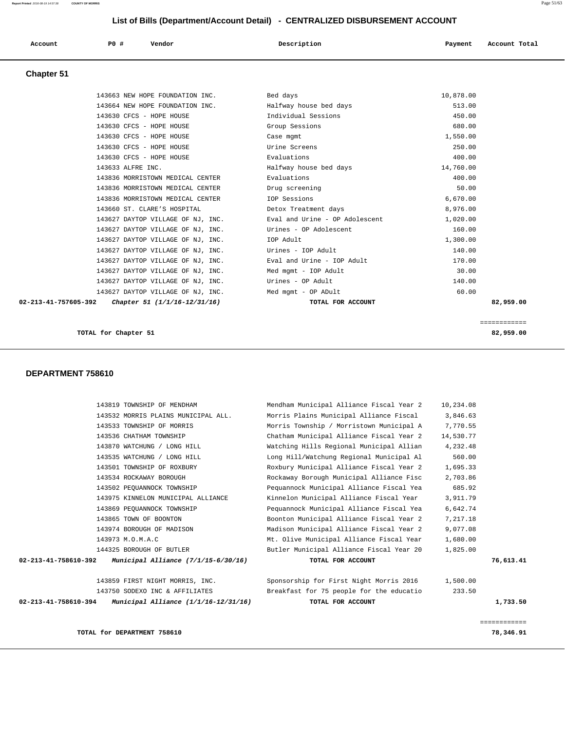| 143819 TOWNSHIP OF MENDHAM                                       | Mendham Municipal Alliance Fiscal Year 2 | 10,234.08 |              |
|------------------------------------------------------------------|------------------------------------------|-----------|--------------|
| 143532 MORRIS PLAINS MUNICIPAL ALL.                              | Morris Plains Municipal Alliance Fiscal  | 3,846.63  |              |
| 143533 TOWNSHIP OF MORRIS                                        | Morris Township / Morristown Municipal A | 7,770.55  |              |
| 143536 CHATHAM TOWNSHIP                                          | Chatham Municipal Alliance Fiscal Year 2 | 14,530.77 |              |
| 143870 WATCHUNG / LONG HILL                                      | Watching Hills Regional Municipal Allian | 4,232.48  |              |
| 143535 WATCHUNG / LONG HILL                                      | Long Hill/Watchung Regional Municipal Al | 560.00    |              |
| 143501 TOWNSHIP OF ROXBURY                                       | Roxbury Municipal Alliance Fiscal Year 2 | 1,695.33  |              |
| 143534 ROCKAWAY BOROUGH                                          | Rockaway Borough Municipal Alliance Fisc | 2,703.86  |              |
| 143502 PEOUANNOCK TOWNSHIP                                       | Pequannock Municipal Alliance Fiscal Yea | 685.92    |              |
| 143975 KINNELON MUNICIPAL ALLIANCE                               | Kinnelon Municipal Alliance Fiscal Year  | 3,911.79  |              |
| 143869 PEOUANNOCK TOWNSHIP                                       | Pequannock Municipal Alliance Fiscal Yea | 6,642.74  |              |
| 143865 TOWN OF BOONTON                                           | Boonton Municipal Alliance Fiscal Year 2 | 7,217.18  |              |
| 143974 BOROUGH OF MADISON                                        | Madison Municipal Alliance Fiscal Year 2 | 9,077.08  |              |
| 143973 M.O.M.A.C                                                 | Mt. Olive Municipal Alliance Fiscal Year | 1,680.00  |              |
| 144325 BOROUGH OF BUTLER                                         | Butler Municipal Alliance Fiscal Year 20 | 1,825.00  |              |
| 02-213-41-758610-392<br>Municipal Alliance (7/1/15-6/30/16)      | TOTAL FOR ACCOUNT                        |           | 76,613.41    |
| 143859 FIRST NIGHT MORRIS, INC.                                  | Sponsorship for First Night Morris 2016  | 1,500.00  |              |
| 143750 SODEXO INC & AFFILIATES                                   | Breakfast for 75 people for the educatio | 233.50    |              |
| 02-213-41-758610-394<br>Municipal Alliance $(1/1/16 - 12/31/16)$ | TOTAL FOR ACCOUNT                        |           | 1,733.50     |
|                                                                  |                                          |           | ============ |
| TOTAL for DEPARTMENT 758610                                      |                                          |           | 78,346.91    |

### **TOTAL for Chapter 51 82,959.00**

 **DEPARTMENT 758610** 

| Gridpler 31                     |                                   |                                |           |           |
|---------------------------------|-----------------------------------|--------------------------------|-----------|-----------|
|                                 | 143663 NEW HOPE FOUNDATION INC.   | Bed days                       | 10,878.00 |           |
| 143664 NEW HOPE FOUNDATION INC. |                                   | Halfway house bed days         | 513.00    |           |
| 143630 CFCS - HOPE HOUSE        |                                   | Individual Sessions            | 450.00    |           |
| 143630 CFCS - HOPE HOUSE        |                                   | Group Sessions                 | 680.00    |           |
| 143630 CFCS - HOPE HOUSE        |                                   | Case mgmt                      | 1,550.00  |           |
| 143630 CFCS - HOPE HOUSE        |                                   | Urine Screens                  | 250.00    |           |
| 143630 CFCS - HOPE HOUSE        |                                   | Evaluations                    | 400.00    |           |
| 143633 ALFRE INC.               |                                   | Halfway house bed days         | 14,760.00 |           |
|                                 | 143836 MORRISTOWN MEDICAL CENTER  | Evaluations                    | 400.00    |           |
|                                 | 143836 MORRISTOWN MEDICAL CENTER  | Drug screening                 | 50.00     |           |
|                                 | 143836 MORRISTOWN MEDICAL CENTER  | IOP Sessions                   | 6,670.00  |           |
| 143660 ST. CLARE'S HOSPITAL     |                                   | Detox Treatment days           | 8,976.00  |           |
|                                 | 143627 DAYTOP VILLAGE OF NJ, INC. | Eval and Urine - OP Adolescent | 1,020.00  |           |
|                                 | 143627 DAYTOP VILLAGE OF NJ, INC. | Urines - OP Adolescent         | 160.00    |           |
|                                 | 143627 DAYTOP VILLAGE OF NJ, INC. | IOP Adult                      | 1,300.00  |           |
|                                 | 143627 DAYTOP VILLAGE OF NJ, INC. | Urines - IOP Adult             | 140.00    |           |
|                                 | 143627 DAYTOP VILLAGE OF NJ, INC. | Eval and Urine - IOP Adult     | 170.00    |           |
|                                 | 143627 DAYTOP VILLAGE OF NJ, INC. | Med mgmt - IOP Adult           | 30.00     |           |
|                                 | 143627 DAYTOP VILLAGE OF NJ, INC. | Urines - OP Adult              | 140.00    |           |
|                                 | 143627 DAYTOP VILLAGE OF NJ, INC. | Med mgmt - OP ADult            | 60.00     |           |
| 02-213-41-757605-392            | Chapter 51 (1/1/16-12/31/16)      | TOTAL FOR ACCOUNT              |           | 82,959.00 |
|                                 |                                   |                                |           |           |

============

## **Chapter 51**

# **List of Bills (Department/Account Detail) - CENTRALIZED DISBURSEMENT ACCOUNT**

 **Account P0 # Vendor Description Payment Account Total**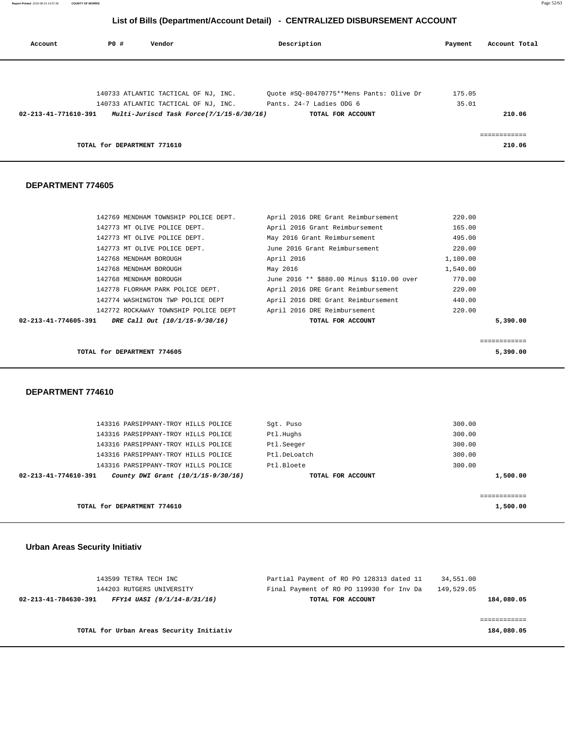| List of Bills (Department/Account Detail) - CENTRALIZED DISBURSEMENT ACCOUNT |             |                                          |                                                                                 |          |               |
|------------------------------------------------------------------------------|-------------|------------------------------------------|---------------------------------------------------------------------------------|----------|---------------|
| Account                                                                      | <b>PO #</b> | Vendor                                   | Description                                                                     | Payment  | Account Total |
|                                                                              |             |                                          |                                                                                 |          |               |
|                                                                              |             |                                          | 140733 ATLANTIC TACTICAL OF NJ, INC. $Quote$ #SQ-80470775**Mens Pants: Olive Dr | 175.05   |               |
|                                                                              |             |                                          | 140733 ATLANTIC TACTICAL OF NJ, INC. Pants. 24-7 Ladies ODG 6                   | 35.01    |               |
| 02-213-41-771610-391                                                         |             | Multi-Juriscd Task Force(7/1/15-6/30/16) | TOTAL FOR ACCOUNT                                                               |          | 210.06        |
|                                                                              |             |                                          |                                                                                 |          |               |
|                                                                              |             |                                          |                                                                                 |          | ============  |
|                                                                              |             | TOTAL for DEPARTMENT 771610              |                                                                                 |          | 210.06        |
|                                                                              |             |                                          |                                                                                 |          |               |
|                                                                              |             |                                          |                                                                                 |          |               |
| <b>DEPARTMENT 774605</b>                                                     |             |                                          |                                                                                 |          |               |
|                                                                              |             |                                          |                                                                                 |          |               |
|                                                                              |             |                                          |                                                                                 |          |               |
|                                                                              |             | 142769 MENDHAM TOWNSHIP POLICE DEPT.     | April 2016 DRE Grant Reimbursement                                              | 220.00   |               |
|                                                                              |             | 142773 MT OLIVE POLICE DEPT.             | April 2016 Grant Reimbursement                                                  | 165.00   |               |
|                                                                              |             | 142773 MT OLIVE POLICE DEPT.             | May 2016 Grant Reimbursement                                                    | 495.00   |               |
|                                                                              |             | 142773 MT OLIVE POLICE DEPT.             | June 2016 Grant Reimbursement                                                   | 220.00   |               |
|                                                                              |             | 142768 MENDHAM BOROUGH                   | April 2016                                                                      | 1,100.00 |               |
|                                                                              |             | 142768 MENDHAM BOROUGH                   | May 2016                                                                        | 1,540.00 |               |
|                                                                              |             | 142768 MENDHAM BOROUGH                   | June 2016 ** \$880.00 Minus \$110.00 over                                       | 770.00   |               |
|                                                                              |             | 142778 FLORHAM PARK POLICE DEPT.         | April 2016 DRE Grant Reimbursement                                              | 220.00   |               |
|                                                                              |             | 142774 WASHINGTON TWP POLICE DEPT        | April 2016 DRE Grant Reimbursement                                              | 440.00   |               |
|                                                                              |             | 142772 ROCKAWAY TOWNSHIP POLICE DEPT     | April 2016 DRE Reimbursement                                                    | 220.00   |               |

**Report Printed** 2016-08-19 14:57:38 **COUNTY OF MORRIS** Page 52/63

**TOTAL for DEPARTMENT 774605 5,390.00**

 **DEPARTMENT 774610** 

|                      | TOTAL for DEPARTMENT 774610         |                   | 1,500.00 |  |
|----------------------|-------------------------------------|-------------------|----------|--|
|                      |                                     |                   |          |  |
| 02-213-41-774610-391 | County DWI Grant (10/1/15-9/30/16)  | TOTAL FOR ACCOUNT | 1,500.00 |  |
|                      | 143316 PARSIPPANY-TROY HILLS POLICE | Ptl.Bloete        | 300.00   |  |
|                      | 143316 PARSIPPANY-TROY HILLS POLICE | Ptl.DeLoatch      | 300.00   |  |
|                      | 143316 PARSIPPANY-TROY HILLS POLICE | Ptl.Seeger        | 300.00   |  |
|                      | 143316 PARSIPPANY-TROY HILLS POLICE | Ptl.Hughs         | 300.00   |  |
|                      | 143316 PARSIPPANY-TROY HILLS POLICE | Sqt. Puso         | 300.00   |  |
|                      |                                     |                   |          |  |

 **02-213-41-774605-391 DRE Call Out (10/1/15-9/30/16) TOTAL FOR ACCOUNT 5,390.00**

============

 **Urban Areas Security Initiativ**

|                      | 143599 TETRA TECH INC              | Partial Payment of RO PO 128313 dated 11 | 34,551.00  |            |
|----------------------|------------------------------------|------------------------------------------|------------|------------|
|                      | 144203 RUTGERS UNIVERSITY          | Final Payment of RO PO 119930 for Inv Da | 149,529.05 |            |
| 02-213-41-784630-391 | <i>FFY14 UASI (9/1/14-8/31/16)</i> | TOTAL FOR ACCOUNT                        |            | 184,080.05 |
|                      |                                    |                                          |            |            |

**TOTAL for Urban Areas Security Initiativ 184,080.05**

============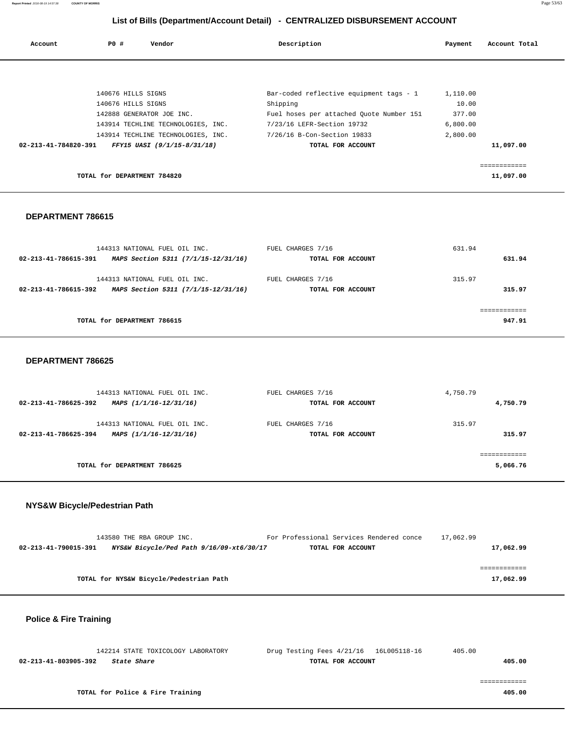**Report Printed** 2016-08-19 14:57:38 **COUNTY OF MORRIS** Page 53/63

# **List of Bills (Department/Account Detail) - CENTRALIZED DISBURSEMENT ACCOUNT**

| Account              | P0 #                        | Vendor                             | Description                              | Payment  | Account Total |
|----------------------|-----------------------------|------------------------------------|------------------------------------------|----------|---------------|
|                      |                             |                                    |                                          |          |               |
|                      |                             |                                    |                                          |          |               |
|                      | 140676 HILLS SIGNS          |                                    | Bar-coded reflective equipment tags - 1  | 1,110.00 |               |
|                      | 140676 HILLS SIGNS          |                                    | Shipping                                 | 10.00    |               |
|                      |                             | 142888 GENERATOR JOE INC.          | Fuel hoses per attached Quote Number 151 | 377.00   |               |
|                      |                             | 143914 TECHLINE TECHNOLOGIES, INC. | 7/23/16 LEFR-Section 19732               | 6,800.00 |               |
|                      |                             | 143914 TECHLINE TECHNOLOGIES, INC. | 7/26/16 B-Con-Section 19833              | 2,800.00 |               |
| 02-213-41-784820-391 |                             | FFY15 UASI (9/1/15-8/31/18)        | TOTAL FOR ACCOUNT                        |          | 11,097.00     |
|                      |                             |                                    |                                          |          | ------------  |
|                      | TOTAL for DEPARTMENT 784820 |                                    |                                          |          | 11,097.00     |

### **DEPARTMENT 786615**

| 144313 NATIONAL FUEL OIL INC.                                                                | FUEL CHARGES 7/16                      | 631.94           |
|----------------------------------------------------------------------------------------------|----------------------------------------|------------------|
| MAPS Section 5311 (7/1/15-12/31/16)<br>02-213-41-786615-391                                  | TOTAL FOR ACCOUNT                      | 631.94           |
| 144313 NATIONAL FUEL OIL INC.<br>MAPS Section 5311 (7/1/15-12/31/16)<br>02-213-41-786615-392 | FUEL CHARGES 7/16<br>TOTAL FOR ACCOUNT | 315.97<br>315.97 |
| TOTAL for DEPARTMENT 786615                                                                  |                                        |                  |
|                                                                                              |                                        | 947.91           |

### **DEPARTMENT 786625**

| 144313 NATIONAL FUEL OIL INC.                  | FUEL CHARGES 7/16 | 4,750.79    |
|------------------------------------------------|-------------------|-------------|
| 02-213-41-786625-392<br>MAPS (1/1/16-12/31/16) | TOTAL FOR ACCOUNT | 4,750.79    |
| 144313 NATIONAL FUEL OIL INC.                  | FUEL CHARGES 7/16 | 315.97      |
| 02-213-41-786625-394<br>MAPS (1/1/16-12/31/16) | TOTAL FOR ACCOUNT | 315.97      |
|                                                |                   | =========== |
| TOTAL for DEPARTMENT 786625                    |                   | 5,066.76    |

## **NYS&W Bicycle/Pedestrian Path**

| 143580 THE RBA GROUP INC.                                        | For Professional Services Rendered conce | 17,062.99 |
|------------------------------------------------------------------|------------------------------------------|-----------|
| NYS&W Bicycle/Ped Path 9/16/09-xt6/30/17<br>02-213-41-790015-391 | TOTAL FOR ACCOUNT                        | 17,062.99 |
|                                                                  |                                          |           |
|                                                                  |                                          |           |
| TOTAL for NYS&W Bicycle/Pedestrian Path                          |                                          | 17,062.99 |

## **Police & Fire Training**

| 142214 STATE TOXICOLOGY LABORATORY  | Drug Testing Fees 4/21/16  16L005118-16 | 405.00 |
|-------------------------------------|-----------------------------------------|--------|
| 02-213-41-803905-392<br>State Share | TOTAL FOR ACCOUNT                       | 405.00 |
|                                     |                                         |        |

**TOTAL for Police & Fire Training 405.00**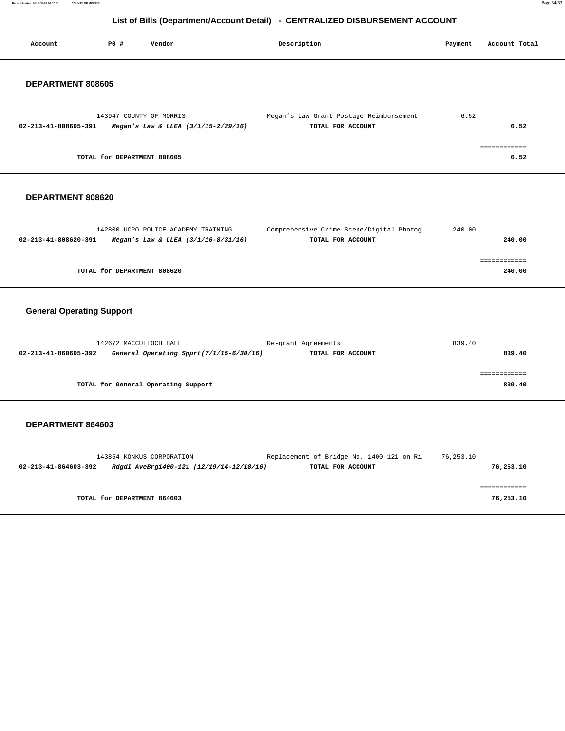**Report Printed** 2016-08-19 14:57:38 **COUNTY OF MORRIS** Page 54/63

# **List of Bills (Department/Account Detail) - CENTRALIZED DISBURSEMENT ACCOUNT**

### **DEPARTMENT 808620**

|                      | 142800 UCPO POLICE ACADEMY TRAINING     | Comprehensive Crime Scene/Digital Photog | 240.00 |        |
|----------------------|-----------------------------------------|------------------------------------------|--------|--------|
| 02-213-41-808620-391 | Megan's Law & LLEA $(3/1/16 - 8/31/16)$ | TOTAL FOR ACCOUNT                        |        | 240.00 |
|                      |                                         |                                          |        |        |
|                      |                                         |                                          |        |        |
|                      | TOTAL for DEPARTMENT 808620             |                                          |        | 240.00 |
|                      |                                         |                                          |        |        |

# **General Operating Support**

| 142672 MACCULLOCH HALL |                                         | Re-grant Agreements | 839.40 |
|------------------------|-----------------------------------------|---------------------|--------|
| 02-213-41-860605-392   | General Operating Spprt(7/1/15-6/30/16) | TOTAL FOR ACCOUNT   | 839.40 |
|                        |                                         |                     |        |
|                        |                                         |                     |        |
|                        | TOTAL for General Operating Support     |                     | 839.40 |

|                      | 143854 KONKUS CORPORATION                | Replacement of Bridge No. 1400-121 on Ri | 76,253.10 |           |
|----------------------|------------------------------------------|------------------------------------------|-----------|-----------|
| 02-213-41-864603-392 | Rdgdl AveBrg1400-121 (12/19/14-12/18/16) | TOTAL FOR ACCOUNT                        |           | 76,253.10 |
|                      |                                          |                                          |           |           |
|                      |                                          |                                          |           |           |
|                      | TOTAL for DEPARTMENT 864603              |                                          |           | 76,253.10 |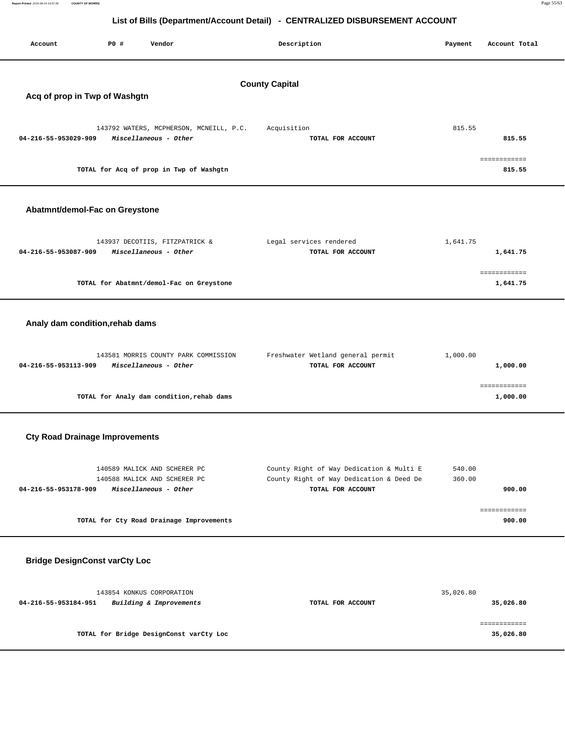| Report Printed 2016-08-19 14:57:38                                           | <b>COUNTY OF MORRIS</b>               |                                                                  |                                                        |          | Page 55/63               |  |  |
|------------------------------------------------------------------------------|---------------------------------------|------------------------------------------------------------------|--------------------------------------------------------|----------|--------------------------|--|--|
| List of Bills (Department/Account Detail) - CENTRALIZED DISBURSEMENT ACCOUNT |                                       |                                                                  |                                                        |          |                          |  |  |
| Account                                                                      | PO#                                   | Vendor                                                           | Description                                            | Payment  | Account Total            |  |  |
|                                                                              | Acq of prop in Twp of Washgtn         |                                                                  | <b>County Capital</b>                                  |          |                          |  |  |
| 04-216-55-953029-909                                                         |                                       | 143792 WATERS, MCPHERSON, MCNEILL, P.C.<br>Miscellaneous - Other | Acquisition<br>TOTAL FOR ACCOUNT                       | 815.55   | 815.55                   |  |  |
|                                                                              |                                       | TOTAL for Acq of prop in Twp of Washgtn                          |                                                        |          | ============<br>815.55   |  |  |
|                                                                              | Abatmnt/demol-Fac on Greystone        |                                                                  |                                                        |          |                          |  |  |
| 04-216-55-953087-909                                                         |                                       | 143937 DECOTIIS, FITZPATRICK &<br>Miscellaneous - Other          | Legal services rendered<br>TOTAL FOR ACCOUNT           | 1,641.75 | 1,641.75                 |  |  |
|                                                                              |                                       | TOTAL for Abatmnt/demol-Fac on Greystone                         |                                                        |          | ============<br>1,641.75 |  |  |
|                                                                              | Analy dam condition, rehab dams       |                                                                  |                                                        |          |                          |  |  |
| 04-216-55-953113-909                                                         |                                       | 143581 MORRIS COUNTY PARK COMMISSION<br>Miscellaneous - Other    | Freshwater Wetland general permit<br>TOTAL FOR ACCOUNT | 1,000.00 | 1,000.00                 |  |  |
|                                                                              |                                       | TOTAL for Analy dam condition, rehab dams                        |                                                        |          | ============<br>1,000.00 |  |  |
|                                                                              | <b>Cty Road Drainage Improvements</b> |                                                                  |                                                        |          |                          |  |  |

| 140589 MALICK AND SCHERER PC<br>140588 MALICK AND SCHERER PC | County Right of Way Dedication & Multi E<br>County Right of Way Dedication & Deed De | 540.00<br>360.00 |
|--------------------------------------------------------------|--------------------------------------------------------------------------------------|------------------|
| Miscellaneous - Other<br>04-216-55-953178-909                | TOTAL FOR ACCOUNT                                                                    | 900.00           |
|                                                              |                                                                                      |                  |
| TOTAL for Cty Road Drainage Improvements                     |                                                                                      | 900.00           |

# **Bridge DesignConst varCty Loc**

| 143854 KONKUS CORPORATION                       |                   | 35,026.80 |
|-------------------------------------------------|-------------------|-----------|
| Building & Improvements<br>04-216-55-953184-951 | TOTAL FOR ACCOUNT | 35,026.80 |
|                                                 |                   |           |
|                                                 |                   |           |
| TOTAL for Bridge DesignConst varCty Loc         |                   | 35,026.80 |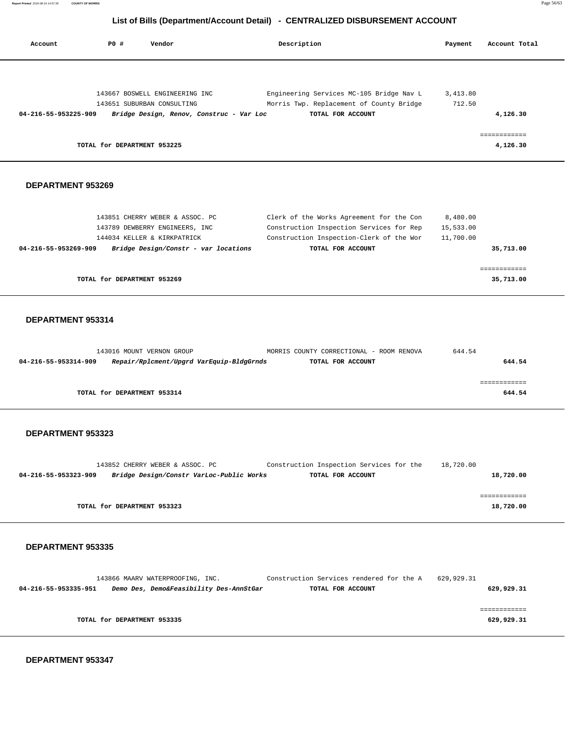**Report Printed** 2016-08-19 14:57:38 **COUNTY OF MORRIS** Page 56/63

# **List of Bills (Department/Account Detail) - CENTRALIZED DISBURSEMENT ACCOUNT**

| Account                  | P0 #                        | Vendor                                                                 | Description                                                   | Payment  | Account Total            |
|--------------------------|-----------------------------|------------------------------------------------------------------------|---------------------------------------------------------------|----------|--------------------------|
|                          |                             |                                                                        |                                                               |          |                          |
|                          |                             | 143667 BOSWELL ENGINEERING INC                                         | Engineering Services MC-105 Bridge Nav L                      | 3,413.80 |                          |
| 04-216-55-953225-909     |                             | 143651 SUBURBAN CONSULTING<br>Bridge Design, Renov, Construc - Var Loc | Morris Twp. Replacement of County Bridge<br>TOTAL FOR ACCOUNT | 712.50   | 4,126.30                 |
|                          |                             |                                                                        |                                                               |          |                          |
|                          | TOTAL for DEPARTMENT 953225 |                                                                        |                                                               |          | ============<br>4,126.30 |
|                          |                             |                                                                        |                                                               |          |                          |
| <b>DEPARTMENT 953269</b> |                             |                                                                        |                                                               |          |                          |
|                          |                             |                                                                        |                                                               |          |                          |
|                          |                             | 142951 CUPPDY WFBFB 6 ACCOC BC                                         | Clork of the Works Agreement for the Con                      | 0.190.00 |                          |

| TOTAL for DEPARTMENT 953269                                  |                                          | 35,713.00 |
|--------------------------------------------------------------|------------------------------------------|-----------|
|                                                              |                                          |           |
| Bridge Design/Constr - var locations<br>04-216-55-953269-909 | TOTAL FOR ACCOUNT                        | 35,713.00 |
| 144034 KELLER & KIRKPATRICK                                  | Construction Inspection-Clerk of the Wor | 11,700.00 |
| 143789 DEWBERRY ENGINEERS, INC                               | Construction Inspection Services for Rep | 15,533.00 |
| 143851 CHERRY WEBER & ASSOC. PC                              | Clerk of the Works Agreement for the Con | 8,480.00  |

### **DEPARTMENT 953314**

| 143016 MOUNT VERNON GROUP                                        | MORRIS COUNTY CORRECTIONAL - ROOM RENOVA | 644.54 |
|------------------------------------------------------------------|------------------------------------------|--------|
| Repair/Rplcment/Upgrd VarEquip-BldgGrnds<br>04-216-55-953314-909 | TOTAL FOR ACCOUNT                        | 644.54 |
|                                                                  |                                          |        |
|                                                                  |                                          |        |
| TOTAL for DEPARTMENT 953314                                      |                                          | 644.54 |
|                                                                  |                                          |        |

### **DEPARTMENT 953323**

|                      | 143852 CHERRY WEBER & ASSOC. PC          | Construction Inspection Services for the | 18,720.00 |
|----------------------|------------------------------------------|------------------------------------------|-----------|
| 04-216-55-953323-909 | Bridge Design/Constr VarLoc-Public Works | TOTAL FOR ACCOUNT                        | 18,720.00 |
|                      |                                          |                                          |           |
|                      |                                          |                                          |           |
|                      | TOTAL for DEPARTMENT 953323              |                                          | 18,720.00 |
|                      |                                          |                                          |           |

### **DEPARTMENT 953335**

|                      |                             | 143866 MAARV WATERPROOFING, INC. |                                         | Construction Services rendered for the A | 629,929.31 |            |
|----------------------|-----------------------------|----------------------------------|-----------------------------------------|------------------------------------------|------------|------------|
| 04-216-55-953335-951 |                             |                                  | Demo Des, Demo&Feasibility Des-AnnStGar | TOTAL FOR ACCOUNT                        |            | 629,929.31 |
|                      |                             |                                  |                                         |                                          |            |            |
|                      |                             |                                  |                                         |                                          |            |            |
|                      | TOTAL for DEPARTMENT 953335 |                                  |                                         |                                          |            | 629,929.31 |
|                      |                             |                                  |                                         |                                          |            |            |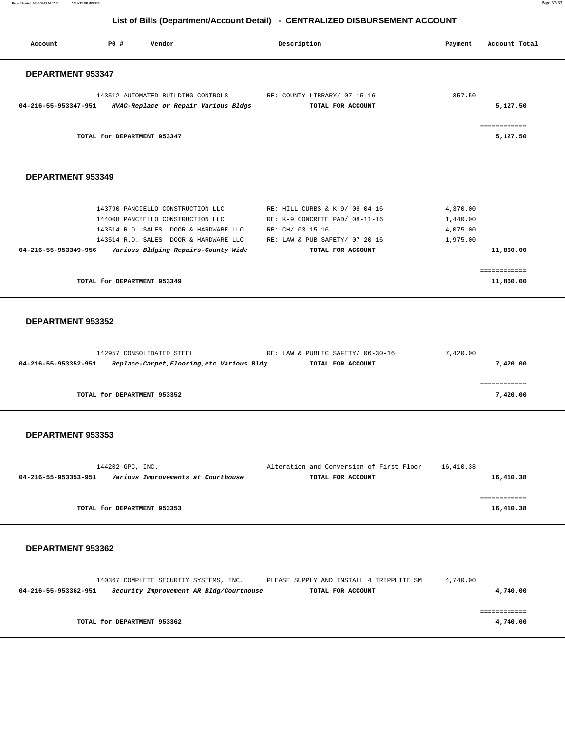**Report Printed** 2016-08-19 14:57:38 **COUNTY OF MORRIS** Page 57/63

# **List of Bills (Department/Account Detail) - CENTRALIZED DISBURSEMENT ACCOUNT**

| Account              | PO#<br>Vendor                                                                                                                                                                                   | Description                                                                                                                                 | Payment                                      | Account Total             |
|----------------------|-------------------------------------------------------------------------------------------------------------------------------------------------------------------------------------------------|---------------------------------------------------------------------------------------------------------------------------------------------|----------------------------------------------|---------------------------|
| DEPARTMENT 953347    |                                                                                                                                                                                                 |                                                                                                                                             |                                              |                           |
| 04-216-55-953347-951 | 143512 AUTOMATED BUILDING CONTROLS<br>HVAC-Replace or Repair Various Bldgs                                                                                                                      | RE: COUNTY LIBRARY/ 07-15-16<br>TOTAL FOR ACCOUNT                                                                                           | 357.50                                       | 5,127.50                  |
|                      | TOTAL for DEPARTMENT 953347                                                                                                                                                                     |                                                                                                                                             |                                              | ============<br>5,127.50  |
| DEPARTMENT 953349    |                                                                                                                                                                                                 |                                                                                                                                             |                                              |                           |
| 04-216-55-953349-956 | 143790 PANCIELLO CONSTRUCTION LLC<br>144008 PANCIELLO CONSTRUCTION LLC<br>143514 R.D. SALES DOOR & HARDWARE LLC<br>143514 R.D. SALES DOOR & HARDWARE LLC<br>Various Bldging Repairs-County Wide | RE: HILL CURBS & K-9/ 08-04-16<br>RE: K-9 CONCRETE PAD/ 08-11-16<br>RE: CH/ 03-15-16<br>RE: LAW & PUB SAFETY/ 07-20-16<br>TOTAL FOR ACCOUNT | 4,370.00<br>1,440.00<br>4,075.00<br>1,975.00 | 11,860.00                 |
|                      | TOTAL for DEPARTMENT 953349                                                                                                                                                                     |                                                                                                                                             |                                              | ============<br>11,860.00 |
| DEPARTMENT 953352    |                                                                                                                                                                                                 |                                                                                                                                             |                                              |                           |
| 04-216-55-953352-951 | 142957 CONSOLIDATED STEEL<br>Replace-Carpet, Flooring, etc Various Bldg                                                                                                                         | RE: LAW & PUBLIC SAFETY/ 06-30-16<br>TOTAL FOR ACCOUNT                                                                                      | 7,420.00                                     | 7,420.00                  |
|                      | TOTAL for DEPARTMENT 953352                                                                                                                                                                     |                                                                                                                                             |                                              | ============<br>7,420.00  |
| DEPARTMENT 953353    |                                                                                                                                                                                                 |                                                                                                                                             |                                              |                           |
| 04-216-55-953353-951 | 144202 GPC, INC.<br>Various Improvements at Courthouse                                                                                                                                          | Alteration and Conversion of First Floor<br>TOTAL FOR ACCOUNT                                                                               | 16,410.38                                    | 16,410.38                 |
|                      | TOTAL for DEPARTMENT 953353                                                                                                                                                                     |                                                                                                                                             |                                              | ============<br>16,410.38 |
|                      |                                                                                                                                                                                                 |                                                                                                                                             |                                              |                           |

|                      | 140367 COMPLETE SECURITY SYSTEMS, INC.  | PLEASE SUPPLY AND INSTALL 4 TRIPPLITE SM | 4,740.00 |
|----------------------|-----------------------------------------|------------------------------------------|----------|
| 04-216-55-953362-951 | Security Improvement AR Bldg/Courthouse | TOTAL FOR ACCOUNT                        | 4,740.00 |
|                      |                                         |                                          |          |
|                      |                                         |                                          |          |
|                      |                                         |                                          |          |
|                      | TOTAL for DEPARTMENT 953362             |                                          | 4,740.00 |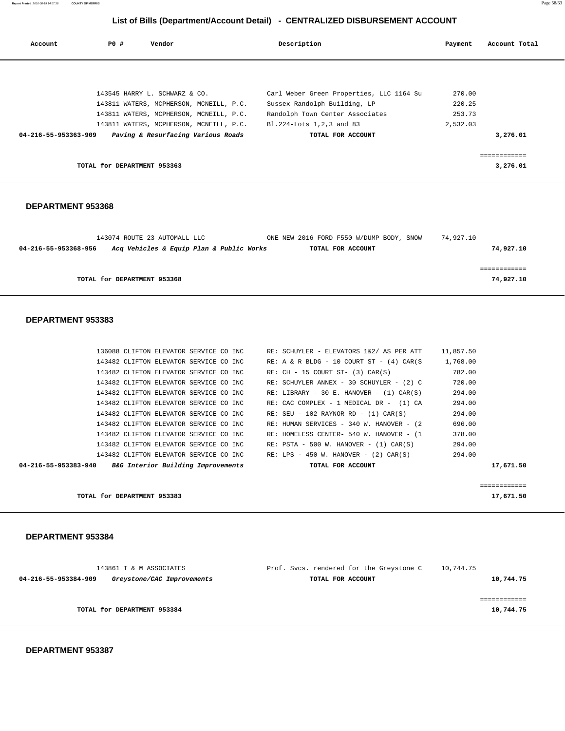**DEPARTMENT 953387** 

| 143861 T & M ASSOCIATES<br>04-216-55-953384-909<br>Greystone/CAC Improvements | Prof. Svcs. rendered for the Greystone C<br>TOTAL FOR ACCOUNT | 10,744.75<br>10,744.75 |
|-------------------------------------------------------------------------------|---------------------------------------------------------------|------------------------|
| TOTAL for DEPARTMENT 953384                                                   |                                                               | 10,744.75              |

### **DEPARTMENT 953384**

| TOTAL for DEPARTMENT 953383                                |                                               | 17,671.50 |
|------------------------------------------------------------|-----------------------------------------------|-----------|
|                                                            |                                               |           |
| 04-216-55-953383-940<br>B&G Interior Building Improvements | TOTAL FOR ACCOUNT                             | 17,671.50 |
| 143482 CLIFTON ELEVATOR SERVICE CO INC                     | $RE: LPS - 450 W$ . HANOVER - (2) CAR(S)      | 294.00    |
| 143482 CLIFTON ELEVATOR SERVICE CO INC                     | $RE: PSTA - 500 W. HANOVER - (1) CAR(S)$      | 294.00    |
| 143482 CLIFTON ELEVATOR SERVICE CO INC                     | RE: HOMELESS CENTER- 540 W. HANOVER - (1      | 378.00    |
| 143482 CLIFTON ELEVATOR SERVICE CO INC                     | RE: HUMAN SERVICES - 340 W. HANOVER - (2)     | 696.00    |
| 143482 CLIFTON ELEVATOR SERVICE CO INC                     | $RE: SEU - 102 RAYNOR RD - (1) CAR(S)$        | 294.00    |
| 143482 CLIFTON ELEVATOR SERVICE CO INC                     | RE: CAC COMPLEX - 1 MEDICAL DR - (1) CA       | 294.00    |
| 143482 CLIFTON ELEVATOR SERVICE CO INC                     | RE: LIBRARY - 30 E. HANOVER - $(1)$ CAR $(S)$ | 294.00    |
| 143482 CLIFTON ELEVATOR SERVICE CO INC                     | RE: SCHUYLER ANNEX - 30 SCHUYLER - (2) C      | 720.00    |
| 143482 CLIFTON ELEVATOR SERVICE CO INC                     | $RE: CH - 15 COURT ST- (3) CAR(S)$            | 782.00    |
| 143482 CLIFTON ELEVATOR SERVICE CO INC                     | $RE: A & R BLDG - 10 COURT ST - (4) CAR(S)$   | 1,768.00  |

136088 CLIFTON ELEVATOR SERVICE CO INC RE: SCHUYLER - ELEVATORS 1&2/ AS PER ATT 11,857.50

### **DEPARTMENT 953383**

| 04-216-55-953368-956 | 143074 ROUTE 23 AUTOMALL LLC<br>Acq Vehicles & Equip Plan & Public Works | ONE NEW 2016 FORD F550 W/DUMP BODY, SNOW<br>TOTAL FOR ACCOUNT | 74,927.10 | 74,927.10 |
|----------------------|--------------------------------------------------------------------------|---------------------------------------------------------------|-----------|-----------|
|                      | TOTAL for DEPARTMENT 953368                                              |                                                               |           | 74,927.10 |

| Account              | PO#                         | Vendor                                  | Description                              | Payment  | Account Total |
|----------------------|-----------------------------|-----------------------------------------|------------------------------------------|----------|---------------|
|                      |                             |                                         |                                          |          |               |
|                      |                             | 143545 HARRY L. SCHWARZ & CO.           | Carl Weber Green Properties, LLC 1164 Su | 270.00   |               |
|                      |                             | 143811 WATERS, MCPHERSON, MCNEILL, P.C. | Sussex Randolph Building, LP             | 220.25   |               |
|                      |                             | 143811 WATERS, MCPHERSON, MCNEILL, P.C. | Randolph Town Center Associates          | 253.73   |               |
|                      |                             | 143811 WATERS, MCPHERSON, MCNEILL, P.C. | Bl.224-Lots 1,2,3 and 83                 | 2,532.03 |               |
| 04-216-55-953363-909 |                             | Paving & Resurfacing Various Roads      | TOTAL FOR ACCOUNT                        |          | 3,276.01      |
|                      |                             |                                         |                                          |          |               |
|                      | TOTAL for DEPARTMENT 953363 |                                         |                                          |          | 3,276.01      |
|                      |                             |                                         |                                          |          |               |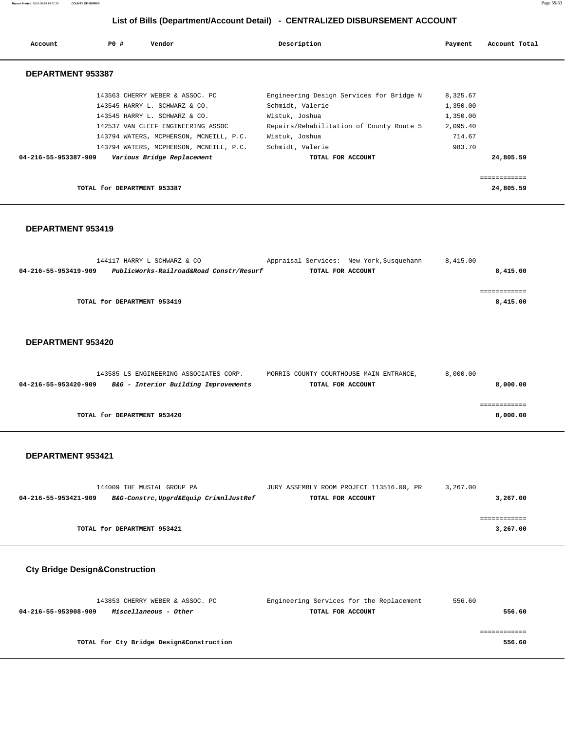**Report Printed** 2016-08-19 14:57:38 **COUNTY OF MORRIS** Page 59/63

# **List of Bills (Department/Account Detail) - CENTRALIZED DISBURSEMENT ACCOUNT**

| Account              | PO#<br>Vendor                           | Description                              | Payment  | Account Total |
|----------------------|-----------------------------------------|------------------------------------------|----------|---------------|
| DEPARTMENT 953387    |                                         |                                          |          |               |
|                      | 143563 CHERRY WEBER & ASSOC. PC         | Engineering Design Services for Bridge N | 8,325.67 |               |
|                      | 143545 HARRY L. SCHWARZ & CO.           | Schmidt, Valerie                         | 1,350.00 |               |
|                      | 143545 HARRY L. SCHWARZ & CO.           | Wistuk, Joshua                           | 1,350.00 |               |
|                      | 142537 VAN CLEEF ENGINEERING ASSOC      | Repairs/Rehabilitation of County Route 5 | 2,095.40 |               |
|                      | 143794 WATERS, MCPHERSON, MCNEILL, P.C. | Wistuk, Joshua                           | 714.67   |               |
|                      | 143794 WATERS, MCPHERSON, MCNEILL, P.C. | Schmidt, Valerie                         | 983.70   |               |
| 04-216-55-953387-909 | Various Bridge Replacement              | TOTAL FOR ACCOUNT                        |          | 24,805.59     |
|                      |                                         |                                          |          |               |
|                      |                                         |                                          |          | ============  |
|                      | TOTAL for DEPARTMENT 953387             |                                          |          | 24,805.59     |

### **DEPARTMENT 953419**

| 144117 HARRY L SCHWARZ & CO                                     | Appraisal Services: New York, Susquehann | 8,415.00 |
|-----------------------------------------------------------------|------------------------------------------|----------|
| PublicWorks-Railroad&Road Constr/Resurf<br>04-216-55-953419-909 | TOTAL FOR ACCOUNT                        | 8,415.00 |
|                                                                 |                                          |          |
|                                                                 |                                          |          |
| TOTAL for DEPARTMENT 953419                                     |                                          | 8,415.00 |

### **DEPARTMENT 953420**

| 143585 LS ENGINEERING ASSOCIATES CORP.                       | MORRIS COUNTY COURTHOUSE MAIN ENTRANCE, | 8,000.00 |
|--------------------------------------------------------------|-----------------------------------------|----------|
| B&G - Interior Building Improvements<br>04-216-55-953420-909 | TOTAL FOR ACCOUNT                       | 8,000.00 |
|                                                              |                                         |          |
|                                                              |                                         |          |
| TOTAL for DEPARTMENT 953420                                  |                                         | 8,000.00 |
|                                                              |                                         |          |

### **DEPARTMENT 953421**

|                      | 144009 THE MUSIAL GROUP PA            | JURY ASSEMBLY ROOM PROJECT 113516.00, PR | 3,267.00 |
|----------------------|---------------------------------------|------------------------------------------|----------|
| 04-216-55-953421-909 | B&G-Constrc,Upgrd&Equip CrimnlJustRef | TOTAL FOR ACCOUNT                        | 3,267.00 |
|                      |                                       |                                          |          |
|                      |                                       |                                          |          |
|                      | TOTAL for DEPARTMENT 953421           |                                          | 3,267.00 |

# **Cty Bridge Design&Construction**

| 143853 CHERRY WEBER & ASSOC. PC               | Engineering Services for the Replacement | 556.60 |
|-----------------------------------------------|------------------------------------------|--------|
| Miscellaneous - Other<br>04-216-55-953908-909 | TOTAL FOR ACCOUNT                        | 556.60 |
|                                               |                                          |        |
|                                               |                                          |        |
| TOTAL for Cty Bridge Design&Construction      |                                          | 556.60 |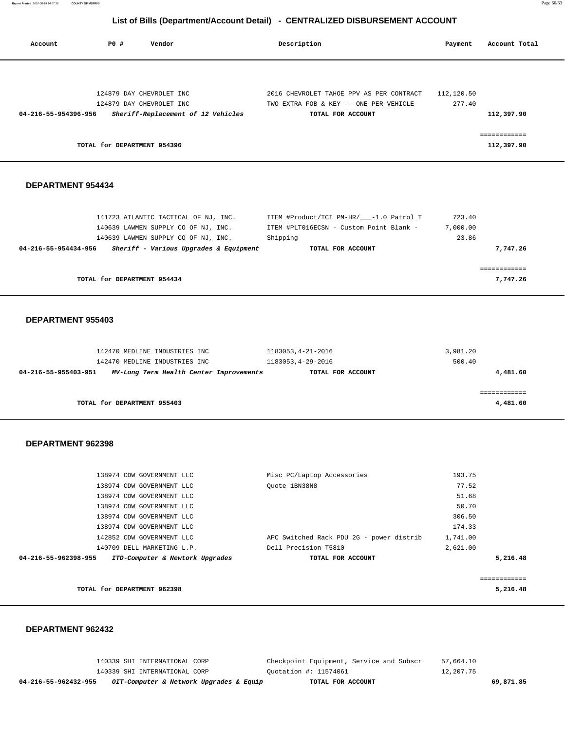**Report Printed** 2016-08-19 14:57:38 **COUNTY OF MORRIS** Page 60/63

## **List of Bills (Department/Account Detail) - CENTRALIZED DISBURSEMENT ACCOUNT**

| Account              | P0 #<br>Vendor                                                                                                                                                                                                                                                           |                                         | Description                                                                                                                          | Payment                                                                       | Account Total                            |
|----------------------|--------------------------------------------------------------------------------------------------------------------------------------------------------------------------------------------------------------------------------------------------------------------------|-----------------------------------------|--------------------------------------------------------------------------------------------------------------------------------------|-------------------------------------------------------------------------------|------------------------------------------|
| 04-216-55-954396-956 | 124879 DAY CHEVROLET INC<br>124879 DAY CHEVROLET INC<br>Sheriff-Replacement of 12 Vehicles<br>TOTAL for DEPARTMENT 954396                                                                                                                                                |                                         | 2016 CHEVROLET TAHOE PPV AS PER CONTRACT<br>TWO EXTRA FOB & KEY -- ONE PER VEHICLE<br>TOTAL FOR ACCOUNT                              | 112,120.50<br>277.40                                                          | 112,397.90<br>============<br>112,397.90 |
|                      |                                                                                                                                                                                                                                                                          |                                         |                                                                                                                                      |                                                                               |                                          |
| DEPARTMENT 954434    |                                                                                                                                                                                                                                                                          |                                         |                                                                                                                                      |                                                                               |                                          |
| 04-216-55-954434-956 | 141723 ATLANTIC TACTICAL OF NJ, INC.<br>140639 LAWMEN SUPPLY CO OF NJ, INC.<br>140639 LAWMEN SUPPLY CO OF NJ, INC.                                                                                                                                                       | Sheriff - Various Upgrades & Equipment  | ITEM #Product/TCI PM-HR/___-1.0 Patrol T<br>ITEM #PLT016ECSN - Custom Point Blank -<br>Shipping<br>TOTAL FOR ACCOUNT                 | 723.40<br>7,000.00<br>23.86                                                   | 7,747.26                                 |
|                      | TOTAL for DEPARTMENT 954434                                                                                                                                                                                                                                              |                                         |                                                                                                                                      |                                                                               | ============<br>7,747.26                 |
| DEPARTMENT 955403    | 142470 MEDLINE INDUSTRIES INC<br>142470 MEDLINE INDUSTRIES INC                                                                                                                                                                                                           |                                         | 1183053, 4-21-2016<br>1183053, 4-29-2016                                                                                             | 3,981.20<br>500.40                                                            |                                          |
| 04-216-55-955403-951 |                                                                                                                                                                                                                                                                          | MV-Long Term Health Center Improvements | TOTAL FOR ACCOUNT                                                                                                                    |                                                                               | 4,481.60                                 |
|                      | TOTAL for DEPARTMENT 955403                                                                                                                                                                                                                                              |                                         |                                                                                                                                      |                                                                               | ============<br>4,481.60                 |
| DEPARTMENT 962398    |                                                                                                                                                                                                                                                                          |                                         |                                                                                                                                      |                                                                               |                                          |
| 04-216-55-962398-955 | 138974 CDW GOVERNMENT LLC<br>138974 CDW GOVERNMENT LLC<br>138974 CDW GOVERNMENT LLC<br>138974 CDW GOVERNMENT LLC<br>138974 CDW GOVERNMENT LLC<br>138974 CDW GOVERNMENT LLC<br>142852 CDW GOVERNMENT LLC<br>140709 DELL MARKETING L.P.<br>ITD-Computer & Newtork Upgrades |                                         | Misc PC/Laptop Accessories<br>Quote 1BN38N8<br>APC Switched Rack PDU 2G - power distrib<br>Dell Precision T5810<br>TOTAL FOR ACCOUNT | 193.75<br>77.52<br>51.68<br>50.70<br>306.50<br>174.33<br>1,741.00<br>2,621.00 | 5,216.48                                 |
|                      |                                                                                                                                                                                                                                                                          |                                         |                                                                                                                                      |                                                                               | ============                             |
|                      | TOTAL for DEPARTMENT 962398                                                                                                                                                                                                                                              |                                         |                                                                                                                                      |                                                                               | 5,216.48                                 |

### **DEPARTMENT 962432**

 140339 SHI INTERNATIONAL CORP Checkpoint Equipment, Service and Subscr 57,664.10 140339 SHI INTERNATIONAL CORP Quotation #: 11574061 12,207.75  **04-216-55-962432-955 OIT-Computer & Network Upgrades & Equip TOTAL FOR ACCOUNT 69,871.85**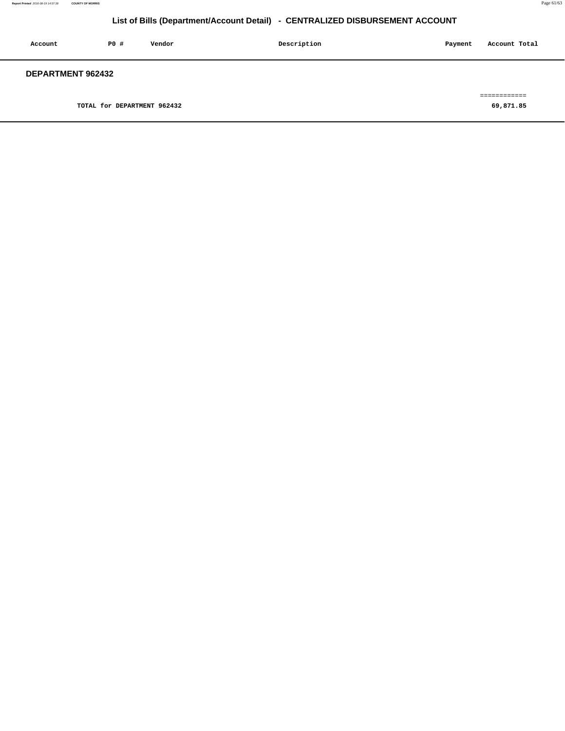| Account           | PO#                         | Vendor | Description | Payment | Account Total |
|-------------------|-----------------------------|--------|-------------|---------|---------------|
| DEPARTMENT 962432 |                             |        |             |         |               |
|                   |                             |        |             |         | ---------     |
|                   | TOTAL for DEPARTMENT 962432 |        |             |         | 69,871.85     |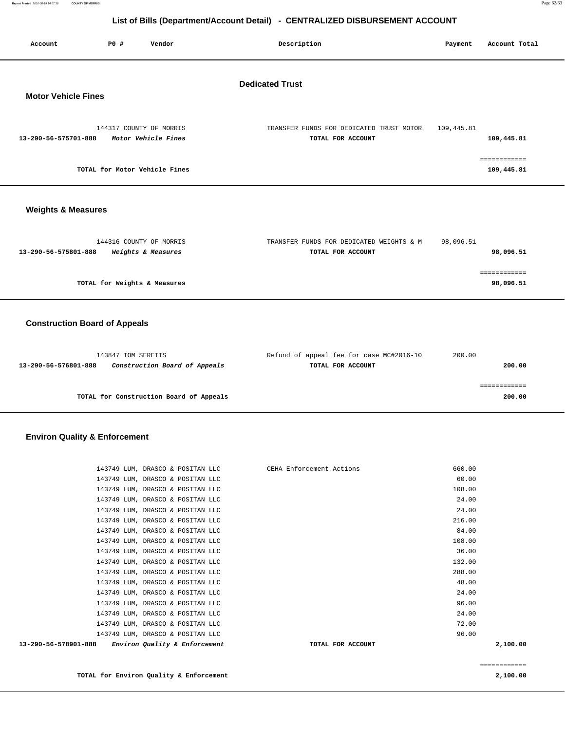| Report Printed 2016-08-19 14:57:38 | <b>COUNTY OF MORRIS</b> | Page 62/63 |
|------------------------------------|-------------------------|------------|
|                                    |                         |            |

| List of Bind (Bepartment/Toodant Betail)<br><b>PERTITALIZED DIODOROEMENT ACCOOMT</b> |                              |                                                |                                                               |            |                            |  |
|--------------------------------------------------------------------------------------|------------------------------|------------------------------------------------|---------------------------------------------------------------|------------|----------------------------|--|
| Account                                                                              | P0 #                         | Vendor                                         | Description                                                   | Payment    | Account Total              |  |
| <b>Dedicated Trust</b><br><b>Motor Vehicle Fines</b>                                 |                              |                                                |                                                               |            |                            |  |
| 13-290-56-575701-888                                                                 |                              | 144317 COUNTY OF MORRIS<br>Motor Vehicle Fines | TRANSFER FUNDS FOR DEDICATED TRUST MOTOR<br>TOTAL FOR ACCOUNT | 109,445.81 | 109,445.81                 |  |
|                                                                                      |                              | TOTAL for Motor Vehicle Fines                  |                                                               |            | ============<br>109,445.81 |  |
| <b>Weights &amp; Measures</b>                                                        |                              |                                                |                                                               |            |                            |  |
| 13-290-56-575801-888                                                                 |                              | 144316 COUNTY OF MORRIS<br>Weights & Measures  | TRANSFER FUNDS FOR DEDICATED WEIGHTS & M<br>TOTAL FOR ACCOUNT | 98,096.51  | 98,096.51                  |  |
|                                                                                      | TOTAL for Weights & Measures |                                                |                                                               |            | ============<br>98,096.51  |  |
| <b>Construction Board of Appeals</b>                                                 |                              |                                                |                                                               |            |                            |  |
|                                                                                      | 143847 TOM SERETIS           | _ _ _ _ _                                      | Refund of appeal fee for case MC#2016-10                      | 200.00     | $\cdots$                   |  |

| 200.00 | TOTAL FOR ACCOUNT | Construction Board of Appeals           | 13-290-56-576801-888 |
|--------|-------------------|-----------------------------------------|----------------------|
|        |                   |                                         |                      |
| 200.00 |                   | TOTAL for Construction Board of Appeals |                      |

# **Environ Quality & Enforcement**

| 13-290-56-578901-888 | Environ Quality & Enforcement    | TOTAL FOR ACCOUNT                                         | 2,100.00 |
|----------------------|----------------------------------|-----------------------------------------------------------|----------|
|                      | 143749 LUM, DRASCO & POSITAN LLC |                                                           | 96.00    |
|                      | 143749 LUM, DRASCO & POSITAN LLC |                                                           | 72.00    |
|                      | 143749 LUM, DRASCO & POSITAN LLC |                                                           | 24.00    |
|                      | 143749 LUM, DRASCO & POSITAN LLC |                                                           | 96.00    |
|                      | 143749 LUM, DRASCO & POSITAN LLC |                                                           | 24.00    |
|                      | 143749 LUM, DRASCO & POSITAN LLC |                                                           | 48.00    |
|                      | 143749 LUM, DRASCO & POSITAN LLC |                                                           | 288.00   |
|                      | 143749 LUM, DRASCO & POSITAN LLC |                                                           | 132.00   |
|                      | 143749 LUM, DRASCO & POSITAN LLC |                                                           | 36.00    |
|                      | 143749 LUM, DRASCO & POSITAN LLC |                                                           | 108.00   |
|                      | 143749 LUM, DRASCO & POSITAN LLC |                                                           | 84.00    |
|                      | 143749 LUM, DRASCO & POSITAN LLC |                                                           | 216.00   |
|                      | 143749 LUM, DRASCO & POSITAN LLC |                                                           | 24.00    |
|                      | 143749 LUM, DRASCO & POSITAN LLC |                                                           | 24.00    |
|                      | 143749 LUM, DRASCO & POSITAN LLC |                                                           | 108.00   |
|                      | 143749 LUM, DRASCO & POSITAN LLC |                                                           | 60.00    |
|                      |                                  | 143749 LUM, DRASCO & POSITAN LLC CEHA Enforcement Actions | 660.00   |

============

**TOTAL for Environ Quality & Enforcement 2,100.00**